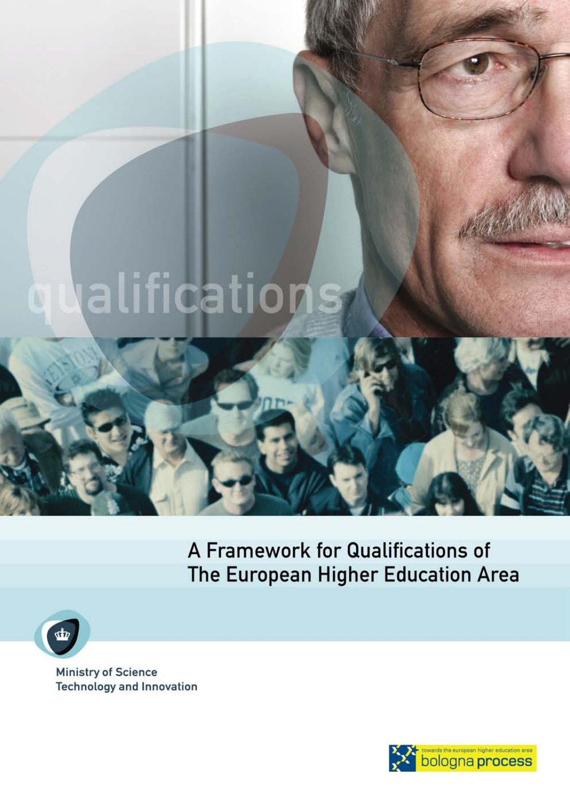# **Nalification**

A Framework for Qualifications of The European Higher Education Area



**Ministry of Science Technology and Innovation** 

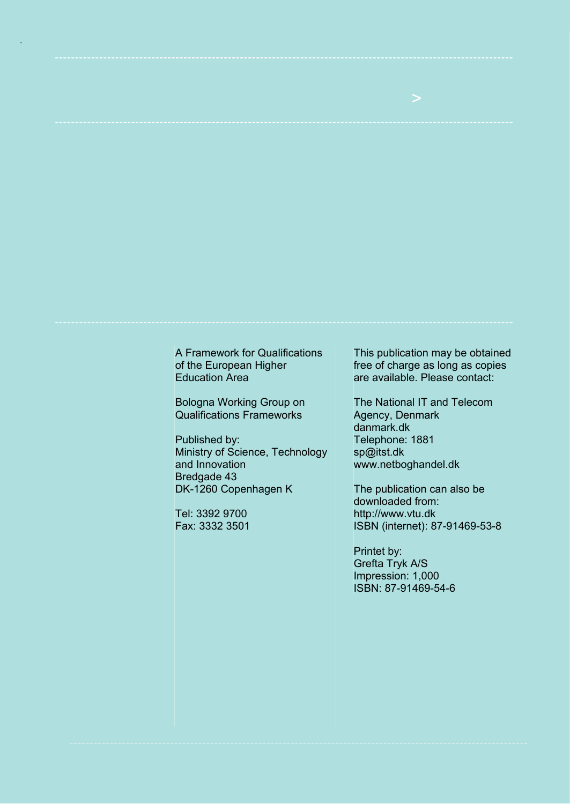A Framework for Qualifications of the European Higher Education Area

Bologna Working Group on Qualifications Frameworks

Published by: Ministry of Science, Technology and Innovation Bredgade 43 DK-1260 Copenhagen K

Tel: 3392 9700 Fax: 3332 3501 This publication may be obtained free of charge as long as copies are available. Please contact:

The National IT and Telecom Agency, Denmark danmark.dk Telephone: 1881 sp@itst.dk www.netboghandel.dk

The publication can also be downloaded from: http://www.vtu.dk ISBN (internet): 87-91469-53-8

Printet by: Grefta Tryk A/S Impression: 1,000 ISBN: 87-91469-54-6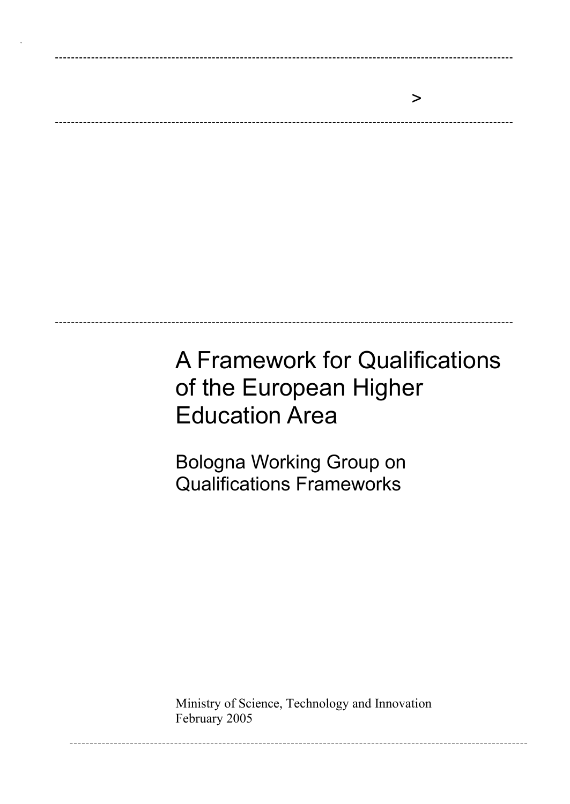# A Framework for Qualifications of the European Higher Education Area

Bologna Working Group on Qualifications Frameworks

Ministry of Science, Technology and Innovation February 2005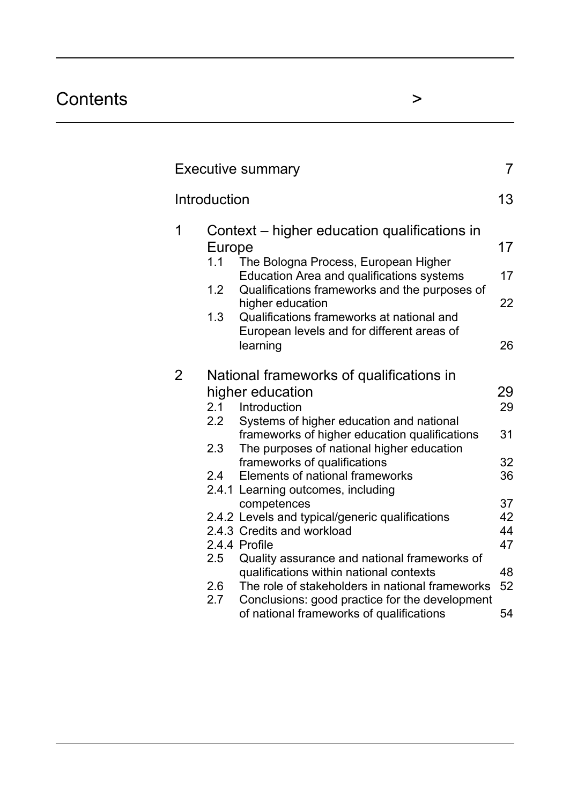# Contents >

| <b>Executive summary</b> |                                                                                                                                                    |                                                                                                                                                                                                                                                                                                                                                |                                  |  |  |
|--------------------------|----------------------------------------------------------------------------------------------------------------------------------------------------|------------------------------------------------------------------------------------------------------------------------------------------------------------------------------------------------------------------------------------------------------------------------------------------------------------------------------------------------|----------------------------------|--|--|
|                          | Introduction                                                                                                                                       |                                                                                                                                                                                                                                                                                                                                                |                                  |  |  |
| 1                        | Context – higher education qualifications in<br>Europe<br>1.1<br>The Bologna Process, European Higher<br>Education Area and qualifications systems |                                                                                                                                                                                                                                                                                                                                                |                                  |  |  |
|                          | 1.2<br>1.3                                                                                                                                         | Qualifications frameworks and the purposes of<br>higher education<br>Qualifications frameworks at national and<br>European levels and for different areas of                                                                                                                                                                                   | 22                               |  |  |
|                          |                                                                                                                                                    | learning                                                                                                                                                                                                                                                                                                                                       | 26                               |  |  |
| $\overline{2}$           | 2.1<br>2.2<br>2.3<br>2.4                                                                                                                           | National frameworks of qualifications in<br>higher education<br>Introduction<br>Systems of higher education and national<br>frameworks of higher education qualifications<br>The purposes of national higher education<br>frameworks of qualifications<br>Elements of national frameworks<br>2.4.1 Learning outcomes, including<br>competences | 29<br>29<br>31<br>32<br>36<br>37 |  |  |
|                          |                                                                                                                                                    | 2.4.2 Levels and typical/generic qualifications<br>2.4.3 Credits and workload<br>2.4.4 Profile                                                                                                                                                                                                                                                 | 42<br>44<br>47                   |  |  |
|                          | 2.5<br>2.6<br>2.7                                                                                                                                  | Quality assurance and national frameworks of<br>qualifications within national contexts<br>The role of stakeholders in national frameworks<br>Conclusions: good practice for the development                                                                                                                                                   | 48<br>52                         |  |  |
|                          |                                                                                                                                                    | of national frameworks of qualifications                                                                                                                                                                                                                                                                                                       | 54                               |  |  |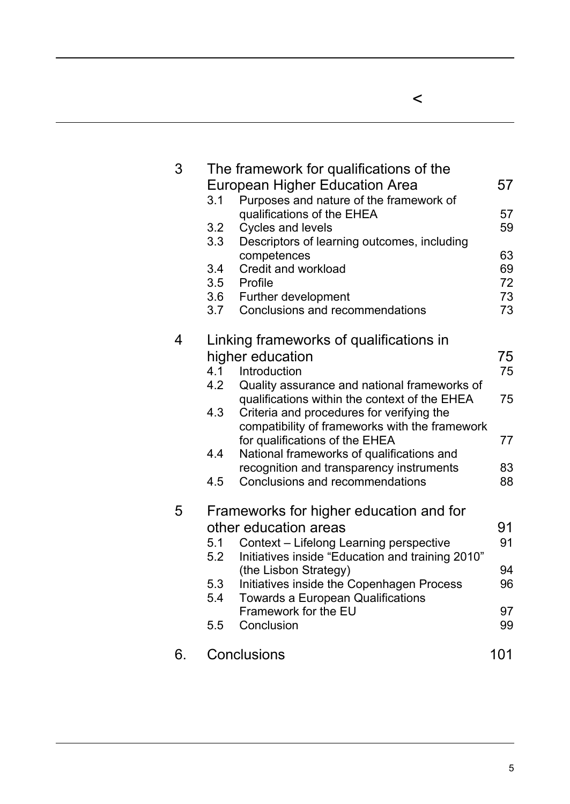$\begin{aligned} \mathcal{L}_{\text{max}}(\mathcal{L}_{\text{max}}) = \mathcal{L}_{\text{max}}(\mathcal{L}_{\text{max}}) \end{aligned}$ 

| 3  | The framework for qualifications of the |                                                  |     |  |  |
|----|-----------------------------------------|--------------------------------------------------|-----|--|--|
|    |                                         | <b>European Higher Education Area</b>            | 57  |  |  |
|    | 3.1                                     | Purposes and nature of the framework of          |     |  |  |
|    |                                         | qualifications of the EHEA                       | 57  |  |  |
|    | 3.2                                     | Cycles and levels                                | 59  |  |  |
|    | 3.3                                     | Descriptors of learning outcomes, including      |     |  |  |
|    |                                         | competences                                      | 63  |  |  |
|    | 3.4                                     | Credit and workload                              | 69  |  |  |
|    | 3.5                                     | Profile                                          | 72  |  |  |
|    | 3.6                                     | Further development                              | 73  |  |  |
|    | 3.7                                     | Conclusions and recommendations                  | 73  |  |  |
| 4  |                                         | Linking frameworks of qualifications in          |     |  |  |
|    |                                         | higher education                                 | 75  |  |  |
|    | 4.1                                     | Introduction                                     | 75  |  |  |
|    | 4.2                                     | Quality assurance and national frameworks of     |     |  |  |
|    |                                         | qualifications within the context of the EHEA    | 75  |  |  |
|    | 4.3                                     | Criteria and procedures for verifying the        |     |  |  |
|    |                                         | compatibility of frameworks with the framework   |     |  |  |
|    |                                         | for qualifications of the EHEA                   | 77  |  |  |
|    | 4.4                                     | National frameworks of qualifications and        |     |  |  |
|    |                                         | recognition and transparency instruments         | 83  |  |  |
|    | 4.5                                     | Conclusions and recommendations                  | 88  |  |  |
|    |                                         |                                                  |     |  |  |
| 5  | Frameworks for higher education and for |                                                  |     |  |  |
|    | other education areas                   |                                                  |     |  |  |
|    | 5.1                                     | Context - Lifelong Learning perspective          | 91  |  |  |
|    | 5.2                                     | Initiatives inside "Education and training 2010" |     |  |  |
|    |                                         | (the Lisbon Strategy)                            | 94  |  |  |
|    | 5.3                                     | Initiatives inside the Copenhagen Process        | 96  |  |  |
|    | 5.4                                     | Towards a European Qualifications                |     |  |  |
|    |                                         | Framework for the EU                             | 97  |  |  |
|    | 5.5                                     | Conclusion                                       | 99  |  |  |
|    |                                         |                                                  |     |  |  |
| 6. |                                         | Conclusions                                      | 101 |  |  |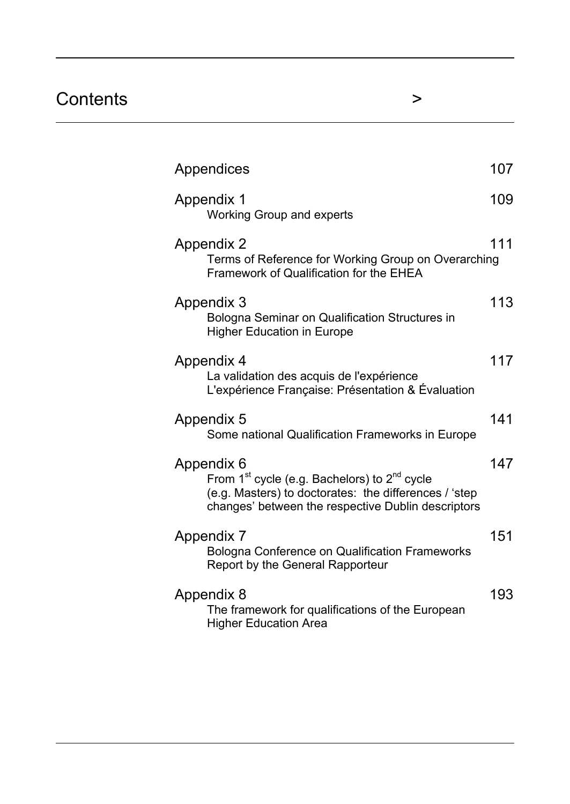# Contents >

| Appendices                                                                                                                                                                          | 107 |
|-------------------------------------------------------------------------------------------------------------------------------------------------------------------------------------|-----|
| Appendix 1<br><b>Working Group and experts</b>                                                                                                                                      | 109 |
| Appendix 2<br>Terms of Reference for Working Group on Overarching<br>Framework of Qualification for the EHEA                                                                        | 111 |
| Appendix 3<br>Bologna Seminar on Qualification Structures in<br><b>Higher Education in Europe</b>                                                                                   | 113 |
| Appendix 4<br>La validation des acquis de l'expérience<br>L'expérience Française: Présentation & Évaluation                                                                         | 117 |
| Appendix 5<br>Some national Qualification Frameworks in Europe                                                                                                                      | 141 |
| Appendix 6<br>From $1^{st}$ cycle (e.g. Bachelors) to $2^{nd}$ cycle<br>(e.g. Masters) to doctorates: the differences / 'step<br>changes' between the respective Dublin descriptors | 147 |
| Appendix 7<br>Bologna Conference on Qualification Frameworks<br>Report by the General Rapporteur                                                                                    | 151 |
| Appendix 8<br>The framework for qualifications of the European<br><b>Higher Education Area</b>                                                                                      | 193 |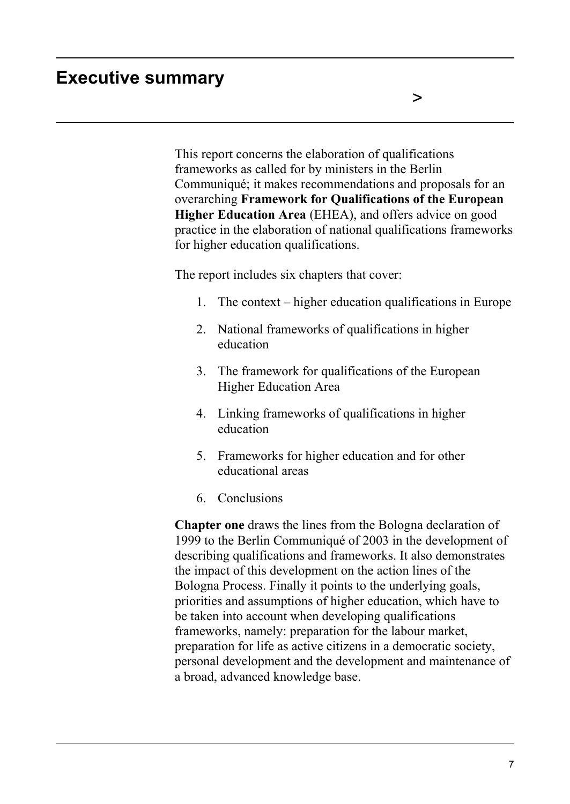## **Executive summary**

This report concerns the elaboration of qualifications frameworks as called for by ministers in the Berlin Communiqué; it makes recommendations and proposals for an overarching **Framework for Qualifications of the European Higher Education Area** (EHEA), and offers advice on good practice in the elaboration of national qualifications frameworks for higher education qualifications.

The report includes six chapters that cover:

- 1. The context higher education qualifications in Europe
- 2. National frameworks of qualifications in higher education
- 3. The framework for qualifications of the European Higher Education Area
- 4. Linking frameworks of qualifications in higher education
- 5. Frameworks for higher education and for other educational areas
- 6. Conclusions

**Chapter one** draws the lines from the Bologna declaration of 1999 to the Berlin Communiqué of 2003 in the development of describing qualifications and frameworks. It also demonstrates the impact of this development on the action lines of the Bologna Process. Finally it points to the underlying goals, priorities and assumptions of higher education, which have to be taken into account when developing qualifications frameworks, namely: preparation for the labour market, preparation for life as active citizens in a democratic society, personal development and the development and maintenance of a broad, advanced knowledge base.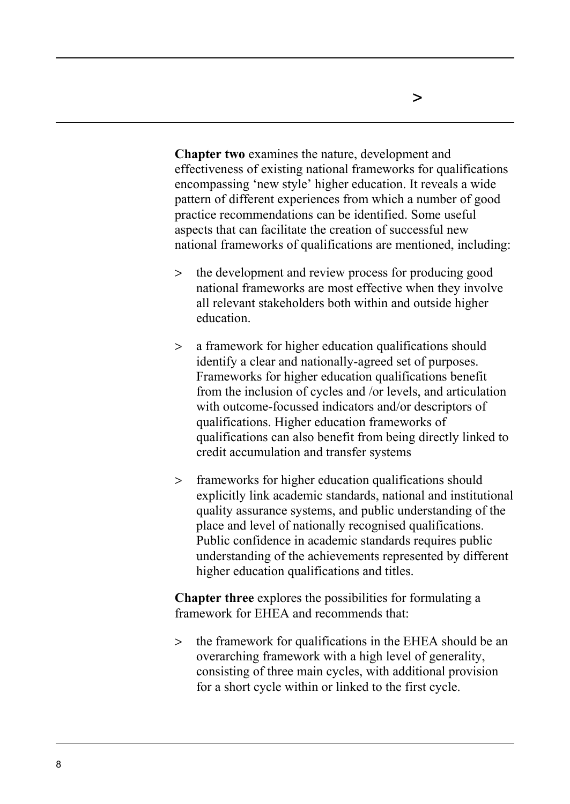**Chapter two** examines the nature, development and effectiveness of existing national frameworks for qualifications encompassing 'new style' higher education. It reveals a wide pattern of different experiences from which a number of good practice recommendations can be identified. Some useful aspects that can facilitate the creation of successful new national frameworks of qualifications are mentioned, including:

>

- > the development and review process for producing good national frameworks are most effective when they involve all relevant stakeholders both within and outside higher education.
- > a framework for higher education qualifications should identify a clear and nationally-agreed set of purposes. Frameworks for higher education qualifications benefit from the inclusion of cycles and /or levels, and articulation with outcome-focussed indicators and/or descriptors of qualifications. Higher education frameworks of qualifications can also benefit from being directly linked to credit accumulation and transfer systems
- > frameworks for higher education qualifications should explicitly link academic standards, national and institutional quality assurance systems, and public understanding of the place and level of nationally recognised qualifications. Public confidence in academic standards requires public understanding of the achievements represented by different higher education qualifications and titles.

**Chapter three** explores the possibilities for formulating a framework for EHEA and recommends that:

> the framework for qualifications in the EHEA should be an overarching framework with a high level of generality, consisting of three main cycles, with additional provision for a short cycle within or linked to the first cycle.

8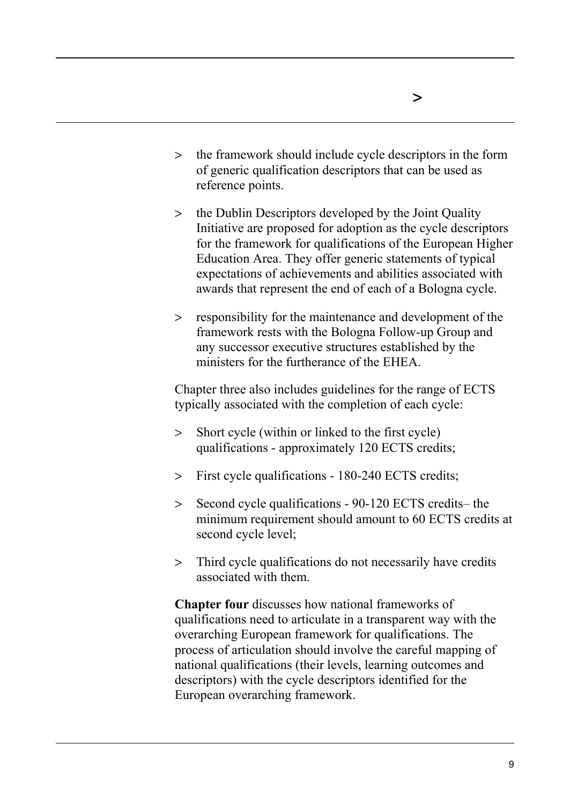- > the framework should include cycle descriptors in the form of generic qualification descriptors that can be used as reference points.
- > the Dublin Descriptors developed by the Joint Quality Initiative are proposed for adoption as the cycle descriptors for the framework for qualifications of the European Higher Education Area. They offer generic statements of typical expectations of achievements and abilities associated with awards that represent the end of each of a Bologna cycle.
- > responsibility for the maintenance and development of the framework rests with the Bologna Follow-up Group and any successor executive structures established by the ministers for the furtherance of the EHEA.

Chapter three also includes guidelines for the range of ECTS typically associated with the completion of each cycle:

- > Short cycle (within or linked to the first cycle) qualifications - approximately 120 ECTS credits;
- > First cycle qualifications 180-240 ECTS credits;
- > Second cycle qualifications 90-120 ECTS credits– the minimum requirement should amount to 60 ECTS credits at second cycle level;
- > Third cycle qualifications do not necessarily have credits associated with them.

**Chapter four** discusses how national frameworks of qualifications need to articulate in a transparent way with the overarching European framework for qualifications. The process of articulation should involve the careful mapping of national qualifications (their levels, learning outcomes and descriptors) with the cycle descriptors identified for the European overarching framework.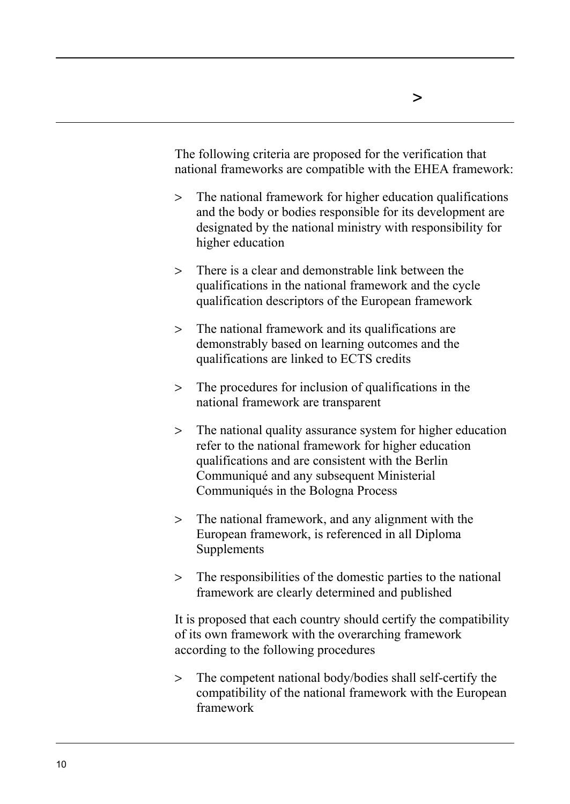The following criteria are proposed for the verification that national frameworks are compatible with the EHEA framework:

- > The national framework for higher education qualifications and the body or bodies responsible for its development are designated by the national ministry with responsibility for higher education
- > There is a clear and demonstrable link between the qualifications in the national framework and the cycle qualification descriptors of the European framework
- > The national framework and its qualifications are demonstrably based on learning outcomes and the qualifications are linked to ECTS credits
- > The procedures for inclusion of qualifications in the national framework are transparent
- > The national quality assurance system for higher education refer to the national framework for higher education qualifications and are consistent with the Berlin Communiqué and any subsequent Ministerial Communiqués in the Bologna Process
- > The national framework, and any alignment with the European framework, is referenced in all Diploma Supplements
- > The responsibilities of the domestic parties to the national framework are clearly determined and published

It is proposed that each country should certify the compatibility of its own framework with the overarching framework according to the following procedures

> The competent national body/bodies shall self-certify the compatibility of the national framework with the European framework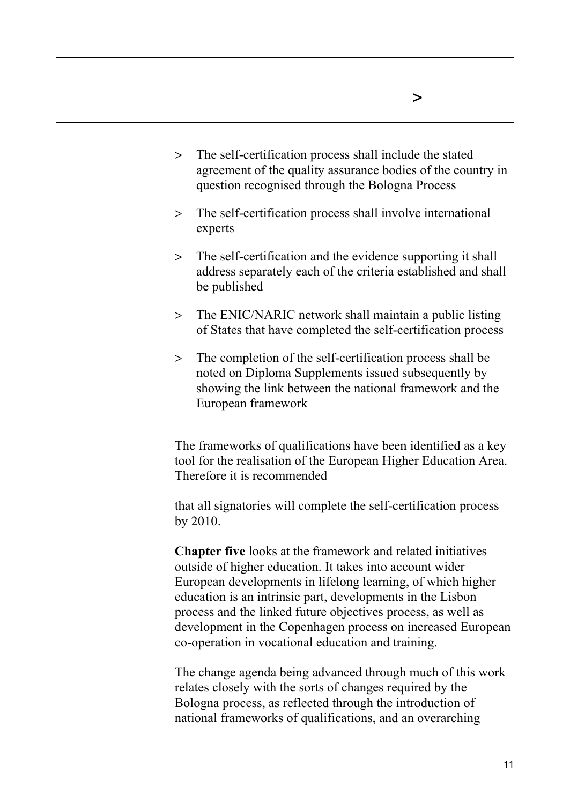- > The self-certification process shall include the stated agreement of the quality assurance bodies of the country in question recognised through the Bologna Process
- > The self-certification process shall involve international experts
- > The self-certification and the evidence supporting it shall address separately each of the criteria established and shall be published
- > The ENIC/NARIC network shall maintain a public listing of States that have completed the self-certification process
- > The completion of the self-certification process shall be noted on Diploma Supplements issued subsequently by showing the link between the national framework and the European framework

The frameworks of qualifications have been identified as a key tool for the realisation of the European Higher Education Area. Therefore it is recommended

that all signatories will complete the self-certification process by 2010.

**Chapter five** looks at the framework and related initiatives outside of higher education. It takes into account wider European developments in lifelong learning, of which higher education is an intrinsic part, developments in the Lisbon process and the linked future objectives process, as well as development in the Copenhagen process on increased European co-operation in vocational education and training.

The change agenda being advanced through much of this work relates closely with the sorts of changes required by the Bologna process, as reflected through the introduction of national frameworks of qualifications, and an overarching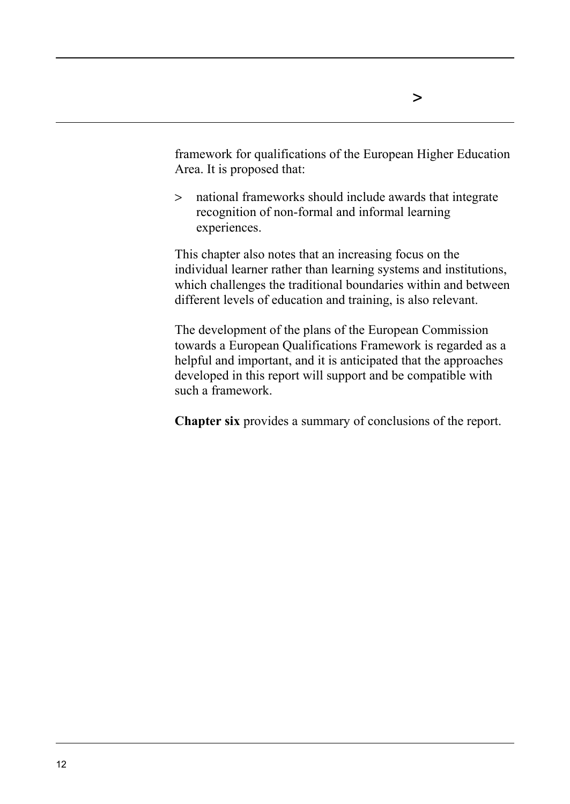framework for qualifications of the European Higher Education Area. It is proposed that:

> national frameworks should include awards that integrate recognition of non-formal and informal learning experiences.

This chapter also notes that an increasing focus on the individual learner rather than learning systems and institutions, which challenges the traditional boundaries within and between different levels of education and training, is also relevant.

The development of the plans of the European Commission towards a European Qualifications Framework is regarded as a helpful and important, and it is anticipated that the approaches developed in this report will support and be compatible with such a framework.

**Chapter six** provides a summary of conclusions of the report.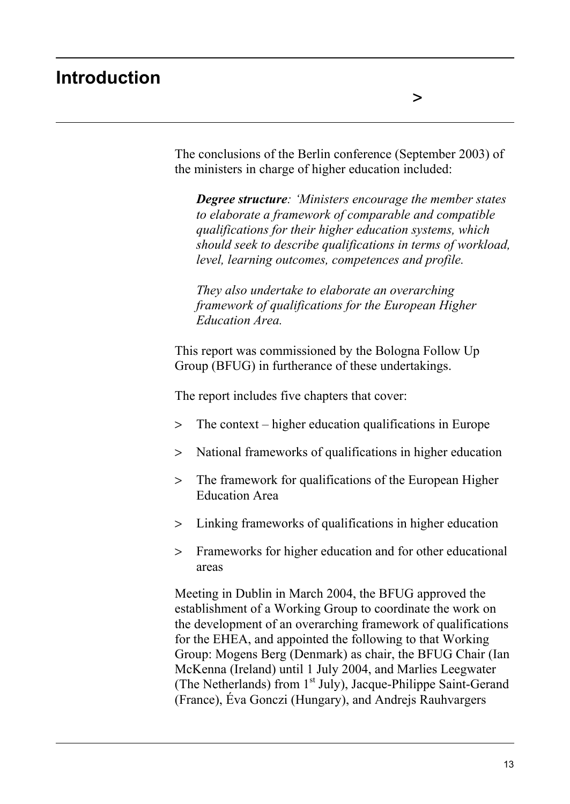## **Introduction**

The conclusions of the Berlin conference (September 2003) of the ministers in charge of higher education included:

*Degree structure: 'Ministers encourage the member states to elaborate a framework of comparable and compatible qualifications for their higher education systems, which should seek to describe qualifications in terms of workload, level, learning outcomes, competences and profile.* 

*They also undertake to elaborate an overarching framework of qualifications for the European Higher Education Area.* 

This report was commissioned by the Bologna Follow Up Group (BFUG) in furtherance of these undertakings.

The report includes five chapters that cover:

- > The context higher education qualifications in Europe
- > National frameworks of qualifications in higher education
- > The framework for qualifications of the European Higher Education Area
- > Linking frameworks of qualifications in higher education
- > Frameworks for higher education and for other educational areas

Meeting in Dublin in March 2004, the BFUG approved the establishment of a Working Group to coordinate the work on the development of an overarching framework of qualifications for the EHEA, and appointed the following to that Working Group: Mogens Berg (Denmark) as chair, the BFUG Chair (Ian McKenna (Ireland) until 1 July 2004, and Marlies Leegwater (The Netherlands) from 1<sup>st</sup> July), Jacque-Philippe Saint-Gerand (France), Éva Gonczi (Hungary), and Andrejs Rauhvargers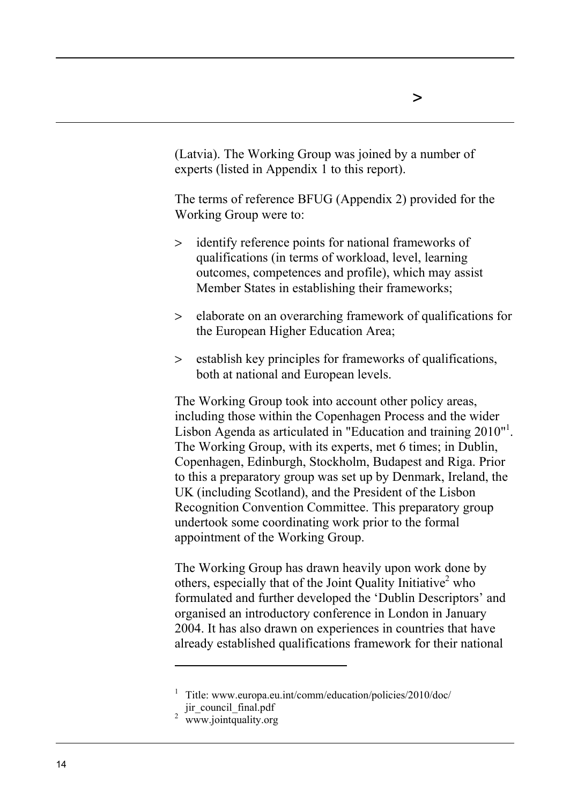(Latvia). The Working Group was joined by a number of experts (listed in Appendix 1 to this report).

The terms of reference BFUG (Appendix 2) provided for the Working Group were to:

- > identify reference points for national frameworks of qualifications (in terms of workload, level, learning outcomes, competences and profile), which may assist Member States in establishing their frameworks;
- > elaborate on an overarching framework of qualifications for the European Higher Education Area;
- > establish key principles for frameworks of qualifications, both at national and European levels.

The Working Group took into account other policy areas, including those within the Copenhagen Process and the wider Lisbon Agenda as articulated in "Education and training  $2010$ "<sup>1</sup>. The Working Group, with its experts, met 6 times; in Dublin, Copenhagen, Edinburgh, Stockholm, Budapest and Riga. Prior to this a preparatory group was set up by Denmark, Ireland, the UK (including Scotland), and the President of the Lisbon Recognition Convention Committee. This preparatory group undertook some coordinating work prior to the formal appointment of the Working Group.

The Working Group has drawn heavily upon work done by others, especially that of the Joint Quality Initiative<sup>2</sup> who formulated and further developed the 'Dublin Descriptors' and organised an introductory conference in London in January 2004. It has also drawn on experiences in countries that have already established qualifications framework for their national

<sup>1</sup> Title: www.europa.eu.int/comm/education/policies/2010/doc/

jir\_council\_final.pdf 2 www.jointquality.org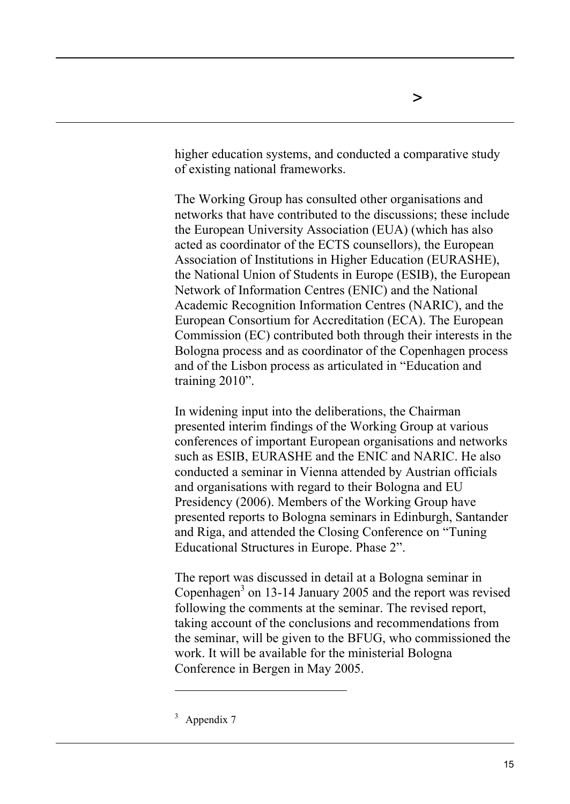higher education systems, and conducted a comparative study of existing national frameworks.

The Working Group has consulted other organisations and networks that have contributed to the discussions; these include the European University Association (EUA) (which has also acted as coordinator of the ECTS counsellors), the European Association of Institutions in Higher Education (EURASHE), the National Union of Students in Europe (ESIB), the European Network of Information Centres (ENIC) and the National Academic Recognition Information Centres (NARIC), and the European Consortium for Accreditation (ECA). The European Commission (EC) contributed both through their interests in the Bologna process and as coordinator of the Copenhagen process and of the Lisbon process as articulated in "Education and training 2010".

In widening input into the deliberations, the Chairman presented interim findings of the Working Group at various conferences of important European organisations and networks such as ESIB, EURASHE and the ENIC and NARIC. He also conducted a seminar in Vienna attended by Austrian officials and organisations with regard to their Bologna and EU Presidency (2006). Members of the Working Group have presented reports to Bologna seminars in Edinburgh, Santander and Riga, and attended the Closing Conference on "Tuning Educational Structures in Europe. Phase 2".

The report was discussed in detail at a Bologna seminar in Copenhagen<sup>3</sup> on 13-14 January 2005 and the report was revised following the comments at the seminar. The revised report, taking account of the conclusions and recommendations from the seminar, will be given to the BFUG, who commissioned the work. It will be available for the ministerial Bologna Conference in Bergen in May 2005.

<sup>&</sup>lt;sup>3</sup> Appendix 7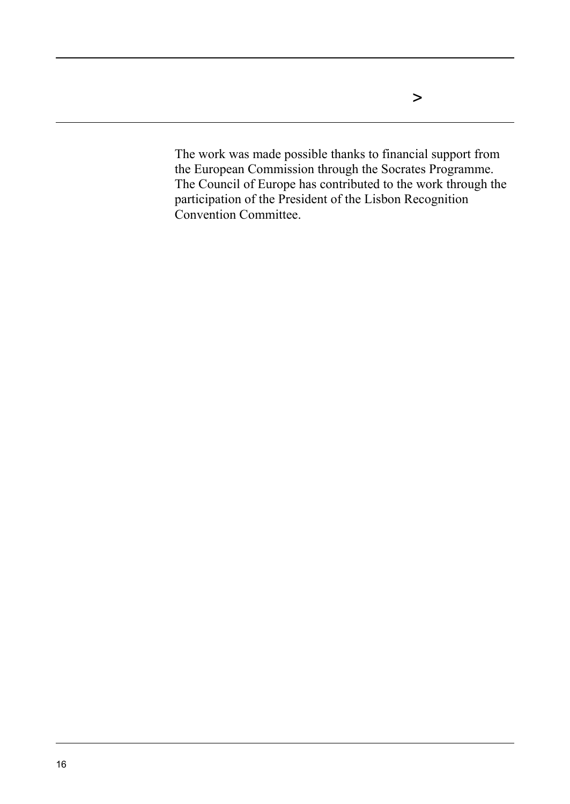The work was made possible thanks to financial support from the European Commission through the Socrates Programme. The Council of Europe has contributed to the work through the participation of the President of the Lisbon Recognition Convention Committee.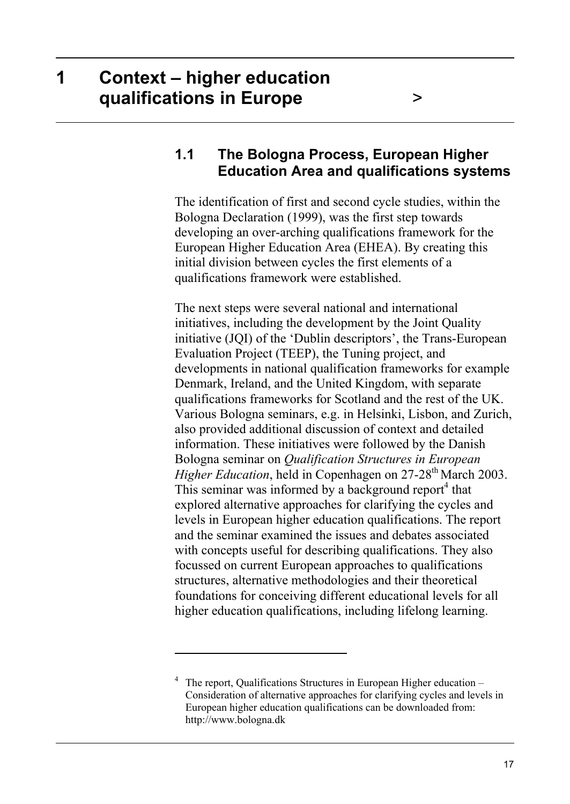$\overline{a}$ 

## **1.1 The Bologna Process, European Higher Education Area and qualifications systems**

The identification of first and second cycle studies, within the Bologna Declaration (1999), was the first step towards developing an over-arching qualifications framework for the European Higher Education Area (EHEA). By creating this initial division between cycles the first elements of a qualifications framework were established.

The next steps were several national and international initiatives, including the development by the Joint Quality initiative (JQI) of the 'Dublin descriptors', the Trans-European Evaluation Project (TEEP), the Tuning project, and developments in national qualification frameworks for example Denmark, Ireland, and the United Kingdom, with separate qualifications frameworks for Scotland and the rest of the UK. Various Bologna seminars, e.g. in Helsinki, Lisbon, and Zurich, also provided additional discussion of context and detailed information. These initiatives were followed by the Danish Bologna seminar on *Qualification Structures in European Higher Education*, held in Copenhagen on 27-28<sup>th</sup> March 2003. This seminar was informed by a background report<sup>4</sup> that explored alternative approaches for clarifying the cycles and levels in European higher education qualifications. The report and the seminar examined the issues and debates associated with concepts useful for describing qualifications. They also focussed on current European approaches to qualifications structures, alternative methodologies and their theoretical foundations for conceiving different educational levels for all higher education qualifications, including lifelong learning.

<sup>&</sup>lt;sup>4</sup> The report, Qualifications Structures in European Higher education – Consideration of alternative approaches for clarifying cycles and levels in European higher education qualifications can be downloaded from: http://www.bologna.dk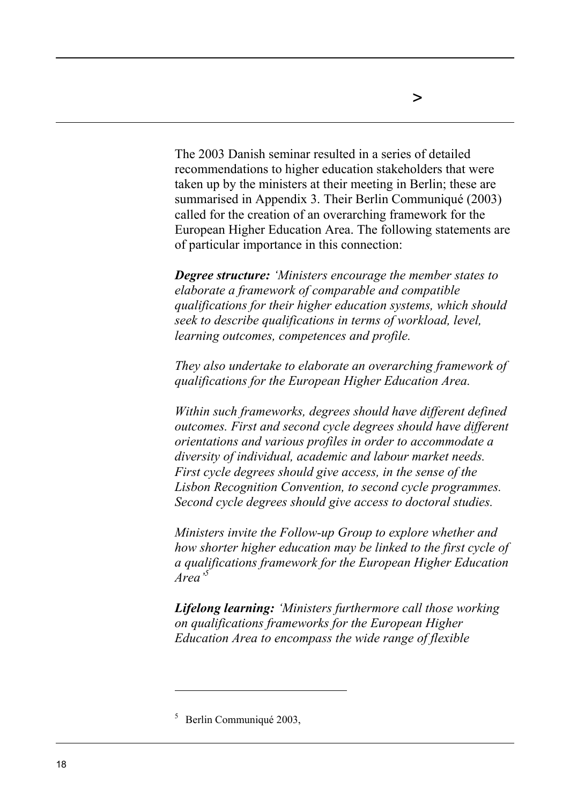The 2003 Danish seminar resulted in a series of detailed recommendations to higher education stakeholders that were taken up by the ministers at their meeting in Berlin; these are summarised in Appendix 3. Their Berlin Communiqué (2003) called for the creation of an overarching framework for the European Higher Education Area. The following statements are of particular importance in this connection:

*Degree structure: 'Ministers encourage the member states to elaborate a framework of comparable and compatible qualifications for their higher education systems, which should seek to describe qualifications in terms of workload, level, learning outcomes, competences and profile.* 

*They also undertake to elaborate an overarching framework of qualifications for the European Higher Education Area.* 

*Within such frameworks, degrees should have different defined outcomes. First and second cycle degrees should have different orientations and various profiles in order to accommodate a diversity of individual, academic and labour market needs. First cycle degrees should give access, in the sense of the Lisbon Recognition Convention, to second cycle programmes. Second cycle degrees should give access to doctoral studies.* 

*Ministers invite the Follow-up Group to explore whether and how shorter higher education may be linked to the first cycle of a qualifications framework for the European Higher Education Area'<sup>5</sup>*

*Lifelong learning: 'Ministers furthermore call those working on qualifications frameworks for the European Higher Education Area to encompass the wide range of flexible* 

<sup>5</sup> Berlin Communiqué 2003,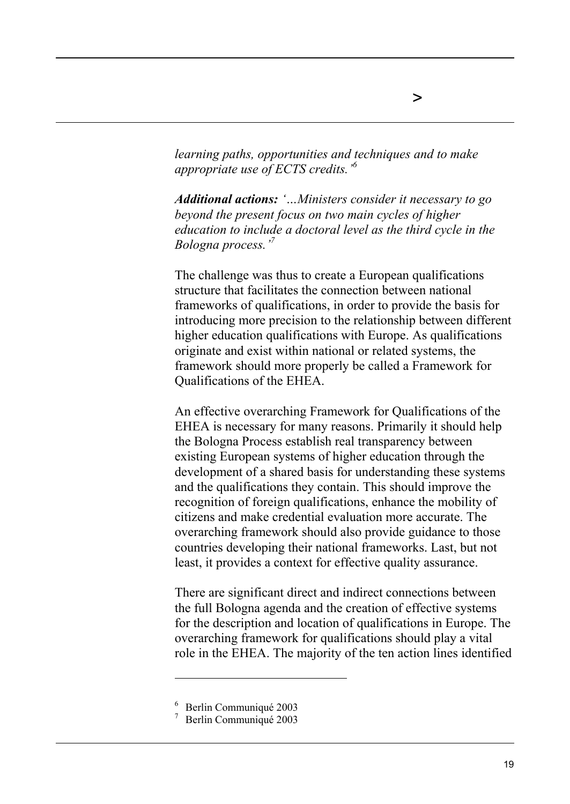*learning paths, opportunities and techniques and to make appropriate use of ECTS credits.'<sup>6</sup>*

*Additional actions: '…Ministers consider it necessary to go beyond the present focus on two main cycles of higher education to include a doctoral level as the third cycle in the Bologna process.'<sup>7</sup>*

The challenge was thus to create a European qualifications structure that facilitates the connection between national frameworks of qualifications, in order to provide the basis for introducing more precision to the relationship between different higher education qualifications with Europe. As qualifications originate and exist within national or related systems, the framework should more properly be called a Framework for Qualifications of the EHEA.

An effective overarching Framework for Qualifications of the EHEA is necessary for many reasons. Primarily it should help the Bologna Process establish real transparency between existing European systems of higher education through the development of a shared basis for understanding these systems and the qualifications they contain. This should improve the recognition of foreign qualifications, enhance the mobility of citizens and make credential evaluation more accurate. The overarching framework should also provide guidance to those countries developing their national frameworks. Last, but not least, it provides a context for effective quality assurance.

There are significant direct and indirect connections between the full Bologna agenda and the creation of effective systems for the description and location of qualifications in Europe. The overarching framework for qualifications should play a vital role in the EHEA. The majority of the ten action lines identified

<sup>6</sup> Berlin Communiqué 2003 7

Berlin Communiqué 2003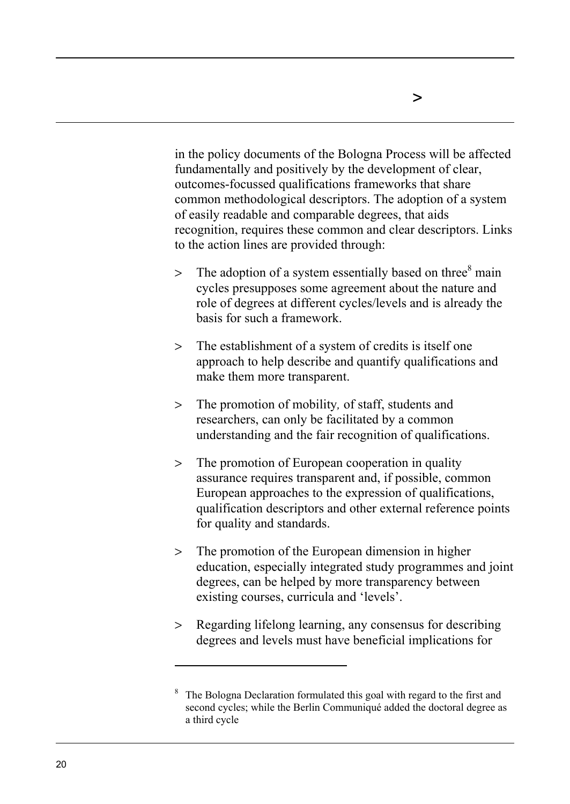in the policy documents of the Bologna Process will be affected fundamentally and positively by the development of clear, outcomes-focussed qualifications frameworks that share common methodological descriptors. The adoption of a system of easily readable and comparable degrees, that aids recognition, requires these common and clear descriptors. Links to the action lines are provided through:

>

- $>$  The adoption of a system essentially based on three  $\delta$  main cycles presupposes some agreement about the nature and role of degrees at different cycles/levels and is already the basis for such a framework.
- > The establishment of a system of credits is itself one approach to help describe and quantify qualifications and make them more transparent.
- > The promotion of mobility*,* of staff, students and researchers, can only be facilitated by a common understanding and the fair recognition of qualifications.
- > The promotion of European cooperation in quality assurance requires transparent and, if possible, common European approaches to the expression of qualifications, qualification descriptors and other external reference points for quality and standards.
- > The promotion of the European dimension in higher education, especially integrated study programmes and joint degrees, can be helped by more transparency between existing courses, curricula and 'levels'.
- > Regarding lifelong learning, any consensus for describing degrees and levels must have beneficial implications for

<sup>8</sup> The Bologna Declaration formulated this goal with regard to the first and second cycles; while the Berlin Communiqué added the doctoral degree as a third cycle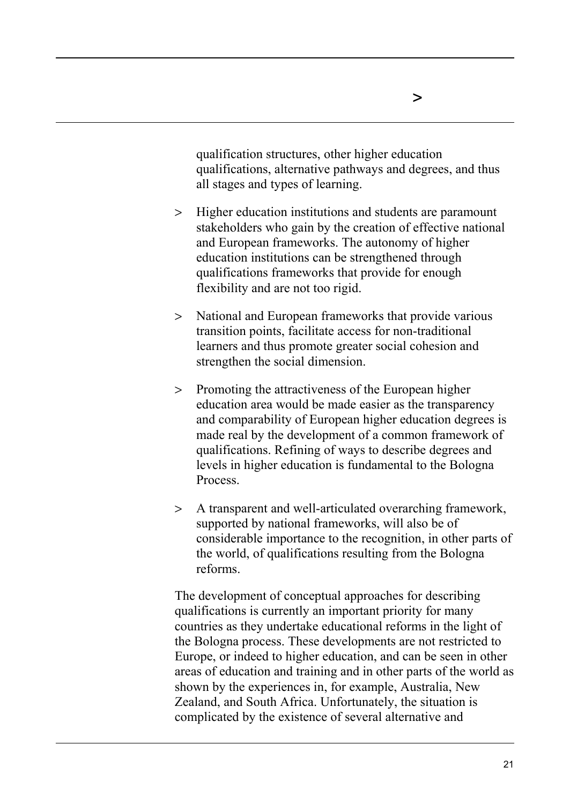qualification structures, other higher education qualifications, alternative pathways and degrees, and thus all stages and types of learning.

>

- > Higher education institutions and students are paramount stakeholders who gain by the creation of effective national and European frameworks. The autonomy of higher education institutions can be strengthened through qualifications frameworks that provide for enough flexibility and are not too rigid.
- > National and European frameworks that provide various transition points, facilitate access for non-traditional learners and thus promote greater social cohesion and strengthen the social dimension.
- > Promoting the attractiveness of the European higher education area would be made easier as the transparency and comparability of European higher education degrees is made real by the development of a common framework of qualifications. Refining of ways to describe degrees and levels in higher education is fundamental to the Bologna **Process**
- > A transparent and well-articulated overarching framework, supported by national frameworks, will also be of considerable importance to the recognition, in other parts of the world, of qualifications resulting from the Bologna reforms.

The development of conceptual approaches for describing qualifications is currently an important priority for many countries as they undertake educational reforms in the light of the Bologna process. These developments are not restricted to Europe, or indeed to higher education, and can be seen in other areas of education and training and in other parts of the world as shown by the experiences in, for example, Australia, New Zealand, and South Africa. Unfortunately, the situation is complicated by the existence of several alternative and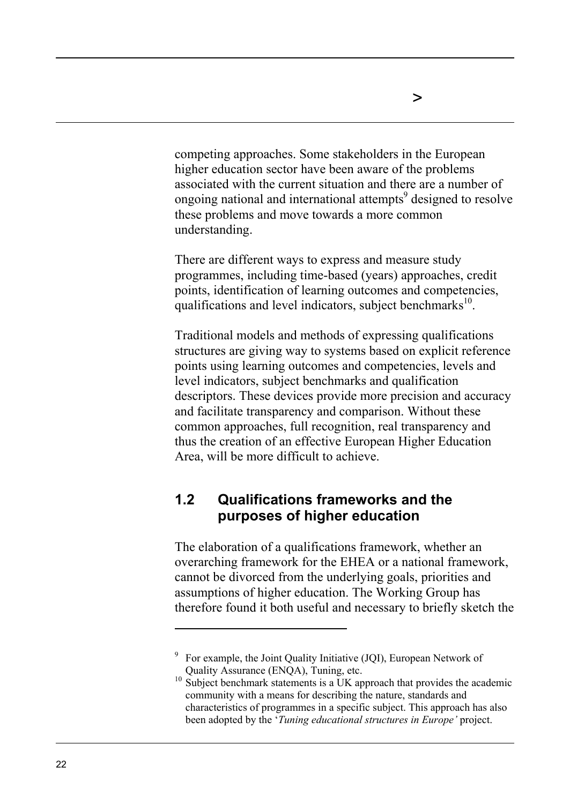competing approaches. Some stakeholders in the European higher education sector have been aware of the problems associated with the current situation and there are a number of ongoing national and international attempts<sup>9</sup> designed to resolve these problems and move towards a more common understanding.

>

There are different ways to express and measure study programmes, including time-based (years) approaches, credit points, identification of learning outcomes and competencies, qualifications and level indicators, subject benchmarks<sup>10</sup>.

Traditional models and methods of expressing qualifications structures are giving way to systems based on explicit reference points using learning outcomes and competencies, levels and level indicators, subject benchmarks and qualification descriptors. These devices provide more precision and accuracy and facilitate transparency and comparison. Without these common approaches, full recognition, real transparency and thus the creation of an effective European Higher Education Area, will be more difficult to achieve.

## **1.2 Qualifications frameworks and the purposes of higher education**

The elaboration of a qualifications framework, whether an overarching framework for the EHEA or a national framework, cannot be divorced from the underlying goals, priorities and assumptions of higher education. The Working Group has therefore found it both useful and necessary to briefly sketch the

<sup>&</sup>lt;sup>9</sup> For example, the Joint Quality Initiative (JQI), European Network of

Quality Assurance (ENQA), Tuning, etc.  $^{10}$  Subject benchmark statements is a UK approach that provides the academic community with a means for describing the nature, standards and characteristics of programmes in a specific subject. This approach has also been adopted by the '*Tuning educational structures in Europe'* project.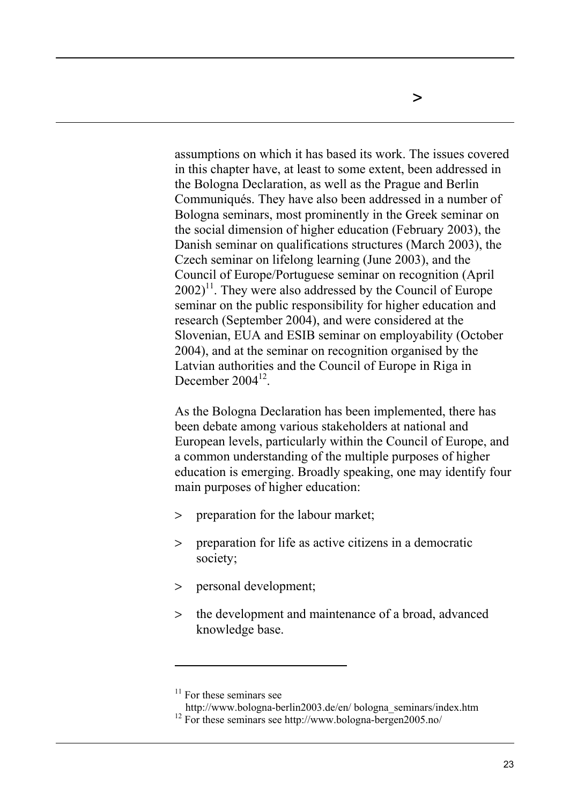assumptions on which it has based its work. The issues covered in this chapter have, at least to some extent, been addressed in the Bologna Declaration, as well as the Prague and Berlin Communiqués. They have also been addressed in a number of Bologna seminars, most prominently in the Greek seminar on the social dimension of higher education (February 2003), the Danish seminar on qualifications structures (March 2003), the Czech seminar on lifelong learning (June 2003), and the Council of Europe/Portuguese seminar on recognition (April  $2002$ <sup>11</sup>. They were also addressed by the Council of Europe seminar on the public responsibility for higher education and research (September 2004), and were considered at the Slovenian, EUA and ESIB seminar on employability (October 2004), and at the seminar on recognition organised by the Latvian authorities and the Council of Europe in Riga in December 2004<sup>12</sup>

As the Bologna Declaration has been implemented, there has been debate among various stakeholders at national and European levels, particularly within the Council of Europe, and a common understanding of the multiple purposes of higher education is emerging. Broadly speaking, one may identify four main purposes of higher education:

- > preparation for the labour market;
- > preparation for life as active citizens in a democratic society;
- > personal development;
- > the development and maintenance of a broad, advanced knowledge base.

<sup>&</sup>lt;sup>11</sup> For these seminars see<br>http://www.bologna-berlin2003.de/en/ bologna\_seminars/index.htm

 $h^{12}$  For these seminars see http://www.bologna-bergen2005.no/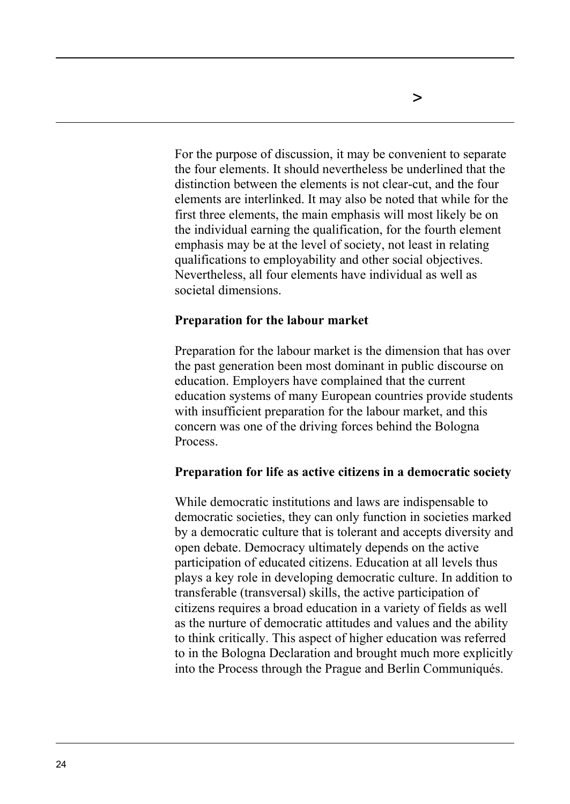For the purpose of discussion, it may be convenient to separate the four elements. It should nevertheless be underlined that the distinction between the elements is not clear-cut, and the four elements are interlinked. It may also be noted that while for the first three elements, the main emphasis will most likely be on the individual earning the qualification, for the fourth element emphasis may be at the level of society, not least in relating qualifications to employability and other social objectives. Nevertheless, all four elements have individual as well as societal dimensions.

#### **Preparation for the labour market**

>

Preparation for the labour market is the dimension that has over the past generation been most dominant in public discourse on education. Employers have complained that the current education systems of many European countries provide students with insufficient preparation for the labour market, and this concern was one of the driving forces behind the Bologna Process.

#### **Preparation for life as active citizens in a democratic society**

While democratic institutions and laws are indispensable to democratic societies, they can only function in societies marked by a democratic culture that is tolerant and accepts diversity and open debate. Democracy ultimately depends on the active participation of educated citizens. Education at all levels thus plays a key role in developing democratic culture. In addition to transferable (transversal) skills, the active participation of citizens requires a broad education in a variety of fields as well as the nurture of democratic attitudes and values and the ability to think critically. This aspect of higher education was referred to in the Bologna Declaration and brought much more explicitly into the Process through the Prague and Berlin Communiqués.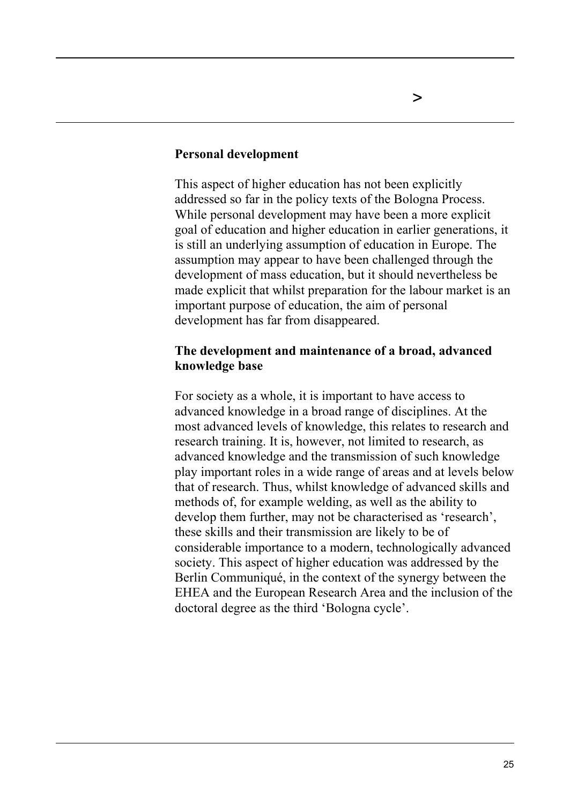#### **Personal development**

This aspect of higher education has not been explicitly addressed so far in the policy texts of the Bologna Process. While personal development may have been a more explicit goal of education and higher education in earlier generations, it is still an underlying assumption of education in Europe. The assumption may appear to have been challenged through the development of mass education, but it should nevertheless be made explicit that whilst preparation for the labour market is an important purpose of education, the aim of personal development has far from disappeared.

#### **The development and maintenance of a broad, advanced knowledge base**

For society as a whole, it is important to have access to advanced knowledge in a broad range of disciplines. At the most advanced levels of knowledge, this relates to research and research training. It is, however, not limited to research, as advanced knowledge and the transmission of such knowledge play important roles in a wide range of areas and at levels below that of research. Thus, whilst knowledge of advanced skills and methods of, for example welding, as well as the ability to develop them further, may not be characterised as 'research', these skills and their transmission are likely to be of considerable importance to a modern, technologically advanced society. This aspect of higher education was addressed by the Berlin Communiqué, in the context of the synergy between the EHEA and the European Research Area and the inclusion of the doctoral degree as the third 'Bologna cycle'.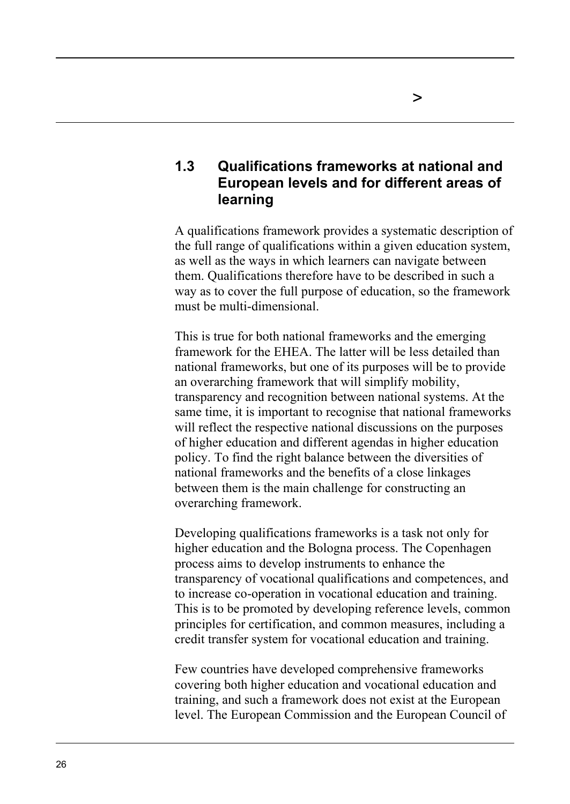#### **1.3 Qualifications frameworks at national and European levels and for different areas of learning**

A qualifications framework provides a systematic description of the full range of qualifications within a given education system, as well as the ways in which learners can navigate between them. Qualifications therefore have to be described in such a way as to cover the full purpose of education, so the framework must be multi-dimensional.

This is true for both national frameworks and the emerging framework for the EHEA. The latter will be less detailed than national frameworks, but one of its purposes will be to provide an overarching framework that will simplify mobility, transparency and recognition between national systems. At the same time, it is important to recognise that national frameworks will reflect the respective national discussions on the purposes of higher education and different agendas in higher education policy. To find the right balance between the diversities of national frameworks and the benefits of a close linkages between them is the main challenge for constructing an overarching framework.

Developing qualifications frameworks is a task not only for higher education and the Bologna process. The Copenhagen process aims to develop instruments to enhance the transparency of vocational qualifications and competences, and to increase co-operation in vocational education and training. This is to be promoted by developing reference levels, common principles for certification, and common measures, including a credit transfer system for vocational education and training.

Few countries have developed comprehensive frameworks covering both higher education and vocational education and training, and such a framework does not exist at the European level. The European Commission and the European Council of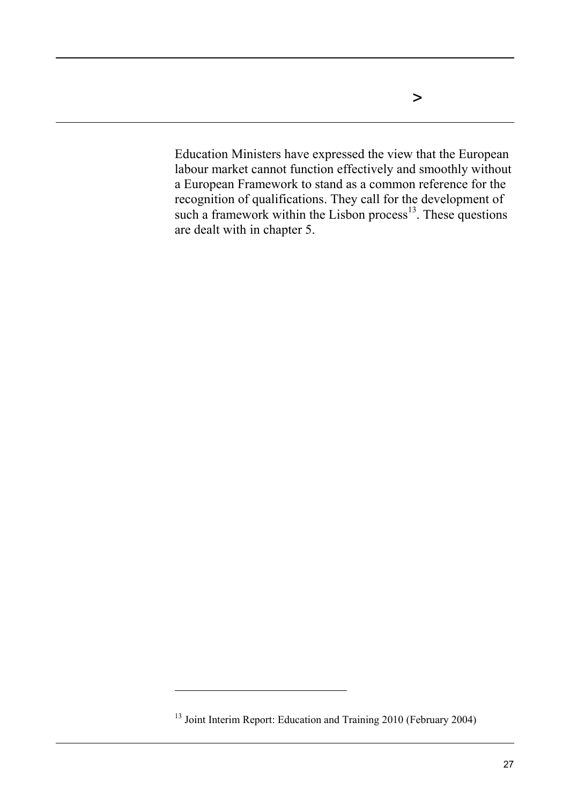Education Ministers have expressed the view that the European labour market cannot function effectively and smoothly without a European Framework to stand as a common reference for the recognition of qualifications. They call for the development of such a framework within the Lisbon process $13$ . These questions are dealt with in chapter 5.

<sup>&</sup>lt;sup>13</sup> Joint Interim Report: Education and Training 2010 (February 2004)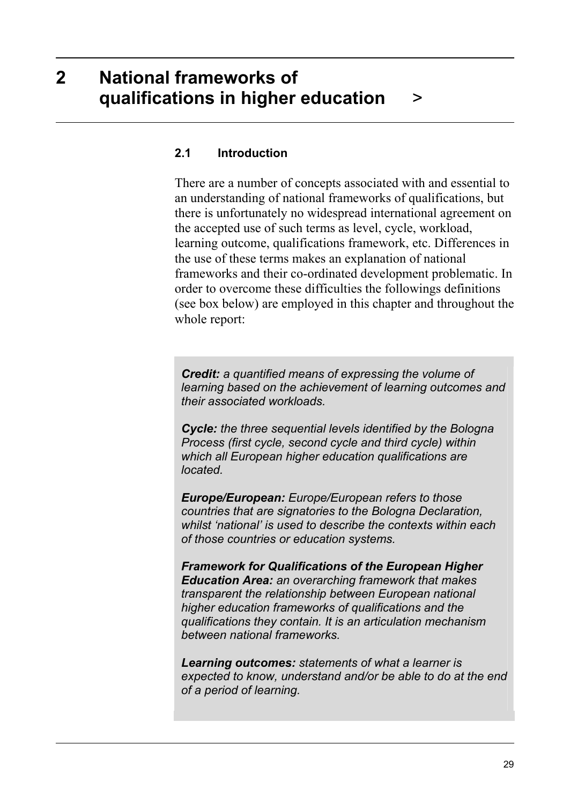# > **qualifications in higher education 2 National frameworks of**

#### **2.1 Introduction**

There are a number of concepts associated with and essential to an understanding of national frameworks of qualifications, but there is unfortunately no widespread international agreement on the accepted use of such terms as level, cycle, workload, learning outcome, qualifications framework, etc. Differences in the use of these terms makes an explanation of national frameworks and their co-ordinated development problematic. In order to overcome these difficulties the followings definitions (see box below) are employed in this chapter and throughout the whole report:

*Credit: a quantified means of expressing the volume of learning based on the achievement of learning outcomes and their associated workloads.* 

*Cycle: the three sequential levels identified by the Bologna Process (first cycle, second cycle and third cycle) within which all European higher education qualifications are located.* 

*Europe/European: Europe/European refers to those countries that are signatories to the Bologna Declaration, whilst 'national' is used to describe the contexts within each of those countries or education systems.* 

*Framework for Qualifications of the European Higher Education Area: an overarching framework that makes transparent the relationship between European national higher education frameworks of qualifications and the qualifications they contain. It is an articulation mechanism between national frameworks.* 

*Learning outcomes: statements of what a learner is expected to know, understand and/or be able to do at the end of a period of learning.*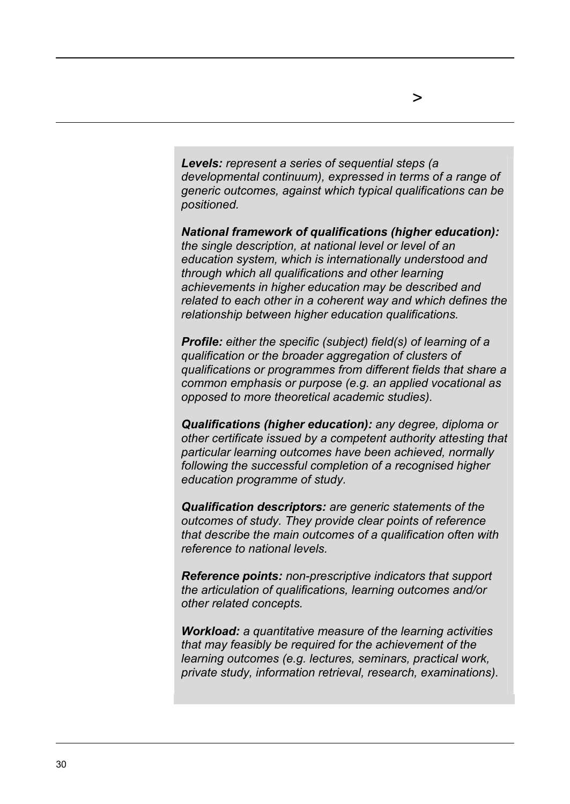*Levels: represent a series of sequential steps (a developmental continuum), expressed in terms of a range of generic outcomes, against which typical qualifications can be positioned.* 

>

*National framework of qualifications (higher education): the single description, at national level or level of an education system, which is internationally understood and through which all qualifications and other learning achievements in higher education may be described and related to each other in a coherent way and which defines the relationship between higher education qualifications.* 

*Profile: either the specific (subject) field(s) of learning of a qualification or the broader aggregation of clusters of qualifications or programmes from different fields that share a common emphasis or purpose (e.g. an applied vocational as opposed to more theoretical academic studies).* 

*Qualifications (higher education): any degree, diploma or other certificate issued by a competent authority attesting that particular learning outcomes have been achieved, normally following the successful completion of a recognised higher education programme of study.* 

*Qualification descriptors: are generic statements of the outcomes of study. They provide clear points of reference that describe the main outcomes of a qualification often with reference to national levels.* 

*Reference points: non-prescriptive indicators that support the articulation of qualifications, learning outcomes and/or other related concepts.* 

*Workload: a quantitative measure of the learning activities that may feasibly be required for the achievement of the learning outcomes (e.g. lectures, seminars, practical work, private study, information retrieval, research, examinations).*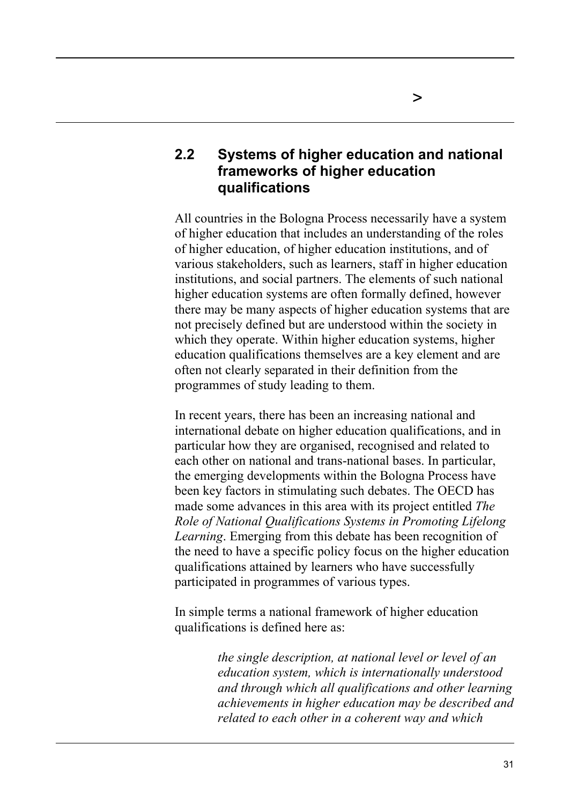#### **2.2 Systems of higher education and national frameworks of higher education qualifications**

All countries in the Bologna Process necessarily have a system of higher education that includes an understanding of the roles of higher education, of higher education institutions, and of various stakeholders, such as learners, staff in higher education institutions, and social partners. The elements of such national higher education systems are often formally defined, however there may be many aspects of higher education systems that are not precisely defined but are understood within the society in which they operate. Within higher education systems, higher education qualifications themselves are a key element and are often not clearly separated in their definition from the programmes of study leading to them.

In recent years, there has been an increasing national and international debate on higher education qualifications, and in particular how they are organised, recognised and related to each other on national and trans-national bases. In particular, the emerging developments within the Bologna Process have been key factors in stimulating such debates. The OECD has made some advances in this area with its project entitled *The Role of National Qualifications Systems in Promoting Lifelong Learning*. Emerging from this debate has been recognition of the need to have a specific policy focus on the higher education qualifications attained by learners who have successfully participated in programmes of various types.

In simple terms a national framework of higher education qualifications is defined here as:

> *the single description, at national level or level of an education system, which is internationally understood and through which all qualifications and other learning achievements in higher education may be described and related to each other in a coherent way and which*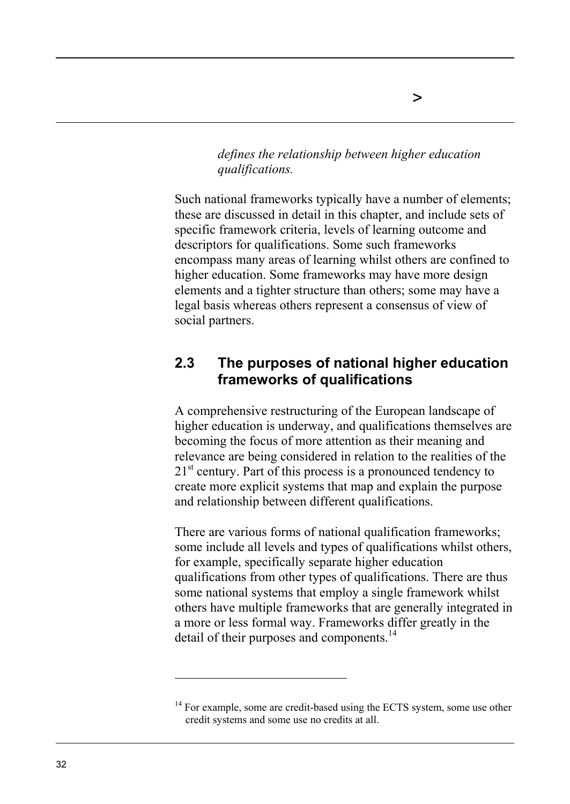*defines the relationship between higher education qualifications.* 

>

Such national frameworks typically have a number of elements; these are discussed in detail in this chapter, and include sets of specific framework criteria, levels of learning outcome and descriptors for qualifications. Some such frameworks encompass many areas of learning whilst others are confined to higher education. Some frameworks may have more design elements and a tighter structure than others; some may have a legal basis whereas others represent a consensus of view of social partners.

## **2.3 The purposes of national higher education frameworks of qualifications**

A comprehensive restructuring of the European landscape of higher education is underway, and qualifications themselves are becoming the focus of more attention as their meaning and relevance are being considered in relation to the realities of the  $21<sup>st</sup>$  century. Part of this process is a pronounced tendency to create more explicit systems that map and explain the purpose and relationship between different qualifications.

There are various forms of national qualification frameworks; some include all levels and types of qualifications whilst others, for example, specifically separate higher education qualifications from other types of qualifications. There are thus some national systems that employ a single framework whilst others have multiple frameworks that are generally integrated in a more or less formal way. Frameworks differ greatly in the detail of their purposes and components.<sup>14</sup>

 $14$  For example, some are credit-based using the ECTS system, some use other credit systems and some use no credits at all.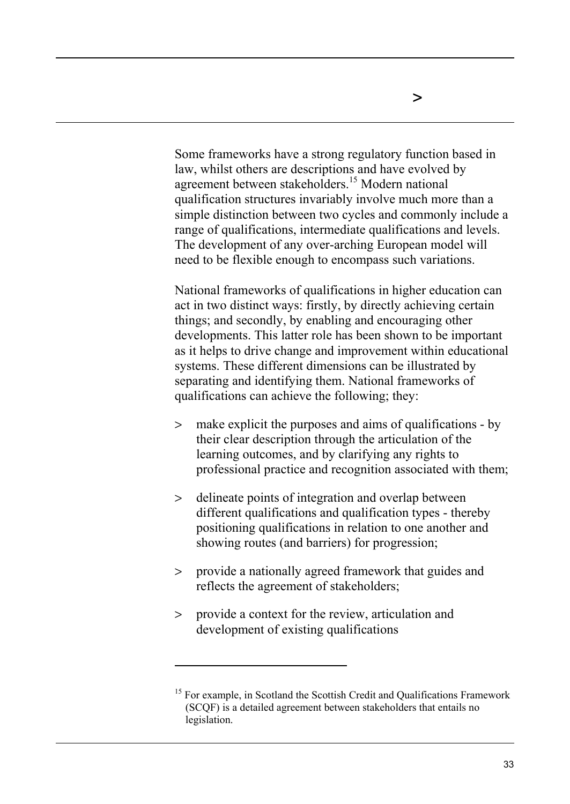Some frameworks have a strong regulatory function based in law, whilst others are descriptions and have evolved by agreement between stakeholders.15 Modern national qualification structures invariably involve much more than a simple distinction between two cycles and commonly include a range of qualifications, intermediate qualifications and levels. The development of any over-arching European model will need to be flexible enough to encompass such variations.

National frameworks of qualifications in higher education can act in two distinct ways: firstly, by directly achieving certain things; and secondly, by enabling and encouraging other developments. This latter role has been shown to be important as it helps to drive change and improvement within educational systems. These different dimensions can be illustrated by separating and identifying them. National frameworks of qualifications can achieve the following; they:

- > make explicit the purposes and aims of qualifications by their clear description through the articulation of the learning outcomes, and by clarifying any rights to professional practice and recognition associated with them;
- > delineate points of integration and overlap between different qualifications and qualification types - thereby positioning qualifications in relation to one another and showing routes (and barriers) for progression;
- > provide a nationally agreed framework that guides and reflects the agreement of stakeholders;
- > provide a context for the review, articulation and development of existing qualifications

<sup>15</sup> For example, in Scotland the Scottish Credit and Qualifications Framework (SCQF) is a detailed agreement between stakeholders that entails no legislation.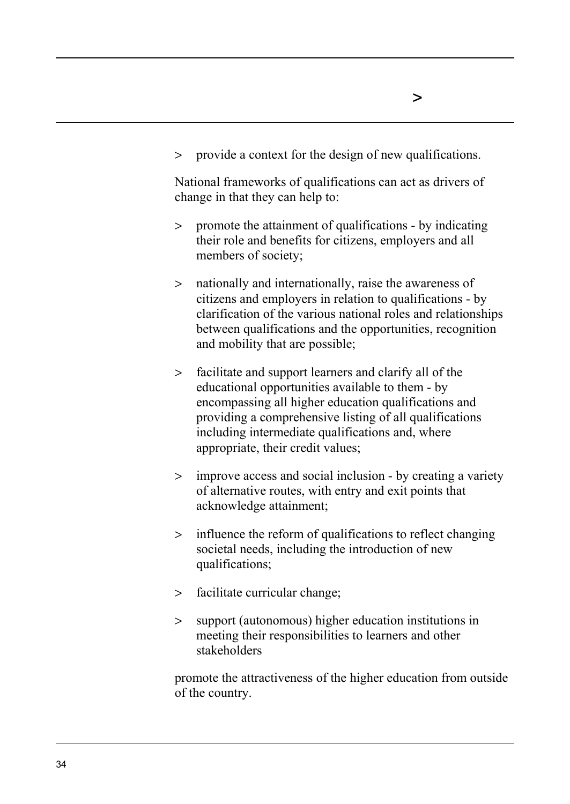> provide a context for the design of new qualifications.

National frameworks of qualifications can act as drivers of change in that they can help to:

- > promote the attainment of qualifications by indicating their role and benefits for citizens, employers and all members of society;
- > nationally and internationally, raise the awareness of citizens and employers in relation to qualifications - by clarification of the various national roles and relationships between qualifications and the opportunities, recognition and mobility that are possible;
- > facilitate and support learners and clarify all of the educational opportunities available to them - by encompassing all higher education qualifications and providing a comprehensive listing of all qualifications including intermediate qualifications and, where appropriate, their credit values;
- > improve access and social inclusion by creating a variety of alternative routes, with entry and exit points that acknowledge attainment;
- > influence the reform of qualifications to reflect changing societal needs, including the introduction of new qualifications;
- > facilitate curricular change;
- > support (autonomous) higher education institutions in meeting their responsibilities to learners and other stakeholders

promote the attractiveness of the higher education from outside of the country.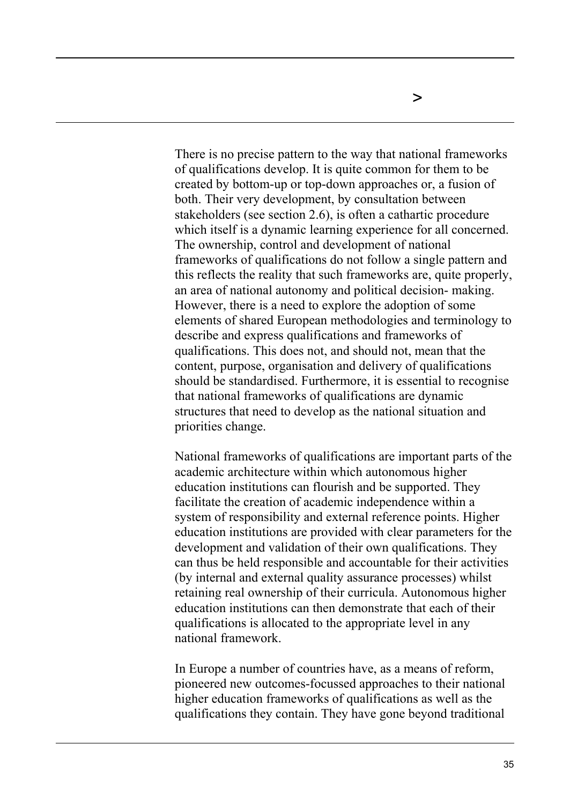There is no precise pattern to the way that national frameworks of qualifications develop. It is quite common for them to be created by bottom-up or top-down approaches or, a fusion of both. Their very development, by consultation between stakeholders (see section 2.6), is often a cathartic procedure which itself is a dynamic learning experience for all concerned. The ownership, control and development of national frameworks of qualifications do not follow a single pattern and this reflects the reality that such frameworks are, quite properly, an area of national autonomy and political decision- making. However, there is a need to explore the adoption of some elements of shared European methodologies and terminology to describe and express qualifications and frameworks of qualifications. This does not, and should not, mean that the content, purpose, organisation and delivery of qualifications should be standardised. Furthermore, it is essential to recognise that national frameworks of qualifications are dynamic structures that need to develop as the national situation and priorities change.

National frameworks of qualifications are important parts of the academic architecture within which autonomous higher education institutions can flourish and be supported. They facilitate the creation of academic independence within a system of responsibility and external reference points. Higher education institutions are provided with clear parameters for the development and validation of their own qualifications. They can thus be held responsible and accountable for their activities (by internal and external quality assurance processes) whilst retaining real ownership of their curricula. Autonomous higher education institutions can then demonstrate that each of their qualifications is allocated to the appropriate level in any national framework.

In Europe a number of countries have, as a means of reform, pioneered new outcomes-focussed approaches to their national higher education frameworks of qualifications as well as the qualifications they contain. They have gone beyond traditional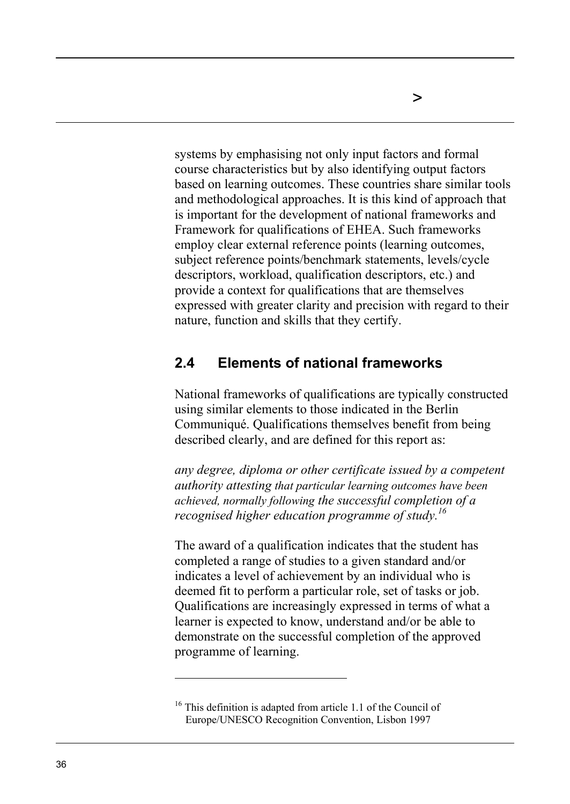systems by emphasising not only input factors and formal course characteristics but by also identifying output factors based on learning outcomes. These countries share similar tools and methodological approaches. It is this kind of approach that is important for the development of national frameworks and Framework for qualifications of EHEA. Such frameworks employ clear external reference points (learning outcomes, subject reference points/benchmark statements, levels/cycle descriptors, workload, qualification descriptors, etc.) and provide a context for qualifications that are themselves expressed with greater clarity and precision with regard to their nature, function and skills that they certify.

#### **2.4 Elements of national frameworks**

>

National frameworks of qualifications are typically constructed using similar elements to those indicated in the Berlin Communiqué. Qualifications themselves benefit from being described clearly, and are defined for this report as:

*any degree, diploma or other certificate issued by a competent authority attesting that particular learning outcomes have been achieved, normally following the successful completion of a recognised higher education programme of study.16*

The award of a qualification indicates that the student has completed a range of studies to a given standard and/or indicates a level of achievement by an individual who is deemed fit to perform a particular role, set of tasks or job. Qualifications are increasingly expressed in terms of what a learner is expected to know, understand and/or be able to demonstrate on the successful completion of the approved programme of learning.

 $16$ <sup>16</sup> This definition is adapted from article 1.1 of the Council of Europe/UNESCO Recognition Convention, Lisbon 1997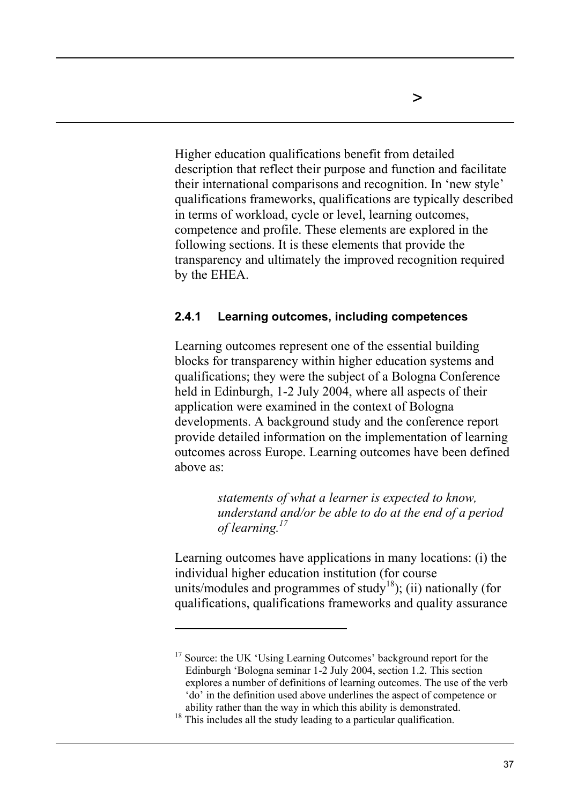Higher education qualifications benefit from detailed description that reflect their purpose and function and facilitate their international comparisons and recognition. In 'new style' qualifications frameworks, qualifications are typically described in terms of workload, cycle or level, learning outcomes, competence and profile. These elements are explored in the following sections. It is these elements that provide the transparency and ultimately the improved recognition required by the EHEA.

#### **2.4.1 Learning outcomes, including competences**

>

Learning outcomes represent one of the essential building blocks for transparency within higher education systems and qualifications; they were the subject of a Bologna Conference held in Edinburgh, 1-2 July 2004, where all aspects of their application were examined in the context of Bologna developments. A background study and the conference report provide detailed information on the implementation of learning outcomes across Europe. Learning outcomes have been defined above as:

> *statements of what a learner is expected to know, understand and/or be able to do at the end of a period of learning.17*

Learning outcomes have applications in many locations: (i) the individual higher education institution (for course units/modules and programmes of study<sup>18</sup>); (ii) nationally (for qualifications, qualifications frameworks and quality assurance

<sup>&</sup>lt;sup>17</sup> Source: the UK 'Using Learning Outcomes' background report for the Edinburgh 'Bologna seminar 1-2 July 2004, section 1.2. This section explores a number of definitions of learning outcomes. The use of the verb 'do' in the definition used above underlines the aspect of competence or

ability rather than the way in which this ability is demonstrated. 18 This includes all the study leading to a particular qualification.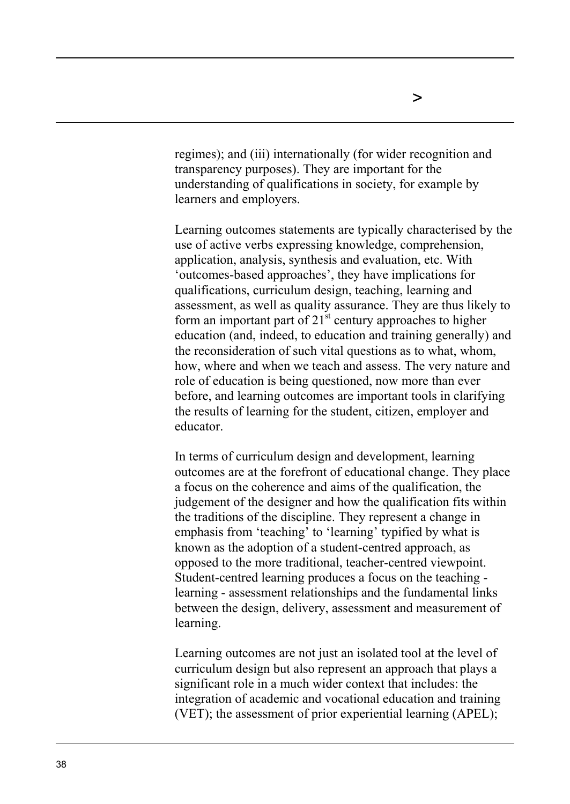regimes); and (iii) internationally (for wider recognition and transparency purposes). They are important for the understanding of qualifications in society, for example by learners and employers.

Learning outcomes statements are typically characterised by the use of active verbs expressing knowledge, comprehension, application, analysis, synthesis and evaluation, etc. With 'outcomes-based approaches', they have implications for qualifications, curriculum design, teaching, learning and assessment, as well as quality assurance. They are thus likely to form an important part of  $21<sup>st</sup>$  century approaches to higher education (and, indeed, to education and training generally) and the reconsideration of such vital questions as to what, whom, how, where and when we teach and assess. The very nature and role of education is being questioned, now more than ever before, and learning outcomes are important tools in clarifying the results of learning for the student, citizen, employer and educator.

In terms of curriculum design and development, learning outcomes are at the forefront of educational change. They place a focus on the coherence and aims of the qualification, the judgement of the designer and how the qualification fits within the traditions of the discipline. They represent a change in emphasis from 'teaching' to 'learning' typified by what is known as the adoption of a student-centred approach, as opposed to the more traditional, teacher-centred viewpoint. Student-centred learning produces a focus on the teaching learning - assessment relationships and the fundamental links between the design, delivery, assessment and measurement of learning.

Learning outcomes are not just an isolated tool at the level of curriculum design but also represent an approach that plays a significant role in a much wider context that includes: the integration of academic and vocational education and training (VET); the assessment of prior experiential learning (APEL);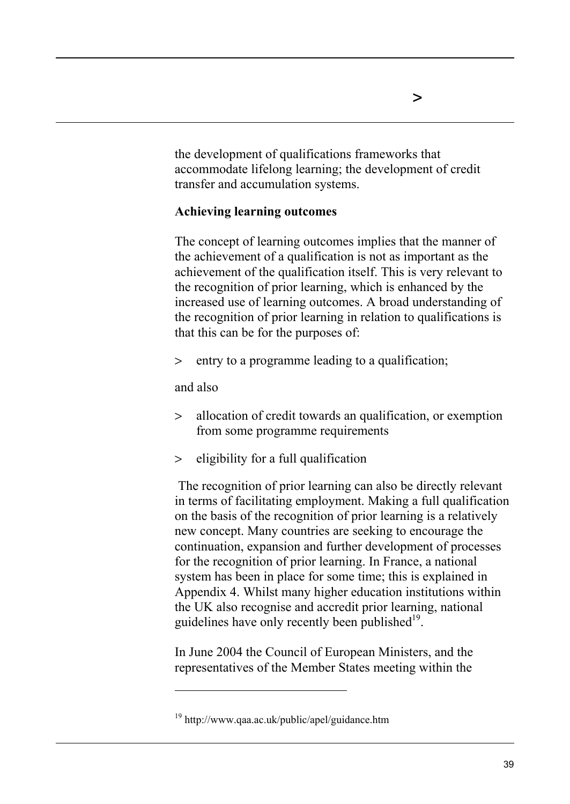the development of qualifications frameworks that accommodate lifelong learning; the development of credit transfer and accumulation systems.

#### **Achieving learning outcomes**

>

The concept of learning outcomes implies that the manner of the achievement of a qualification is not as important as the achievement of the qualification itself. This is very relevant to the recognition of prior learning, which is enhanced by the increased use of learning outcomes. A broad understanding of the recognition of prior learning in relation to qualifications is that this can be for the purposes of:

> entry to a programme leading to a qualification;

and also

 $\overline{a}$ 

- > allocation of credit towards an qualification, or exemption from some programme requirements
- > eligibility for a full qualification

 The recognition of prior learning can also be directly relevant in terms of facilitating employment. Making a full qualification on the basis of the recognition of prior learning is a relatively new concept. Many countries are seeking to encourage the continuation, expansion and further development of processes for the recognition of prior learning. In France, a national system has been in place for some time; this is explained in Appendix 4. Whilst many higher education institutions within the UK also recognise and accredit prior learning, national guidelines have only recently been published $19$ .

In June 2004 the Council of European Ministers, and the representatives of the Member States meeting within the

<sup>19</sup> http://www.qaa.ac.uk/public/apel/guidance.htm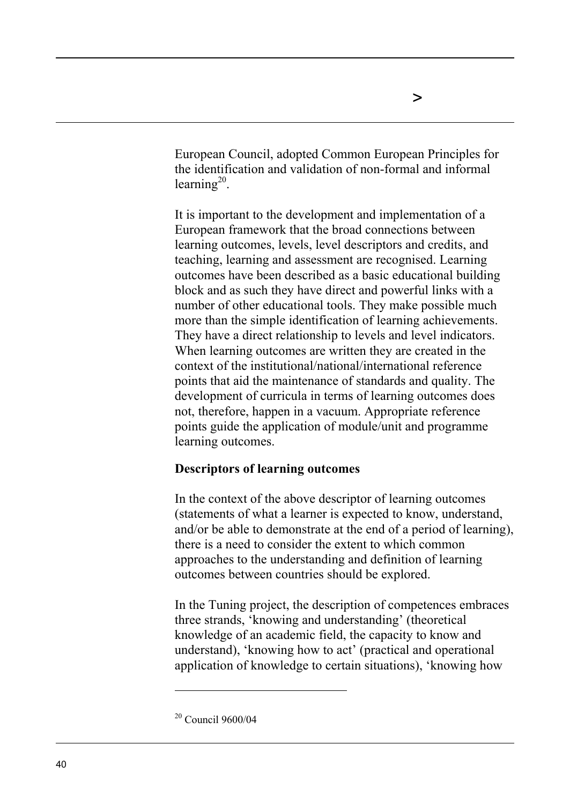European Council, adopted Common European Principles for the identification and validation of non-formal and informal learning<sup>20</sup>.

It is important to the development and implementation of a European framework that the broad connections between learning outcomes, levels, level descriptors and credits, and teaching, learning and assessment are recognised. Learning outcomes have been described as a basic educational building block and as such they have direct and powerful links with a number of other educational tools. They make possible much more than the simple identification of learning achievements. They have a direct relationship to levels and level indicators. When learning outcomes are written they are created in the context of the institutional/national/international reference points that aid the maintenance of standards and quality. The development of curricula in terms of learning outcomes does not, therefore, happen in a vacuum. Appropriate reference points guide the application of module/unit and programme learning outcomes.

#### **Descriptors of learning outcomes**

In the context of the above descriptor of learning outcomes (statements of what a learner is expected to know, understand, and/or be able to demonstrate at the end of a period of learning), there is a need to consider the extent to which common approaches to the understanding and definition of learning outcomes between countries should be explored.

In the Tuning project, the description of competences embraces three strands, 'knowing and understanding' (theoretical knowledge of an academic field, the capacity to know and understand), 'knowing how to act' (practical and operational application of knowledge to certain situations), 'knowing how

 $20$  Council 9600/04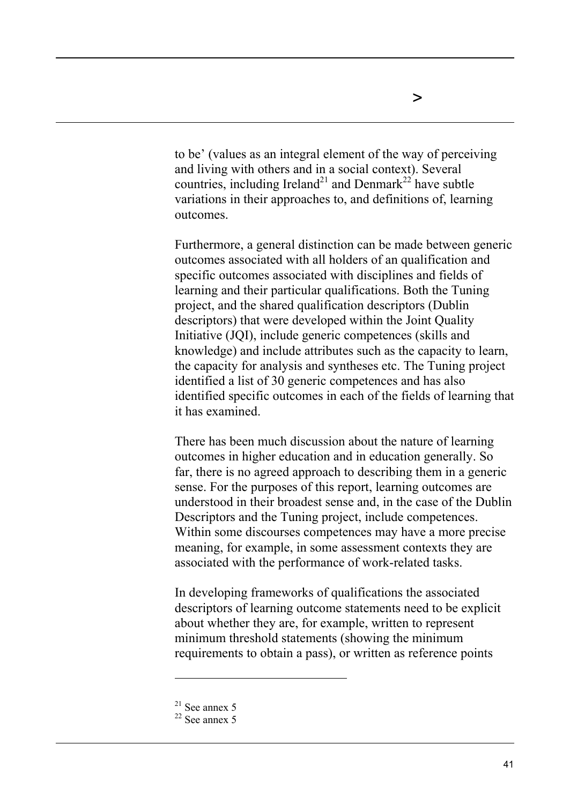to be' (values as an integral element of the way of perceiving and living with others and in a social context). Several countries, including Ireland<sup>21</sup> and Denmark<sup>22</sup> have subtle variations in their approaches to, and definitions of, learning outcomes.

Furthermore, a general distinction can be made between generic outcomes associated with all holders of an qualification and specific outcomes associated with disciplines and fields of learning and their particular qualifications. Both the Tuning project, and the shared qualification descriptors (Dublin descriptors) that were developed within the Joint Quality Initiative (JQI), include generic competences (skills and knowledge) and include attributes such as the capacity to learn, the capacity for analysis and syntheses etc. The Tuning project identified a list of 30 generic competences and has also identified specific outcomes in each of the fields of learning that it has examined.

There has been much discussion about the nature of learning outcomes in higher education and in education generally. So far, there is no agreed approach to describing them in a generic sense. For the purposes of this report, learning outcomes are understood in their broadest sense and, in the case of the Dublin Descriptors and the Tuning project, include competences. Within some discourses competences may have a more precise meaning, for example, in some assessment contexts they are associated with the performance of work-related tasks.

In developing frameworks of qualifications the associated descriptors of learning outcome statements need to be explicit about whether they are, for example, written to represent minimum threshold statements (showing the minimum requirements to obtain a pass), or written as reference points

 $21$  See annex 5

 $22$  See annex 5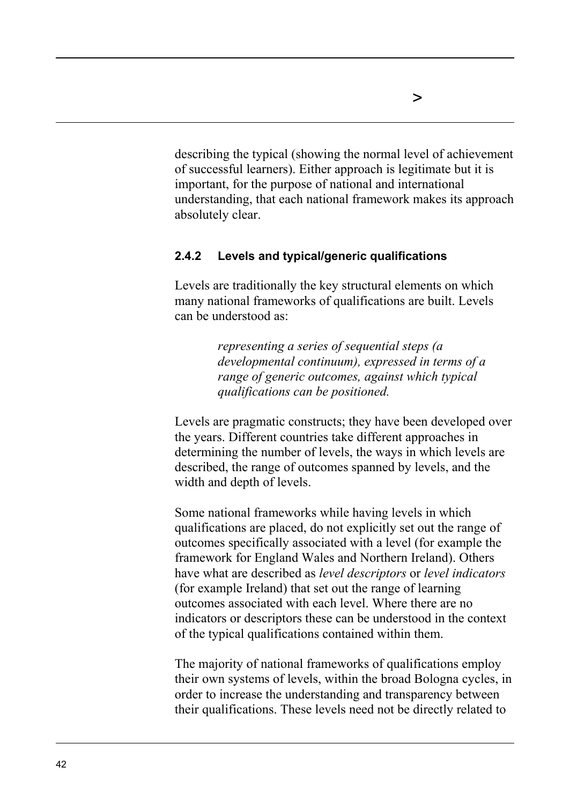describing the typical (showing the normal level of achievement of successful learners). Either approach is legitimate but it is important, for the purpose of national and international understanding, that each national framework makes its approach absolutely clear.

#### **2.4.2 Levels and typical/generic qualifications**

Levels are traditionally the key structural elements on which many national frameworks of qualifications are built. Levels can be understood as:

> *representing a series of sequential steps (a developmental continuum), expressed in terms of a range of generic outcomes, against which typical qualifications can be positioned.*

Levels are pragmatic constructs; they have been developed over the years. Different countries take different approaches in determining the number of levels, the ways in which levels are described, the range of outcomes spanned by levels, and the width and depth of levels.

Some national frameworks while having levels in which qualifications are placed, do not explicitly set out the range of outcomes specifically associated with a level (for example the framework for England Wales and Northern Ireland). Others have what are described as *level descriptors* or *level indicators* (for example Ireland) that set out the range of learning outcomes associated with each level. Where there are no indicators or descriptors these can be understood in the context of the typical qualifications contained within them.

The majority of national frameworks of qualifications employ their own systems of levels, within the broad Bologna cycles, in order to increase the understanding and transparency between their qualifications. These levels need not be directly related to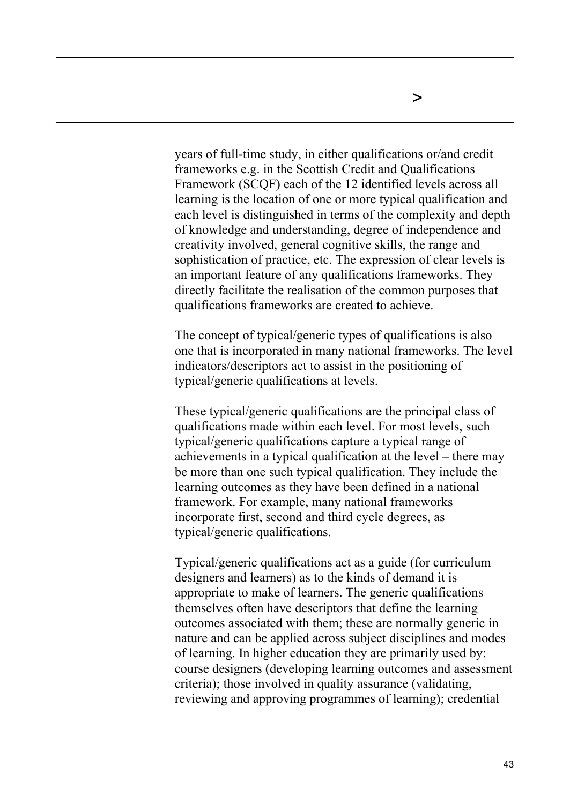years of full-time study, in either qualifications or/and credit frameworks e.g. in the Scottish Credit and Qualifications Framework (SCQF) each of the 12 identified levels across all learning is the location of one or more typical qualification and each level is distinguished in terms of the complexity and depth of knowledge and understanding, degree of independence and creativity involved, general cognitive skills, the range and sophistication of practice, etc. The expression of clear levels is an important feature of any qualifications frameworks. They directly facilitate the realisation of the common purposes that qualifications frameworks are created to achieve.

The concept of typical/generic types of qualifications is also one that is incorporated in many national frameworks. The level indicators/descriptors act to assist in the positioning of typical/generic qualifications at levels.

These typical/generic qualifications are the principal class of qualifications made within each level. For most levels, such typical/generic qualifications capture a typical range of achievements in a typical qualification at the level – there may be more than one such typical qualification. They include the learning outcomes as they have been defined in a national framework. For example, many national frameworks incorporate first, second and third cycle degrees, as typical/generic qualifications.

Typical/generic qualifications act as a guide (for curriculum designers and learners) as to the kinds of demand it is appropriate to make of learners. The generic qualifications themselves often have descriptors that define the learning outcomes associated with them; these are normally generic in nature and can be applied across subject disciplines and modes of learning. In higher education they are primarily used by: course designers (developing learning outcomes and assessment criteria); those involved in quality assurance (validating, reviewing and approving programmes of learning); credential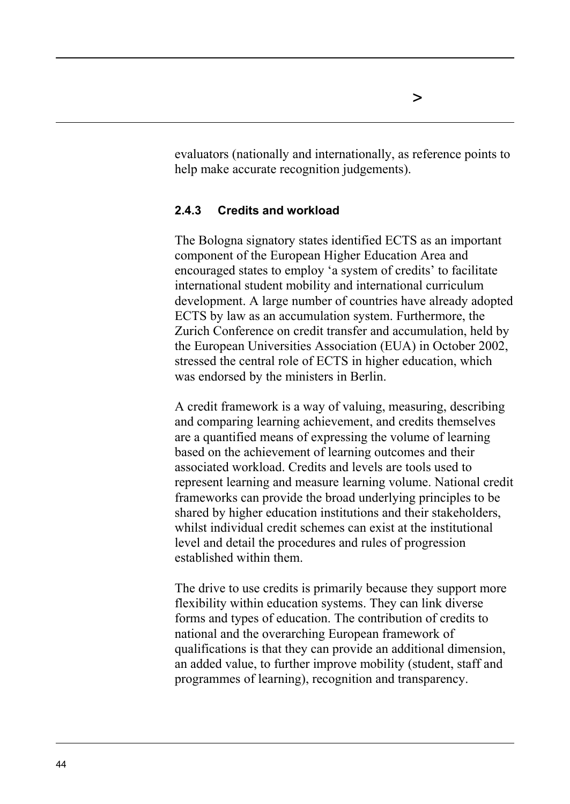evaluators (nationally and internationally, as reference points to help make accurate recognition judgements).

#### **2.4.3 Credits and workload**

The Bologna signatory states identified ECTS as an important component of the European Higher Education Area and encouraged states to employ 'a system of credits' to facilitate international student mobility and international curriculum development. A large number of countries have already adopted ECTS by law as an accumulation system. Furthermore, the Zurich Conference on credit transfer and accumulation, held by the European Universities Association (EUA) in October 2002, stressed the central role of ECTS in higher education, which was endorsed by the ministers in Berlin.

A credit framework is a way of valuing, measuring, describing and comparing learning achievement, and credits themselves are a quantified means of expressing the volume of learning based on the achievement of learning outcomes and their associated workload. Credits and levels are tools used to represent learning and measure learning volume. National credit frameworks can provide the broad underlying principles to be shared by higher education institutions and their stakeholders, whilst individual credit schemes can exist at the institutional level and detail the procedures and rules of progression established within them.

The drive to use credits is primarily because they support more flexibility within education systems. They can link diverse forms and types of education. The contribution of credits to national and the overarching European framework of qualifications is that they can provide an additional dimension, an added value, to further improve mobility (student, staff and programmes of learning), recognition and transparency.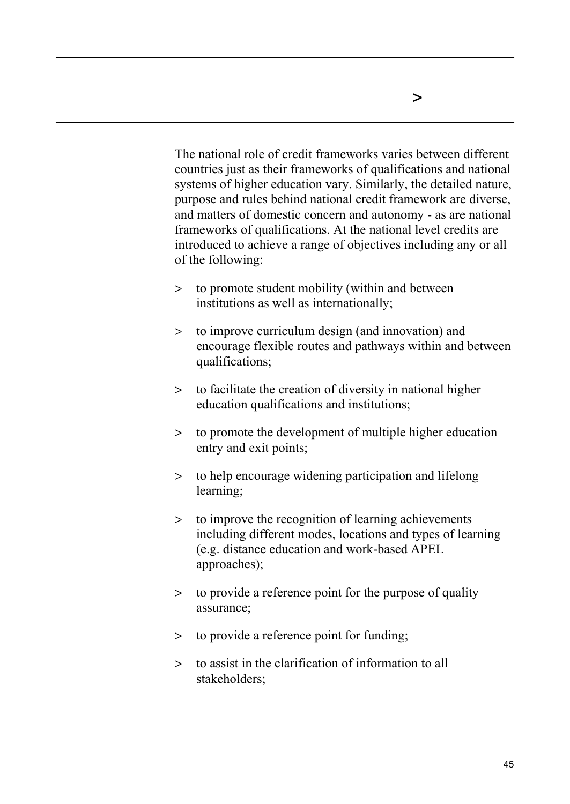The national role of credit frameworks varies between different countries just as their frameworks of qualifications and national systems of higher education vary. Similarly, the detailed nature, purpose and rules behind national credit framework are diverse, and matters of domestic concern and autonomy - as are national frameworks of qualifications. At the national level credits are introduced to achieve a range of objectives including any or all of the following:

> to promote student mobility (within and between institutions as well as internationally;

>

- > to improve curriculum design (and innovation) and encourage flexible routes and pathways within and between qualifications;
- > to facilitate the creation of diversity in national higher education qualifications and institutions;
- > to promote the development of multiple higher education entry and exit points;
- > to help encourage widening participation and lifelong learning;
- > to improve the recognition of learning achievements including different modes, locations and types of learning (e.g. distance education and work-based APEL approaches);
- > to provide a reference point for the purpose of quality assurance;
- > to provide a reference point for funding;
- > to assist in the clarification of information to all stakeholders;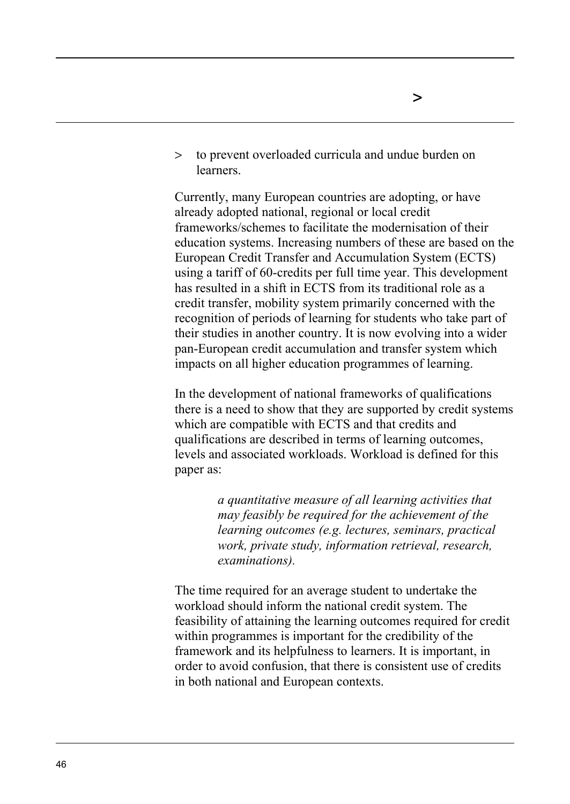> to prevent overloaded curricula and undue burden on learners.

>

Currently, many European countries are adopting, or have already adopted national, regional or local credit frameworks/schemes to facilitate the modernisation of their education systems. Increasing numbers of these are based on the European Credit Transfer and Accumulation System (ECTS) using a tariff of 60-credits per full time year. This development has resulted in a shift in ECTS from its traditional role as a credit transfer, mobility system primarily concerned with the recognition of periods of learning for students who take part of their studies in another country. It is now evolving into a wider pan-European credit accumulation and transfer system which impacts on all higher education programmes of learning.

In the development of national frameworks of qualifications there is a need to show that they are supported by credit systems which are compatible with ECTS and that credits and qualifications are described in terms of learning outcomes, levels and associated workloads. Workload is defined for this paper as:

> *a quantitative measure of all learning activities that may feasibly be required for the achievement of the learning outcomes (e.g. lectures, seminars, practical work, private study, information retrieval, research, examinations).*

The time required for an average student to undertake the workload should inform the national credit system. The feasibility of attaining the learning outcomes required for credit within programmes is important for the credibility of the framework and its helpfulness to learners. It is important, in order to avoid confusion, that there is consistent use of credits in both national and European contexts.

46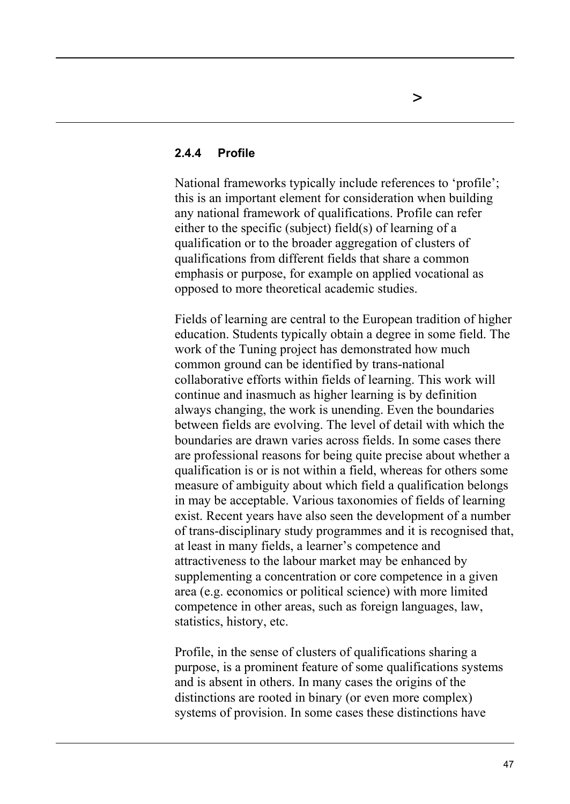# **2.4.4 Profile**

>

National frameworks typically include references to 'profile'; this is an important element for consideration when building any national framework of qualifications. Profile can refer either to the specific (subject) field(s) of learning of a qualification or to the broader aggregation of clusters of qualifications from different fields that share a common emphasis or purpose, for example on applied vocational as opposed to more theoretical academic studies.

Fields of learning are central to the European tradition of higher education. Students typically obtain a degree in some field. The work of the Tuning project has demonstrated how much common ground can be identified by trans-national collaborative efforts within fields of learning. This work will continue and inasmuch as higher learning is by definition always changing, the work is unending. Even the boundaries between fields are evolving. The level of detail with which the boundaries are drawn varies across fields. In some cases there are professional reasons for being quite precise about whether a qualification is or is not within a field, whereas for others some measure of ambiguity about which field a qualification belongs in may be acceptable. Various taxonomies of fields of learning exist. Recent years have also seen the development of a number of trans-disciplinary study programmes and it is recognised that, at least in many fields, a learner's competence and attractiveness to the labour market may be enhanced by supplementing a concentration or core competence in a given area (e.g. economics or political science) with more limited competence in other areas, such as foreign languages, law, statistics, history, etc.

Profile, in the sense of clusters of qualifications sharing a purpose, is a prominent feature of some qualifications systems and is absent in others. In many cases the origins of the distinctions are rooted in binary (or even more complex) systems of provision. In some cases these distinctions have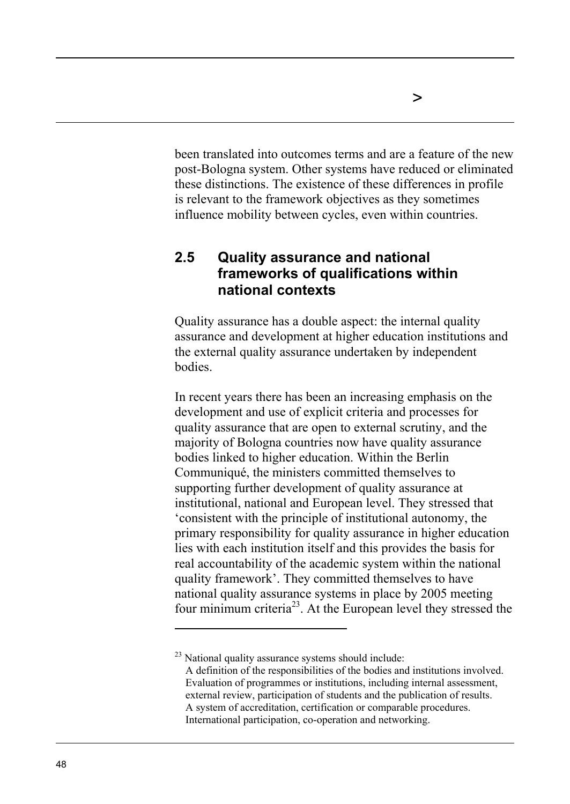been translated into outcomes terms and are a feature of the new post-Bologna system. Other systems have reduced or eliminated these distinctions. The existence of these differences in profile is relevant to the framework objectives as they sometimes influence mobility between cycles, even within countries.

## **2.5 Quality assurance and national frameworks of qualifications within national contexts**

Quality assurance has a double aspect: the internal quality assurance and development at higher education institutions and the external quality assurance undertaken by independent bodies.

In recent years there has been an increasing emphasis on the development and use of explicit criteria and processes for quality assurance that are open to external scrutiny, and the majority of Bologna countries now have quality assurance bodies linked to higher education. Within the Berlin Communiqué, the ministers committed themselves to supporting further development of quality assurance at institutional, national and European level. They stressed that 'consistent with the principle of institutional autonomy, the primary responsibility for quality assurance in higher education lies with each institution itself and this provides the basis for real accountability of the academic system within the national quality framework'. They committed themselves to have national quality assurance systems in place by 2005 meeting four minimum criteria<sup>23</sup>. At the European level they stressed the

 $^{23}$  National quality assurance systems should include: A definition of the responsibilities of the bodies and institutions involved. Evaluation of programmes or institutions, including internal assessment, external review, participation of students and the publication of results. A system of accreditation, certification or comparable procedures. International participation, co-operation and networking.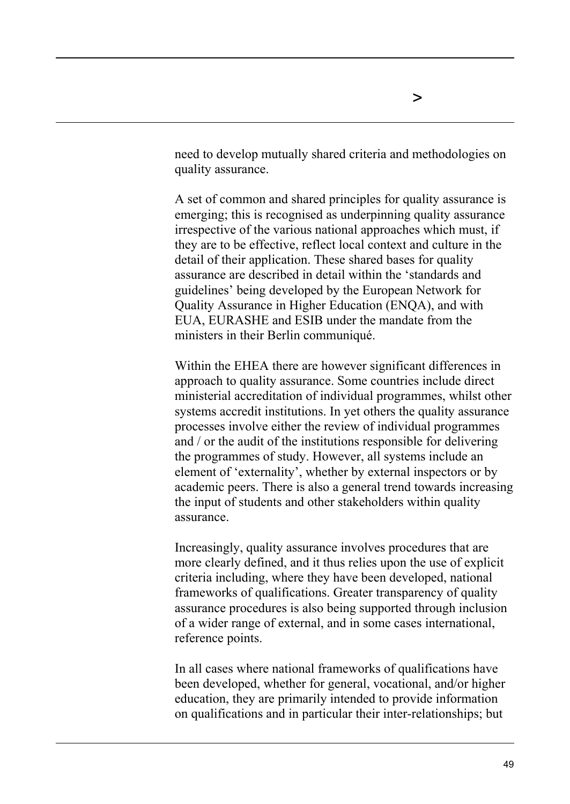need to develop mutually shared criteria and methodologies on quality assurance.

A set of common and shared principles for quality assurance is emerging; this is recognised as underpinning quality assurance irrespective of the various national approaches which must, if they are to be effective, reflect local context and culture in the detail of their application. These shared bases for quality assurance are described in detail within the 'standards and guidelines' being developed by the European Network for Quality Assurance in Higher Education (ENQA), and with EUA, EURASHE and ESIB under the mandate from the ministers in their Berlin communiqué.

Within the EHEA there are however significant differences in approach to quality assurance. Some countries include direct ministerial accreditation of individual programmes, whilst other systems accredit institutions. In yet others the quality assurance processes involve either the review of individual programmes and / or the audit of the institutions responsible for delivering the programmes of study. However, all systems include an element of 'externality', whether by external inspectors or by academic peers. There is also a general trend towards increasing the input of students and other stakeholders within quality assurance.

Increasingly, quality assurance involves procedures that are more clearly defined, and it thus relies upon the use of explicit criteria including, where they have been developed, national frameworks of qualifications. Greater transparency of quality assurance procedures is also being supported through inclusion of a wider range of external, and in some cases international, reference points.

In all cases where national frameworks of qualifications have been developed, whether for general, vocational, and/or higher education, they are primarily intended to provide information on qualifications and in particular their inter-relationships; but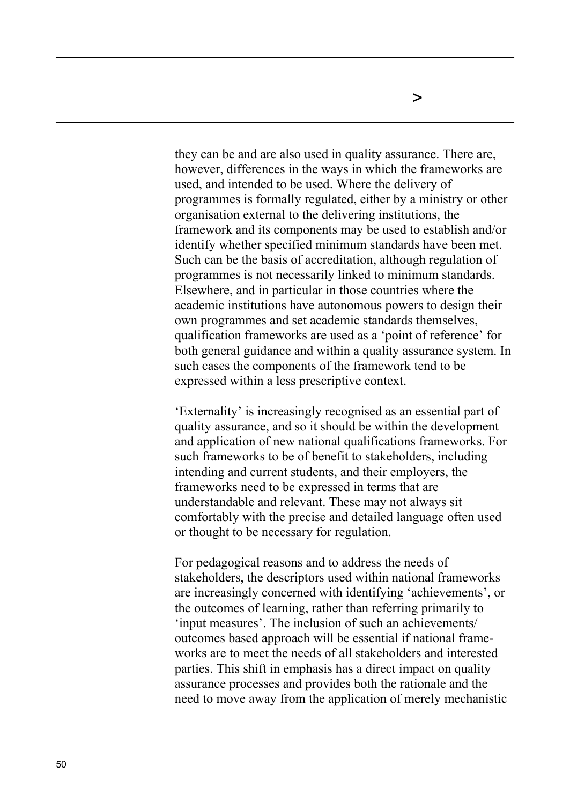they can be and are also used in quality assurance. There are, however, differences in the ways in which the frameworks are used, and intended to be used. Where the delivery of programmes is formally regulated, either by a ministry or other organisation external to the delivering institutions, the framework and its components may be used to establish and/or identify whether specified minimum standards have been met. Such can be the basis of accreditation, although regulation of programmes is not necessarily linked to minimum standards. Elsewhere, and in particular in those countries where the academic institutions have autonomous powers to design their own programmes and set academic standards themselves, qualification frameworks are used as a 'point of reference' for both general guidance and within a quality assurance system. In such cases the components of the framework tend to be expressed within a less prescriptive context.

'Externality' is increasingly recognised as an essential part of quality assurance, and so it should be within the development and application of new national qualifications frameworks. For such frameworks to be of benefit to stakeholders, including intending and current students, and their employers, the frameworks need to be expressed in terms that are understandable and relevant. These may not always sit comfortably with the precise and detailed language often used or thought to be necessary for regulation.

For pedagogical reasons and to address the needs of stakeholders, the descriptors used within national frameworks are increasingly concerned with identifying 'achievements', or the outcomes of learning, rather than referring primarily to 'input measures'. The inclusion of such an achievements/ outcomes based approach will be essential if national frameworks are to meet the needs of all stakeholders and interested parties. This shift in emphasis has a direct impact on quality assurance processes and provides both the rationale and the need to move away from the application of merely mechanistic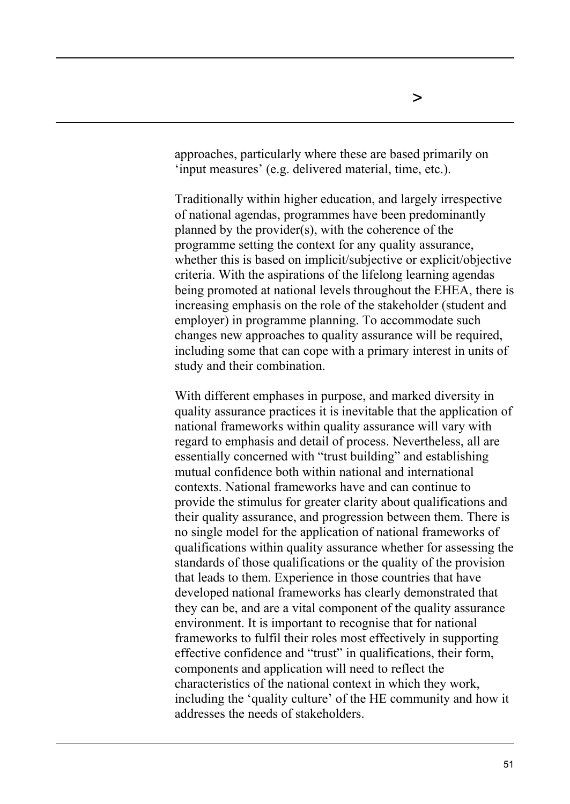approaches, particularly where these are based primarily on 'input measures' (e.g. delivered material, time, etc.).

Traditionally within higher education, and largely irrespective of national agendas, programmes have been predominantly planned by the provider(s), with the coherence of the programme setting the context for any quality assurance, whether this is based on implicit/subjective or explicit/objective criteria. With the aspirations of the lifelong learning agendas being promoted at national levels throughout the EHEA, there is increasing emphasis on the role of the stakeholder (student and employer) in programme planning. To accommodate such changes new approaches to quality assurance will be required, including some that can cope with a primary interest in units of study and their combination.

With different emphases in purpose, and marked diversity in quality assurance practices it is inevitable that the application of national frameworks within quality assurance will vary with regard to emphasis and detail of process. Nevertheless, all are essentially concerned with "trust building" and establishing mutual confidence both within national and international contexts. National frameworks have and can continue to provide the stimulus for greater clarity about qualifications and their quality assurance, and progression between them. There is no single model for the application of national frameworks of qualifications within quality assurance whether for assessing the standards of those qualifications or the quality of the provision that leads to them. Experience in those countries that have developed national frameworks has clearly demonstrated that they can be, and are a vital component of the quality assurance environment. It is important to recognise that for national frameworks to fulfil their roles most effectively in supporting effective confidence and "trust" in qualifications, their form, components and application will need to reflect the characteristics of the national context in which they work, including the 'quality culture' of the HE community and how it addresses the needs of stakeholders.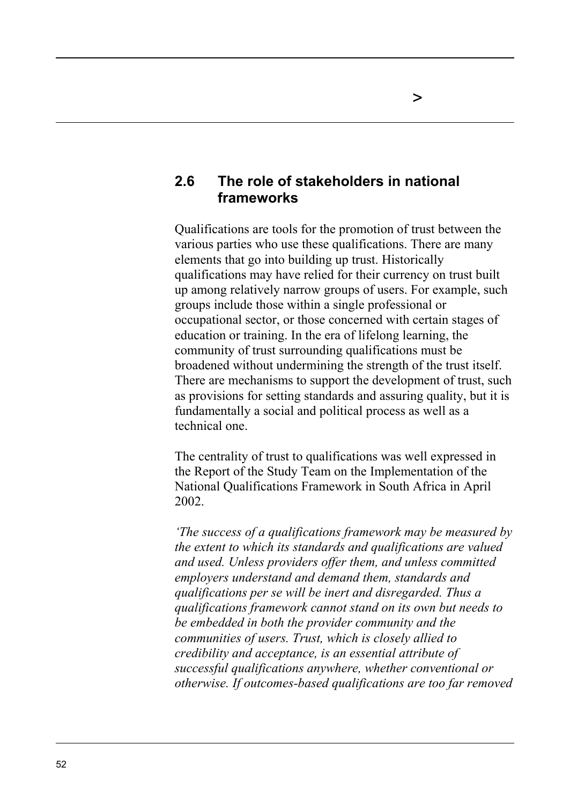## **2.6 The role of stakeholders in national frameworks**

Qualifications are tools for the promotion of trust between the various parties who use these qualifications. There are many elements that go into building up trust. Historically qualifications may have relied for their currency on trust built up among relatively narrow groups of users. For example, such groups include those within a single professional or occupational sector, or those concerned with certain stages of education or training. In the era of lifelong learning, the community of trust surrounding qualifications must be broadened without undermining the strength of the trust itself. There are mechanisms to support the development of trust, such as provisions for setting standards and assuring quality, but it is fundamentally a social and political process as well as a technical one.

The centrality of trust to qualifications was well expressed in the Report of the Study Team on the Implementation of the National Qualifications Framework in South Africa in April 2002.

*'The success of a qualifications framework may be measured by the extent to which its standards and qualifications are valued and used. Unless providers offer them, and unless committed employers understand and demand them, standards and qualifications per se will be inert and disregarded. Thus a qualifications framework cannot stand on its own but needs to be embedded in both the provider community and the communities of users. Trust, which is closely allied to credibility and acceptance, is an essential attribute of successful qualifications anywhere, whether conventional or otherwise. If outcomes-based qualifications are too far removed* 

>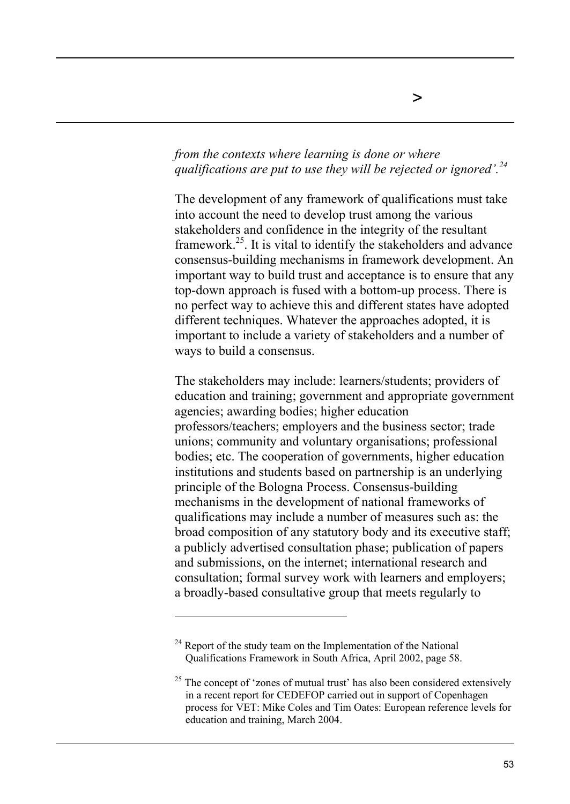*from the contexts where learning is done or where qualifications are put to use they will be rejected or ignored'.<sup>24</sup>*

The development of any framework of qualifications must take into account the need to develop trust among the various stakeholders and confidence in the integrity of the resultant framework.25. It is vital to identify the stakeholders and advance consensus-building mechanisms in framework development. An important way to build trust and acceptance is to ensure that any top-down approach is fused with a bottom-up process. There is no perfect way to achieve this and different states have adopted different techniques. Whatever the approaches adopted, it is important to include a variety of stakeholders and a number of ways to build a consensus.

The stakeholders may include: learners/students; providers of education and training; government and appropriate government agencies; awarding bodies; higher education professors/teachers; employers and the business sector; trade unions; community and voluntary organisations; professional bodies; etc. The cooperation of governments, higher education institutions and students based on partnership is an underlying principle of the Bologna Process. Consensus-building mechanisms in the development of national frameworks of qualifications may include a number of measures such as: the broad composition of any statutory body and its executive staff; a publicly advertised consultation phase; publication of papers and submissions, on the internet; international research and consultation; formal survey work with learners and employers; a broadly-based consultative group that meets regularly to

 $^{24}$  Report of the study team on the Implementation of the National Qualifications Framework in South Africa, April 2002, page 58.

 $^{25}$  The concept of 'zones of mutual trust' has also been considered extensively in a recent report for CEDEFOP carried out in support of Copenhagen process for VET: Mike Coles and Tim Oates: European reference levels for education and training, March 2004.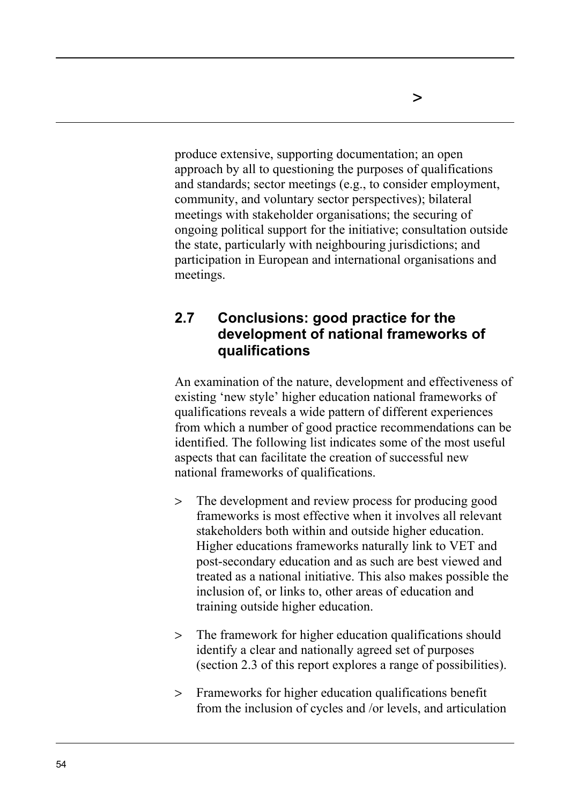produce extensive, supporting documentation; an open approach by all to questioning the purposes of qualifications and standards; sector meetings (e.g., to consider employment, community, and voluntary sector perspectives); bilateral meetings with stakeholder organisations; the securing of ongoing political support for the initiative; consultation outside the state, particularly with neighbouring jurisdictions; and participation in European and international organisations and meetings.

>

## **2.7 Conclusions: good practice for the development of national frameworks of qualifications**

An examination of the nature, development and effectiveness of existing 'new style' higher education national frameworks of qualifications reveals a wide pattern of different experiences from which a number of good practice recommendations can be identified. The following list indicates some of the most useful aspects that can facilitate the creation of successful new national frameworks of qualifications.

- > The development and review process for producing good frameworks is most effective when it involves all relevant stakeholders both within and outside higher education. Higher educations frameworks naturally link to VET and post-secondary education and as such are best viewed and treated as a national initiative. This also makes possible the inclusion of, or links to, other areas of education and training outside higher education.
- > The framework for higher education qualifications should identify a clear and nationally agreed set of purposes (section 2.3 of this report explores a range of possibilities).
- > Frameworks for higher education qualifications benefit from the inclusion of cycles and /or levels, and articulation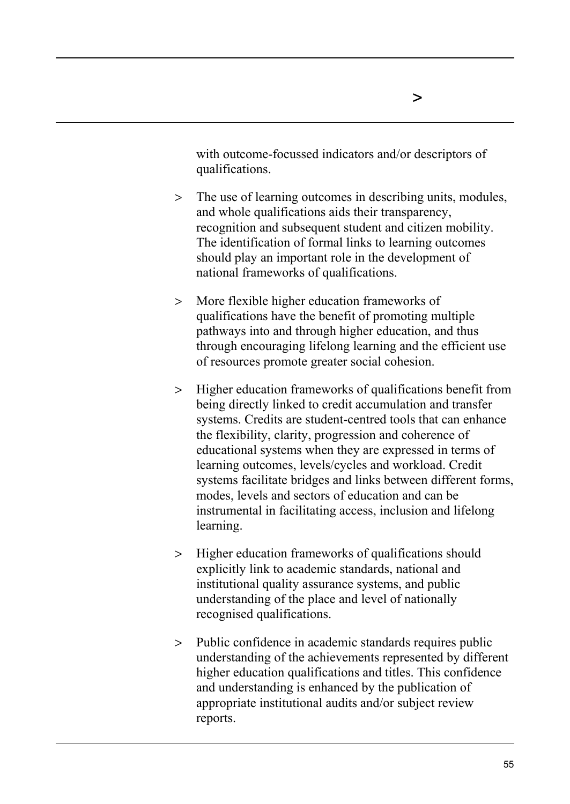with outcome-focussed indicators and/or descriptors of qualifications.

- > The use of learning outcomes in describing units, modules, and whole qualifications aids their transparency, recognition and subsequent student and citizen mobility. The identification of formal links to learning outcomes should play an important role in the development of national frameworks of qualifications.
- > More flexible higher education frameworks of qualifications have the benefit of promoting multiple pathways into and through higher education, and thus through encouraging lifelong learning and the efficient use of resources promote greater social cohesion.
- > Higher education frameworks of qualifications benefit from being directly linked to credit accumulation and transfer systems. Credits are student-centred tools that can enhance the flexibility, clarity, progression and coherence of educational systems when they are expressed in terms of learning outcomes, levels/cycles and workload. Credit systems facilitate bridges and links between different forms, modes, levels and sectors of education and can be instrumental in facilitating access, inclusion and lifelong learning.
- > Higher education frameworks of qualifications should explicitly link to academic standards, national and institutional quality assurance systems, and public understanding of the place and level of nationally recognised qualifications.
- > Public confidence in academic standards requires public understanding of the achievements represented by different higher education qualifications and titles. This confidence and understanding is enhanced by the publication of appropriate institutional audits and/or subject review reports.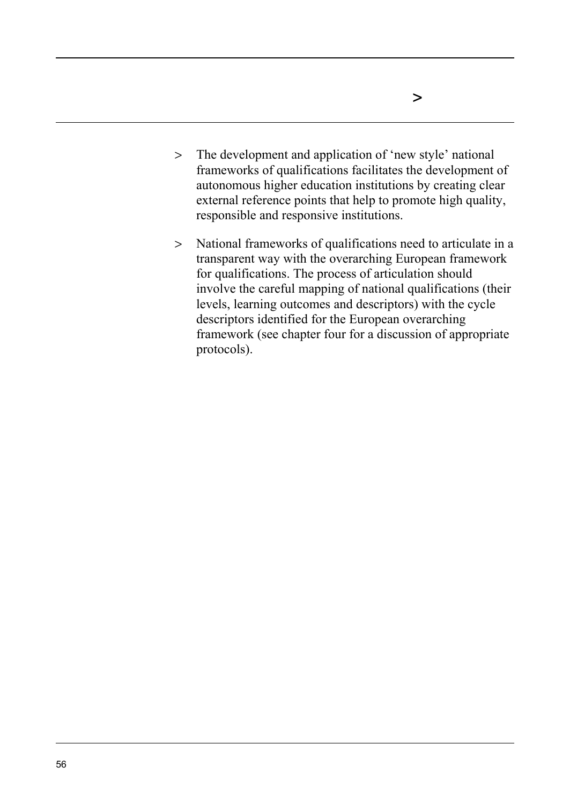- > The development and application of 'new style' national frameworks of qualifications facilitates the development of autonomous higher education institutions by creating clear external reference points that help to promote high quality, responsible and responsive institutions.
- > National frameworks of qualifications need to articulate in a transparent way with the overarching European framework for qualifications. The process of articulation should involve the careful mapping of national qualifications (their levels, learning outcomes and descriptors) with the cycle descriptors identified for the European overarching framework (see chapter four for a discussion of appropriate protocols).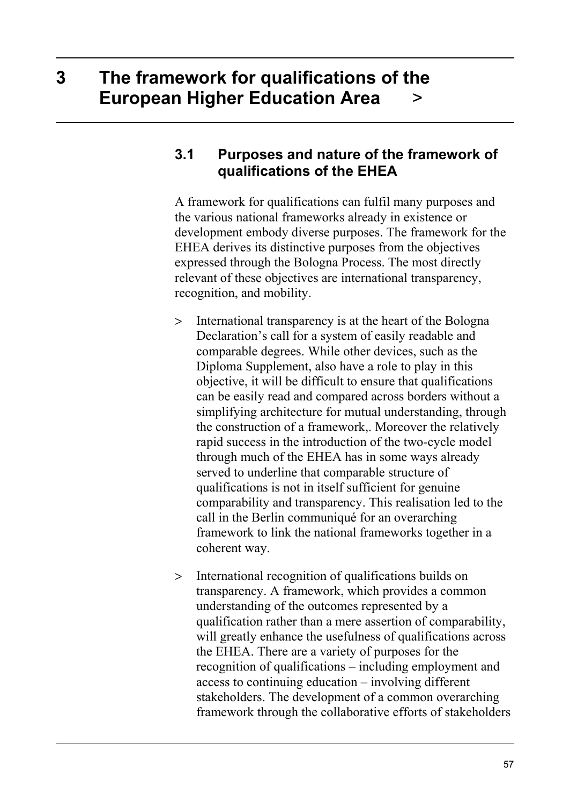# > **European Higher Education Area 3 The framework for qualifications of the**

## **3.1 Purposes and nature of the framework of qualifications of the EHEA**

A framework for qualifications can fulfil many purposes and the various national frameworks already in existence or development embody diverse purposes. The framework for the EHEA derives its distinctive purposes from the objectives expressed through the Bologna Process. The most directly relevant of these objectives are international transparency, recognition, and mobility.

- > International transparency is at the heart of the Bologna Declaration's call for a system of easily readable and comparable degrees. While other devices, such as the Diploma Supplement, also have a role to play in this objective, it will be difficult to ensure that qualifications can be easily read and compared across borders without a simplifying architecture for mutual understanding, through the construction of a framework,. Moreover the relatively rapid success in the introduction of the two-cycle model through much of the EHEA has in some ways already served to underline that comparable structure of qualifications is not in itself sufficient for genuine comparability and transparency. This realisation led to the call in the Berlin communiqué for an overarching framework to link the national frameworks together in a coherent way.
- > International recognition of qualifications builds on transparency. A framework, which provides a common understanding of the outcomes represented by a qualification rather than a mere assertion of comparability, will greatly enhance the usefulness of qualifications across the EHEA. There are a variety of purposes for the recognition of qualifications – including employment and access to continuing education – involving different stakeholders. The development of a common overarching framework through the collaborative efforts of stakeholders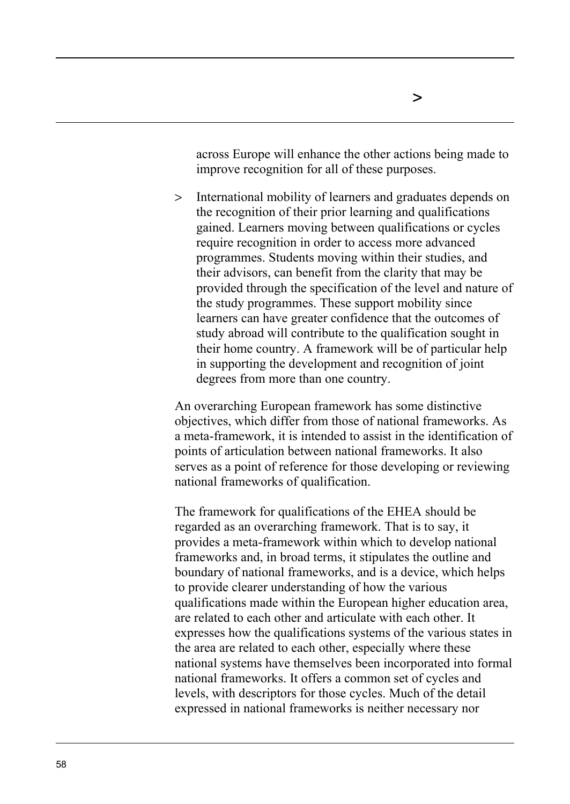across Europe will enhance the other actions being made to improve recognition for all of these purposes.

> International mobility of learners and graduates depends on the recognition of their prior learning and qualifications gained. Learners moving between qualifications or cycles require recognition in order to access more advanced programmes. Students moving within their studies, and their advisors, can benefit from the clarity that may be provided through the specification of the level and nature of the study programmes. These support mobility since learners can have greater confidence that the outcomes of study abroad will contribute to the qualification sought in their home country. A framework will be of particular help in supporting the development and recognition of joint degrees from more than one country.

An overarching European framework has some distinctive objectives, which differ from those of national frameworks. As a meta-framework, it is intended to assist in the identification of points of articulation between national frameworks. It also serves as a point of reference for those developing or reviewing national frameworks of qualification.

The framework for qualifications of the EHEA should be regarded as an overarching framework. That is to say, it provides a meta-framework within which to develop national frameworks and, in broad terms, it stipulates the outline and boundary of national frameworks, and is a device, which helps to provide clearer understanding of how the various qualifications made within the European higher education area, are related to each other and articulate with each other. It expresses how the qualifications systems of the various states in the area are related to each other, especially where these national systems have themselves been incorporated into formal national frameworks. It offers a common set of cycles and levels, with descriptors for those cycles. Much of the detail expressed in national frameworks is neither necessary nor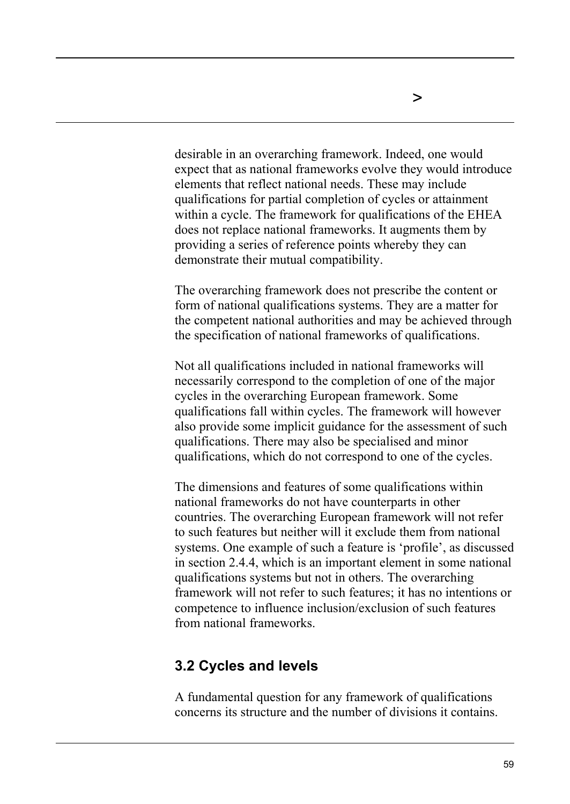desirable in an overarching framework. Indeed, one would expect that as national frameworks evolve they would introduce elements that reflect national needs. These may include qualifications for partial completion of cycles or attainment within a cycle. The framework for qualifications of the EHEA does not replace national frameworks. It augments them by providing a series of reference points whereby they can demonstrate their mutual compatibility.

The overarching framework does not prescribe the content or form of national qualifications systems. They are a matter for the competent national authorities and may be achieved through the specification of national frameworks of qualifications.

Not all qualifications included in national frameworks will necessarily correspond to the completion of one of the major cycles in the overarching European framework. Some qualifications fall within cycles. The framework will however also provide some implicit guidance for the assessment of such qualifications. There may also be specialised and minor qualifications, which do not correspond to one of the cycles.

The dimensions and features of some qualifications within national frameworks do not have counterparts in other countries. The overarching European framework will not refer to such features but neither will it exclude them from national systems. One example of such a feature is 'profile', as discussed in section 2.4.4, which is an important element in some national qualifications systems but not in others. The overarching framework will not refer to such features; it has no intentions or competence to influence inclusion/exclusion of such features from national frameworks.

## **3.2 Cycles and levels**

A fundamental question for any framework of qualifications concerns its structure and the number of divisions it contains.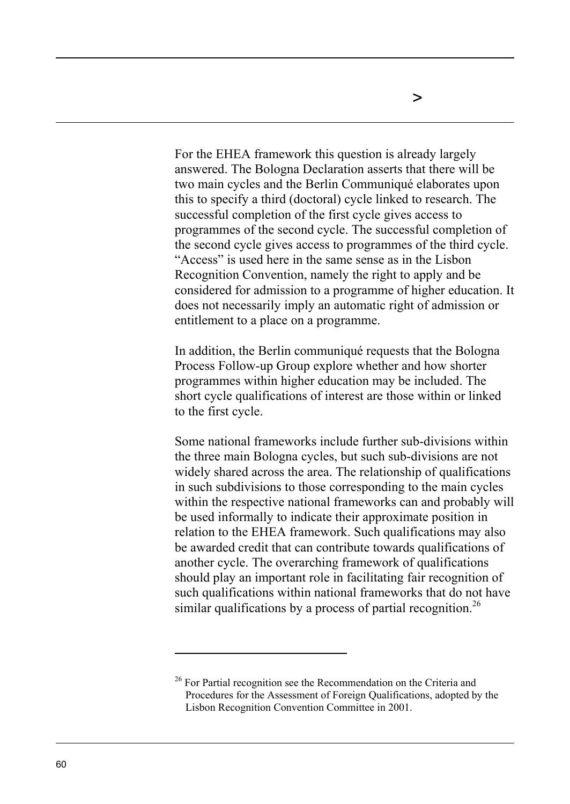For the EHEA framework this question is already largely answered. The Bologna Declaration asserts that there will be two main cycles and the Berlin Communiqué elaborates upon this to specify a third (doctoral) cycle linked to research. The successful completion of the first cycle gives access to programmes of the second cycle. The successful completion of the second cycle gives access to programmes of the third cycle. "Access" is used here in the same sense as in the Lisbon Recognition Convention, namely the right to apply and be considered for admission to a programme of higher education. It does not necessarily imply an automatic right of admission or entitlement to a place on a programme.

In addition, the Berlin communiqué requests that the Bologna Process Follow-up Group explore whether and how shorter programmes within higher education may be included. The short cycle qualifications of interest are those within or linked to the first cycle.

Some national frameworks include further sub-divisions within the three main Bologna cycles, but such sub-divisions are not widely shared across the area. The relationship of qualifications in such subdivisions to those corresponding to the main cycles within the respective national frameworks can and probably will be used informally to indicate their approximate position in relation to the EHEA framework. Such qualifications may also be awarded credit that can contribute towards qualifications of another cycle. The overarching framework of qualifications should play an important role in facilitating fair recognition of such qualifications within national frameworks that do not have similar qualifications by a process of partial recognition.<sup>26</sup>

 $26$  For Partial recognition see the Recommendation on the Criteria and Procedures for the Assessment of Foreign Qualifications, adopted by the Lisbon Recognition Convention Committee in 2001.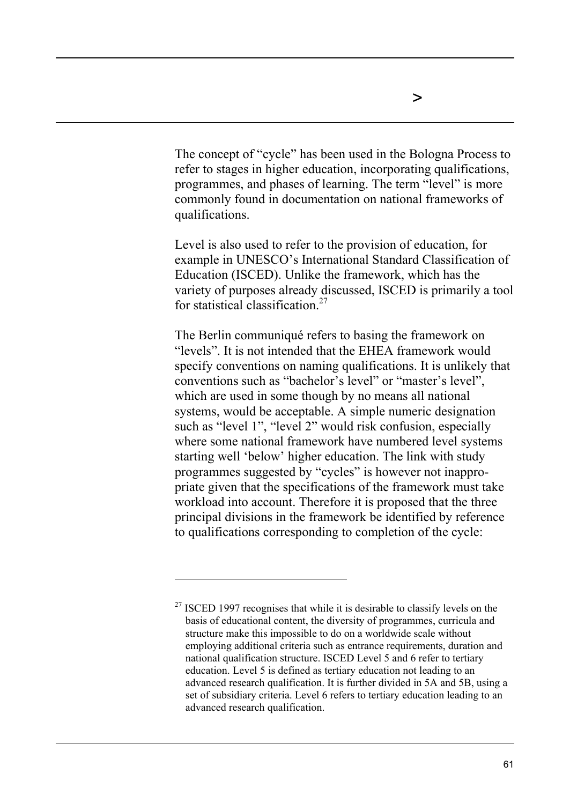The concept of "cycle" has been used in the Bologna Process to refer to stages in higher education, incorporating qualifications, programmes, and phases of learning. The term "level" is more commonly found in documentation on national frameworks of qualifications.

Level is also used to refer to the provision of education, for example in UNESCO's International Standard Classification of Education (ISCED). Unlike the framework, which has the variety of purposes already discussed, ISCED is primarily a tool for statistical classification.<sup>27</sup>

The Berlin communiqué refers to basing the framework on "levels". It is not intended that the EHEA framework would specify conventions on naming qualifications. It is unlikely that conventions such as "bachelor's level" or "master's level", which are used in some though by no means all national systems, would be acceptable. A simple numeric designation such as "level 1", "level 2" would risk confusion, especially where some national framework have numbered level systems starting well 'below' higher education. The link with study programmes suggested by "cycles" is however not inappropriate given that the specifications of the framework must take workload into account. Therefore it is proposed that the three principal divisions in the framework be identified by reference to qualifications corresponding to completion of the cycle:

<sup>&</sup>lt;sup>27</sup> ISCED 1997 recognises that while it is desirable to classify levels on the basis of educational content, the diversity of programmes, curricula and structure make this impossible to do on a worldwide scale without employing additional criteria such as entrance requirements, duration and national qualification structure. ISCED Level 5 and 6 refer to tertiary education. Level 5 is defined as tertiary education not leading to an advanced research qualification. It is further divided in 5A and 5B, using a set of subsidiary criteria. Level 6 refers to tertiary education leading to an advanced research qualification.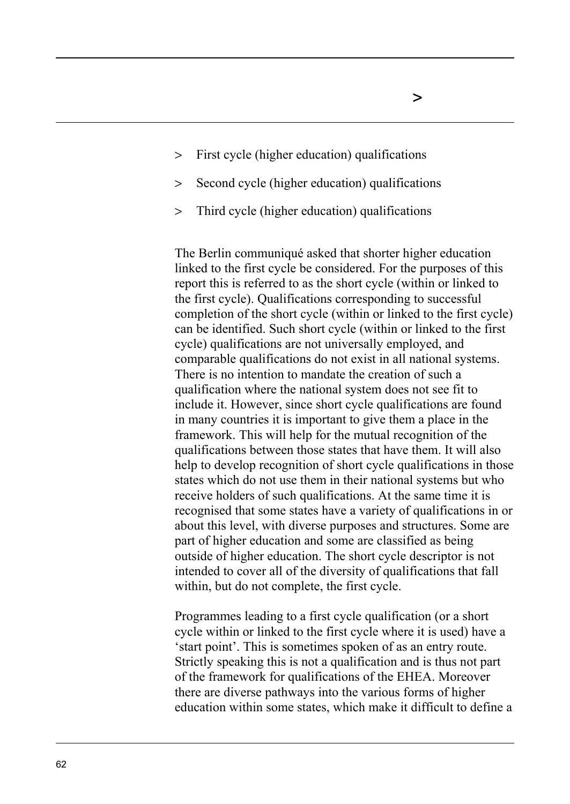- > First cycle (higher education) qualifications
- > Second cycle (higher education) qualifications
- > Third cycle (higher education) qualifications

The Berlin communiqué asked that shorter higher education linked to the first cycle be considered. For the purposes of this report this is referred to as the short cycle (within or linked to the first cycle). Qualifications corresponding to successful completion of the short cycle (within or linked to the first cycle) can be identified. Such short cycle (within or linked to the first cycle) qualifications are not universally employed, and comparable qualifications do not exist in all national systems. There is no intention to mandate the creation of such a qualification where the national system does not see fit to include it. However, since short cycle qualifications are found in many countries it is important to give them a place in the framework. This will help for the mutual recognition of the qualifications between those states that have them. It will also help to develop recognition of short cycle qualifications in those states which do not use them in their national systems but who receive holders of such qualifications. At the same time it is recognised that some states have a variety of qualifications in or about this level, with diverse purposes and structures. Some are part of higher education and some are classified as being outside of higher education. The short cycle descriptor is not intended to cover all of the diversity of qualifications that fall within, but do not complete, the first cycle.

Programmes leading to a first cycle qualification (or a short cycle within or linked to the first cycle where it is used) have a 'start point'. This is sometimes spoken of as an entry route. Strictly speaking this is not a qualification and is thus not part of the framework for qualifications of the EHEA. Moreover there are diverse pathways into the various forms of higher education within some states, which make it difficult to define a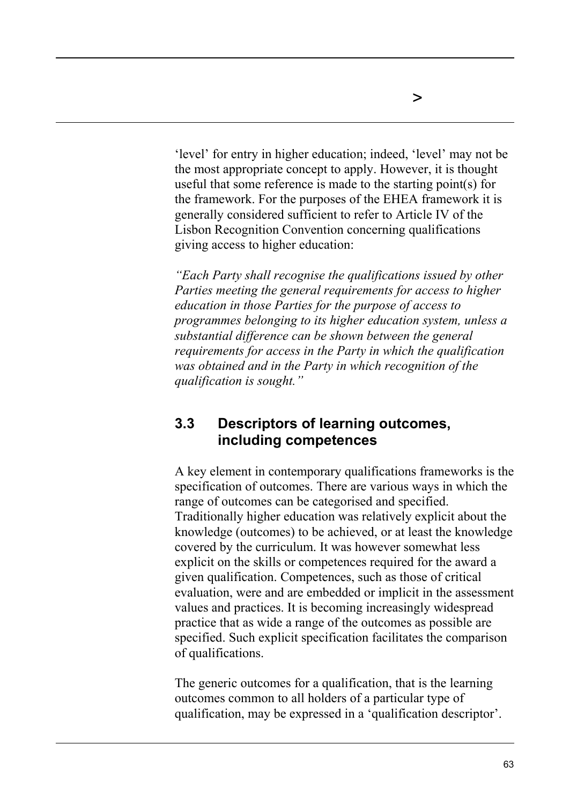'level' for entry in higher education; indeed, 'level' may not be the most appropriate concept to apply. However, it is thought useful that some reference is made to the starting point(s) for the framework. For the purposes of the EHEA framework it is generally considered sufficient to refer to Article IV of the Lisbon Recognition Convention concerning qualifications giving access to higher education:

*"Each Party shall recognise the qualifications issued by other Parties meeting the general requirements for access to higher education in those Parties for the purpose of access to programmes belonging to its higher education system, unless a substantial difference can be shown between the general requirements for access in the Party in which the qualification was obtained and in the Party in which recognition of the qualification is sought."* 

### **3.3 Descriptors of learning outcomes, including competences**

A key element in contemporary qualifications frameworks is the specification of outcomes. There are various ways in which the range of outcomes can be categorised and specified. Traditionally higher education was relatively explicit about the knowledge (outcomes) to be achieved, or at least the knowledge covered by the curriculum. It was however somewhat less explicit on the skills or competences required for the award a given qualification. Competences, such as those of critical evaluation, were and are embedded or implicit in the assessment values and practices. It is becoming increasingly widespread practice that as wide a range of the outcomes as possible are specified. Such explicit specification facilitates the comparison of qualifications.

The generic outcomes for a qualification, that is the learning outcomes common to all holders of a particular type of qualification, may be expressed in a 'qualification descriptor'.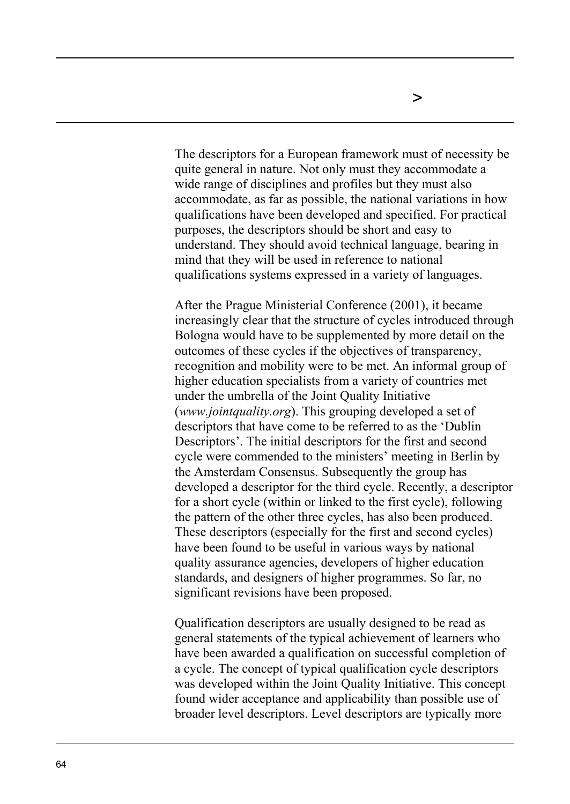The descriptors for a European framework must of necessity be quite general in nature. Not only must they accommodate a wide range of disciplines and profiles but they must also accommodate, as far as possible, the national variations in how qualifications have been developed and specified. For practical purposes, the descriptors should be short and easy to understand. They should avoid technical language, bearing in mind that they will be used in reference to national qualifications systems expressed in a variety of languages.

>

After the Prague Ministerial Conference (2001), it became increasingly clear that the structure of cycles introduced through Bologna would have to be supplemented by more detail on the outcomes of these cycles if the objectives of transparency, recognition and mobility were to be met. An informal group of higher education specialists from a variety of countries met under the umbrella of the Joint Quality Initiative (*www.jointquality.org*). This grouping developed a set of descriptors that have come to be referred to as the 'Dublin Descriptors'. The initial descriptors for the first and second cycle were commended to the ministers' meeting in Berlin by the Amsterdam Consensus. Subsequently the group has developed a descriptor for the third cycle. Recently, a descriptor for a short cycle (within or linked to the first cycle), following the pattern of the other three cycles, has also been produced. These descriptors (especially for the first and second cycles) have been found to be useful in various ways by national quality assurance agencies, developers of higher education standards, and designers of higher programmes. So far, no significant revisions have been proposed.

Qualification descriptors are usually designed to be read as general statements of the typical achievement of learners who have been awarded a qualification on successful completion of a cycle. The concept of typical qualification cycle descriptors was developed within the Joint Quality Initiative. This concept found wider acceptance and applicability than possible use of broader level descriptors. Level descriptors are typically more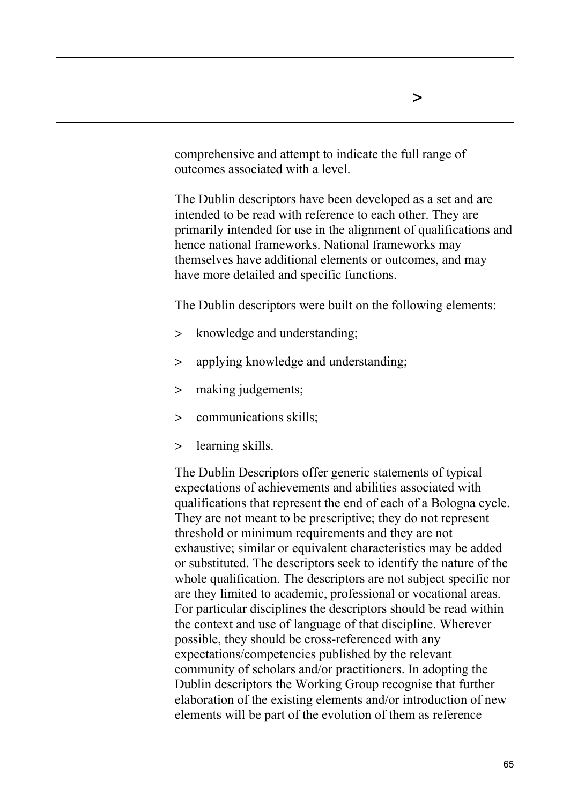comprehensive and attempt to indicate the full range of outcomes associated with a level.

The Dublin descriptors have been developed as a set and are intended to be read with reference to each other. They are primarily intended for use in the alignment of qualifications and hence national frameworks. National frameworks may themselves have additional elements or outcomes, and may have more detailed and specific functions.

The Dublin descriptors were built on the following elements:

- > knowledge and understanding;
- > applying knowledge and understanding;
- > making judgements;
- > communications skills;
- > learning skills.

The Dublin Descriptors offer generic statements of typical expectations of achievements and abilities associated with qualifications that represent the end of each of a Bologna cycle. They are not meant to be prescriptive; they do not represent threshold or minimum requirements and they are not exhaustive; similar or equivalent characteristics may be added or substituted. The descriptors seek to identify the nature of the whole qualification. The descriptors are not subject specific nor are they limited to academic, professional or vocational areas. For particular disciplines the descriptors should be read within the context and use of language of that discipline. Wherever possible, they should be cross-referenced with any expectations/competencies published by the relevant community of scholars and/or practitioners. In adopting the Dublin descriptors the Working Group recognise that further elaboration of the existing elements and/or introduction of new elements will be part of the evolution of them as reference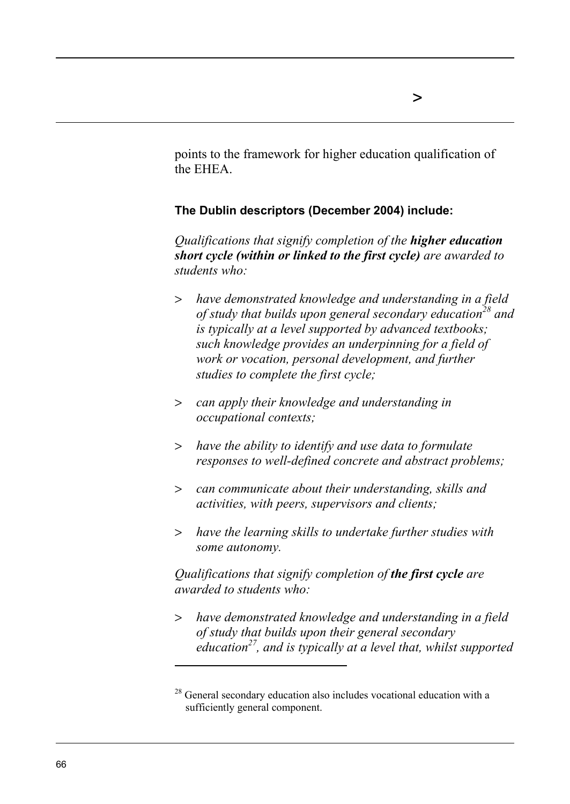points to the framework for higher education qualification of the EHEA.

#### **The Dublin descriptors (December 2004) include:**

*Qualifications that signify completion of the higher education short cycle (within or linked to the first cycle) are awarded to students who:* 

- > *have demonstrated knowledge and understanding in a field of study that builds upon general secondary education28 and is typically at a level supported by advanced textbooks; such knowledge provides an underpinning for a field of work or vocation, personal development, and further studies to complete the first cycle;*
- > *can apply their knowledge and understanding in occupational contexts;*
- > *have the ability to identify and use data to formulate responses to well-defined concrete and abstract problems;*
- > *can communicate about their understanding, skills and activities, with peers, supervisors and clients;*
- > *have the learning skills to undertake further studies with some autonomy.*

*Qualifications that signify completion of the first cycle are awarded to students who:* 

> *have demonstrated knowledge and understanding in a field of study that builds upon their general secondary education27, and is typically at a level that, whilst supported* 

General secondary education also includes vocational education with a sufficiently general component.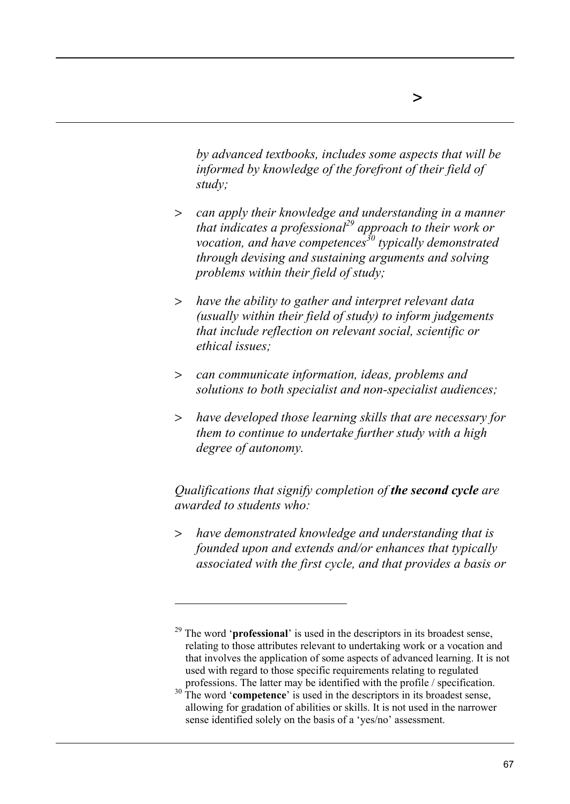*by advanced textbooks, includes some aspects that will be informed by knowledge of the forefront of their field of study;* 

- > *can apply their knowledge and understanding in a manner that indicates a professional29 approach to their work or vocation, and have competences30 typically demonstrated through devising and sustaining arguments and solving problems within their field of study;*
- > *have the ability to gather and interpret relevant data (usually within their field of study) to inform judgements that include reflection on relevant social, scientific or ethical issues;*
- > *can communicate information, ideas, problems and solutions to both specialist and non-specialist audiences;*
- > *have developed those learning skills that are necessary for them to continue to undertake further study with a high degree of autonomy.*

*Qualifications that signify completion of the second cycle are awarded to students who:* 

> *have demonstrated knowledge and understanding that is founded upon and extends and/or enhances that typically associated with the first cycle, and that provides a basis or* 

The word '**professional**' is used in the descriptors in its broadest sense, relating to those attributes relevant to undertaking work or a vocation and that involves the application of some aspects of advanced learning. It is not used with regard to those specific requirements relating to regulated professions. The latter may be identified with the profile / specification.

professions. The latter may be identified with the profile / specification. 30 The word '**competence**' is used in the descriptors in its broadest sense, allowing for gradation of abilities or skills. It is not used in the narrower sense identified solely on the basis of a 'yes/no' assessment.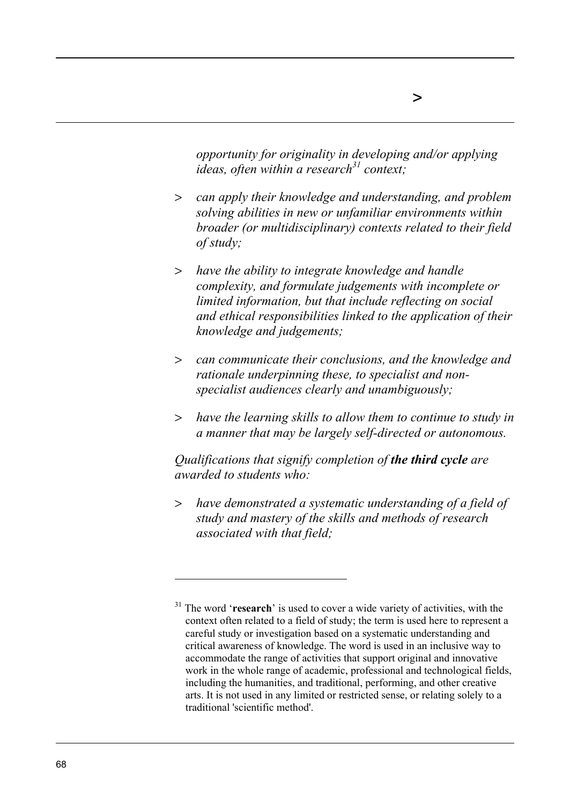*opportunity for originality in developing and/or applying ideas, often within a research31 context;* 

- > *can apply their knowledge and understanding, and problem solving abilities in new or unfamiliar environments within broader (or multidisciplinary) contexts related to their field of study;*
- > *have the ability to integrate knowledge and handle complexity, and formulate judgements with incomplete or limited information, but that include reflecting on social and ethical responsibilities linked to the application of their knowledge and judgements;*
- > *can communicate their conclusions, and the knowledge and rationale underpinning these, to specialist and nonspecialist audiences clearly and unambiguously;*
- > *have the learning skills to allow them to continue to study in a manner that may be largely self-directed or autonomous.*

*Qualifications that signify completion of the third cycle are awarded to students who:* 

> *have demonstrated a systematic understanding of a field of study and mastery of the skills and methods of research associated with that field;* 

<sup>&</sup>lt;sup>31</sup> The word '**research**' is used to cover a wide variety of activities, with the context often related to a field of study; the term is used here to represent a careful study or investigation based on a systematic understanding and critical awareness of knowledge. The word is used in an inclusive way to accommodate the range of activities that support original and innovative work in the whole range of academic, professional and technological fields, including the humanities, and traditional, performing, and other creative arts. It is not used in any limited or restricted sense, or relating solely to a traditional 'scientific method'.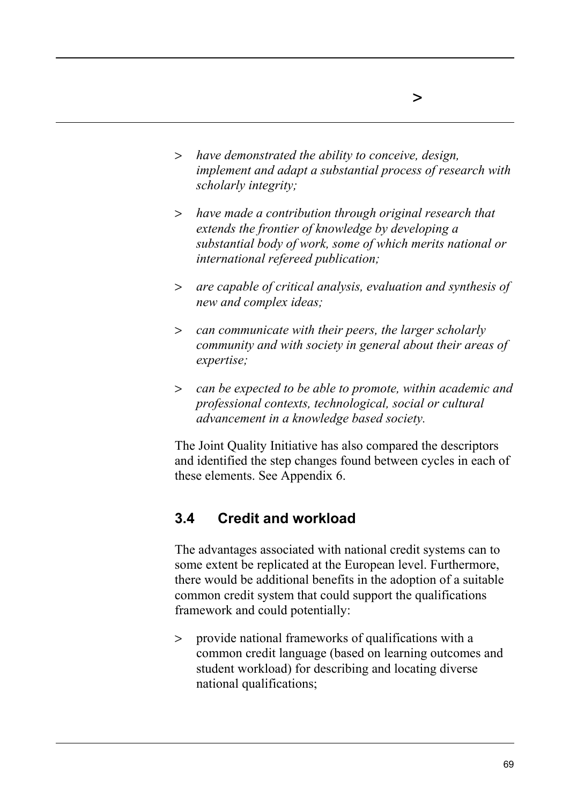- > *have demonstrated the ability to conceive, design, implement and adapt a substantial process of research with scholarly integrity;* 
	- > *have made a contribution through original research that extends the frontier of knowledge by developing a substantial body of work, some of which merits national or international refereed publication;*
	- > *are capable of critical analysis, evaluation and synthesis of new and complex ideas;*
	- > *can communicate with their peers, the larger scholarly community and with society in general about their areas of expertise;*
	- > *can be expected to be able to promote, within academic and professional contexts, technological, social or cultural advancement in a knowledge based society.*

The Joint Quality Initiative has also compared the descriptors and identified the step changes found between cycles in each of these elements. See Appendix 6.

## **3.4 Credit and workload**

>

The advantages associated with national credit systems can to some extent be replicated at the European level. Furthermore, there would be additional benefits in the adoption of a suitable common credit system that could support the qualifications framework and could potentially:

> provide national frameworks of qualifications with a common credit language (based on learning outcomes and student workload) for describing and locating diverse national qualifications;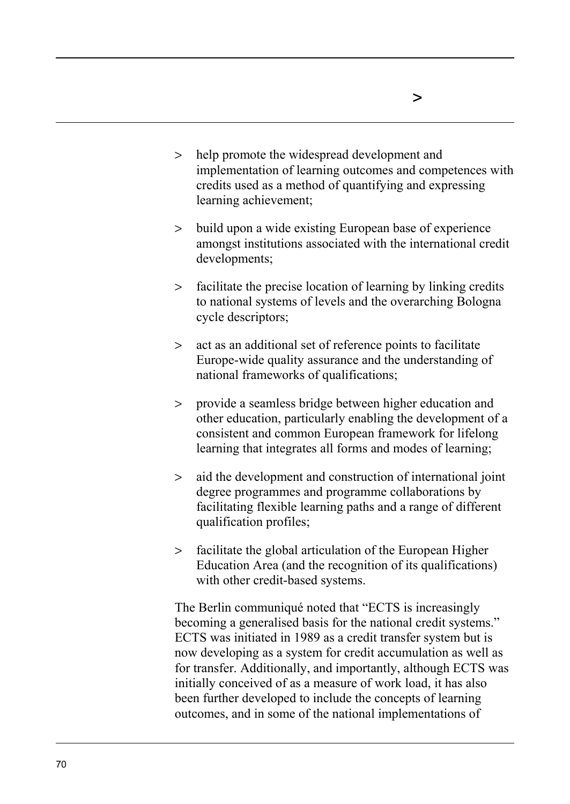> help promote the widespread development and implementation of learning outcomes and competences with credits used as a method of quantifying and expressing learning achievement;

>

- > build upon a wide existing European base of experience amongst institutions associated with the international credit developments;
- > facilitate the precise location of learning by linking credits to national systems of levels and the overarching Bologna cycle descriptors;
- > act as an additional set of reference points to facilitate Europe-wide quality assurance and the understanding of national frameworks of qualifications;
- > provide a seamless bridge between higher education and other education, particularly enabling the development of a consistent and common European framework for lifelong learning that integrates all forms and modes of learning;
- > aid the development and construction of international joint degree programmes and programme collaborations by facilitating flexible learning paths and a range of different qualification profiles;
- > facilitate the global articulation of the European Higher Education Area (and the recognition of its qualifications) with other credit-based systems.

The Berlin communiqué noted that "ECTS is increasingly becoming a generalised basis for the national credit systems." ECTS was initiated in 1989 as a credit transfer system but is now developing as a system for credit accumulation as well as for transfer. Additionally, and importantly, although ECTS was initially conceived of as a measure of work load, it has also been further developed to include the concepts of learning outcomes, and in some of the national implementations of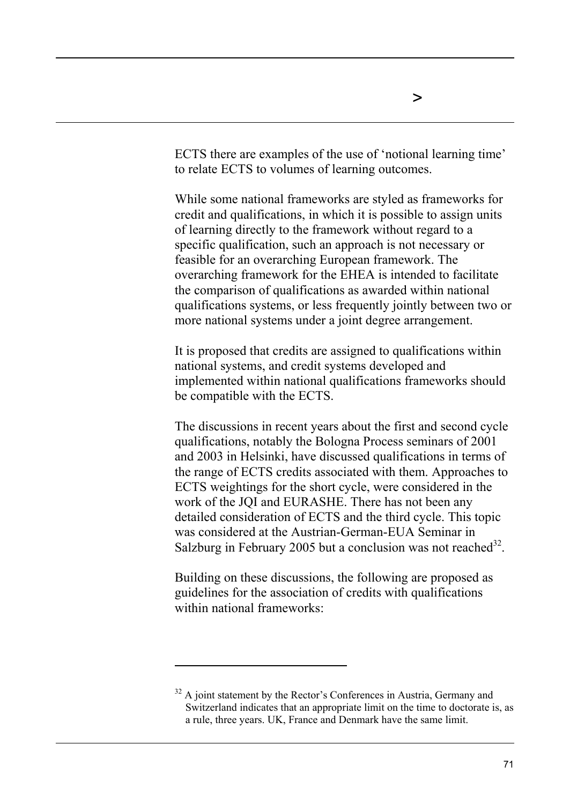ECTS there are examples of the use of 'notional learning time' to relate ECTS to volumes of learning outcomes.

While some national frameworks are styled as frameworks for credit and qualifications, in which it is possible to assign units of learning directly to the framework without regard to a specific qualification, such an approach is not necessary or feasible for an overarching European framework. The overarching framework for the EHEA is intended to facilitate the comparison of qualifications as awarded within national qualifications systems, or less frequently jointly between two or more national systems under a joint degree arrangement.

It is proposed that credits are assigned to qualifications within national systems, and credit systems developed and implemented within national qualifications frameworks should be compatible with the ECTS.

The discussions in recent years about the first and second cycle qualifications, notably the Bologna Process seminars of 2001 and 2003 in Helsinki, have discussed qualifications in terms of the range of ECTS credits associated with them. Approaches to ECTS weightings for the short cycle, were considered in the work of the JQI and EURASHE. There has not been any detailed consideration of ECTS and the third cycle. This topic was considered at the Austrian-German-EUA Seminar in Salzburg in February 2005 but a conclusion was not reached<sup>32</sup>.

Building on these discussions, the following are proposed as guidelines for the association of credits with qualifications within national frameworks:

 $32$  A joint statement by the Rector's Conferences in Austria, Germany and Switzerland indicates that an appropriate limit on the time to doctorate is, as a rule, three years. UK, France and Denmark have the same limit.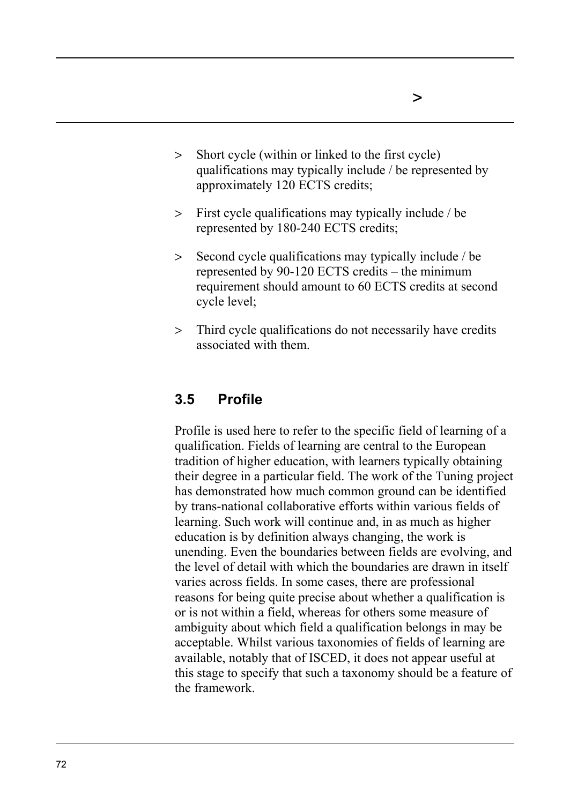- > Short cycle (within or linked to the first cycle) qualifications may typically include / be represented by approximately 120 ECTS credits;
- > First cycle qualifications may typically include / be represented by 180-240 ECTS credits;
- > Second cycle qualifications may typically include / be represented by 90-120 ECTS credits – the minimum requirement should amount to 60 ECTS credits at second cycle level;
- > Third cycle qualifications do not necessarily have credits associated with them.

## **3.5 Profile**

Profile is used here to refer to the specific field of learning of a qualification. Fields of learning are central to the European tradition of higher education, with learners typically obtaining their degree in a particular field. The work of the Tuning project has demonstrated how much common ground can be identified by trans-national collaborative efforts within various fields of learning. Such work will continue and, in as much as higher education is by definition always changing, the work is unending. Even the boundaries between fields are evolving, and the level of detail with which the boundaries are drawn in itself varies across fields. In some cases, there are professional reasons for being quite precise about whether a qualification is or is not within a field, whereas for others some measure of ambiguity about which field a qualification belongs in may be acceptable. Whilst various taxonomies of fields of learning are available, notably that of ISCED, it does not appear useful at this stage to specify that such a taxonomy should be a feature of the framework.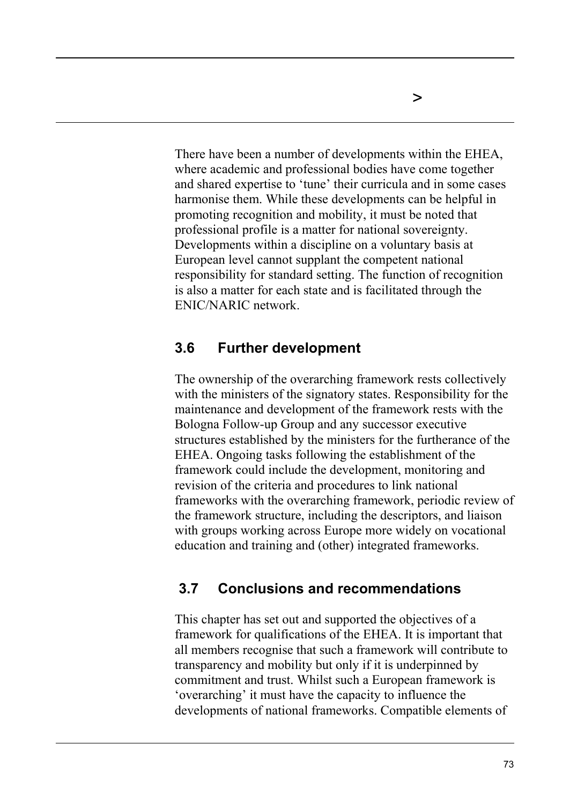There have been a number of developments within the EHEA, where academic and professional bodies have come together and shared expertise to 'tune' their curricula and in some cases harmonise them. While these developments can be helpful in promoting recognition and mobility, it must be noted that professional profile is a matter for national sovereignty. Developments within a discipline on a voluntary basis at European level cannot supplant the competent national responsibility for standard setting. The function of recognition is also a matter for each state and is facilitated through the ENIC/NARIC network.

### **3.6 Further development**

>

The ownership of the overarching framework rests collectively with the ministers of the signatory states. Responsibility for the maintenance and development of the framework rests with the Bologna Follow-up Group and any successor executive structures established by the ministers for the furtherance of the EHEA. Ongoing tasks following the establishment of the framework could include the development, monitoring and revision of the criteria and procedures to link national frameworks with the overarching framework, periodic review of the framework structure, including the descriptors, and liaison with groups working across Europe more widely on vocational education and training and (other) integrated frameworks.

# **3.7 Conclusions and recommendations**

This chapter has set out and supported the objectives of a framework for qualifications of the EHEA. It is important that all members recognise that such a framework will contribute to transparency and mobility but only if it is underpinned by commitment and trust. Whilst such a European framework is 'overarching' it must have the capacity to influence the developments of national frameworks. Compatible elements of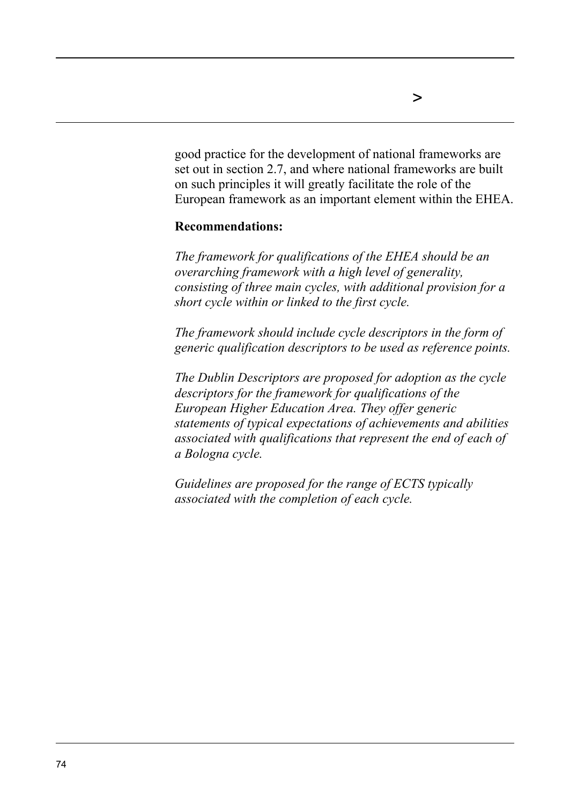good practice for the development of national frameworks are set out in section 2.7, and where national frameworks are built on such principles it will greatly facilitate the role of the European framework as an important element within the EHEA.

#### **Recommendations:**

*The framework for qualifications of the EHEA should be an overarching framework with a high level of generality, consisting of three main cycles, with additional provision for a short cycle within or linked to the first cycle.* 

*The framework should include cycle descriptors in the form of generic qualification descriptors to be used as reference points.* 

*The Dublin Descriptors are proposed for adoption as the cycle descriptors for the framework for qualifications of the European Higher Education Area. They offer generic statements of typical expectations of achievements and abilities associated with qualifications that represent the end of each of a Bologna cycle.* 

*Guidelines are proposed for the range of ECTS typically associated with the completion of each cycle.*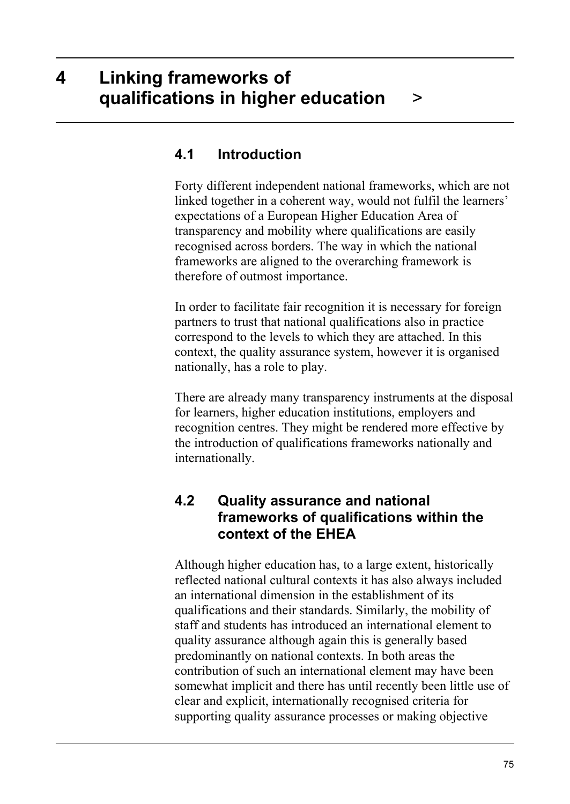# > **qualifications in higher education 4 Linking frameworks of**

# **4.1 Introduction**

Forty different independent national frameworks, which are not linked together in a coherent way, would not fulfil the learners' expectations of a European Higher Education Area of transparency and mobility where qualifications are easily recognised across borders. The way in which the national frameworks are aligned to the overarching framework is therefore of outmost importance.

In order to facilitate fair recognition it is necessary for foreign partners to trust that national qualifications also in practice correspond to the levels to which they are attached. In this context, the quality assurance system, however it is organised nationally, has a role to play.

There are already many transparency instruments at the disposal for learners, higher education institutions, employers and recognition centres. They might be rendered more effective by the introduction of qualifications frameworks nationally and internationally.

## **4.2 Quality assurance and national frameworks of qualifications within the context of the EHEA**

Although higher education has, to a large extent, historically reflected national cultural contexts it has also always included an international dimension in the establishment of its qualifications and their standards. Similarly, the mobility of staff and students has introduced an international element to quality assurance although again this is generally based predominantly on national contexts. In both areas the contribution of such an international element may have been somewhat implicit and there has until recently been little use of clear and explicit, internationally recognised criteria for supporting quality assurance processes or making objective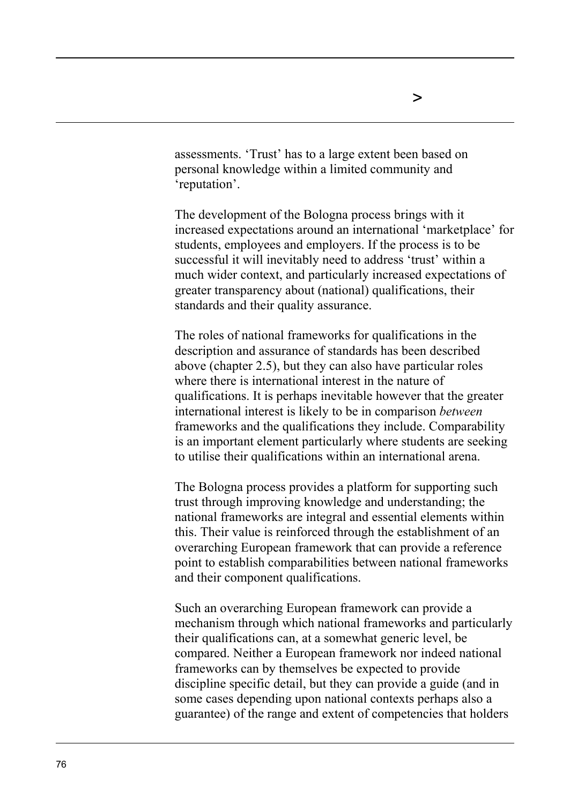assessments. 'Trust' has to a large extent been based on personal knowledge within a limited community and 'reputation'.

The development of the Bologna process brings with it increased expectations around an international 'marketplace' for students, employees and employers. If the process is to be successful it will inevitably need to address 'trust' within a much wider context, and particularly increased expectations of greater transparency about (national) qualifications, their standards and their quality assurance.

The roles of national frameworks for qualifications in the description and assurance of standards has been described above (chapter 2.5), but they can also have particular roles where there is international interest in the nature of qualifications. It is perhaps inevitable however that the greater international interest is likely to be in comparison *between* frameworks and the qualifications they include. Comparability is an important element particularly where students are seeking to utilise their qualifications within an international arena.

The Bologna process provides a platform for supporting such trust through improving knowledge and understanding; the national frameworks are integral and essential elements within this. Their value is reinforced through the establishment of an overarching European framework that can provide a reference point to establish comparabilities between national frameworks and their component qualifications.

Such an overarching European framework can provide a mechanism through which national frameworks and particularly their qualifications can, at a somewhat generic level, be compared. Neither a European framework nor indeed national frameworks can by themselves be expected to provide discipline specific detail, but they can provide a guide (and in some cases depending upon national contexts perhaps also a guarantee) of the range and extent of competencies that holders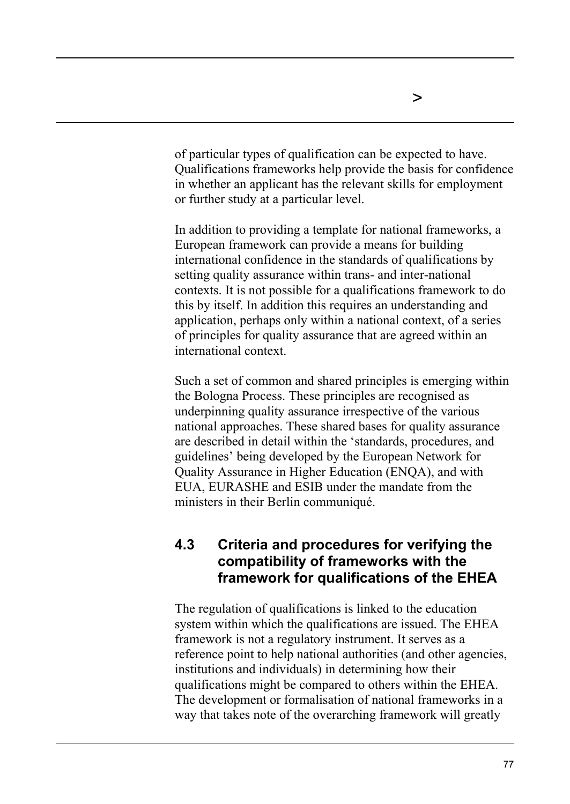of particular types of qualification can be expected to have. Qualifications frameworks help provide the basis for confidence in whether an applicant has the relevant skills for employment or further study at a particular level.

In addition to providing a template for national frameworks, a European framework can provide a means for building international confidence in the standards of qualifications by setting quality assurance within trans- and inter-national contexts. It is not possible for a qualifications framework to do this by itself. In addition this requires an understanding and application, perhaps only within a national context, of a series of principles for quality assurance that are agreed within an international context.

Such a set of common and shared principles is emerging within the Bologna Process. These principles are recognised as underpinning quality assurance irrespective of the various national approaches. These shared bases for quality assurance are described in detail within the 'standards, procedures, and guidelines' being developed by the European Network for Quality Assurance in Higher Education (ENQA), and with EUA, EURASHE and ESIB under the mandate from the ministers in their Berlin communiqué.

### **4.3 Criteria and procedures for verifying the compatibility of frameworks with the framework for qualifications of the EHEA**

The regulation of qualifications is linked to the education system within which the qualifications are issued. The EHEA framework is not a regulatory instrument. It serves as a reference point to help national authorities (and other agencies, institutions and individuals) in determining how their qualifications might be compared to others within the EHEA. The development or formalisation of national frameworks in a way that takes note of the overarching framework will greatly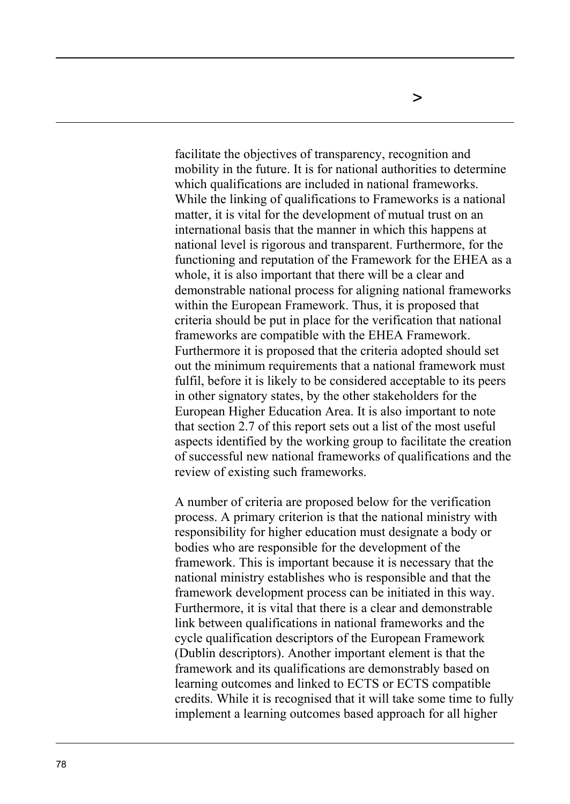facilitate the objectives of transparency, recognition and mobility in the future. It is for national authorities to determine which qualifications are included in national frameworks. While the linking of qualifications to Frameworks is a national matter, it is vital for the development of mutual trust on an international basis that the manner in which this happens at national level is rigorous and transparent. Furthermore, for the functioning and reputation of the Framework for the EHEA as a whole, it is also important that there will be a clear and demonstrable national process for aligning national frameworks within the European Framework. Thus, it is proposed that criteria should be put in place for the verification that national frameworks are compatible with the EHEA Framework. Furthermore it is proposed that the criteria adopted should set out the minimum requirements that a national framework must fulfil, before it is likely to be considered acceptable to its peers in other signatory states, by the other stakeholders for the European Higher Education Area. It is also important to note that section 2.7 of this report sets out a list of the most useful aspects identified by the working group to facilitate the creation of successful new national frameworks of qualifications and the review of existing such frameworks.

A number of criteria are proposed below for the verification process. A primary criterion is that the national ministry with responsibility for higher education must designate a body or bodies who are responsible for the development of the framework. This is important because it is necessary that the national ministry establishes who is responsible and that the framework development process can be initiated in this way. Furthermore, it is vital that there is a clear and demonstrable link between qualifications in national frameworks and the cycle qualification descriptors of the European Framework (Dublin descriptors). Another important element is that the framework and its qualifications are demonstrably based on learning outcomes and linked to ECTS or ECTS compatible credits. While it is recognised that it will take some time to fully implement a learning outcomes based approach for all higher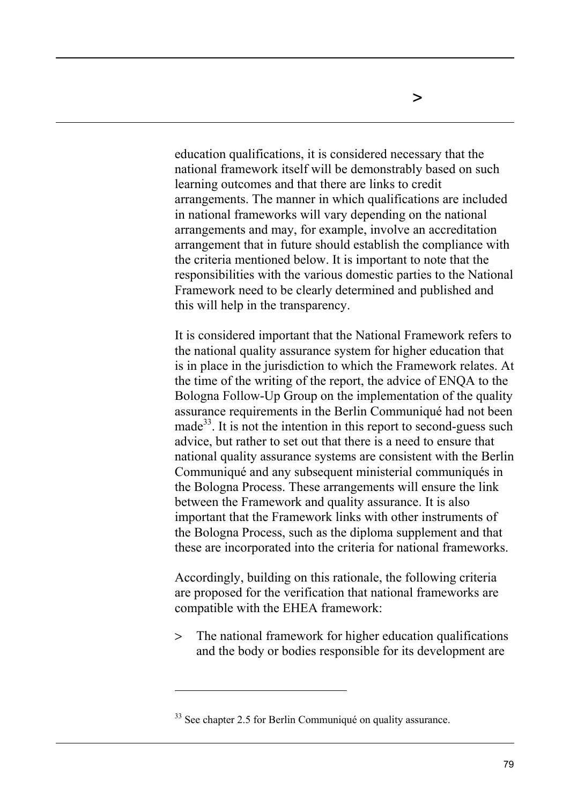education qualifications, it is considered necessary that the national framework itself will be demonstrably based on such learning outcomes and that there are links to credit arrangements. The manner in which qualifications are included in national frameworks will vary depending on the national arrangements and may, for example, involve an accreditation arrangement that in future should establish the compliance with the criteria mentioned below. It is important to note that the responsibilities with the various domestic parties to the National Framework need to be clearly determined and published and this will help in the transparency.

>

It is considered important that the National Framework refers to the national quality assurance system for higher education that is in place in the jurisdiction to which the Framework relates. At the time of the writing of the report, the advice of ENQA to the Bologna Follow-Up Group on the implementation of the quality assurance requirements in the Berlin Communiqué had not been  $made<sup>33</sup>$ . It is not the intention in this report to second-guess such advice, but rather to set out that there is a need to ensure that national quality assurance systems are consistent with the Berlin Communiqué and any subsequent ministerial communiqués in the Bologna Process. These arrangements will ensure the link between the Framework and quality assurance. It is also important that the Framework links with other instruments of the Bologna Process, such as the diploma supplement and that these are incorporated into the criteria for national frameworks.

Accordingly, building on this rationale, the following criteria are proposed for the verification that national frameworks are compatible with the EHEA framework:

> The national framework for higher education qualifications and the body or bodies responsible for its development are

 $\overline{a}$ 

<sup>&</sup>lt;sup>33</sup> See chapter 2.5 for Berlin Communiqué on quality assurance.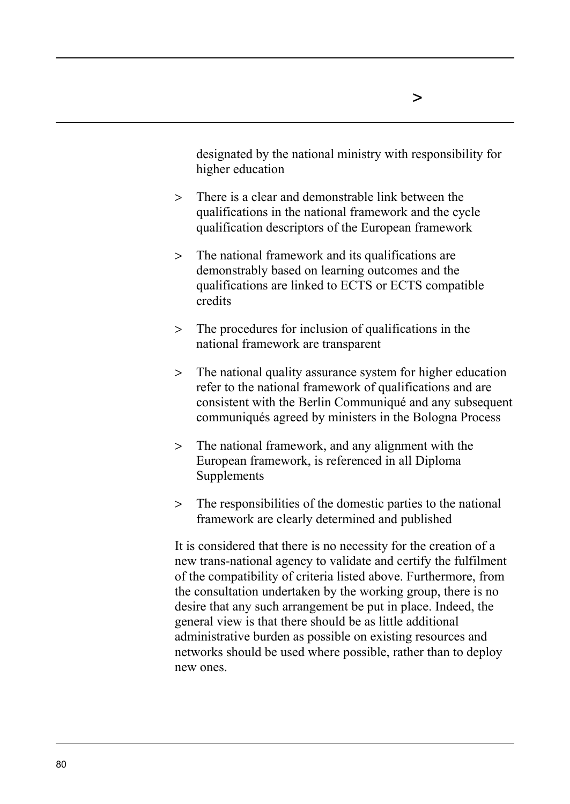designated by the national ministry with responsibility for higher education

- > There is a clear and demonstrable link between the qualifications in the national framework and the cycle qualification descriptors of the European framework
- > The national framework and its qualifications are demonstrably based on learning outcomes and the qualifications are linked to ECTS or ECTS compatible credits
- > The procedures for inclusion of qualifications in the national framework are transparent
- > The national quality assurance system for higher education refer to the national framework of qualifications and are consistent with the Berlin Communiqué and any subsequent communiqués agreed by ministers in the Bologna Process
- > The national framework, and any alignment with the European framework, is referenced in all Diploma Supplements
- > The responsibilities of the domestic parties to the national framework are clearly determined and published

It is considered that there is no necessity for the creation of a new trans-national agency to validate and certify the fulfilment of the compatibility of criteria listed above. Furthermore, from the consultation undertaken by the working group, there is no desire that any such arrangement be put in place. Indeed, the general view is that there should be as little additional administrative burden as possible on existing resources and networks should be used where possible, rather than to deploy new ones.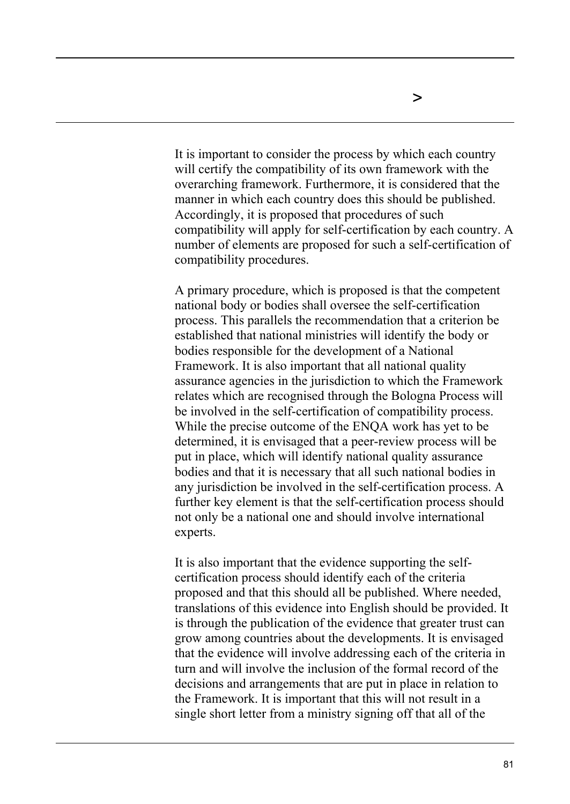It is important to consider the process by which each country will certify the compatibility of its own framework with the overarching framework. Furthermore, it is considered that the manner in which each country does this should be published. Accordingly, it is proposed that procedures of such compatibility will apply for self-certification by each country. A number of elements are proposed for such a self-certification of compatibility procedures.

A primary procedure, which is proposed is that the competent national body or bodies shall oversee the self-certification process. This parallels the recommendation that a criterion be established that national ministries will identify the body or bodies responsible for the development of a National Framework. It is also important that all national quality assurance agencies in the jurisdiction to which the Framework relates which are recognised through the Bologna Process will be involved in the self-certification of compatibility process. While the precise outcome of the ENQA work has yet to be determined, it is envisaged that a peer-review process will be put in place, which will identify national quality assurance bodies and that it is necessary that all such national bodies in any jurisdiction be involved in the self-certification process. A further key element is that the self-certification process should not only be a national one and should involve international experts.

It is also important that the evidence supporting the selfcertification process should identify each of the criteria proposed and that this should all be published. Where needed, translations of this evidence into English should be provided. It is through the publication of the evidence that greater trust can grow among countries about the developments. It is envisaged that the evidence will involve addressing each of the criteria in turn and will involve the inclusion of the formal record of the decisions and arrangements that are put in place in relation to the Framework. It is important that this will not result in a single short letter from a ministry signing off that all of the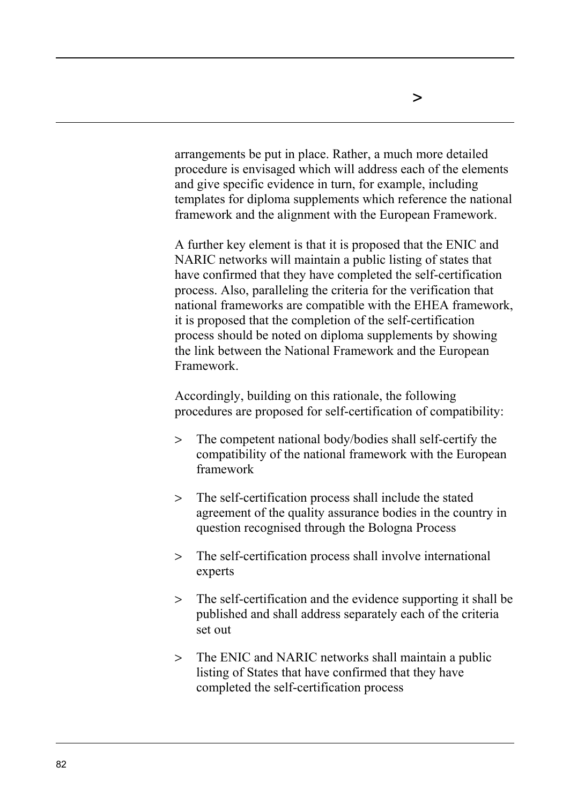arrangements be put in place. Rather, a much more detailed procedure is envisaged which will address each of the elements and give specific evidence in turn, for example, including templates for diploma supplements which reference the national framework and the alignment with the European Framework.

A further key element is that it is proposed that the ENIC and NARIC networks will maintain a public listing of states that have confirmed that they have completed the self-certification process. Also, paralleling the criteria for the verification that national frameworks are compatible with the EHEA framework, it is proposed that the completion of the self-certification process should be noted on diploma supplements by showing the link between the National Framework and the European Framework.

Accordingly, building on this rationale, the following procedures are proposed for self-certification of compatibility:

- > The competent national body/bodies shall self-certify the compatibility of the national framework with the European framework
- > The self-certification process shall include the stated agreement of the quality assurance bodies in the country in question recognised through the Bologna Process
- > The self-certification process shall involve international experts
- > The self-certification and the evidence supporting it shall be published and shall address separately each of the criteria set out
- > The ENIC and NARIC networks shall maintain a public listing of States that have confirmed that they have completed the self-certification process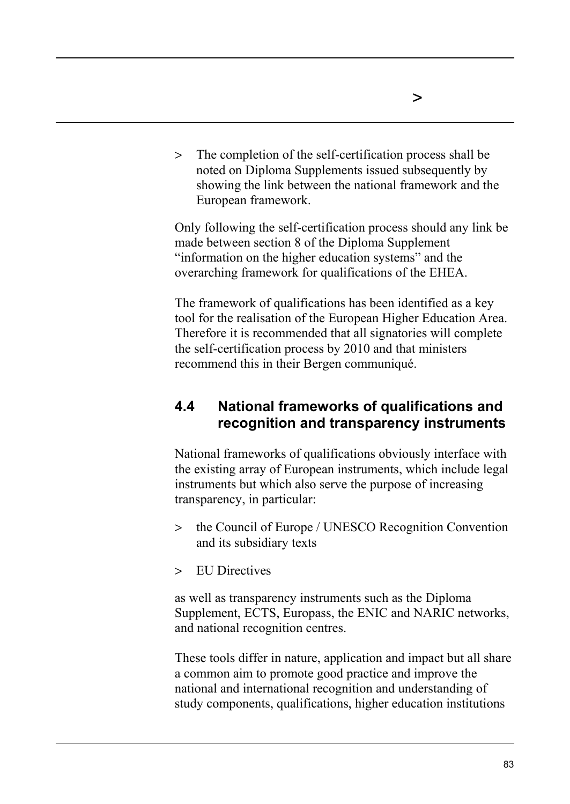> The completion of the self-certification process shall be noted on Diploma Supplements issued subsequently by showing the link between the national framework and the European framework.

Only following the self-certification process should any link be made between section 8 of the Diploma Supplement "information on the higher education systems" and the overarching framework for qualifications of the EHEA.

The framework of qualifications has been identified as a key tool for the realisation of the European Higher Education Area. Therefore it is recommended that all signatories will complete the self-certification process by 2010 and that ministers recommend this in their Bergen communiqué.

# **4.4 National frameworks of qualifications and recognition and transparency instruments**

National frameworks of qualifications obviously interface with the existing array of European instruments, which include legal instruments but which also serve the purpose of increasing transparency, in particular:

- > the Council of Europe / UNESCO Recognition Convention and its subsidiary texts
- > EU Directives

as well as transparency instruments such as the Diploma Supplement, ECTS, Europass, the ENIC and NARIC networks, and national recognition centres.

These tools differ in nature, application and impact but all share a common aim to promote good practice and improve the national and international recognition and understanding of study components, qualifications, higher education institutions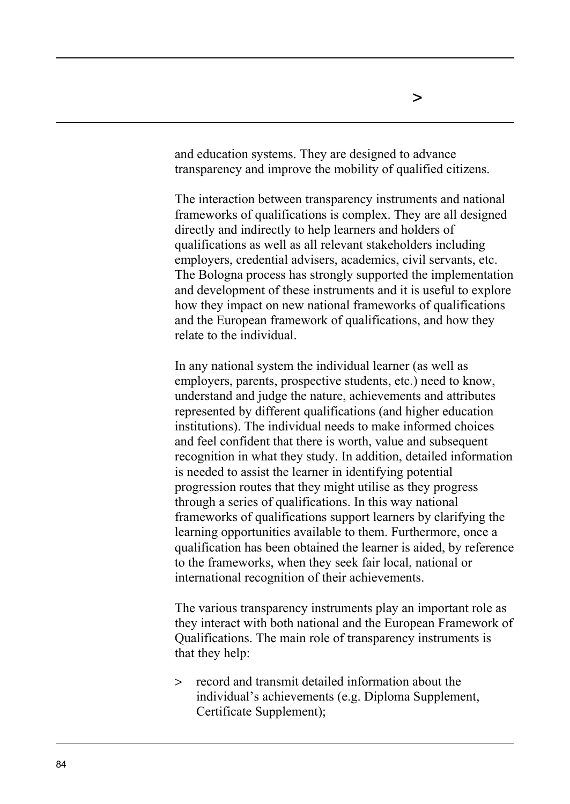and education systems. They are designed to advance transparency and improve the mobility of qualified citizens.

The interaction between transparency instruments and national frameworks of qualifications is complex. They are all designed directly and indirectly to help learners and holders of qualifications as well as all relevant stakeholders including employers, credential advisers, academics, civil servants, etc. The Bologna process has strongly supported the implementation and development of these instruments and it is useful to explore how they impact on new national frameworks of qualifications and the European framework of qualifications, and how they relate to the individual.

In any national system the individual learner (as well as employers, parents, prospective students, etc.) need to know, understand and judge the nature, achievements and attributes represented by different qualifications (and higher education institutions). The individual needs to make informed choices and feel confident that there is worth, value and subsequent recognition in what they study. In addition, detailed information is needed to assist the learner in identifying potential progression routes that they might utilise as they progress through a series of qualifications. In this way national frameworks of qualifications support learners by clarifying the learning opportunities available to them. Furthermore, once a qualification has been obtained the learner is aided, by reference to the frameworks, when they seek fair local, national or international recognition of their achievements.

The various transparency instruments play an important role as they interact with both national and the European Framework of Qualifications. The main role of transparency instruments is that they help:

> record and transmit detailed information about the individual's achievements (e.g. Diploma Supplement, Certificate Supplement);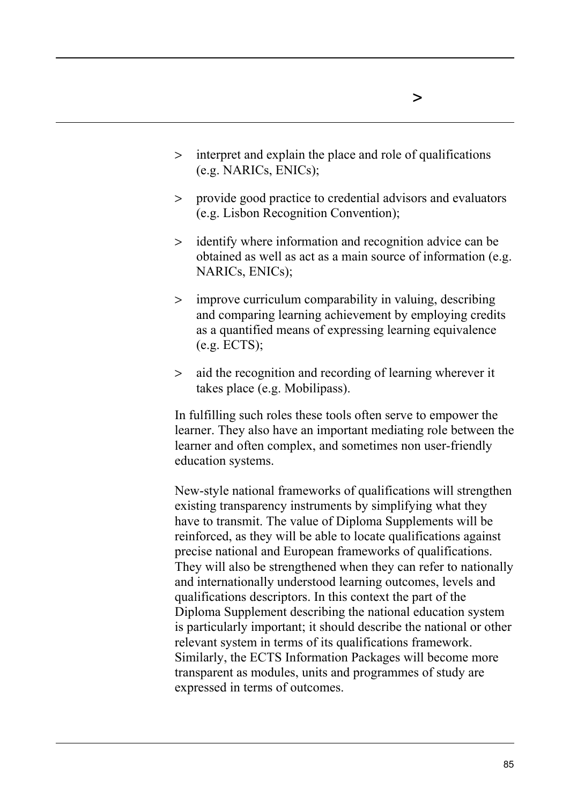- > interpret and explain the place and role of qualifications (e.g. NARICs, ENICs);
- > provide good practice to credential advisors and evaluators (e.g. Lisbon Recognition Convention);
- > identify where information and recognition advice can be obtained as well as act as a main source of information (e.g. NARICs, ENICs);
- > improve curriculum comparability in valuing, describing and comparing learning achievement by employing credits as a quantified means of expressing learning equivalence (e.g. ECTS);
- > aid the recognition and recording of learning wherever it takes place (e.g. Mobilipass).

In fulfilling such roles these tools often serve to empower the learner. They also have an important mediating role between the learner and often complex, and sometimes non user-friendly education systems.

New-style national frameworks of qualifications will strengthen existing transparency instruments by simplifying what they have to transmit. The value of Diploma Supplements will be reinforced, as they will be able to locate qualifications against precise national and European frameworks of qualifications. They will also be strengthened when they can refer to nationally and internationally understood learning outcomes, levels and qualifications descriptors. In this context the part of the Diploma Supplement describing the national education system is particularly important; it should describe the national or other relevant system in terms of its qualifications framework. Similarly, the ECTS Information Packages will become more transparent as modules, units and programmes of study are expressed in terms of outcomes.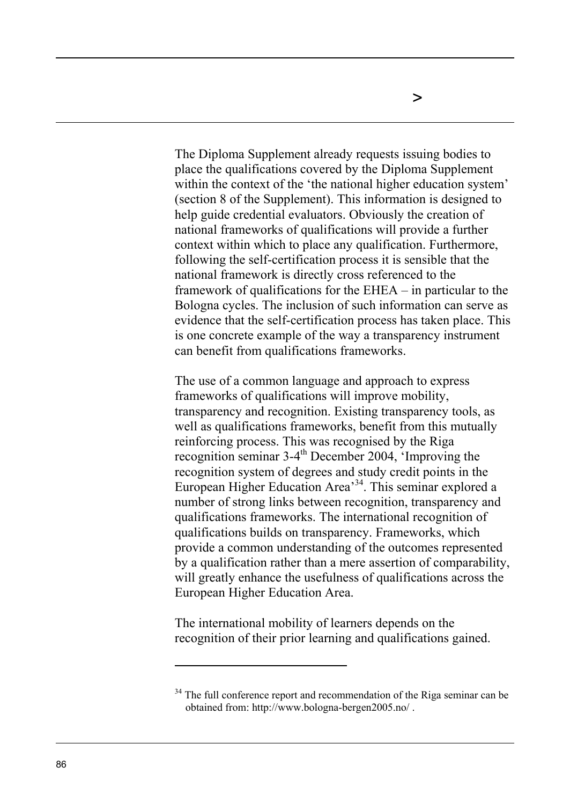The Diploma Supplement already requests issuing bodies to place the qualifications covered by the Diploma Supplement within the context of the 'the national higher education system' (section 8 of the Supplement). This information is designed to help guide credential evaluators. Obviously the creation of national frameworks of qualifications will provide a further context within which to place any qualification. Furthermore, following the self-certification process it is sensible that the national framework is directly cross referenced to the framework of qualifications for the EHEA – in particular to the Bologna cycles. The inclusion of such information can serve as evidence that the self-certification process has taken place. This is one concrete example of the way a transparency instrument can benefit from qualifications frameworks.

The use of a common language and approach to express frameworks of qualifications will improve mobility, transparency and recognition. Existing transparency tools, as well as qualifications frameworks, benefit from this mutually reinforcing process. This was recognised by the Riga recognition seminar 3-4th December 2004, 'Improving the recognition system of degrees and study credit points in the European Higher Education Area'34. This seminar explored a number of strong links between recognition, transparency and qualifications frameworks. The international recognition of qualifications builds on transparency. Frameworks, which provide a common understanding of the outcomes represented by a qualification rather than a mere assertion of comparability, will greatly enhance the usefulness of qualifications across the European Higher Education Area.

The international mobility of learners depends on the recognition of their prior learning and qualifications gained.

>

 $\overline{a}$ 

The full conference report and recommendation of the Riga seminar can be obtained from: http://www.bologna-bergen2005.no/ .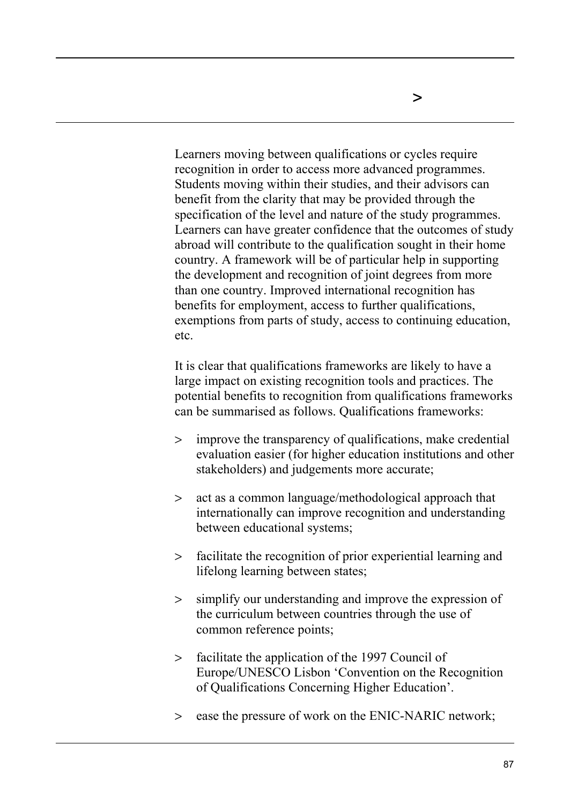Learners moving between qualifications or cycles require recognition in order to access more advanced programmes. Students moving within their studies, and their advisors can benefit from the clarity that may be provided through the specification of the level and nature of the study programmes. Learners can have greater confidence that the outcomes of study abroad will contribute to the qualification sought in their home country. A framework will be of particular help in supporting the development and recognition of joint degrees from more than one country. Improved international recognition has benefits for employment, access to further qualifications, exemptions from parts of study, access to continuing education, etc.

It is clear that qualifications frameworks are likely to have a large impact on existing recognition tools and practices. The potential benefits to recognition from qualifications frameworks can be summarised as follows. Qualifications frameworks:

- > improve the transparency of qualifications, make credential evaluation easier (for higher education institutions and other stakeholders) and judgements more accurate;
- > act as a common language/methodological approach that internationally can improve recognition and understanding between educational systems;
- > facilitate the recognition of prior experiential learning and lifelong learning between states;
- > simplify our understanding and improve the expression of the curriculum between countries through the use of common reference points;
- > facilitate the application of the 1997 Council of Europe/UNESCO Lisbon 'Convention on the Recognition of Qualifications Concerning Higher Education'.
- > ease the pressure of work on the ENIC-NARIC network;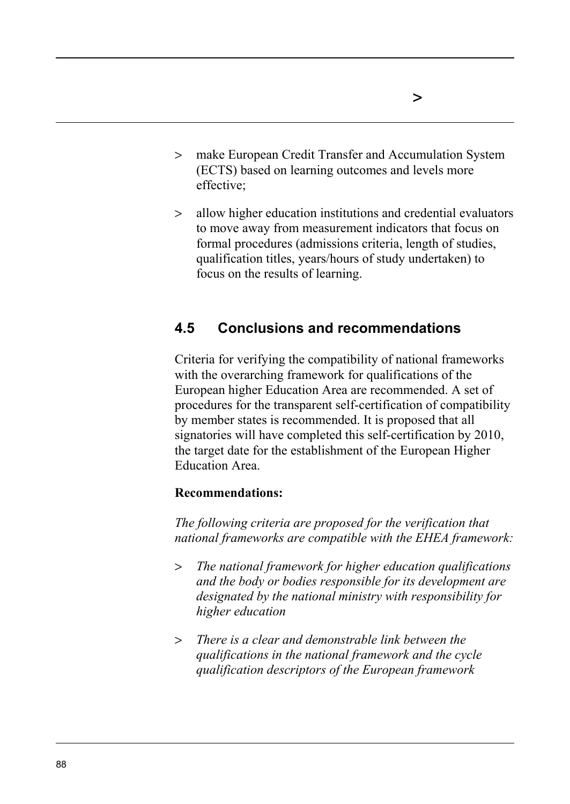- > make European Credit Transfer and Accumulation System (ECTS) based on learning outcomes and levels more effective;
- > allow higher education institutions and credential evaluators to move away from measurement indicators that focus on formal procedures (admissions criteria, length of studies, qualification titles, years/hours of study undertaken) to focus on the results of learning.

# **4.5 Conclusions and recommendations**

Criteria for verifying the compatibility of national frameworks with the overarching framework for qualifications of the European higher Education Area are recommended. A set of procedures for the transparent self-certification of compatibility by member states is recommended. It is proposed that all signatories will have completed this self-certification by 2010, the target date for the establishment of the European Higher Education Area.

#### **Recommendations:**

*The following criteria are proposed for the verification that national frameworks are compatible with the EHEA framework:*

- > *The national framework for higher education qualifications and the body or bodies responsible for its development are designated by the national ministry with responsibility for higher education*
- > *There is a clear and demonstrable link between the qualifications in the national framework and the cycle qualification descriptors of the European framework*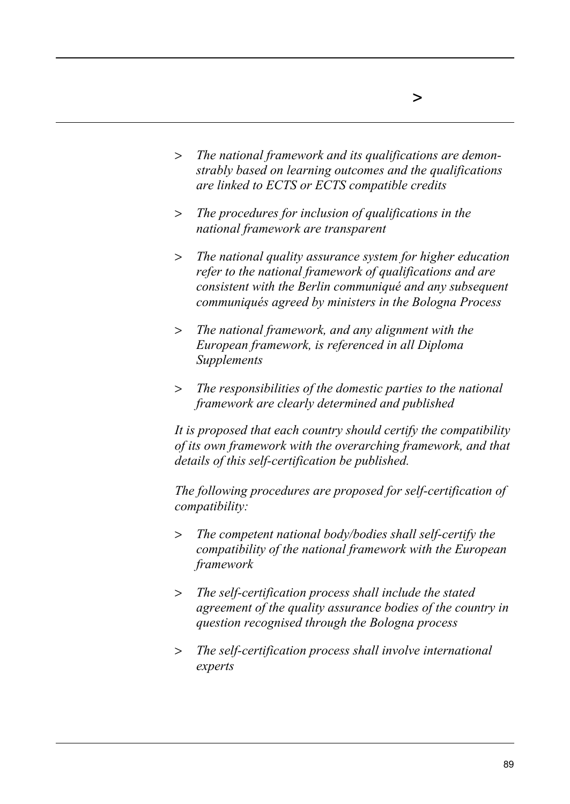- > *The national framework and its qualifications are demonstrably based on learning outcomes and the qualifications are linked to ECTS or ECTS compatible credits*
- > *The procedures for inclusion of qualifications in the national framework are transparent*
- > *The national quality assurance system for higher education refer to the national framework of qualifications and are consistent with the Berlin communiqué and any subsequent communiqués agreed by ministers in the Bologna Process*
- > *The national framework, and any alignment with the European framework, is referenced in all Diploma Supplements*
- > *The responsibilities of the domestic parties to the national framework are clearly determined and published*

*It is proposed that each country should certify the compatibility of its own framework with the overarching framework, and that details of this self-certification be published.* 

*The following procedures are proposed for self-certification of compatibility:* 

- > *The competent national body/bodies shall self-certify the compatibility of the national framework with the European framework*
- > *The self-certification process shall include the stated agreement of the quality assurance bodies of the country in question recognised through the Bologna process*
- > *The self-certification process shall involve international experts*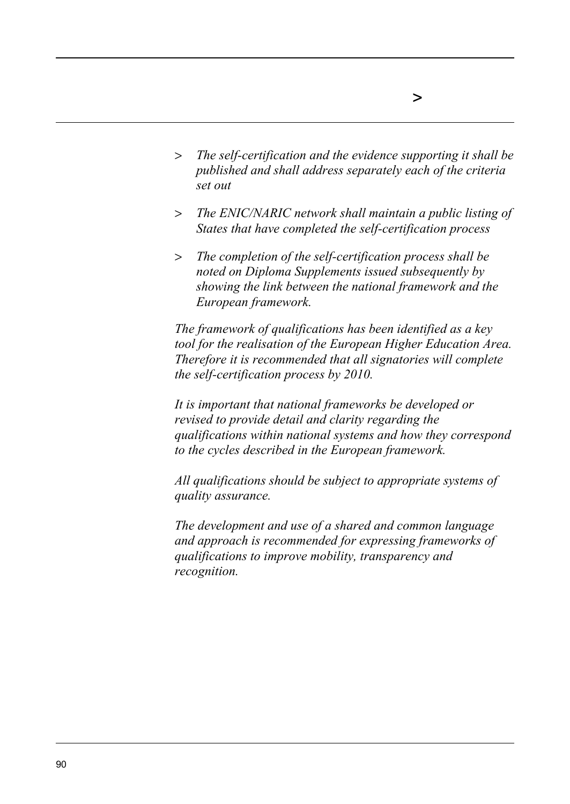> *The self-certification and the evidence supporting it shall be published and shall address separately each of the criteria set out* 

>

- > *The ENIC/NARIC network shall maintain a public listing of States that have completed the self-certification process*
- > *The completion of the self-certification process shall be noted on Diploma Supplements issued subsequently by showing the link between the national framework and the European framework.*

*The framework of qualifications has been identified as a key tool for the realisation of the European Higher Education Area. Therefore it is recommended that all signatories will complete the self-certification process by 2010.* 

*It is important that national frameworks be developed or revised to provide detail and clarity regarding the qualifications within national systems and how they correspond to the cycles described in the European framework.* 

*All qualifications should be subject to appropriate systems of quality assurance.* 

*The development and use of a shared and common language and approach is recommended for expressing frameworks of qualifications to improve mobility, transparency and recognition.*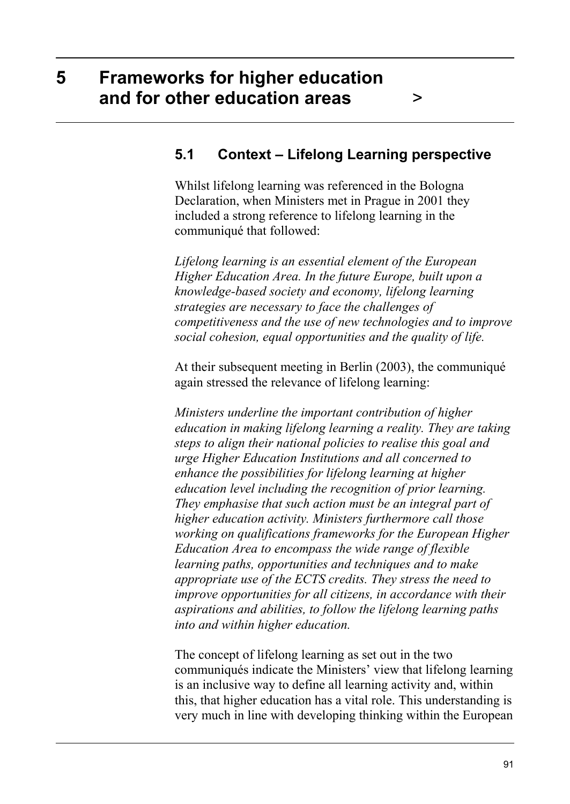### **5.1 Context – Lifelong Learning perspective**

Whilst lifelong learning was referenced in the Bologna Declaration, when Ministers met in Prague in 2001 they included a strong reference to lifelong learning in the communiqué that followed:

*Lifelong learning is an essential element of the European Higher Education Area. In the future Europe, built upon a knowledge-based society and economy, lifelong learning strategies are necessary to face the challenges of competitiveness and the use of new technologies and to improve social cohesion, equal opportunities and the quality of life.* 

At their subsequent meeting in Berlin (2003), the communiqué again stressed the relevance of lifelong learning:

*Ministers underline the important contribution of higher education in making lifelong learning a reality. They are taking steps to align their national policies to realise this goal and urge Higher Education Institutions and all concerned to enhance the possibilities for lifelong learning at higher education level including the recognition of prior learning. They emphasise that such action must be an integral part of higher education activity. Ministers furthermore call those working on qualifications frameworks for the European Higher Education Area to encompass the wide range of flexible learning paths, opportunities and techniques and to make appropriate use of the ECTS credits. They stress the need to improve opportunities for all citizens, in accordance with their aspirations and abilities, to follow the lifelong learning paths into and within higher education.* 

The concept of lifelong learning as set out in the two communiqués indicate the Ministers' view that lifelong learning is an inclusive way to define all learning activity and, within this, that higher education has a vital role. This understanding is very much in line with developing thinking within the European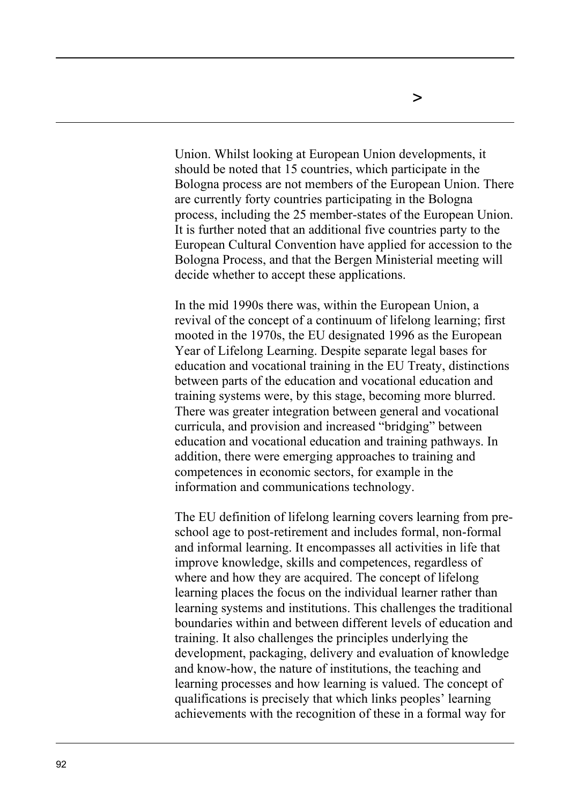Union. Whilst looking at European Union developments, it should be noted that 15 countries, which participate in the Bologna process are not members of the European Union. There are currently forty countries participating in the Bologna process, including the 25 member-states of the European Union. It is further noted that an additional five countries party to the European Cultural Convention have applied for accession to the Bologna Process, and that the Bergen Ministerial meeting will decide whether to accept these applications.

In the mid 1990s there was, within the European Union, a revival of the concept of a continuum of lifelong learning; first mooted in the 1970s, the EU designated 1996 as the European Year of Lifelong Learning. Despite separate legal bases for education and vocational training in the EU Treaty, distinctions between parts of the education and vocational education and training systems were, by this stage, becoming more blurred. There was greater integration between general and vocational curricula, and provision and increased "bridging" between education and vocational education and training pathways. In addition, there were emerging approaches to training and competences in economic sectors, for example in the information and communications technology.

The EU definition of lifelong learning covers learning from preschool age to post-retirement and includes formal, non-formal and informal learning. It encompasses all activities in life that improve knowledge, skills and competences, regardless of where and how they are acquired. The concept of lifelong learning places the focus on the individual learner rather than learning systems and institutions. This challenges the traditional boundaries within and between different levels of education and training. It also challenges the principles underlying the development, packaging, delivery and evaluation of knowledge and know-how, the nature of institutions, the teaching and learning processes and how learning is valued. The concept of qualifications is precisely that which links peoples' learning achievements with the recognition of these in a formal way for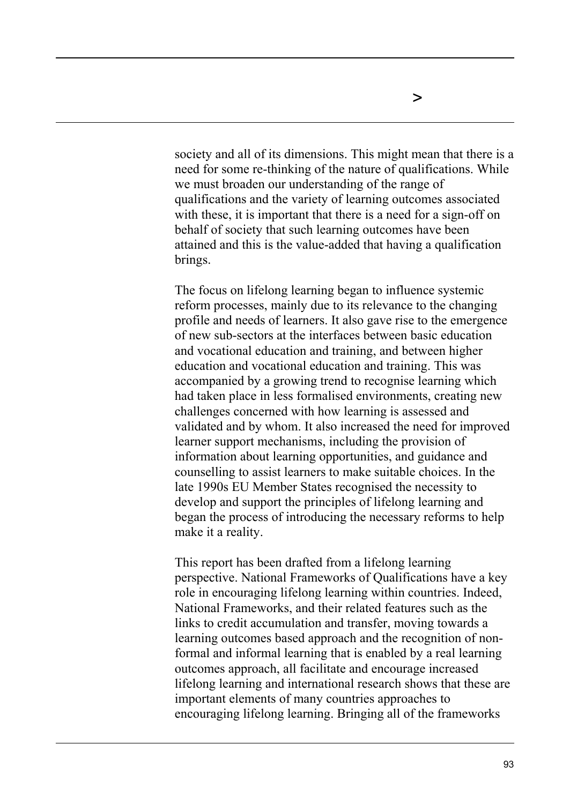society and all of its dimensions. This might mean that there is a need for some re-thinking of the nature of qualifications. While we must broaden our understanding of the range of qualifications and the variety of learning outcomes associated with these, it is important that there is a need for a sign-off on behalf of society that such learning outcomes have been attained and this is the value-added that having a qualification brings.

The focus on lifelong learning began to influence systemic reform processes, mainly due to its relevance to the changing profile and needs of learners. It also gave rise to the emergence of new sub-sectors at the interfaces between basic education and vocational education and training, and between higher education and vocational education and training. This was accompanied by a growing trend to recognise learning which had taken place in less formalised environments, creating new challenges concerned with how learning is assessed and validated and by whom. It also increased the need for improved learner support mechanisms, including the provision of information about learning opportunities, and guidance and counselling to assist learners to make suitable choices. In the late 1990s EU Member States recognised the necessity to develop and support the principles of lifelong learning and began the process of introducing the necessary reforms to help make it a reality.

This report has been drafted from a lifelong learning perspective. National Frameworks of Qualifications have a key role in encouraging lifelong learning within countries. Indeed, National Frameworks, and their related features such as the links to credit accumulation and transfer, moving towards a learning outcomes based approach and the recognition of nonformal and informal learning that is enabled by a real learning outcomes approach, all facilitate and encourage increased lifelong learning and international research shows that these are important elements of many countries approaches to encouraging lifelong learning. Bringing all of the frameworks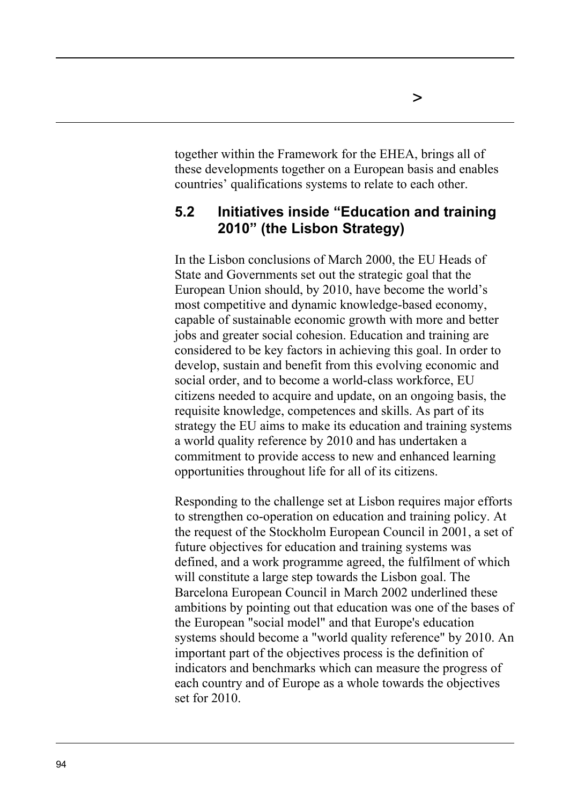together within the Framework for the EHEA, brings all of these developments together on a European basis and enables countries' qualifications systems to relate to each other.

#### **5.2 Initiatives inside "Education and training 2010" (the Lisbon Strategy)**

In the Lisbon conclusions of March 2000, the EU Heads of State and Governments set out the strategic goal that the European Union should, by 2010, have become the world's most competitive and dynamic knowledge-based economy, capable of sustainable economic growth with more and better jobs and greater social cohesion. Education and training are considered to be key factors in achieving this goal. In order to develop, sustain and benefit from this evolving economic and social order, and to become a world-class workforce, EU citizens needed to acquire and update, on an ongoing basis, the requisite knowledge, competences and skills. As part of its strategy the EU aims to make its education and training systems a world quality reference by 2010 and has undertaken a commitment to provide access to new and enhanced learning opportunities throughout life for all of its citizens.

Responding to the challenge set at Lisbon requires major efforts to strengthen co-operation on education and training policy. At the request of the Stockholm European Council in 2001, a set of future objectives for education and training systems was defined, and a work programme agreed, the fulfilment of which will constitute a large step towards the Lisbon goal. The Barcelona European Council in March 2002 underlined these ambitions by pointing out that education was one of the bases of the European "social model" and that Europe's education systems should become a "world quality reference" by 2010. An important part of the objectives process is the definition of indicators and benchmarks which can measure the progress of each country and of Europe as a whole towards the objectives set for 2010.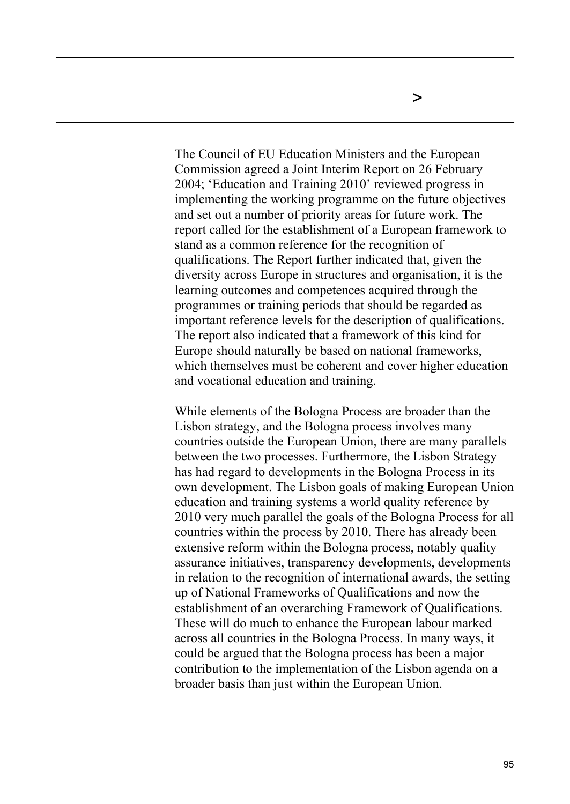The Council of EU Education Ministers and the European Commission agreed a Joint Interim Report on 26 February 2004; 'Education and Training 2010' reviewed progress in implementing the working programme on the future objectives and set out a number of priority areas for future work. The report called for the establishment of a European framework to stand as a common reference for the recognition of qualifications. The Report further indicated that, given the diversity across Europe in structures and organisation, it is the learning outcomes and competences acquired through the programmes or training periods that should be regarded as important reference levels for the description of qualifications. The report also indicated that a framework of this kind for Europe should naturally be based on national frameworks, which themselves must be coherent and cover higher education and vocational education and training.

While elements of the Bologna Process are broader than the Lisbon strategy, and the Bologna process involves many countries outside the European Union, there are many parallels between the two processes. Furthermore, the Lisbon Strategy has had regard to developments in the Bologna Process in its own development. The Lisbon goals of making European Union education and training systems a world quality reference by 2010 very much parallel the goals of the Bologna Process for all countries within the process by 2010. There has already been extensive reform within the Bologna process, notably quality assurance initiatives, transparency developments, developments in relation to the recognition of international awards, the setting up of National Frameworks of Qualifications and now the establishment of an overarching Framework of Qualifications. These will do much to enhance the European labour marked across all countries in the Bologna Process. In many ways, it could be argued that the Bologna process has been a major contribution to the implementation of the Lisbon agenda on a broader basis than just within the European Union.

>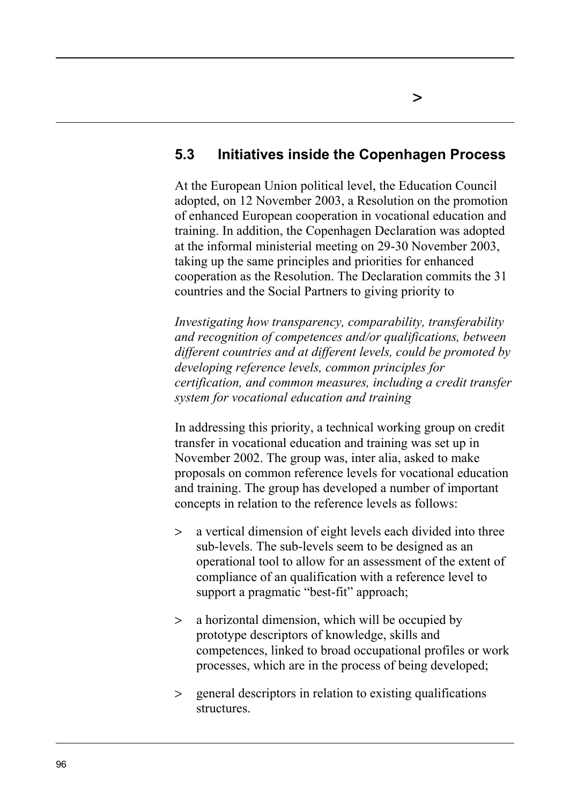#### **5.3 Initiatives inside the Copenhagen Process**

At the European Union political level, the Education Council adopted, on 12 November 2003, a Resolution on the promotion of enhanced European cooperation in vocational education and training. In addition, the Copenhagen Declaration was adopted at the informal ministerial meeting on 29-30 November 2003, taking up the same principles and priorities for enhanced cooperation as the Resolution. The Declaration commits the 31 countries and the Social Partners to giving priority to

*Investigating how transparency, comparability, transferability and recognition of competences and/or qualifications, between different countries and at different levels, could be promoted by developing reference levels, common principles for certification, and common measures, including a credit transfer system for vocational education and training* 

In addressing this priority, a technical working group on credit transfer in vocational education and training was set up in November 2002. The group was, inter alia, asked to make proposals on common reference levels for vocational education and training. The group has developed a number of important concepts in relation to the reference levels as follows:

- > a vertical dimension of eight levels each divided into three sub-levels. The sub-levels seem to be designed as an operational tool to allow for an assessment of the extent of compliance of an qualification with a reference level to support a pragmatic "best-fit" approach;
- > a horizontal dimension, which will be occupied by prototype descriptors of knowledge, skills and competences, linked to broad occupational profiles or work processes, which are in the process of being developed;
- > general descriptors in relation to existing qualifications structures.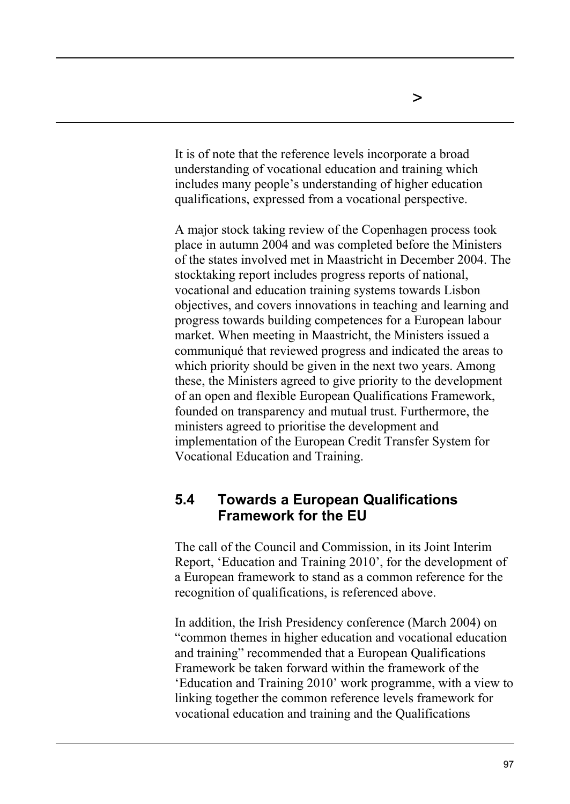It is of note that the reference levels incorporate a broad understanding of vocational education and training which includes many people's understanding of higher education qualifications, expressed from a vocational perspective.

A major stock taking review of the Copenhagen process took place in autumn 2004 and was completed before the Ministers of the states involved met in Maastricht in December 2004. The stocktaking report includes progress reports of national, vocational and education training systems towards Lisbon objectives, and covers innovations in teaching and learning and progress towards building competences for a European labour market. When meeting in Maastricht, the Ministers issued a communiqué that reviewed progress and indicated the areas to which priority should be given in the next two years. Among these, the Ministers agreed to give priority to the development of an open and flexible European Qualifications Framework, founded on transparency and mutual trust. Furthermore, the ministers agreed to prioritise the development and implementation of the European Credit Transfer System for Vocational Education and Training.

### **5.4 Towards a European Qualifications Framework for the EU**

The call of the Council and Commission, in its Joint Interim Report, 'Education and Training 2010', for the development of a European framework to stand as a common reference for the recognition of qualifications, is referenced above.

In addition, the Irish Presidency conference (March 2004) on "common themes in higher education and vocational education and training" recommended that a European Qualifications Framework be taken forward within the framework of the 'Education and Training 2010' work programme, with a view to linking together the common reference levels framework for vocational education and training and the Qualifications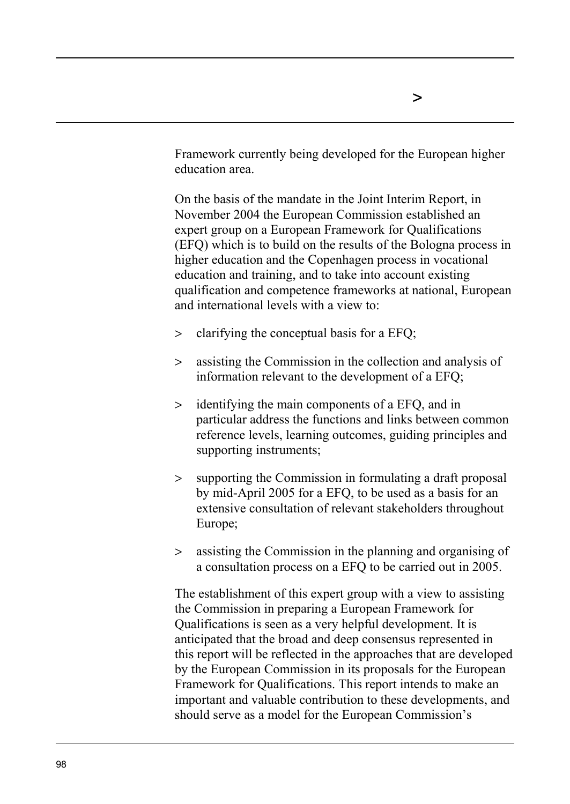Framework currently being developed for the European higher education area.

On the basis of the mandate in the Joint Interim Report, in November 2004 the European Commission established an expert group on a European Framework for Qualifications (EFQ) which is to build on the results of the Bologna process in higher education and the Copenhagen process in vocational education and training, and to take into account existing qualification and competence frameworks at national, European and international levels with a view to:

- > clarifying the conceptual basis for a EFQ;
- > assisting the Commission in the collection and analysis of information relevant to the development of a EFQ;
- > identifying the main components of a EFQ, and in particular address the functions and links between common reference levels, learning outcomes, guiding principles and supporting instruments;
- > supporting the Commission in formulating a draft proposal by mid-April 2005 for a EFQ, to be used as a basis for an extensive consultation of relevant stakeholders throughout Europe;
- > assisting the Commission in the planning and organising of a consultation process on a EFQ to be carried out in 2005.

The establishment of this expert group with a view to assisting the Commission in preparing a European Framework for Qualifications is seen as a very helpful development. It is anticipated that the broad and deep consensus represented in this report will be reflected in the approaches that are developed by the European Commission in its proposals for the European Framework for Qualifications. This report intends to make an important and valuable contribution to these developments, and should serve as a model for the European Commission's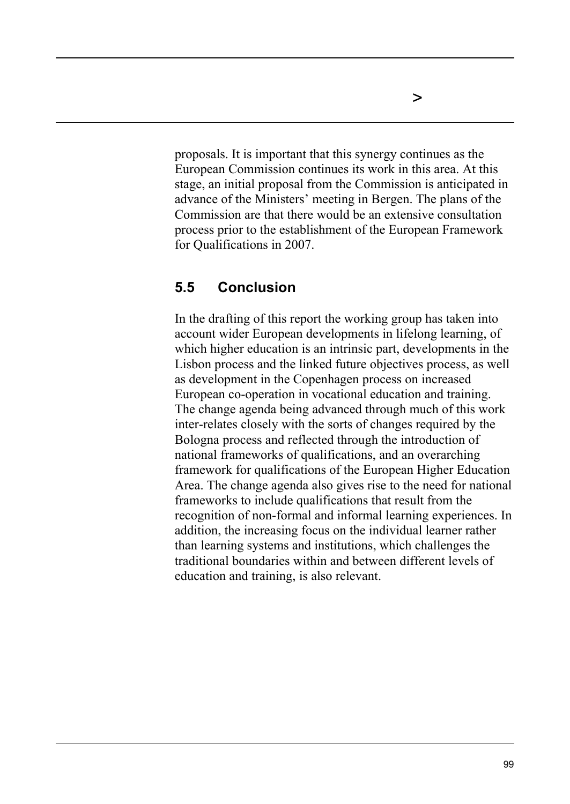proposals. It is important that this synergy continues as the European Commission continues its work in this area. At this stage, an initial proposal from the Commission is anticipated in advance of the Ministers' meeting in Bergen. The plans of the Commission are that there would be an extensive consultation process prior to the establishment of the European Framework for Qualifications in 2007.

## **5.5 Conclusion**

In the drafting of this report the working group has taken into account wider European developments in lifelong learning, of which higher education is an intrinsic part, developments in the Lisbon process and the linked future objectives process, as well as development in the Copenhagen process on increased European co-operation in vocational education and training. The change agenda being advanced through much of this work inter-relates closely with the sorts of changes required by the Bologna process and reflected through the introduction of national frameworks of qualifications, and an overarching framework for qualifications of the European Higher Education Area. The change agenda also gives rise to the need for national frameworks to include qualifications that result from the recognition of non-formal and informal learning experiences. In addition, the increasing focus on the individual learner rather than learning systems and institutions, which challenges the traditional boundaries within and between different levels of education and training, is also relevant.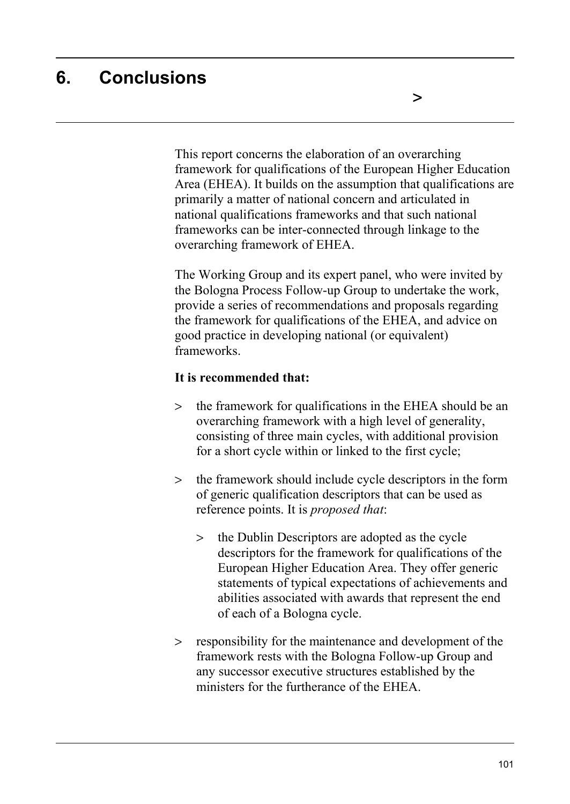# **6. Conclusions**

This report concerns the elaboration of an overarching framework for qualifications of the European Higher Education Area (EHEA). It builds on the assumption that qualifications are primarily a matter of national concern and articulated in national qualifications frameworks and that such national frameworks can be inter-connected through linkage to the overarching framework of EHEA.

The Working Group and its expert panel, who were invited by the Bologna Process Follow-up Group to undertake the work, provide a series of recommendations and proposals regarding the framework for qualifications of the EHEA, and advice on good practice in developing national (or equivalent) frameworks.

#### **It is recommended that:**

- > the framework for qualifications in the EHEA should be an overarching framework with a high level of generality, consisting of three main cycles, with additional provision for a short cycle within or linked to the first cycle;
- > the framework should include cycle descriptors in the form of generic qualification descriptors that can be used as reference points. It is *proposed that*:
	- > the Dublin Descriptors are adopted as the cycle descriptors for the framework for qualifications of the European Higher Education Area. They offer generic statements of typical expectations of achievements and abilities associated with awards that represent the end of each of a Bologna cycle.
- > responsibility for the maintenance and development of the framework rests with the Bologna Follow-up Group and any successor executive structures established by the ministers for the furtherance of the EHEA.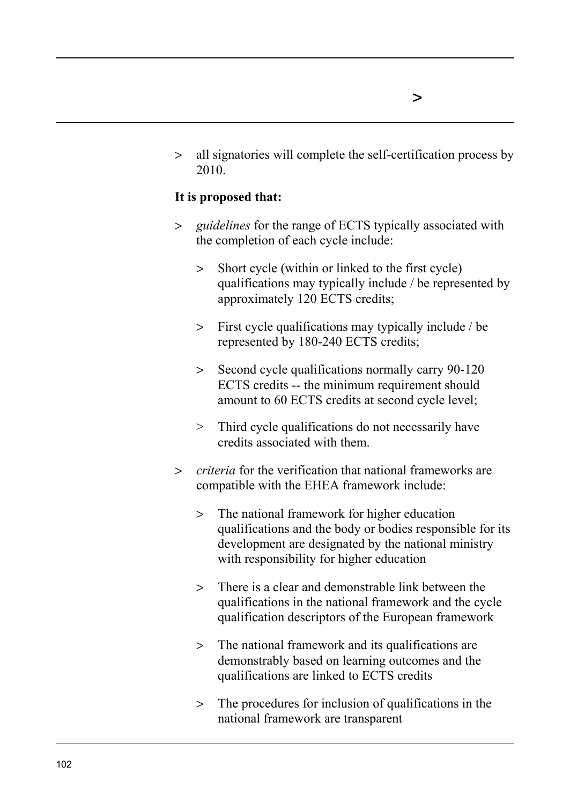> all signatories will complete the self-certification process by 2010.

#### **It is proposed that:**

- > *guidelines* for the range of ECTS typically associated with the completion of each cycle include:
	- > Short cycle (within or linked to the first cycle) qualifications may typically include / be represented by approximately 120 ECTS credits;
	- > First cycle qualifications may typically include / be represented by 180-240 ECTS credits;
	- > Second cycle qualifications normally carry 90-120 ECTS credits -- the minimum requirement should amount to 60 ECTS credits at second cycle level;
	- > Third cycle qualifications do not necessarily have credits associated with them.
- > *criteria* for the verification that national frameworks are compatible with the EHEA framework include:
	- > The national framework for higher education qualifications and the body or bodies responsible for its development are designated by the national ministry with responsibility for higher education
	- > There is a clear and demonstrable link between the qualifications in the national framework and the cycle qualification descriptors of the European framework
	- > The national framework and its qualifications are demonstrably based on learning outcomes and the qualifications are linked to ECTS credits
	- > The procedures for inclusion of qualifications in the national framework are transparent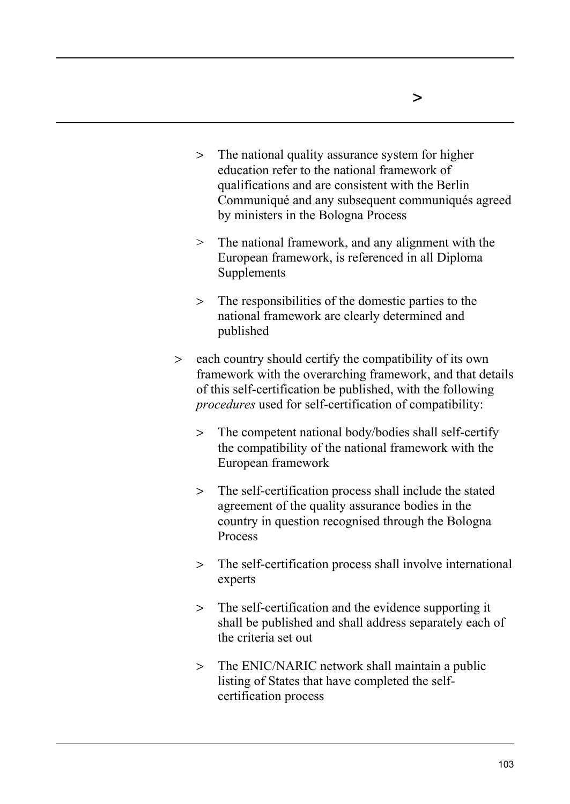- > The national quality assurance system for higher education refer to the national framework of qualifications and are consistent with the Berlin Communiqué and any subsequent communiqués agreed by ministers in the Bologna Process
- > The national framework, and any alignment with the European framework, is referenced in all Diploma Supplements
- > The responsibilities of the domestic parties to the national framework are clearly determined and published
- > each country should certify the compatibility of its own framework with the overarching framework, and that details of this self-certification be published, with the following *procedures* used for self-certification of compatibility:
	- > The competent national body/bodies shall self-certify the compatibility of the national framework with the European framework
	- > The self-certification process shall include the stated agreement of the quality assurance bodies in the country in question recognised through the Bologna **Process**
	- > The self-certification process shall involve international experts
	- > The self-certification and the evidence supporting it shall be published and shall address separately each of the criteria set out
	- > The ENIC/NARIC network shall maintain a public listing of States that have completed the selfcertification process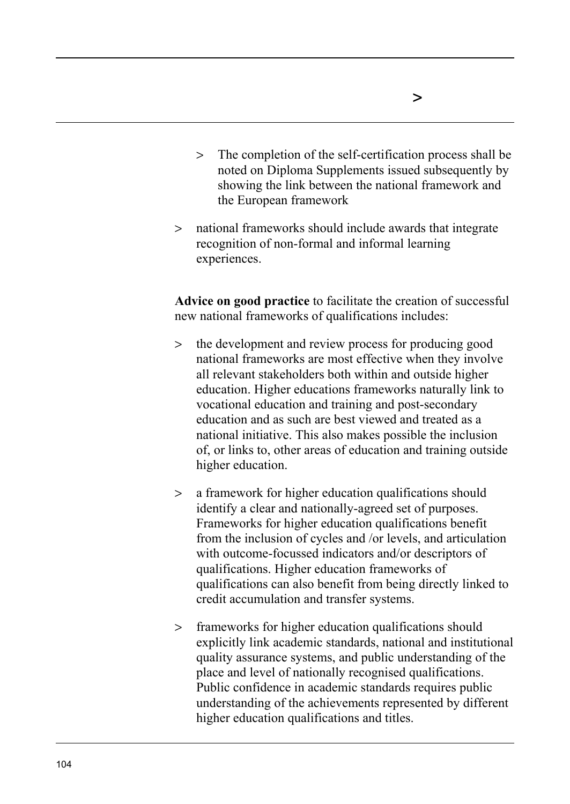- > The completion of the self-certification process shall be noted on Diploma Supplements issued subsequently by showing the link between the national framework and the European framework
- > national frameworks should include awards that integrate recognition of non-formal and informal learning experiences.

**Advice on good practice** to facilitate the creation of successful new national frameworks of qualifications includes:

- > the development and review process for producing good national frameworks are most effective when they involve all relevant stakeholders both within and outside higher education. Higher educations frameworks naturally link to vocational education and training and post-secondary education and as such are best viewed and treated as a national initiative. This also makes possible the inclusion of, or links to, other areas of education and training outside higher education.
- > a framework for higher education qualifications should identify a clear and nationally-agreed set of purposes. Frameworks for higher education qualifications benefit from the inclusion of cycles and /or levels, and articulation with outcome-focussed indicators and/or descriptors of qualifications. Higher education frameworks of qualifications can also benefit from being directly linked to credit accumulation and transfer systems.
- > frameworks for higher education qualifications should explicitly link academic standards, national and institutional quality assurance systems, and public understanding of the place and level of nationally recognised qualifications. Public confidence in academic standards requires public understanding of the achievements represented by different higher education qualifications and titles.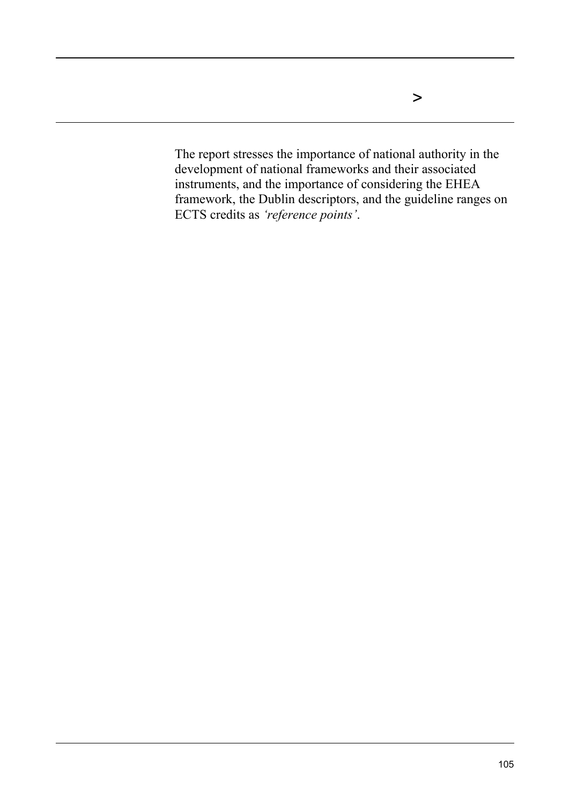The report stresses the importance of national authority in the development of national frameworks and their associated instruments, and the importance of considering the EHEA framework, the Dublin descriptors, and the guideline ranges on ECTS credits as *'reference points'*.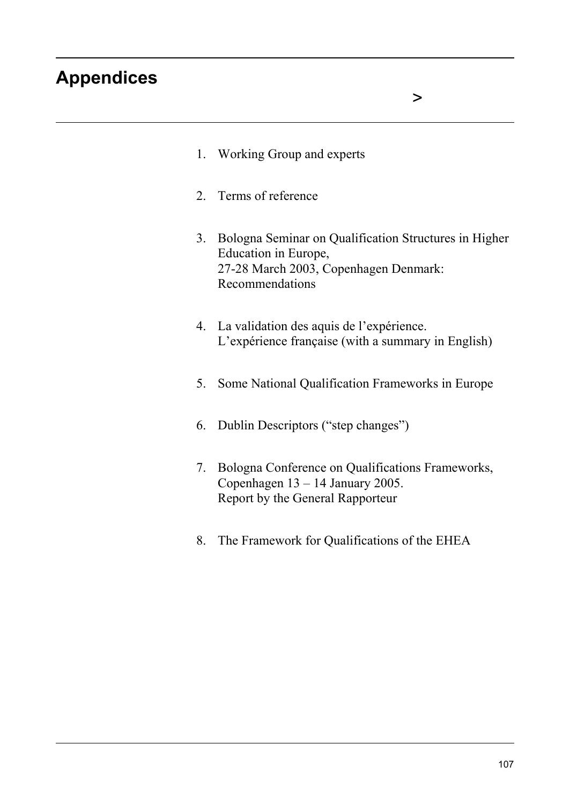# **Appendices**

- 1. Working Group and experts
- 2. Terms of reference
- 3. Bologna Seminar on Qualification Structures in Higher Education in Europe, 27-28 March 2003, Copenhagen Denmark: Recommendations
- 4. La validation des aquis de l'expérience. L'expérience française (with a summary in English)
- 5. Some National Qualification Frameworks in Europe
- 6. Dublin Descriptors ("step changes")
- 7. Bologna Conference on Qualifications Frameworks, Copenhagen 13 – 14 January 2005. Report by the General Rapporteur
- 8. The Framework for Qualifications of the EHEA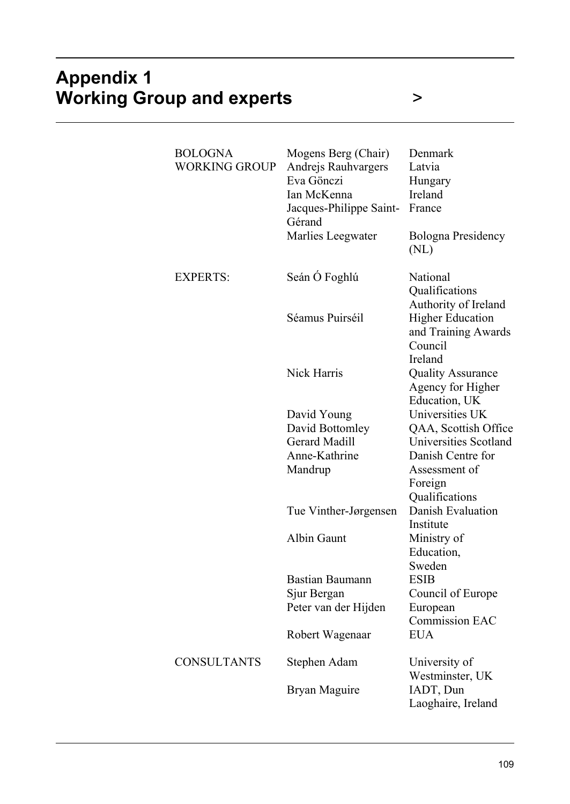#### Working Group and experts **being the Strong Appendix 1 Working Group and experts**

| ×                  |
|--------------------|
| ۰.<br>v<br>v<br>۰. |

| Denmark<br>Latvia<br>Hungary<br>Ireland<br>France<br>Bologna Presidency<br>(NL) |  |
|---------------------------------------------------------------------------------|--|
|                                                                                 |  |
| Authority of Ireland<br><b>Higher Education</b><br>and Training Awards          |  |
| <b>Quality Assurance</b><br>Agency for Higher                                   |  |
| Universities UK                                                                 |  |
| QAA, Scottish Office                                                            |  |
| Universities Scotland                                                           |  |
| Danish Centre for                                                               |  |
|                                                                                 |  |
|                                                                                 |  |
|                                                                                 |  |
| Danish Evaluation                                                               |  |
|                                                                                 |  |
|                                                                                 |  |
|                                                                                 |  |
|                                                                                 |  |
| Council of Europe                                                               |  |
|                                                                                 |  |
| <b>Commission EAC</b>                                                           |  |
|                                                                                 |  |
| Westminster, UK                                                                 |  |
| Laoghaire, Ireland                                                              |  |
|                                                                                 |  |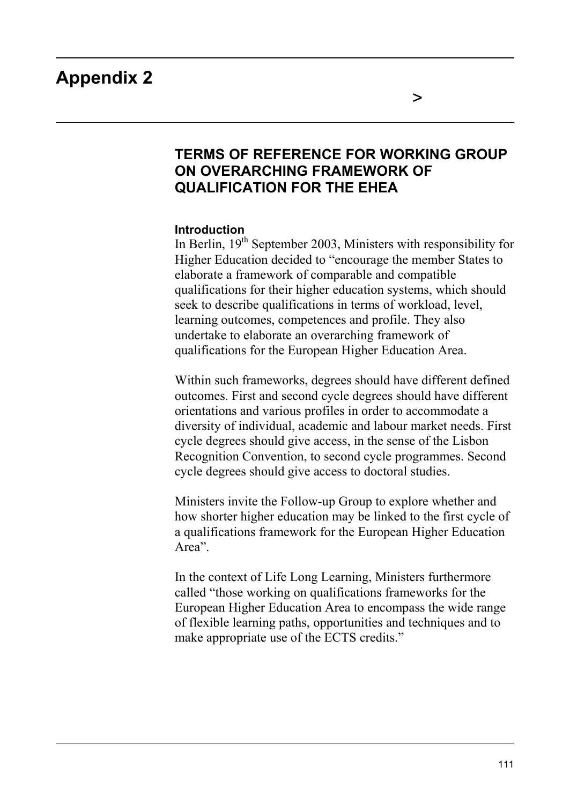# **Appendix 2**

# **TERMS OF REFERENCE FOR WORKING GROUP ON OVERARCHING FRAMEWORK OF QUALIFICATION FOR THE EHEA**

### **Introduction**

>

In Berlin,  $19<sup>th</sup>$  September 2003, Ministers with responsibility for Higher Education decided to "encourage the member States to elaborate a framework of comparable and compatible qualifications for their higher education systems, which should seek to describe qualifications in terms of workload, level, learning outcomes, competences and profile. They also undertake to elaborate an overarching framework of qualifications for the European Higher Education Area.

Within such frameworks, degrees should have different defined outcomes. First and second cycle degrees should have different orientations and various profiles in order to accommodate a diversity of individual, academic and labour market needs. First cycle degrees should give access, in the sense of the Lisbon Recognition Convention, to second cycle programmes. Second cycle degrees should give access to doctoral studies.

Ministers invite the Follow-up Group to explore whether and how shorter higher education may be linked to the first cycle of a qualifications framework for the European Higher Education Area".

In the context of Life Long Learning, Ministers furthermore called "those working on qualifications frameworks for the European Higher Education Area to encompass the wide range of flexible learning paths, opportunities and techniques and to make appropriate use of the ECTS credits."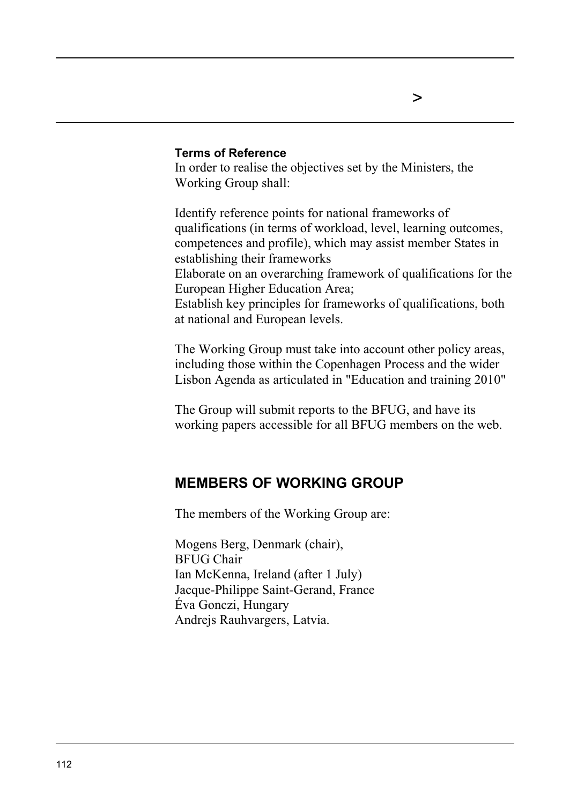#### **Terms of Reference**

>

In order to realise the objectives set by the Ministers, the Working Group shall:

Identify reference points for national frameworks of qualifications (in terms of workload, level, learning outcomes, competences and profile), which may assist member States in establishing their frameworks Elaborate on an overarching framework of qualifications for the European Higher Education Area; Establish key principles for frameworks of qualifications, both at national and European levels.

The Working Group must take into account other policy areas, including those within the Copenhagen Process and the wider Lisbon Agenda as articulated in "Education and training 2010"

The Group will submit reports to the BFUG, and have its working papers accessible for all BFUG members on the web.

# **MEMBERS OF WORKING GROUP**

The members of the Working Group are:

Mogens Berg, Denmark (chair), BFUG Chair Ian McKenna, Ireland (after 1 July) Jacque-Philippe Saint-Gerand, France Éva Gonczi, Hungary Andrejs Rauhvargers, Latvia.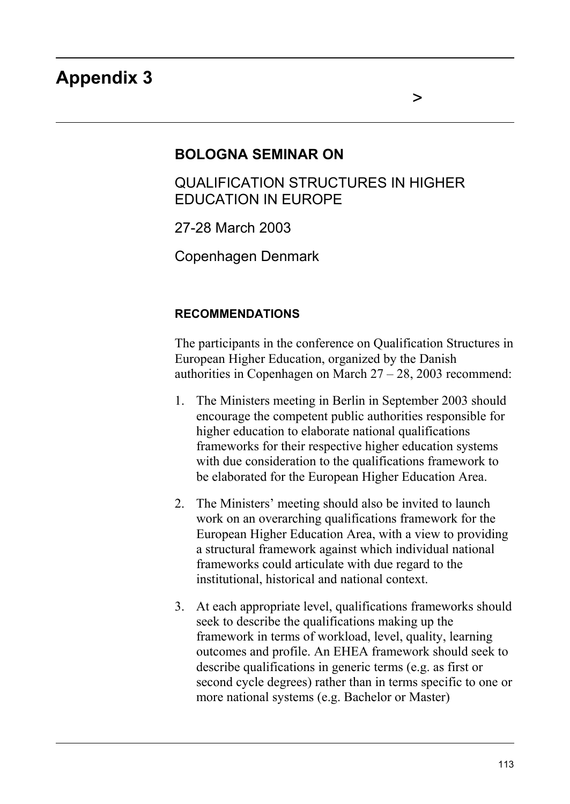# **BOLOGNA SEMINAR ON**

QUALIFICATION STRUCTURES IN HIGHER EDUCATION IN EUROPE

27-28 March 2003

Copenhagen Denmark

# **RECOMMENDATIONS**

The participants in the conference on Qualification Structures in European Higher Education, organized by the Danish authorities in Copenhagen on March 27 – 28, 2003 recommend:

- 1. The Ministers meeting in Berlin in September 2003 should encourage the competent public authorities responsible for higher education to elaborate national qualifications frameworks for their respective higher education systems with due consideration to the qualifications framework to be elaborated for the European Higher Education Area.
- 2. The Ministers' meeting should also be invited to launch work on an overarching qualifications framework for the European Higher Education Area, with a view to providing a structural framework against which individual national frameworks could articulate with due regard to the institutional, historical and national context.
- 3. At each appropriate level, qualifications frameworks should seek to describe the qualifications making up the framework in terms of workload, level, quality, learning outcomes and profile. An EHEA framework should seek to describe qualifications in generic terms (e.g. as first or second cycle degrees) rather than in terms specific to one or more national systems (e.g. Bachelor or Master)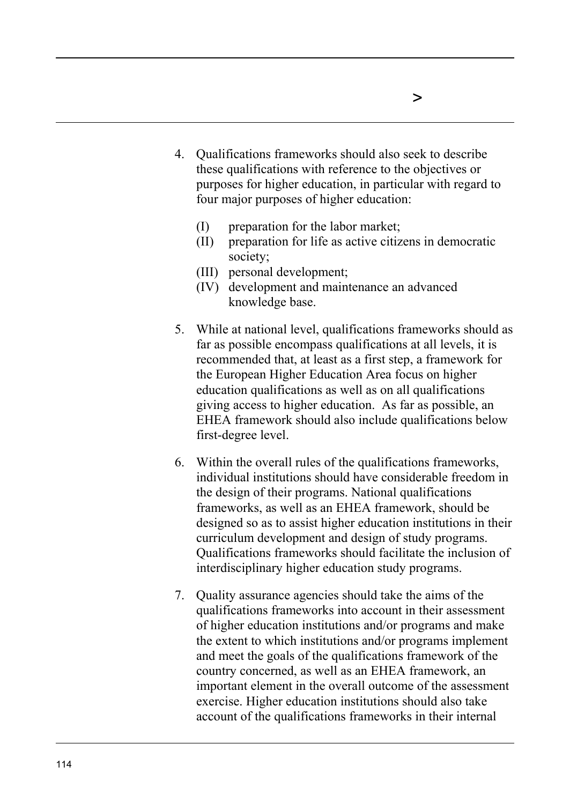- 4. Qualifications frameworks should also seek to describe these qualifications with reference to the objectives or purposes for higher education, in particular with regard to four major purposes of higher education:
	- (I) preparation for the labor market;
	- (II) preparation for life as active citizens in democratic society;
	- (III) personal development;
	- (IV) development and maintenance an advanced knowledge base.
- 5. While at national level, qualifications frameworks should as far as possible encompass qualifications at all levels, it is recommended that, at least as a first step, a framework for the European Higher Education Area focus on higher education qualifications as well as on all qualifications giving access to higher education. As far as possible, an EHEA framework should also include qualifications below first-degree level.
- 6. Within the overall rules of the qualifications frameworks, individual institutions should have considerable freedom in the design of their programs. National qualifications frameworks, as well as an EHEA framework, should be designed so as to assist higher education institutions in their curriculum development and design of study programs. Qualifications frameworks should facilitate the inclusion of interdisciplinary higher education study programs.
- 7. Quality assurance agencies should take the aims of the qualifications frameworks into account in their assessment of higher education institutions and/or programs and make the extent to which institutions and/or programs implement and meet the goals of the qualifications framework of the country concerned, as well as an EHEA framework, an important element in the overall outcome of the assessment exercise. Higher education institutions should also take account of the qualifications frameworks in their internal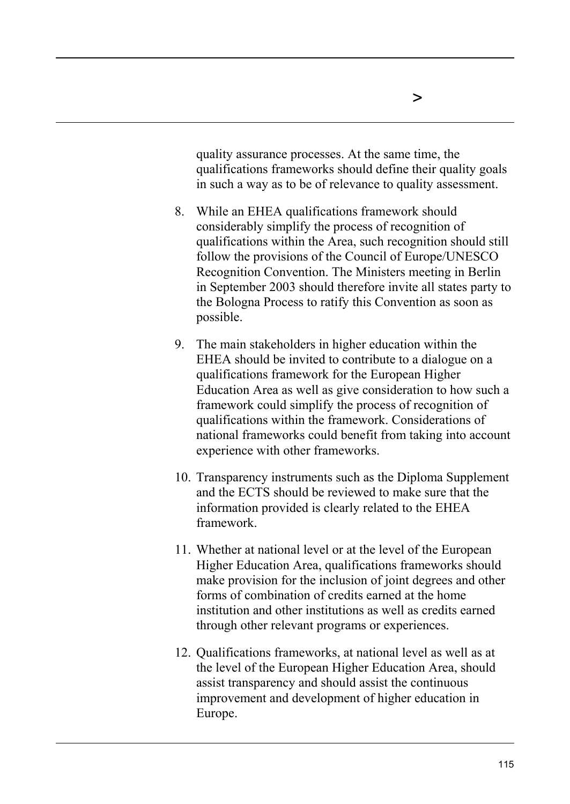quality assurance processes. At the same time, the qualifications frameworks should define their quality goals in such a way as to be of relevance to quality assessment.

- 8. While an EHEA qualifications framework should considerably simplify the process of recognition of qualifications within the Area, such recognition should still follow the provisions of the Council of Europe/UNESCO Recognition Convention. The Ministers meeting in Berlin in September 2003 should therefore invite all states party to the Bologna Process to ratify this Convention as soon as possible.
- 9. The main stakeholders in higher education within the EHEA should be invited to contribute to a dialogue on a qualifications framework for the European Higher Education Area as well as give consideration to how such a framework could simplify the process of recognition of qualifications within the framework. Considerations of national frameworks could benefit from taking into account experience with other frameworks.
- 10. Transparency instruments such as the Diploma Supplement and the ECTS should be reviewed to make sure that the information provided is clearly related to the EHEA framework.
- 11. Whether at national level or at the level of the European Higher Education Area, qualifications frameworks should make provision for the inclusion of joint degrees and other forms of combination of credits earned at the home institution and other institutions as well as credits earned through other relevant programs or experiences.
- 12. Qualifications frameworks, at national level as well as at the level of the European Higher Education Area, should assist transparency and should assist the continuous improvement and development of higher education in Europe.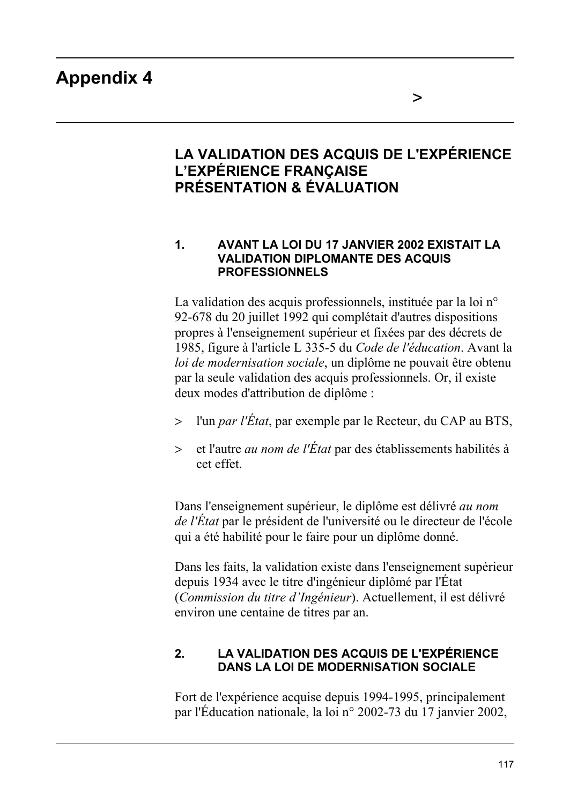# **Appendix 4**

# **LA VALIDATION DES ACQUIS DE L'EXPÉRIENCE L'EXPÉRIENCE FRANÇAISE PRÉSENTATION & ÉVALUATION**

>

### **1. AVANT LA LOI DU 17 JANVIER 2002 EXISTAIT LA VALIDATION DIPLOMANTE DES ACQUIS PROFESSIONNELS**

La validation des acquis professionnels, instituée par la loi n° 92-678 du 20 juillet 1992 qui complétait d'autres dispositions propres à l'enseignement supérieur et fixées par des décrets de 1985, figure à l'article L 335-5 du *Code de l'éducation*. Avant la *loi de modernisation sociale*, un diplôme ne pouvait être obtenu par la seule validation des acquis professionnels. Or, il existe deux modes d'attribution de diplôme :

- > l'un *par l'État*, par exemple par le Recteur, du CAP au BTS,
- > et l'autre *au nom de l'État* par des établissements habilités à cet effet.

Dans l'enseignement supérieur, le diplôme est délivré *au nom de l'État* par le président de l'université ou le directeur de l'école qui a été habilité pour le faire pour un diplôme donné.

Dans les faits, la validation existe dans l'enseignement supérieur depuis 1934 avec le titre d'ingénieur diplômé par l'État (*Commission du titre d'Ingénieur*). Actuellement, il est délivré environ une centaine de titres par an.

### **2. LA VALIDATION DES ACQUIS DE L'EXPÉRIENCE DANS LA LOI DE MODERNISATION SOCIALE**

Fort de l'expérience acquise depuis 1994-1995, principalement par l'Éducation nationale, la loi n° 2002-73 du 17 janvier 2002,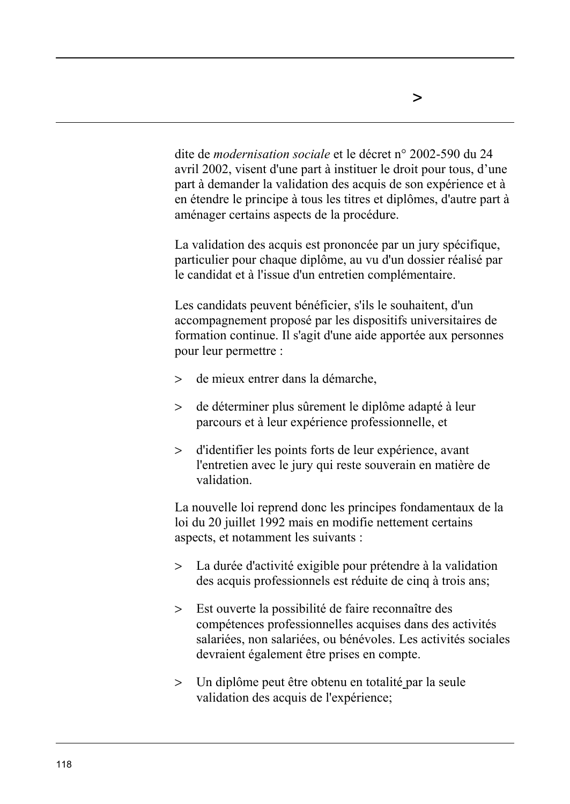dite de *modernisation sociale* et le décret n° 2002-590 du 24 avril 2002, visent d'une part à instituer le droit pour tous, d'une part à demander la validation des acquis de son expérience et à en étendre le principe à tous les titres et diplômes, d'autre part à aménager certains aspects de la procédure.

La validation des acquis est prononcée par un jury spécifique, particulier pour chaque diplôme, au vu d'un dossier réalisé par le candidat et à l'issue d'un entretien complémentaire.

Les candidats peuvent bénéficier, s'ils le souhaitent, d'un accompagnement proposé par les dispositifs universitaires de formation continue. Il s'agit d'une aide apportée aux personnes pour leur permettre :

- > de mieux entrer dans la démarche,
- > de déterminer plus sûrement le diplôme adapté à leur parcours et à leur expérience professionnelle, et
- > d'identifier les points forts de leur expérience, avant l'entretien avec le jury qui reste souverain en matière de validation.

La nouvelle loi reprend donc les principes fondamentaux de la loi du 20 juillet 1992 mais en modifie nettement certains aspects, et notamment les suivants :

- > La durée d'activité exigible pour prétendre à la validation des acquis professionnels est réduite de cinq à trois ans;
- > Est ouverte la possibilité de faire reconnaître des compétences professionnelles acquises dans des activités salariées, non salariées, ou bénévoles. Les activités sociales devraient également être prises en compte.
- > Un diplôme peut être obtenu en totalité par la seule validation des acquis de l'expérience;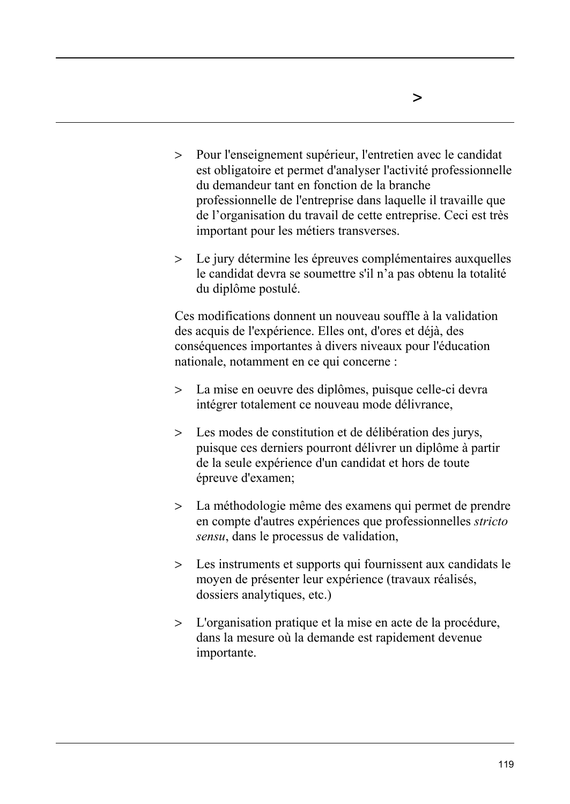- > Pour l'enseignement supérieur, l'entretien avec le candidat est obligatoire et permet d'analyser l'activité professionnelle du demandeur tant en fonction de la branche professionnelle de l'entreprise dans laquelle il travaille que de l'organisation du travail de cette entreprise. Ceci est très important pour les métiers transverses.
- > Le jury détermine les épreuves complémentaires auxquelles le candidat devra se soumettre s'il n'a pas obtenu la totalité du diplôme postulé.

Ces modifications donnent un nouveau souffle à la validation des acquis de l'expérience. Elles ont, d'ores et déjà, des conséquences importantes à divers niveaux pour l'éducation nationale, notamment en ce qui concerne :

- > La mise en oeuvre des diplômes, puisque celle-ci devra intégrer totalement ce nouveau mode délivrance,
- > Les modes de constitution et de délibération des jurys, puisque ces derniers pourront délivrer un diplôme à partir de la seule expérience d'un candidat et hors de toute épreuve d'examen;
- > La méthodologie même des examens qui permet de prendre en compte d'autres expériences que professionnelles *stricto sensu*, dans le processus de validation,
- > Les instruments et supports qui fournissent aux candidats le moyen de présenter leur expérience (travaux réalisés, dossiers analytiques, etc.)
- > L'organisation pratique et la mise en acte de la procédure, dans la mesure où la demande est rapidement devenue importante.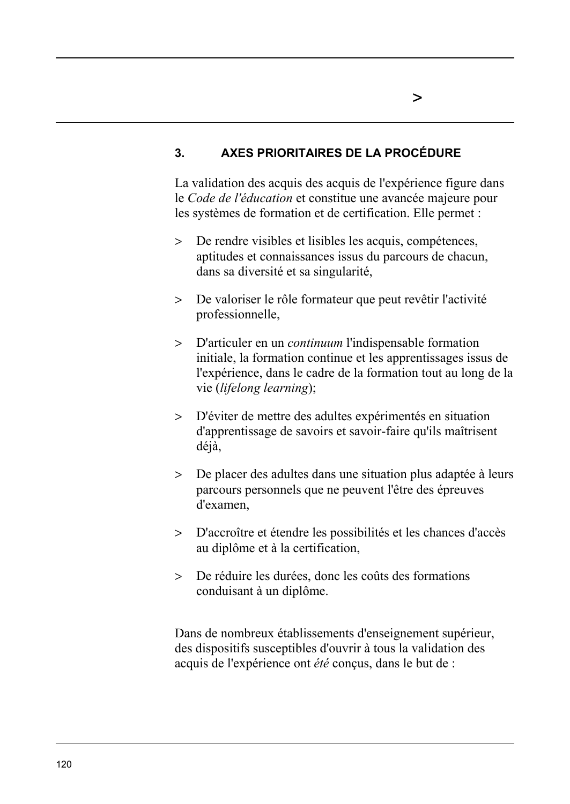## **3. AXES PRIORITAIRES DE LA PROCÉDURE**

La validation des acquis des acquis de l'expérience figure dans le *Code de l'éducation* et constitue une avancée majeure pour les systèmes de formation et de certification. Elle permet :

- > De rendre visibles et lisibles les acquis, compétences, aptitudes et connaissances issus du parcours de chacun, dans sa diversité et sa singularité,
- > De valoriser le rôle formateur que peut revêtir l'activité professionnelle,
- > D'articuler en un *continuum* l'indispensable formation initiale, la formation continue et les apprentissages issus de l'expérience, dans le cadre de la formation tout au long de la vie (*lifelong learning*);
- > D'éviter de mettre des adultes expérimentés en situation d'apprentissage de savoirs et savoir-faire qu'ils maîtrisent déjà,
- > De placer des adultes dans une situation plus adaptée à leurs parcours personnels que ne peuvent l'être des épreuves d'examen,
- > D'accroître et étendre les possibilités et les chances d'accès au diplôme et à la certification,
- > De réduire les durées, donc les coûts des formations conduisant à un diplôme.

Dans de nombreux établissements d'enseignement supérieur, des dispositifs susceptibles d'ouvrir à tous la validation des acquis de l'expérience ont *été* conçus, dans le but de :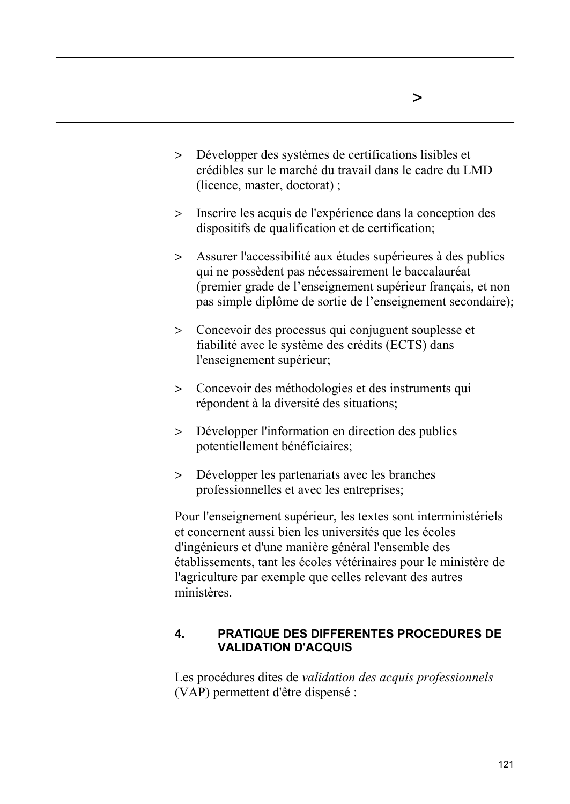- > Développer des systèmes de certifications lisibles et crédibles sur le marché du travail dans le cadre du LMD (licence, master, doctorat) ;
- > Inscrire les acquis de l'expérience dans la conception des dispositifs de qualification et de certification;
- > Assurer l'accessibilité aux études supérieures à des publics qui ne possèdent pas nécessairement le baccalauréat (premier grade de l'enseignement supérieur français, et non pas simple diplôme de sortie de l'enseignement secondaire);
- > Concevoir des processus qui conjuguent souplesse et fiabilité avec le système des crédits (ECTS) dans l'enseignement supérieur;
- > Concevoir des méthodologies et des instruments qui répondent à la diversité des situations;
- > Développer l'information en direction des publics potentiellement bénéficiaires;
- > Développer les partenariats avec les branches professionnelles et avec les entreprises;

Pour l'enseignement supérieur, les textes sont interministériels et concernent aussi bien les universités que les écoles d'ingénieurs et d'une manière général l'ensemble des établissements, tant les écoles vétérinaires pour le ministère de l'agriculture par exemple que celles relevant des autres ministères.

## **4. PRATIQUE DES DIFFERENTES PROCEDURES DE VALIDATION D'ACQUIS**

Les procédures dites de *validation des acquis professionnels* (VAP) permettent d'être dispensé :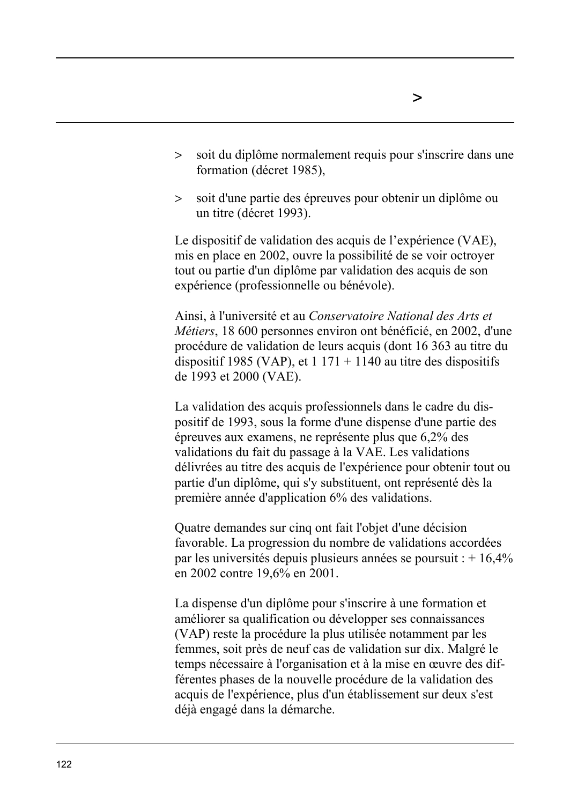- > soit du diplôme normalement requis pour s'inscrire dans une formation (décret 1985),
- > soit d'une partie des épreuves pour obtenir un diplôme ou un titre (décret 1993).

Le dispositif de validation des acquis de l'expérience (VAE), mis en place en 2002, ouvre la possibilité de se voir octroyer tout ou partie d'un diplôme par validation des acquis de son expérience (professionnelle ou bénévole).

Ainsi, à l'université et au *Conservatoire National des Arts et Métiers*, 18 600 personnes environ ont bénéficié, en 2002, d'une procédure de validation de leurs acquis (dont 16 363 au titre du dispositif 1985 (VAP), et  $1\ 171 + 1140$  au titre des dispositifs de 1993 et 2000 (VAE).

La validation des acquis professionnels dans le cadre du dispositif de 1993, sous la forme d'une dispense d'une partie des épreuves aux examens, ne représente plus que 6,2% des validations du fait du passage à la VAE. Les validations délivrées au titre des acquis de l'expérience pour obtenir tout ou partie d'un diplôme, qui s'y substituent, ont représenté dès la première année d'application 6% des validations.

Quatre demandes sur cinq ont fait l'objet d'une décision favorable. La progression du nombre de validations accordées par les universités depuis plusieurs années se poursuit : + 16,4% en 2002 contre 19,6% en 2001.

La dispense d'un diplôme pour s'inscrire à une formation et améliorer sa qualification ou développer ses connaissances (VAP) reste la procédure la plus utilisée notamment par les femmes, soit près de neuf cas de validation sur dix. Malgré le temps nécessaire à l'organisation et à la mise en œuvre des différentes phases de la nouvelle procédure de la validation des acquis de l'expérience, plus d'un établissement sur deux s'est déjà engagé dans la démarche.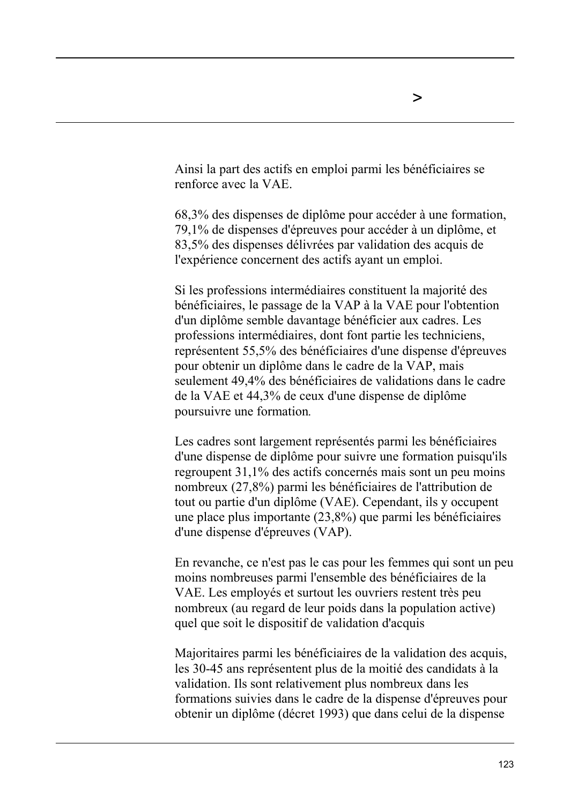Ainsi la part des actifs en emploi parmi les bénéficiaires se renforce avec la VAE.

68,3% des dispenses de diplôme pour accéder à une formation, 79,1% de dispenses d'épreuves pour accéder à un diplôme, et 83,5% des dispenses délivrées par validation des acquis de l'expérience concernent des actifs ayant un emploi.

Si les professions intermédiaires constituent la majorité des bénéficiaires, le passage de la VAP à la VAE pour l'obtention d'un diplôme semble davantage bénéficier aux cadres. Les professions intermédiaires, dont font partie les techniciens, représentent 55,5% des bénéficiaires d'une dispense d'épreuves pour obtenir un diplôme dans le cadre de la VAP, mais seulement 49,4% des bénéficiaires de validations dans le cadre de la VAE et 44,3% de ceux d'une dispense de diplôme poursuivre une formation*.* 

Les cadres sont largement représentés parmi les bénéficiaires d'une dispense de diplôme pour suivre une formation puisqu'ils regroupent 31,1% des actifs concernés mais sont un peu moins nombreux (27,8%) parmi les bénéficiaires de l'attribution de tout ou partie d'un diplôme (VAE). Cependant, ils y occupent une place plus importante (23,8%) que parmi les bénéficiaires d'une dispense d'épreuves (VAP).

En revanche, ce n'est pas le cas pour les femmes qui sont un peu moins nombreuses parmi l'ensemble des bénéficiaires de la VAE. Les employés et surtout les ouvriers restent très peu nombreux (au regard de leur poids dans la population active) quel que soit le dispositif de validation d'acquis

Majoritaires parmi les bénéficiaires de la validation des acquis, les 30-45 ans représentent plus de la moitié des candidats à la validation. Ils sont relativement plus nombreux dans les formations suivies dans le cadre de la dispense d'épreuves pour obtenir un diplôme (décret 1993) que dans celui de la dispense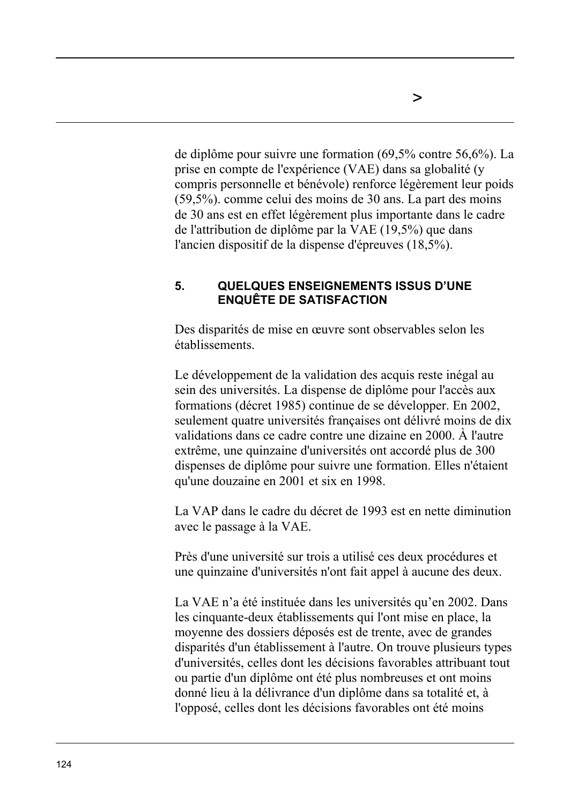de diplôme pour suivre une formation (69,5% contre 56,6%). La prise en compte de l'expérience (VAE) dans sa globalité (y compris personnelle et bénévole) renforce légèrement leur poids (59,5%). comme celui des moins de 30 ans. La part des moins de 30 ans est en effet légèrement plus importante dans le cadre de l'attribution de diplôme par la VAE (19,5%) que dans l'ancien dispositif de la dispense d'épreuves (18,5%).

### **5. QUELQUES ENSEIGNEMENTS ISSUS D'UNE ENQUÊTE DE SATISFACTION**

Des disparités de mise en œuvre sont observables selon les établissements.

Le développement de la validation des acquis reste inégal au sein des universités. La dispense de diplôme pour l'accès aux formations (décret 1985) continue de se développer. En 2002, seulement quatre universités françaises ont délivré moins de dix validations dans ce cadre contre une dizaine en 2000. À l'autre extrême, une quinzaine d'universités ont accordé plus de 300 dispenses de diplôme pour suivre une formation. Elles n'étaient qu'une douzaine en 2001 et six en 1998.

La VAP dans le cadre du décret de 1993 est en nette diminution avec le passage à la VAE.

Près d'une université sur trois a utilisé ces deux procédures et une quinzaine d'universités n'ont fait appel à aucune des deux.

La VAE n'a été instituée dans les universités qu'en 2002. Dans les cinquante-deux établissements qui l'ont mise en place, la moyenne des dossiers déposés est de trente, avec de grandes disparités d'un établissement à l'autre. On trouve plusieurs types d'universités, celles dont les décisions favorables attribuant tout ou partie d'un diplôme ont été plus nombreuses et ont moins donné lieu à la délivrance d'un diplôme dans sa totalité et, à l'opposé, celles dont les décisions favorables ont été moins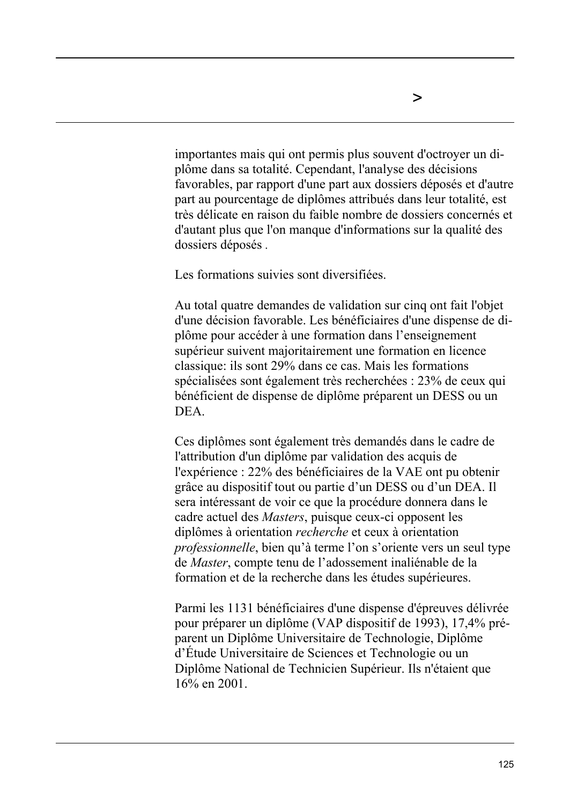importantes mais qui ont permis plus souvent d'octroyer un diplôme dans sa totalité. Cependant, l'analyse des décisions favorables, par rapport d'une part aux dossiers déposés et d'autre part au pourcentage de diplômes attribués dans leur totalité, est très délicate en raison du faible nombre de dossiers concernés et d'autant plus que l'on manque d'informations sur la qualité des dossiers déposés *.* 

Les formations suivies sont diversifiées.

Au total quatre demandes de validation sur cinq ont fait l'objet d'une décision favorable. Les bénéficiaires d'une dispense de diplôme pour accéder à une formation dans l'enseignement supérieur suivent majoritairement une formation en licence classique: ils sont 29% dans ce cas. Mais les formations spécialisées sont également très recherchées : 23% de ceux qui bénéficient de dispense de diplôme préparent un DESS ou un **DEA**.

Ces diplômes sont également très demandés dans le cadre de l'attribution d'un diplôme par validation des acquis de l'expérience : 22% des bénéficiaires de la VAE ont pu obtenir grâce au dispositif tout ou partie d'un DESS ou d'un DEA. Il sera intéressant de voir ce que la procédure donnera dans le cadre actuel des *Masters*, puisque ceux-ci opposent les diplômes à orientation *recherche* et ceux à orientation *professionnelle*, bien qu'à terme l'on s'oriente vers un seul type de *Master*, compte tenu de l'adossement inaliénable de la formation et de la recherche dans les études supérieures.

Parmi les 1131 bénéficiaires d'une dispense d'épreuves délivrée pour préparer un diplôme (VAP dispositif de 1993), 17,4% préparent un Diplôme Universitaire de Technologie, Diplôme d'Étude Universitaire de Sciences et Technologie ou un Diplôme National de Technicien Supérieur. Ils n'étaient que 16% en 2001.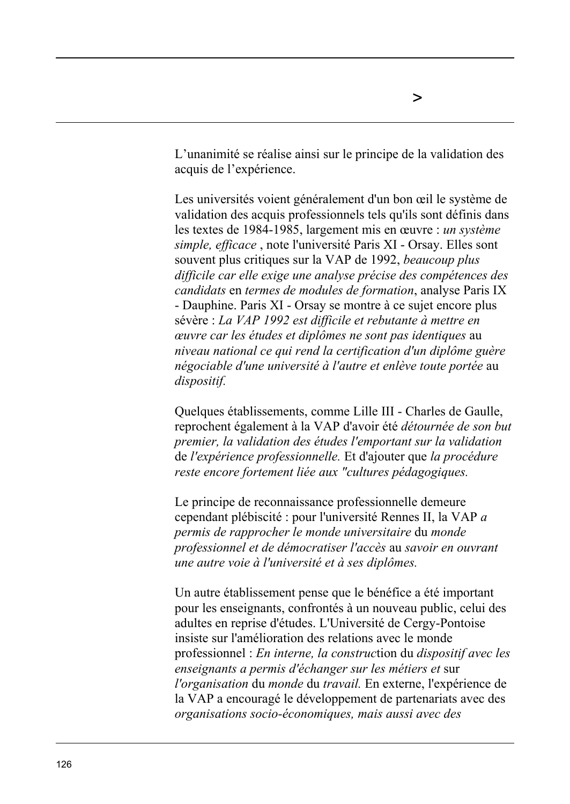L'unanimité se réalise ainsi sur le principe de la validation des acquis de l'expérience.

Les universités voient généralement d'un bon œil le système de validation des acquis professionnels tels qu'ils sont définis dans les textes de 1984-1985, largement mis en œuvre : *un système simple, efficace* , note l'université Paris XI - Orsay. Elles sont souvent plus critiques sur la VAP de 1992, *beaucoup plus difficile car elle exige une analyse précise des compétences des candidats* en *termes de modules de formation*, analyse Paris IX - Dauphine. Paris XI - Orsay se montre à ce sujet encore plus sévère : *La VAP 1992 est difficile et rebutante à mettre en œuvre car les études et diplômes ne sont pas identiques* au *niveau national ce qui rend la certification d'un diplôme guère négociable d'une université à l'autre et enlève toute portée* au *dispositif.* 

Quelques établissements, comme Lille III - Charles de Gaulle, reprochent également à la VAP d'avoir été *détournée de son but premier, la validation des études l'emportant sur la validation*  de *l'expérience professionnelle.* Et d'ajouter que *la procédure reste encore fortement liée aux "cultures pédagogiques.*

Le principe de reconnaissance professionnelle demeure cependant plébiscité : pour l'université Rennes II, la VAP *a permis de rapprocher le monde universitaire* du *monde professionnel et de démocratiser l'accès* au *savoir en ouvrant une autre voie à l'université et à ses diplômes.* 

Un autre établissement pense que le bénéfice a été important pour les enseignants, confrontés à un nouveau public, celui des adultes en reprise d'études. L'Université de Cergy-Pontoise insiste sur l'amélioration des relations avec le monde professionnel : *En interne, la construc*tion du *dispositif avec les enseignants a permis d'échanger sur les métiers et* sur *l'organisation* du *monde* du *travail.* En externe, l'expérience de la VAP a encouragé le développement de partenariats avec des *organisations socio-économiques, mais aussi avec des*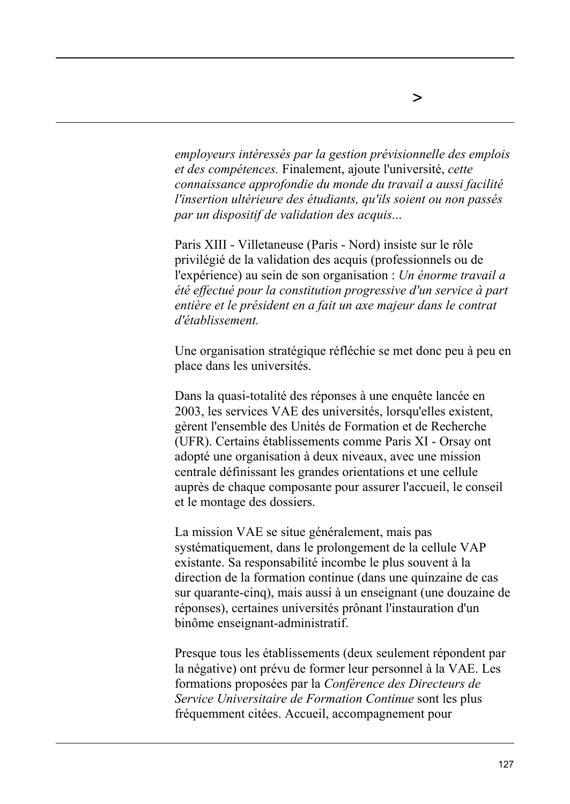*employeurs intéressés par la gestion prévisionnelle des emplois et des compétences.* Finalement, ajoute l'université, *cette connaissance approfondie du monde du travail a aussi facilité l'insertion ultérieure des étudiants, qu'ils soient ou non passés par un dispositif de validation des acquis*...

Paris XIII - Villetaneuse (Paris - Nord) insiste sur le rôle privilégié de la validation des acquis (professionnels ou de l'expérience) au sein de son organisation : *Un énorme travail a été effectué pour la constitution progressive d'un service à part entière et le président en a fait un axe majeur dans le contrat d'établissement.* 

Une organisation stratégique réfléchie se met donc peu à peu en place dans les universités.

Dans la quasi-totalité des réponses à une enquête lancée en 2003, les services VAE des universités, lorsqu'elles existent, gèrent l'ensemble des Unités de Formation et de Recherche (UFR). Certains établissements comme Paris XI - Orsay ont adopté une organisation à deux niveaux, avec une mission centrale définissant les grandes orientations et une cellule auprès de chaque composante pour assurer l'accueil, le conseil et le montage des dossiers.

La mission VAE se situe généralement, mais pas systématiquement, dans le prolongement de la cellule VAP existante. Sa responsabilité incombe le plus souvent à la direction de la formation continue (dans une quinzaine de cas sur quarante-cinq), mais aussi à un enseignant (une douzaine de réponses), certaines universités prônant l'instauration d'un binôme enseignant-administratif.

Presque tous les établissements (deux seulement répondent par la négative) ont prévu de former leur personnel à la VAE. Les formations proposées par la *Conférence des Directeurs de Service Universitaire de Formation Continue* sont les plus fréquemment citées. Accueil, accompagnement pour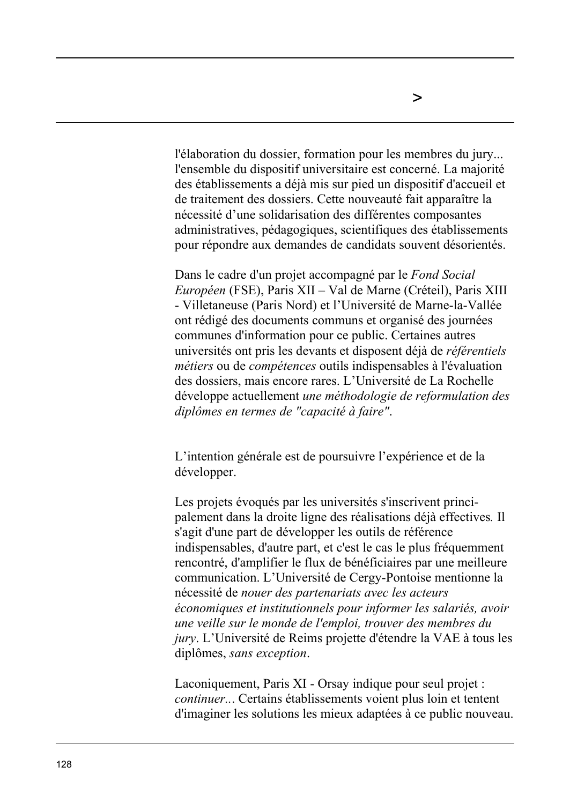l'élaboration du dossier, formation pour les membres du jury... l'ensemble du dispositif universitaire est concerné. La majorité des établissements a déjà mis sur pied un dispositif d'accueil et de traitement des dossiers. Cette nouveauté fait apparaître la nécessité d'une solidarisation des différentes composantes administratives, pédagogiques, scientifiques des établissements pour répondre aux demandes de candidats souvent désorientés.

>

Dans le cadre d'un projet accompagné par le *Fond Social Européen* (FSE), Paris XII – Val de Marne (Créteil), Paris XIII - Villetaneuse (Paris Nord) et l'Université de Marne-la-Vallée ont rédigé des documents communs et organisé des journées communes d'information pour ce public. Certaines autres universités ont pris les devants et disposent déjà de *référentiels métiers* ou de *compétences* outils indispensables à l'évaluation des dossiers, mais encore rares. L'Université de La Rochelle développe actuellement *une méthodologie de reformulation des diplômes en termes de "capacité à faire"*.

L'intention générale est de poursuivre l'expérience et de la développer.

Les projets évoqués par les universités s'inscrivent principalement dans la droite ligne des réalisations déjà effectives*.* Il s'agit d'une part de développer les outils de référence indispensables, d'autre part, et c'est le cas le plus fréquemment rencontré, d'amplifier le flux de bénéficiaires par une meilleure communication. L'Université de Cergy-Pontoise mentionne la nécessité de *nouer des partenariats avec les acteurs économiques et institutionnels pour informer les salariés, avoir une veille sur le monde de l'emploi, trouver des membres du jury*. L'Université de Reims projette d'étendre la VAE à tous les diplômes, *sans exception*.

Laconiquement, Paris XI - Orsay indique pour seul projet : *continuer..*. Certains établissements voient plus loin et tentent d'imaginer les solutions les mieux adaptées à ce public nouveau.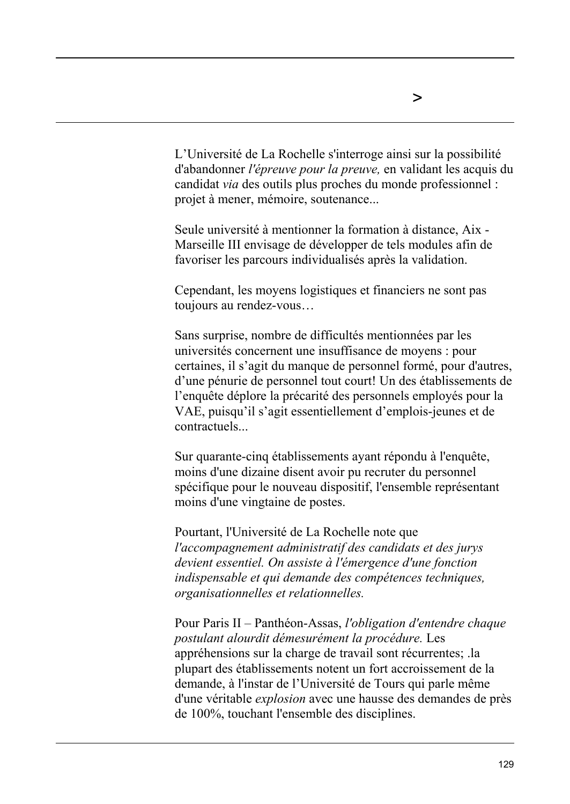L'Université de La Rochelle s'interroge ainsi sur la possibilité d'abandonner *l'épreuve pour la preuve,* en validant les acquis du candidat *via* des outils plus proches du monde professionnel : projet à mener, mémoire, soutenance...

Seule université à mentionner la formation à distance, Aix - Marseille III envisage de développer de tels modules afin de favoriser les parcours individualisés après la validation.

Cependant, les moyens logistiques et financiers ne sont pas toujours au rendez-vous…

Sans surprise, nombre de difficultés mentionnées par les universités concernent une insuffisance de moyens : pour certaines, il s'agit du manque de personnel formé, pour d'autres, d'une pénurie de personnel tout court! Un des établissements de l'enquête déplore la précarité des personnels employés pour la VAE, puisqu'il s'agit essentiellement d'emplois-jeunes et de contractuels...

Sur quarante-cinq établissements ayant répondu à l'enquête, moins d'une dizaine disent avoir pu recruter du personnel spécifique pour le nouveau dispositif, l'ensemble représentant moins d'une vingtaine de postes.

Pourtant, l'Université de La Rochelle note que *l'accompagnement administratif des candidats et des jurys devient essentiel. On assiste à l'émergence d'une fonction indispensable et qui demande des compétences techniques, organisationnelles et relationnelles.* 

Pour Paris II – Panthéon-Assas, *l'obligation d'entendre chaque postulant alourdit démesurément la procédure.* Les appréhensions sur la charge de travail sont récurrentes; .la plupart des établissements notent un fort accroissement de la demande, à l'instar de l'Université de Tours qui parle même d'une véritable *explosion* avec une hausse des demandes de près de 100%, touchant l'ensemble des disciplines.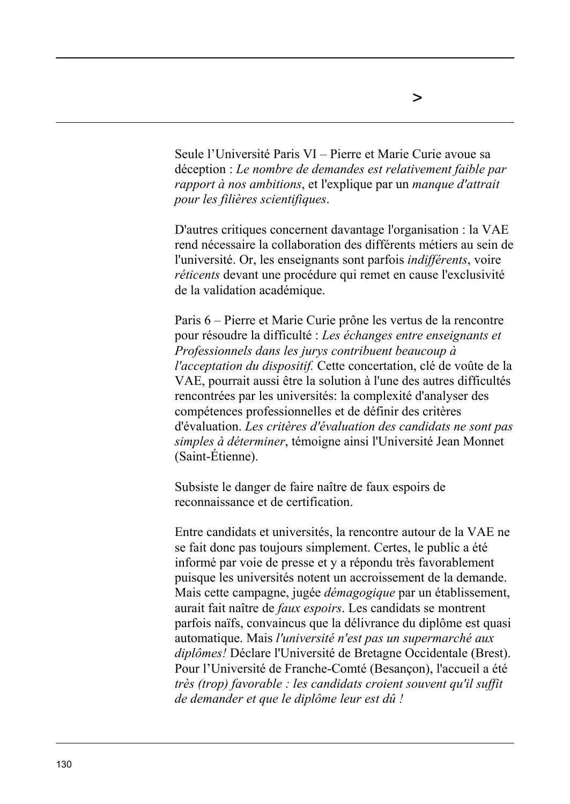Seule l'Université Paris VI – Pierre et Marie Curie avoue sa déception : *Le nombre de demandes est relativement faible par rapport à nos ambitions*, et l'explique par un *manque d'attrait pour les filières scientifiques*.

D'autres critiques concernent davantage l'organisation : la VAE rend nécessaire la collaboration des différents métiers au sein de l'université. Or, les enseignants sont parfois *indifférents*, voire *réticents* devant une procédure qui remet en cause l'exclusivité de la validation académique.

Paris 6 – Pierre et Marie Curie prône les vertus de la rencontre pour résoudre la difficulté : *Les échanges entre enseignants et Professionnels dans les jurys contribuent beaucoup à l'acceptation du dispositif.* Cette concertation, clé de voûte de la VAE, pourrait aussi être la solution à l'une des autres difficultés rencontrées par les universités: la complexité d'analyser des compétences professionnelles et de définir des critères d'évaluation. *Les critères d'évaluation des candidats ne sont pas simples à déterminer*, témoigne ainsi l'Université Jean Monnet (Saint-Étienne).

Subsiste le danger de faire naître de faux espoirs de reconnaissance et de certification.

Entre candidats et universités, la rencontre autour de la VAE ne se fait donc pas toujours simplement. Certes, le public a été informé par voie de presse et y a répondu très favorablement puisque les universités notent un accroissement de la demande. Mais cette campagne, jugée *démagogique* par un établissement, aurait fait naître de *faux espoirs*. Les candidats se montrent parfois naïfs, convaincus que la délivrance du diplôme est quasi automatique. Mais *l'université n'est pas un supermarché aux diplômes!* Déclare l'Université de Bretagne Occidentale (Brest). Pour l'Université de Franche-Comté (Besançon), l'accueil a été *très (trop) favorable : les candidats croient souvent qu'il suffit de demander et que le diplôme leur est dû !*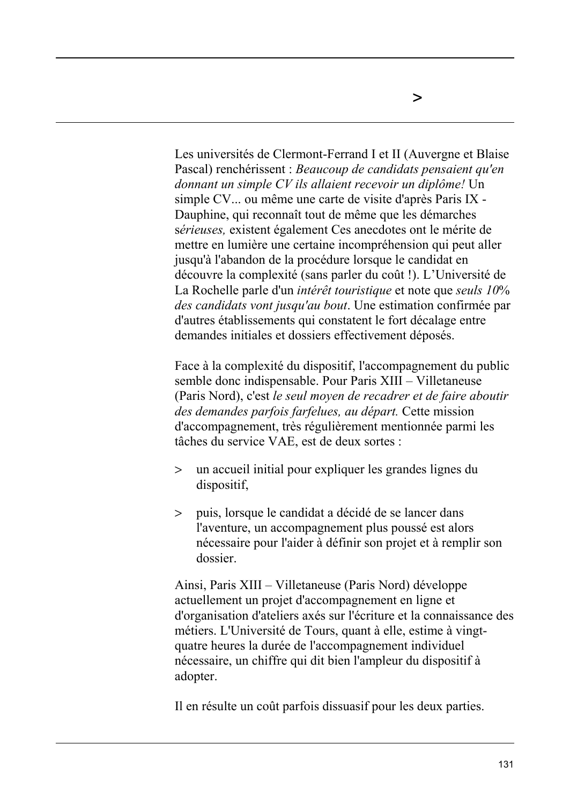Les universités de Clermont-Ferrand I et II (Auvergne et Blaise Pascal) renchérissent : *Beaucoup de candidats pensaient qu'en donnant un simple CV ils allaient recevoir un diplôme!* Un simple CV... ou même une carte de visite d'après Paris IX - Dauphine, qui reconnaît tout de même que les démarches s*érieuses,* existent également Ces anecdotes ont le mérite de mettre en lumière une certaine incompréhension qui peut aller jusqu'à l'abandon de la procédure lorsque le candidat en découvre la complexité (sans parler du coût !). L'Université de La Rochelle parle d'un *intérêt touristique* et note que *seuls 10*% *des candidats vont jusqu'au bout*. Une estimation confirmée par d'autres établissements qui constatent le fort décalage entre demandes initiales et dossiers effectivement déposés.

Face à la complexité du dispositif, l'accompagnement du public semble donc indispensable. Pour Paris XIII – Villetaneuse (Paris Nord), c'est *le seul moyen de recadrer et de faire aboutir des demandes parfois farfelues, au départ.* Cette mission d'accompagnement, très régulièrement mentionnée parmi les tâches du service VAE, est de deux sortes :

- > un accueil initial pour expliquer les grandes lignes du dispositif,
- > puis, lorsque le candidat a décidé de se lancer dans l'aventure, un accompagnement plus poussé est alors nécessaire pour l'aider à définir son projet et à remplir son dossier.

Ainsi, Paris XIII – Villetaneuse (Paris Nord) développe actuellement un projet d'accompagnement en ligne et d'organisation d'ateliers axés sur l'écriture et la connaissance des métiers. L'Université de Tours, quant à elle, estime à vingtquatre heures la durée de l'accompagnement individuel nécessaire, un chiffre qui dit bien l'ampleur du dispositif à adopter.

Il en résulte un coût parfois dissuasif pour les deux parties.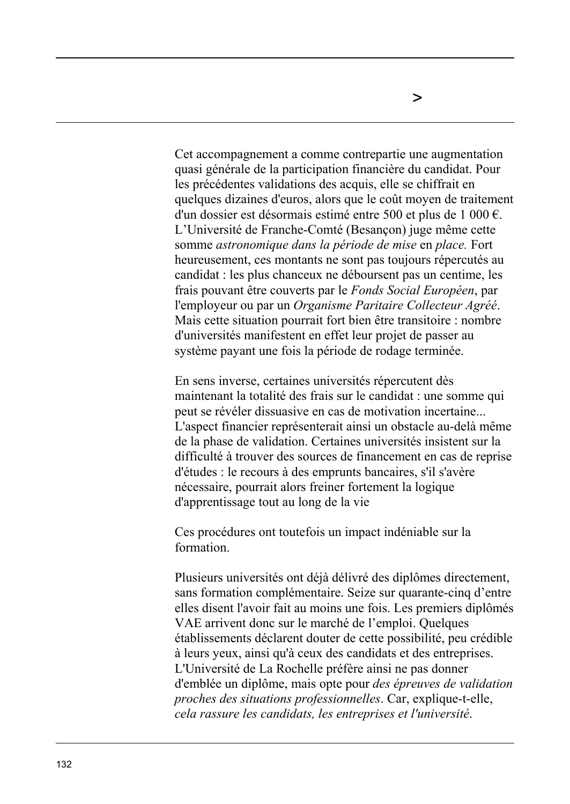Cet accompagnement a comme contrepartie une augmentation quasi générale de la participation financière du candidat. Pour les précédentes validations des acquis, elle se chiffrait en quelques dizaines d'euros, alors que le coût moyen de traitement d'un dossier est désormais estimé entre 500 et plus de 1 000 €. L'Université de Franche-Comté (Besançon) juge même cette somme *astronomique dans la période de mise* en *place.* Fort heureusement, ces montants ne sont pas toujours répercutés au candidat : les plus chanceux ne déboursent pas un centime, les frais pouvant être couverts par le *Fonds Social Européen*, par l'employeur ou par un *Organisme Paritaire Collecteur Agréé*. Mais cette situation pourrait fort bien être transitoire : nombre d'universités manifestent en effet leur projet de passer au système payant une fois la période de rodage terminée.

En sens inverse, certaines universités répercutent dès maintenant la totalité des frais sur le candidat : une somme qui peut se révéler dissuasive en cas de motivation incertaine... L'aspect financier représenterait ainsi un obstacle au-delà même de la phase de validation. Certaines universités insistent sur la difficulté à trouver des sources de financement en cas de reprise d'études : le recours à des emprunts bancaires, s'il s'avère nécessaire, pourrait alors freiner fortement la logique d'apprentissage tout au long de la vie

Ces procédures ont toutefois un impact indéniable sur la formation.

Plusieurs universités ont déjà délivré des diplômes directement, sans formation complémentaire. Seize sur quarante-cinq d'entre elles disent l'avoir fait au moins une fois. Les premiers diplômés VAE arrivent donc sur le marché de l'emploi. Quelques établissements déclarent douter de cette possibilité, peu crédible à leurs yeux, ainsi qu'à ceux des candidats et des entreprises. L'Université de La Rochelle préfère ainsi ne pas donner d'emblée un diplôme, mais opte pour *des épreuves de validation proches des situations professionnelles*. Car, explique-t-elle, *cela rassure les candidats, les entreprises et l'université*.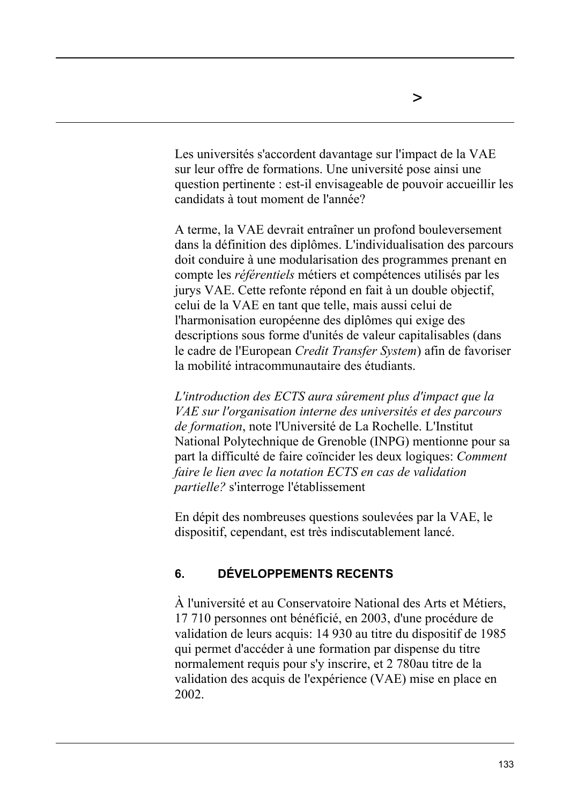Les universités s'accordent davantage sur l'impact de la VAE sur leur offre de formations. Une université pose ainsi une question pertinente : est-il envisageable de pouvoir accueillir les candidats à tout moment de l'année?

A terme, la VAE devrait entraîner un profond bouleversement dans la définition des diplômes. L'individualisation des parcours doit conduire à une modularisation des programmes prenant en compte les *référentiels* métiers et compétences utilisés par les jurys VAE. Cette refonte répond en fait à un double objectif, celui de la VAE en tant que telle, mais aussi celui de l'harmonisation européenne des diplômes qui exige des descriptions sous forme d'unités de valeur capitalisables (dans le cadre de l'European *Credit Transfer System*) afin de favoriser la mobilité intracommunautaire des étudiants.

*L'introduction des ECTS aura sûrement plus d'impact que la VAE sur l'organisation interne des universités et des parcours de formation*, note l'Université de La Rochelle. L'Institut National Polytechnique de Grenoble (INPG) mentionne pour sa part la difficulté de faire coïncider les deux logiques: *Comment faire le lien avec la notation ECTS en cas de validation partielle?* s'interroge l'établissement

En dépit des nombreuses questions soulevées par la VAE, le dispositif, cependant, est très indiscutablement lancé.

# **6. DÉVELOPPEMENTS RECENTS**

À l'université et au Conservatoire National des Arts et Métiers, 17 710 personnes ont bénéficié, en 2003, d'une procédure de validation de leurs acquis: 14 930 au titre du dispositif de 1985 qui permet d'accéder à une formation par dispense du titre normalement requis pour s'y inscrire, et 2 780au titre de la validation des acquis de l'expérience (VAE) mise en place en 2002.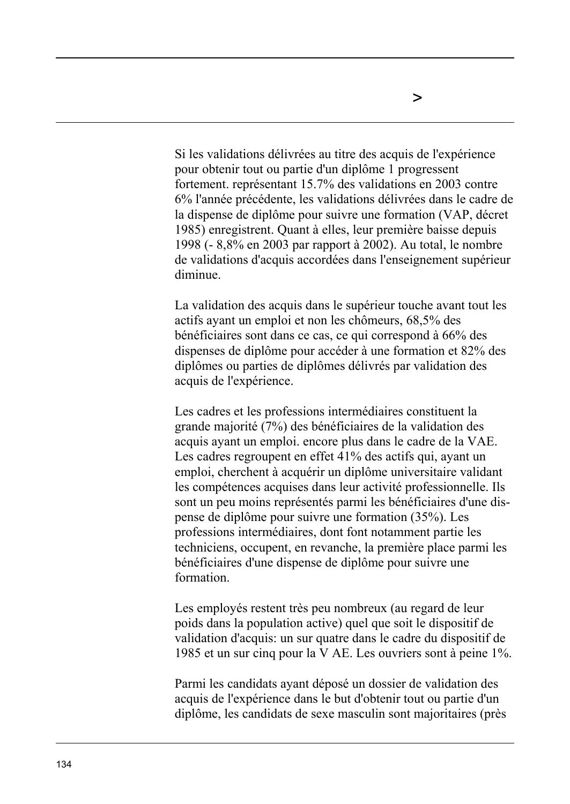Si les validations délivrées au titre des acquis de l'expérience pour obtenir tout ou partie d'un diplôme 1 progressent fortement. représentant 15.7% des validations en 2003 contre 6% l'année précédente, les validations délivrées dans le cadre de la dispense de diplôme pour suivre une formation (VAP, décret 1985) enregistrent. Quant à elles, leur première baisse depuis 1998 (- 8,8% en 2003 par rapport à 2002). Au total, le nombre de validations d'acquis accordées dans l'enseignement supérieur diminue.

La validation des acquis dans le supérieur touche avant tout les actifs ayant un emploi et non les chômeurs, 68,5% des bénéficiaires sont dans ce cas, ce qui correspond à 66% des dispenses de diplôme pour accéder à une formation et 82% des diplômes ou parties de diplômes délivrés par validation des acquis de l'expérience.

Les cadres et les professions intermédiaires constituent la grande majorité (7%) des bénéficiaires de la validation des acquis ayant un emploi. encore plus dans le cadre de la VAE. Les cadres regroupent en effet 41% des actifs qui, ayant un emploi, cherchent à acquérir un diplôme universitaire validant les compétences acquises dans leur activité professionnelle. Ils sont un peu moins représentés parmi les bénéficiaires d'une dispense de diplôme pour suivre une formation (35%). Les professions intermédiaires, dont font notamment partie les techniciens, occupent, en revanche, la première place parmi les bénéficiaires d'une dispense de diplôme pour suivre une formation.

Les employés restent très peu nombreux (au regard de leur poids dans la population active) quel que soit le dispositif de validation d'acquis: un sur quatre dans le cadre du dispositif de 1985 et un sur cinq pour la V AE. Les ouvriers sont à peine 1%.

Parmi les candidats ayant déposé un dossier de validation des acquis de l'expérience dans le but d'obtenir tout ou partie d'un diplôme, les candidats de sexe masculin sont majoritaires (près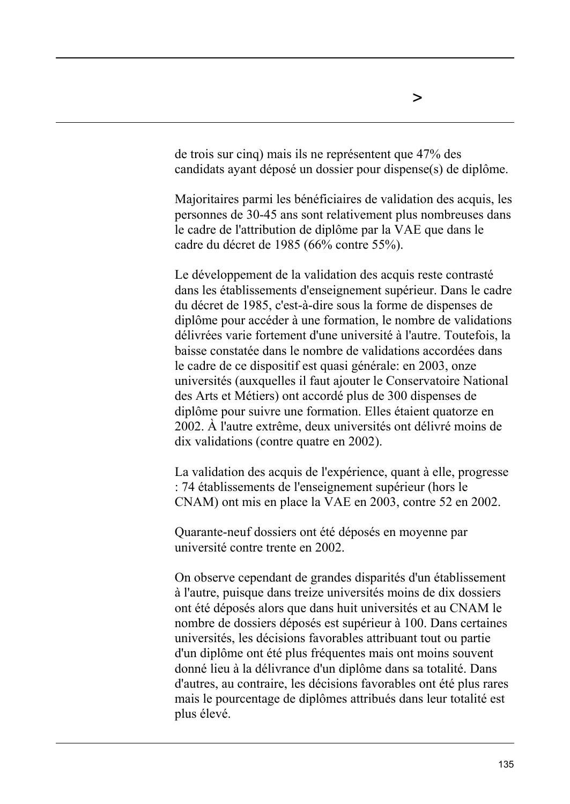de trois sur cinq) mais ils ne représentent que 47% des candidats ayant déposé un dossier pour dispense(s) de diplôme.

Majoritaires parmi les bénéficiaires de validation des acquis, les personnes de 30-45 ans sont relativement plus nombreuses dans le cadre de l'attribution de diplôme par la VAE que dans le cadre du décret de 1985 (66% contre 55%).

Le développement de la validation des acquis reste contrasté dans les établissements d'enseignement supérieur. Dans le cadre du décret de 1985, c'est-à-dire sous la forme de dispenses de diplôme pour accéder à une formation, le nombre de validations délivrées varie fortement d'une université à l'autre. Toutefois, la baisse constatée dans le nombre de validations accordées dans le cadre de ce dispositif est quasi générale: en 2003, onze universités (auxquelles il faut ajouter le Conservatoire National des Arts et Métiers) ont accordé plus de 300 dispenses de diplôme pour suivre une formation. Elles étaient quatorze en 2002. À l'autre extrême, deux universités ont délivré moins de dix validations (contre quatre en 2002).

La validation des acquis de l'expérience, quant à elle, progresse : 74 établissements de l'enseignement supérieur (hors le CNAM) ont mis en place la VAE en 2003, contre 52 en 2002.

Quarante-neuf dossiers ont été déposés en moyenne par université contre trente en 2002.

On observe cependant de grandes disparités d'un établissement à l'autre, puisque dans treize universités moins de dix dossiers ont été déposés alors que dans huit universités et au CNAM le nombre de dossiers déposés est supérieur à 100. Dans certaines universités, les décisions favorables attribuant tout ou partie d'un diplôme ont été plus fréquentes mais ont moins souvent donné lieu à la délivrance d'un diplôme dans sa totalité. Dans d'autres, au contraire, les décisions favorables ont été plus rares mais le pourcentage de diplômes attribués dans leur totalité est plus élevé.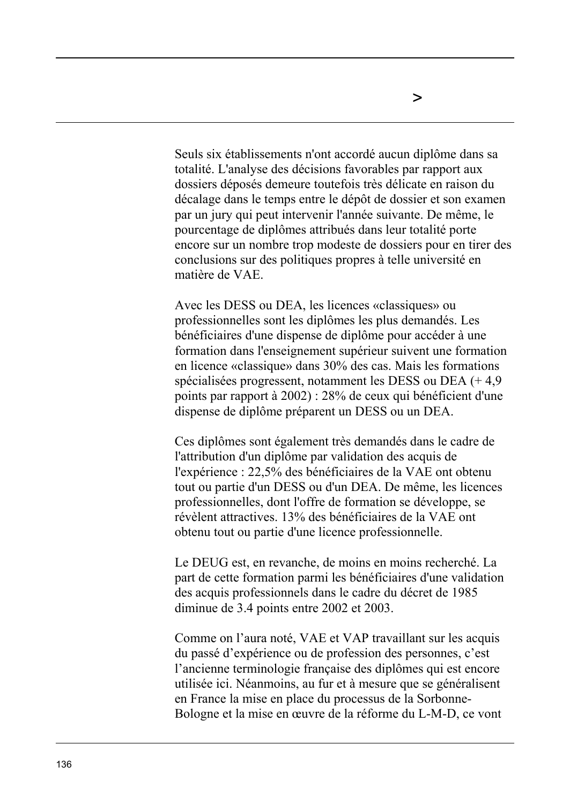Seuls six établissements n'ont accordé aucun diplôme dans sa totalité. L'analyse des décisions favorables par rapport aux dossiers déposés demeure toutefois très délicate en raison du décalage dans le temps entre le dépôt de dossier et son examen par un jury qui peut intervenir l'année suivante. De même, le pourcentage de diplômes attribués dans leur totalité porte encore sur un nombre trop modeste de dossiers pour en tirer des conclusions sur des politiques propres à telle université en matière de VAE.

>

Avec les DESS ou DEA, les licences «classiques» ou professionnelles sont les diplômes les plus demandés. Les bénéficiaires d'une dispense de diplôme pour accéder à une formation dans l'enseignement supérieur suivent une formation en licence «classique» dans 30% des cas. Mais les formations spécialisées progressent, notamment les DESS ou DEA (+ 4,9 points par rapport à 2002) : 28% de ceux qui bénéficient d'une dispense de diplôme préparent un DESS ou un DEA.

Ces diplômes sont également très demandés dans le cadre de l'attribution d'un diplôme par validation des acquis de l'expérience : 22,5% des bénéficiaires de la VAE ont obtenu tout ou partie d'un DESS ou d'un DEA. De même, les licences professionnelles, dont l'offre de formation se développe, se révèlent attractives. 13% des bénéficiaires de la VAE ont obtenu tout ou partie d'une licence professionnelle.

Le DEUG est, en revanche, de moins en moins recherché. La part de cette formation parmi les bénéficiaires d'une validation des acquis professionnels dans le cadre du décret de 1985 diminue de 3.4 points entre 2002 et 2003.

Comme on l'aura noté, VAE et VAP travaillant sur les acquis du passé d'expérience ou de profession des personnes, c'est l'ancienne terminologie française des diplômes qui est encore utilisée ici. Néanmoins, au fur et à mesure que se généralisent en France la mise en place du processus de la Sorbonne-Bologne et la mise en œuvre de la réforme du L-M-D, ce vont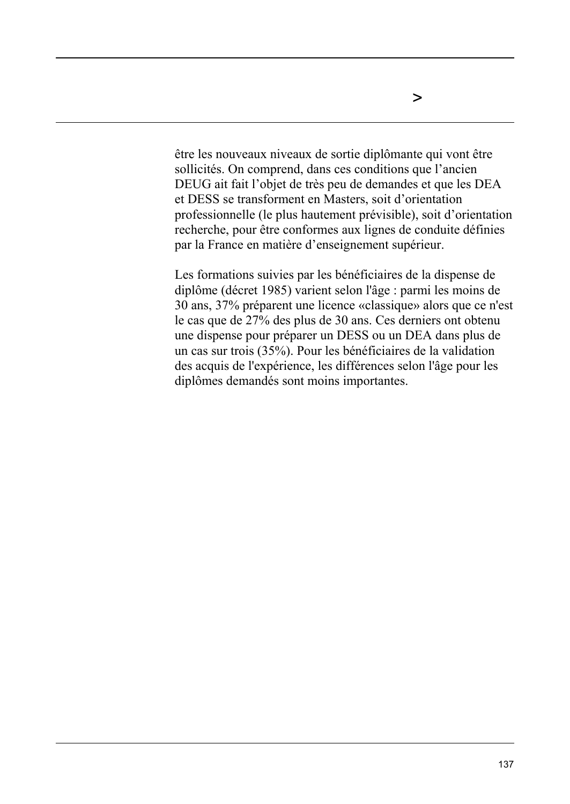être les nouveaux niveaux de sortie diplômante qui vont être sollicités. On comprend, dans ces conditions que l'ancien DEUG ait fait l'objet de très peu de demandes et que les DEA et DESS se transforment en Masters, soit d'orientation professionnelle (le plus hautement prévisible), soit d'orientation recherche, pour être conformes aux lignes de conduite définies par la France en matière d'enseignement supérieur.

Les formations suivies par les bénéficiaires de la dispense de diplôme (décret 1985) varient selon l'âge : parmi les moins de 30 ans, 37% préparent une licence «classique» alors que ce n'est le cas que de 27% des plus de 30 ans. Ces derniers ont obtenu une dispense pour préparer un DESS ou un DEA dans plus de un cas sur trois (35%). Pour les bénéficiaires de la validation des acquis de l'expérience, les différences selon l'âge pour les diplômes demandés sont moins importantes.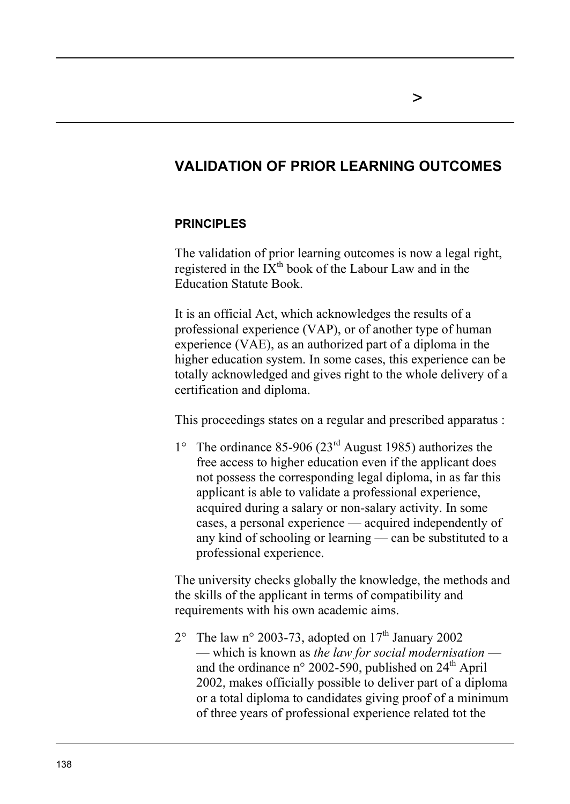# **VALIDATION OF PRIOR LEARNING OUTCOMES**

#### **PRINCIPLES**

The validation of prior learning outcomes is now a legal right, registered in the  $I\tilde{X}^{th}$  book of the Labour Law and in the Education Statute Book.

It is an official Act, which acknowledges the results of a professional experience (VAP), or of another type of human experience (VAE), as an authorized part of a diploma in the higher education system. In some cases, this experience can be totally acknowledged and gives right to the whole delivery of a certification and diploma.

This proceedings states on a regular and prescribed apparatus :

1° The ordinance 85-906 (23 $^{rd}$  August 1985) authorizes the free access to higher education even if the applicant does not possess the corresponding legal diploma, in as far this applicant is able to validate a professional experience, acquired during a salary or non-salary activity. In some cases, a personal experience — acquired independently of any kind of schooling or learning — can be substituted to a professional experience.

The university checks globally the knowledge, the methods and the skills of the applicant in terms of compatibility and requirements with his own academic aims.

 $2^{\circ}$  The law n° 2003-73, adopted on 17<sup>th</sup> January 2002 — which is known as *the law for social modernisation* and the ordinance  $n^{\circ}$  2002-590, published on 24<sup>th</sup> April 2002, makes officially possible to deliver part of a diploma or a total diploma to candidates giving proof of a minimum of three years of professional experience related tot the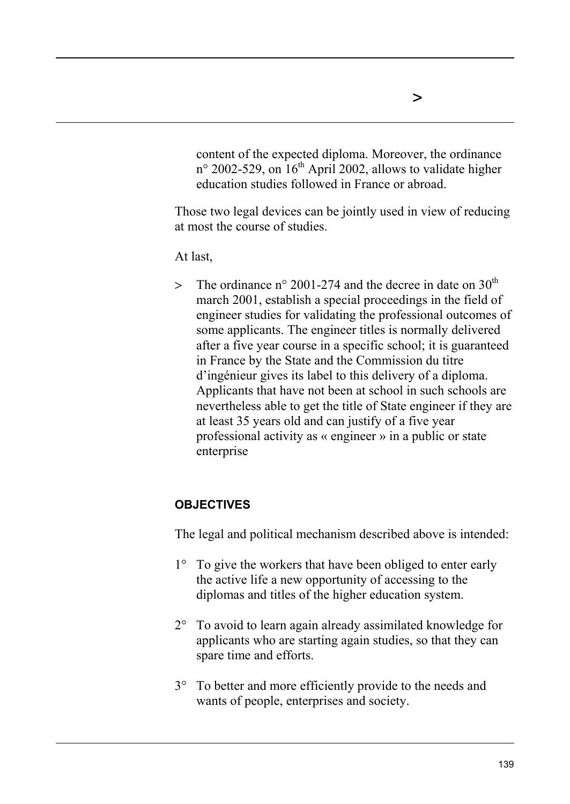content of the expected diploma. Moreover, the ordinance  $n^{\circ}$  2002-529, on  $16^{th}$  April 2002, allows to validate higher education studies followed in France or abroad.

Those two legal devices can be jointly used in view of reducing at most the course of studies.

At last,

> The ordinance n° 2001-274 and the decree in date on  $30<sup>th</sup>$ march 2001, establish a special proceedings in the field of engineer studies for validating the professional outcomes of some applicants. The engineer titles is normally delivered after a five year course in a specific school; it is guaranteed in France by the State and the Commission du titre d'ingénieur gives its label to this delivery of a diploma. Applicants that have not been at school in such schools are nevertheless able to get the title of State engineer if they are at least 35 years old and can justify of a five year professional activity as « engineer » in a public or state enterprise

# **OBJECTIVES**

The legal and political mechanism described above is intended:

- 1° To give the workers that have been obliged to enter early the active life a new opportunity of accessing to the diplomas and titles of the higher education system.
- 2° To avoid to learn again already assimilated knowledge for applicants who are starting again studies, so that they can spare time and efforts.
- 3° To better and more efficiently provide to the needs and wants of people, enterprises and society.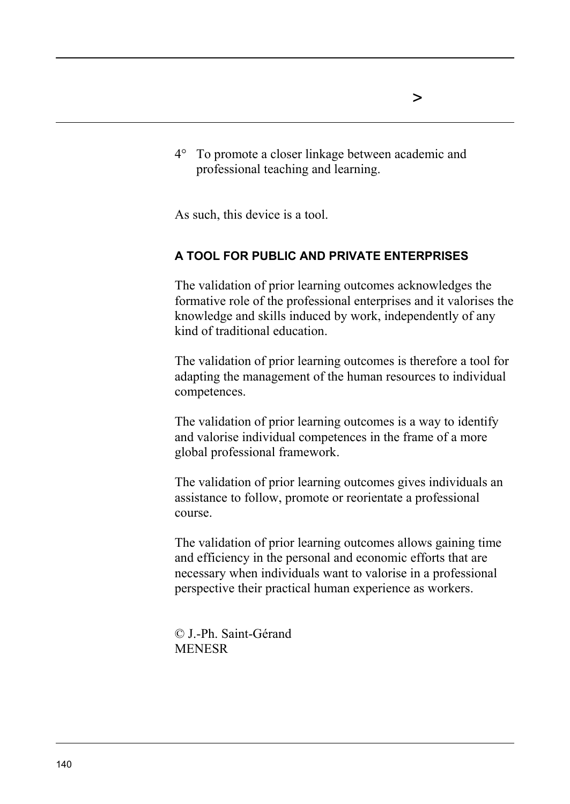4° To promote a closer linkage between academic and professional teaching and learning.

As such, this device is a tool.

## **A TOOL FOR PUBLIC AND PRIVATE ENTERPRISES**

The validation of prior learning outcomes acknowledges the formative role of the professional enterprises and it valorises the knowledge and skills induced by work, independently of any kind of traditional education.

The validation of prior learning outcomes is therefore a tool for adapting the management of the human resources to individual competences.

The validation of prior learning outcomes is a way to identify and valorise individual competences in the frame of a more global professional framework.

The validation of prior learning outcomes gives individuals an assistance to follow, promote or reorientate a professional course.

The validation of prior learning outcomes allows gaining time and efficiency in the personal and economic efforts that are necessary when individuals want to valorise in a professional perspective their practical human experience as workers.

© J.-Ph. Saint-Gérand **MENESR**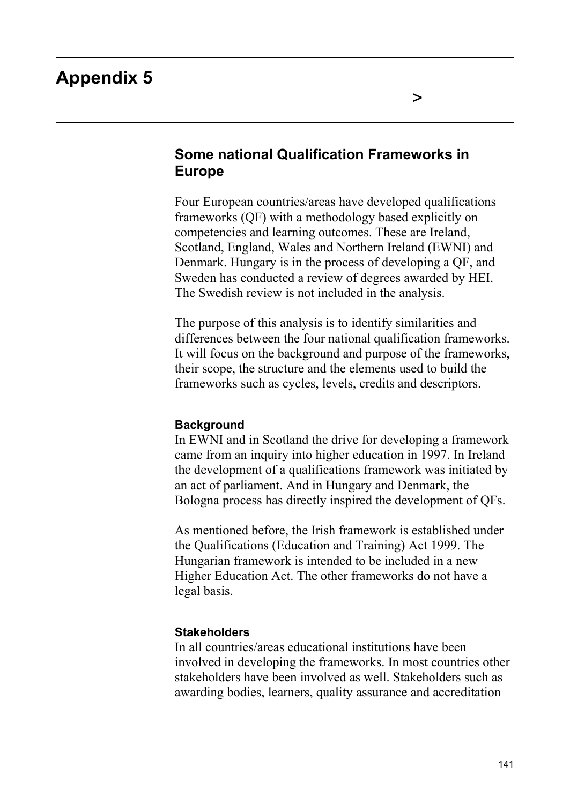# **Appendix 5**

# **Some national Qualification Frameworks in Europe**

Four European countries/areas have developed qualifications frameworks (QF) with a methodology based explicitly on competencies and learning outcomes. These are Ireland, Scotland, England, Wales and Northern Ireland (EWNI) and Denmark. Hungary is in the process of developing a QF, and Sweden has conducted a review of degrees awarded by HEI. The Swedish review is not included in the analysis.

The purpose of this analysis is to identify similarities and differences between the four national qualification frameworks. It will focus on the background and purpose of the frameworks, their scope, the structure and the elements used to build the frameworks such as cycles, levels, credits and descriptors.

#### **Background**

In EWNI and in Scotland the drive for developing a framework came from an inquiry into higher education in 1997. In Ireland the development of a qualifications framework was initiated by an act of parliament. And in Hungary and Denmark, the Bologna process has directly inspired the development of QFs.

As mentioned before, the Irish framework is established under the Qualifications (Education and Training) Act 1999. The Hungarian framework is intended to be included in a new Higher Education Act. The other frameworks do not have a legal basis.

#### **Stakeholders**

In all countries/areas educational institutions have been involved in developing the frameworks. In most countries other stakeholders have been involved as well. Stakeholders such as awarding bodies, learners, quality assurance and accreditation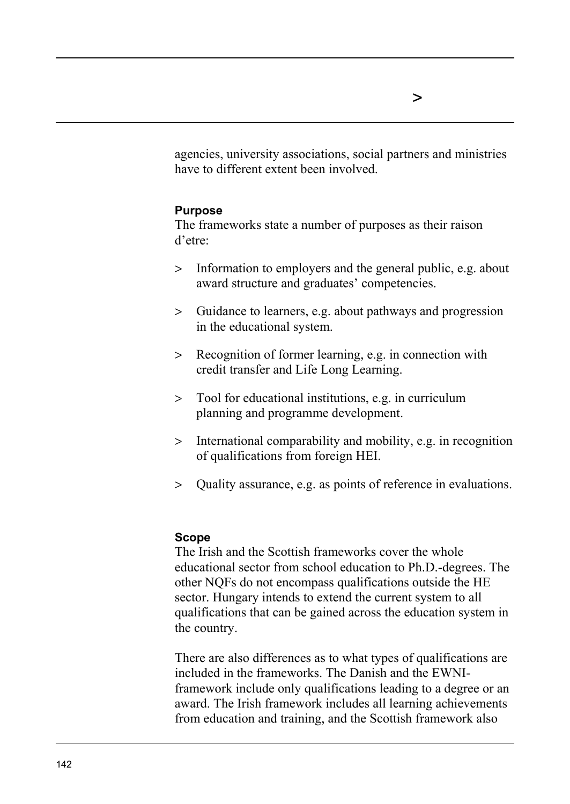agencies, university associations, social partners and ministries have to different extent been involved.

### **Purpose**

The frameworks state a number of purposes as their raison d'etre:

- > Information to employers and the general public, e.g. about award structure and graduates' competencies.
- > Guidance to learners, e.g. about pathways and progression in the educational system.
- > Recognition of former learning, e.g. in connection with credit transfer and Life Long Learning.
- > Tool for educational institutions, e.g. in curriculum planning and programme development.
- > International comparability and mobility, e.g. in recognition of qualifications from foreign HEI.
- > Quality assurance, e.g. as points of reference in evaluations.

### **Scope**

The Irish and the Scottish frameworks cover the whole educational sector from school education to Ph.D.-degrees. The other NQFs do not encompass qualifications outside the HE sector. Hungary intends to extend the current system to all qualifications that can be gained across the education system in the country.

There are also differences as to what types of qualifications are included in the frameworks. The Danish and the EWNIframework include only qualifications leading to a degree or an award. The Irish framework includes all learning achievements from education and training, and the Scottish framework also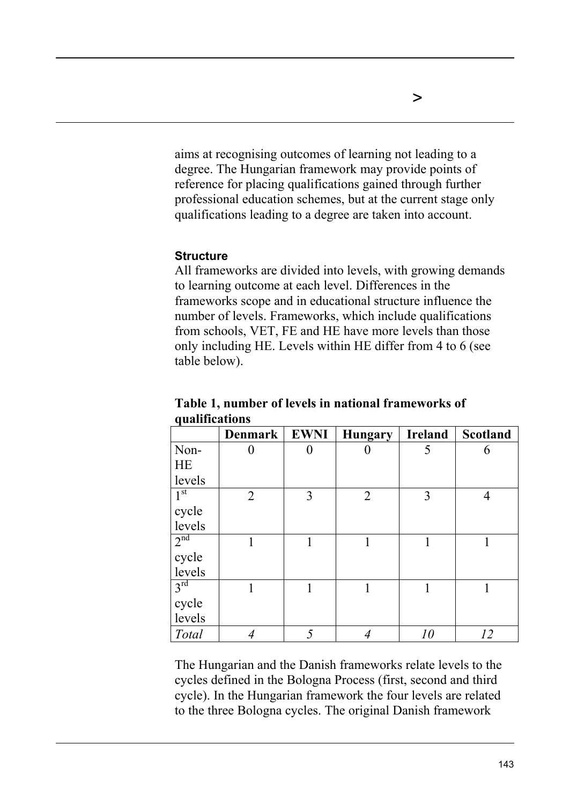aims at recognising outcomes of learning not leading to a degree. The Hungarian framework may provide points of reference for placing qualifications gained through further professional education schemes, but at the current stage only qualifications leading to a degree are taken into account.

### **Structure**

All frameworks are divided into levels, with growing demands to learning outcome at each level. Differences in the frameworks scope and in educational structure influence the number of levels. Frameworks, which include qualifications from schools, VET, FE and HE have more levels than those only including HE. Levels within HE differ from 4 to 6 (see table below).

|                                       | <b>Denmark</b> | <b>EWNI</b>    | Hungary        | <b>Ireland</b> | Scotland |
|---------------------------------------|----------------|----------------|----------------|----------------|----------|
| Non-                                  |                | 0              |                | 5              | 6        |
| HE                                    |                |                |                |                |          |
| levels                                |                |                |                |                |          |
| 1 <sup>st</sup>                       | 2              | 3              | $\overline{2}$ | 3              | 4        |
| cycle                                 |                |                |                |                |          |
| $\frac{\text{levels}}{2^{\text{nd}}}$ |                |                |                |                |          |
|                                       |                |                |                |                |          |
| cycle                                 |                |                |                |                |          |
| levels                                |                |                |                |                |          |
| 3 <sup>rd</sup>                       |                |                |                |                |          |
| cycle                                 |                |                |                |                |          |
| levels                                |                |                |                |                |          |
| Total                                 |                | $\overline{5}$ |                | 10             | 12       |

**Table 1, number of levels in national frameworks of qualifications** 

The Hungarian and the Danish frameworks relate levels to the cycles defined in the Bologna Process (first, second and third cycle). In the Hungarian framework the four levels are related to the three Bologna cycles. The original Danish framework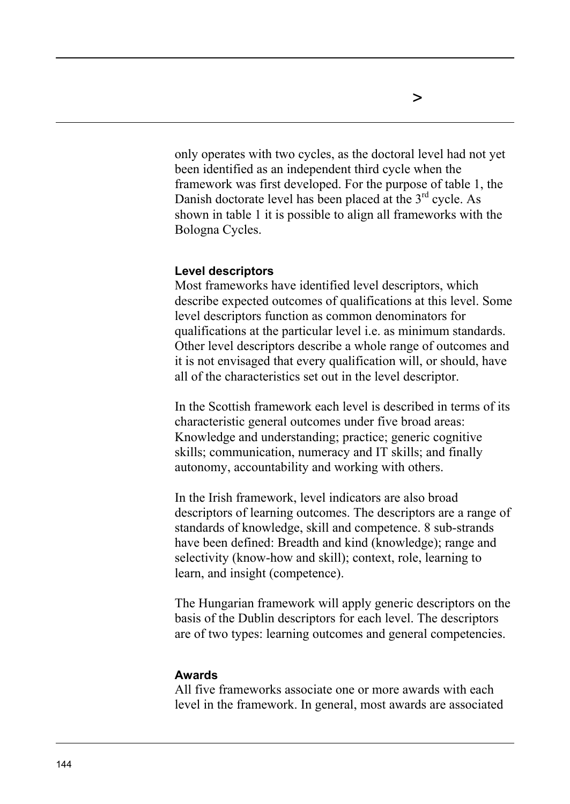only operates with two cycles, as the doctoral level had not yet been identified as an independent third cycle when the framework was first developed. For the purpose of table 1, the Danish doctorate level has been placed at the 3<sup>rd</sup> cycle. As shown in table 1 it is possible to align all frameworks with the Bologna Cycles.

### **Level descriptors**

Most frameworks have identified level descriptors, which describe expected outcomes of qualifications at this level. Some level descriptors function as common denominators for qualifications at the particular level i.e. as minimum standards. Other level descriptors describe a whole range of outcomes and it is not envisaged that every qualification will, or should, have all of the characteristics set out in the level descriptor.

In the Scottish framework each level is described in terms of its characteristic general outcomes under five broad areas: Knowledge and understanding; practice; generic cognitive skills; communication, numeracy and IT skills; and finally autonomy, accountability and working with others.

In the Irish framework, level indicators are also broad descriptors of learning outcomes. The descriptors are a range of standards of knowledge, skill and competence. 8 sub-strands have been defined: Breadth and kind (knowledge); range and selectivity (know-how and skill); context, role, learning to learn, and insight (competence).

The Hungarian framework will apply generic descriptors on the basis of the Dublin descriptors for each level. The descriptors are of two types: learning outcomes and general competencies.

#### **Awards**

All five frameworks associate one or more awards with each level in the framework. In general, most awards are associated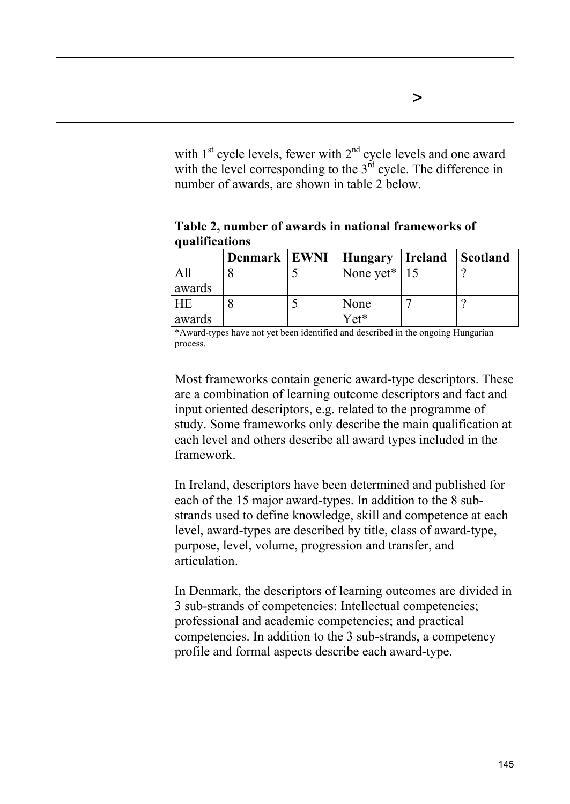with  $1<sup>st</sup>$  cycle levels, fewer with  $2<sup>nd</sup>$  cycle levels and one award with the level corresponding to the 3<sup>rd</sup> cycle. The difference in number of awards, are shown in table 2 below.

**Table 2, number of awards in national frameworks of qualifications** 

|        | Denmark   EWNI | Hungary         | <b>I</b> reland | <b>Scotland</b> |
|--------|----------------|-----------------|-----------------|-----------------|
|        |                | None yet* $ 15$ |                 |                 |
| awards |                |                 |                 |                 |
|        |                | None            |                 |                 |
| awards |                | $Yet*$          |                 |                 |

\*Award-types have not yet been identified and described in the ongoing Hungarian process.

Most frameworks contain generic award-type descriptors. These are a combination of learning outcome descriptors and fact and input oriented descriptors, e.g. related to the programme of study. Some frameworks only describe the main qualification at each level and others describe all award types included in the framework.

In Ireland, descriptors have been determined and published for each of the 15 major award-types. In addition to the 8 substrands used to define knowledge, skill and competence at each level, award-types are described by title, class of award-type, purpose, level, volume, progression and transfer, and articulation.

In Denmark, the descriptors of learning outcomes are divided in 3 sub-strands of competencies: Intellectual competencies; professional and academic competencies; and practical competencies. In addition to the 3 sub-strands, a competency profile and formal aspects describe each award-type.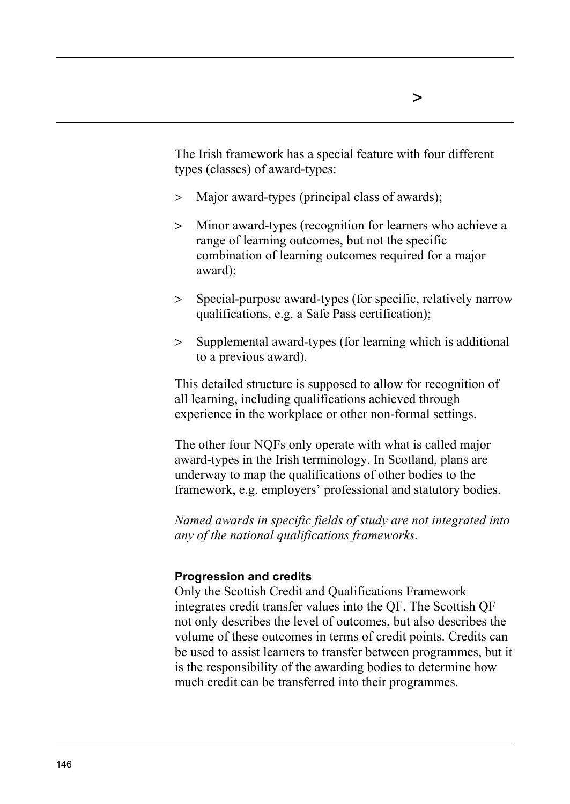The Irish framework has a special feature with four different types (classes) of award-types:

- > Major award-types (principal class of awards);
- > Minor award-types (recognition for learners who achieve a range of learning outcomes, but not the specific combination of learning outcomes required for a major award);
- > Special-purpose award-types (for specific, relatively narrow qualifications, e.g. a Safe Pass certification);
- > Supplemental award-types (for learning which is additional to a previous award).

This detailed structure is supposed to allow for recognition of all learning, including qualifications achieved through experience in the workplace or other non-formal settings.

The other four NQFs only operate with what is called major award-types in the Irish terminology. In Scotland, plans are underway to map the qualifications of other bodies to the framework, e.g. employers' professional and statutory bodies.

*Named awards in specific fields of study are not integrated into any of the national qualifications frameworks.* 

## **Progression and credits**

Only the Scottish Credit and Qualifications Framework integrates credit transfer values into the QF. The Scottish QF not only describes the level of outcomes, but also describes the volume of these outcomes in terms of credit points. Credits can be used to assist learners to transfer between programmes, but it is the responsibility of the awarding bodies to determine how much credit can be transferred into their programmes.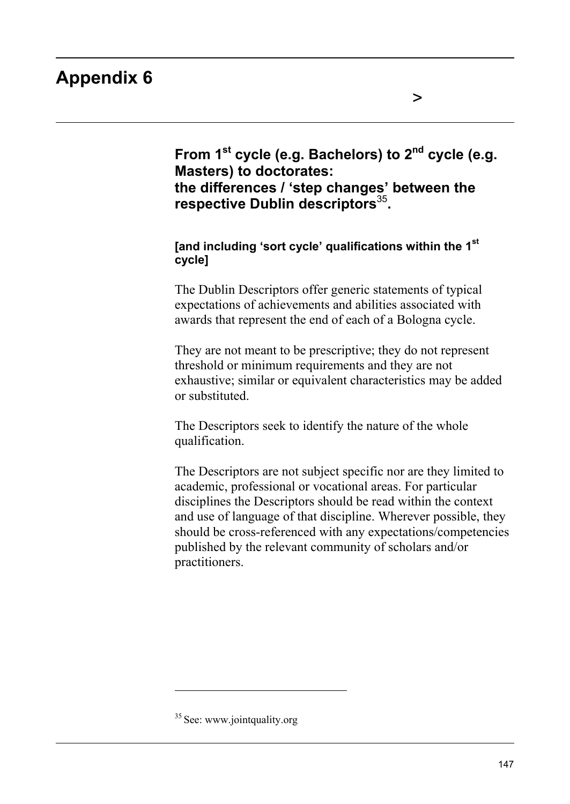# **Appendix 6**

**From 1st cycle (e.g. Bachelors) to 2nd cycle (e.g. Masters) to doctorates: the differences / 'step changes' between the respective Dublin descriptors**<sup>35</sup>**.** 

## **[and including 'sort cycle' qualifications within the 1st cycle]**

The Dublin Descriptors offer generic statements of typical expectations of achievements and abilities associated with awards that represent the end of each of a Bologna cycle.

They are not meant to be prescriptive; they do not represent threshold or minimum requirements and they are not exhaustive; similar or equivalent characteristics may be added or substituted.

The Descriptors seek to identify the nature of the whole qualification.

The Descriptors are not subject specific nor are they limited to academic, professional or vocational areas. For particular disciplines the Descriptors should be read within the context and use of language of that discipline. Wherever possible, they should be cross-referenced with any expectations/competencies published by the relevant community of scholars and/or practitioners.

<sup>&</sup>lt;sup>35</sup> See: www.jointquality.org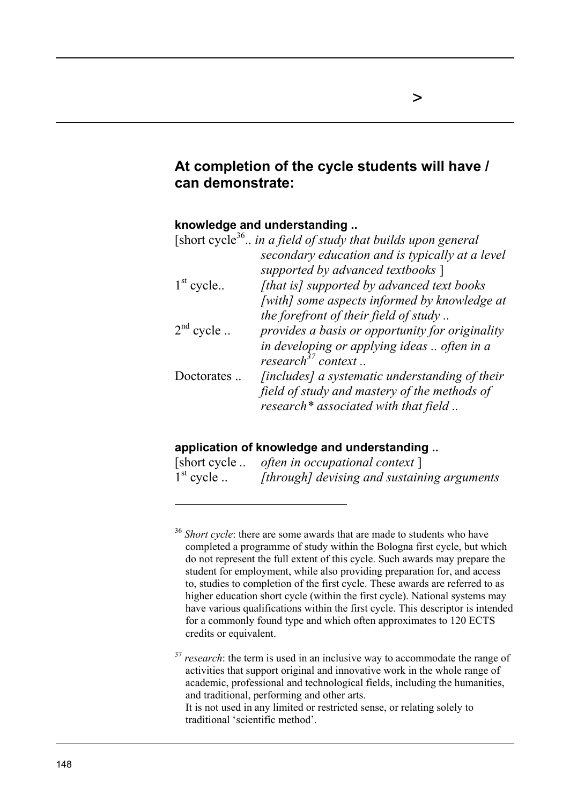# **At completion of the cycle students will have / can demonstrate:**

#### **knowledge and understanding ..**

|             | [short cycle <sup>36</sup> in a field of study that builds upon general |
|-------------|-------------------------------------------------------------------------|
|             | secondary education and is typically at a level                         |
|             | supported by advanced textbooks ]                                       |
| $1st$ cycle | [that is] supported by advanced text books                              |
|             | [with] some aspects informed by knowledge at                            |
|             | the forefront of their field of study                                   |
| $2nd$ cycle | provides a basis or opportunity for originality                         |
|             | in developing or applying ideas  often in a                             |
|             | research <sup>37</sup> context                                          |
| Doctorates  | [includes] a systematic understanding of their                          |
|             | field of study and mastery of the methods of                            |
|             | research* associated with that field                                    |

#### **application of knowledge and understanding ..**

 $\overline{a}$ 

[short cycle *.. often in occupational context* ] 1st cycle .. *[through] devising and sustaining arguments*

<sup>37</sup> *research*: the term is used in an inclusive way to accommodate the range of activities that support original and innovative work in the whole range of academic, professional and technological fields, including the humanities, and traditional, performing and other arts. It is not used in any limited or restricted sense, or relating solely to traditional 'scientific method'.

<sup>36</sup> *Short cycle*: there are some awards that are made to students who have completed a programme of study within the Bologna first cycle, but which do not represent the full extent of this cycle. Such awards may prepare the student for employment, while also providing preparation for, and access to, studies to completion of the first cycle. These awards are referred to as higher education short cycle (within the first cycle). National systems may have various qualifications within the first cycle. This descriptor is intended for a commonly found type and which often approximates to 120 ECTS credits or equivalent.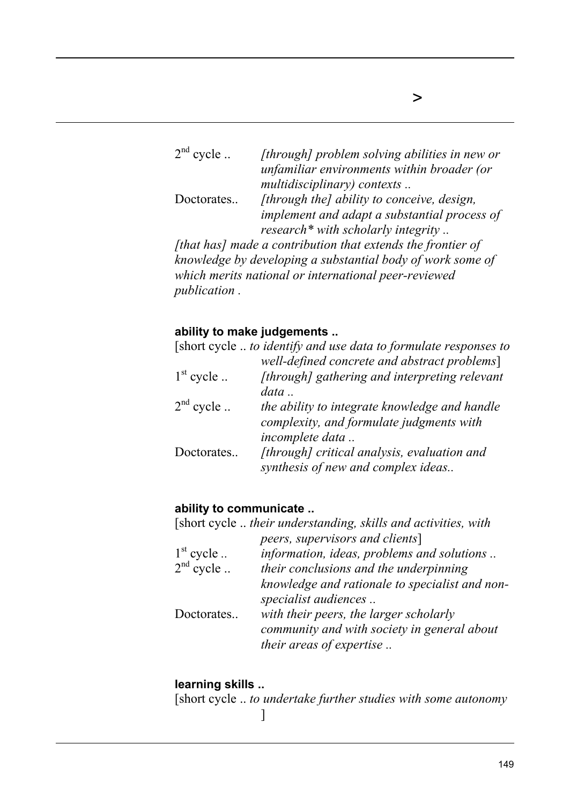2nd cycle .. *[through] problem solving abilities in new or unfamiliar environments within broader (or multidisciplinary) contexts ..* Doctorates.. *[through the] ability to conceive, design, implement and adapt a substantial process of research\* with scholarly integrity ..* 

*[that has] made a contribution that extends the frontier of knowledge by developing a substantial body of work some of which merits national or international peer-reviewed publication .*

## **ability to make judgements ..**

>

|             | [short cycle  to identify and use data to formulate responses to |
|-------------|------------------------------------------------------------------|
|             | well-defined concrete and abstract problems]                     |
| $1st$ cycle | [through] gathering and interpreting relevant                    |
|             | $data$                                                           |
| $2nd$ cycle | the ability to integrate knowledge and handle                    |
|             | complexity, and formulate judgments with                         |
|             | incomplete data                                                  |
| Doctorates  | [through] critical analysis, evaluation and                      |
|             | synthesis of new and complex ideas                               |

#### **ability to communicate ..**

| [short cycle  their understanding, skills and activities, with                                                    |
|-------------------------------------------------------------------------------------------------------------------|
| peers, supervisors and clients]                                                                                   |
| information, ideas, problems and solutions                                                                        |
| their conclusions and the underpinning                                                                            |
| knowledge and rationale to specialist and non-<br>specialist audiences                                            |
| with their peers, the larger scholarly<br>community and with society in general about<br>their areas of expertise |
|                                                                                                                   |

#### **learning skills ..**

[short cycle .. *to undertake further studies with some autonomy*  ]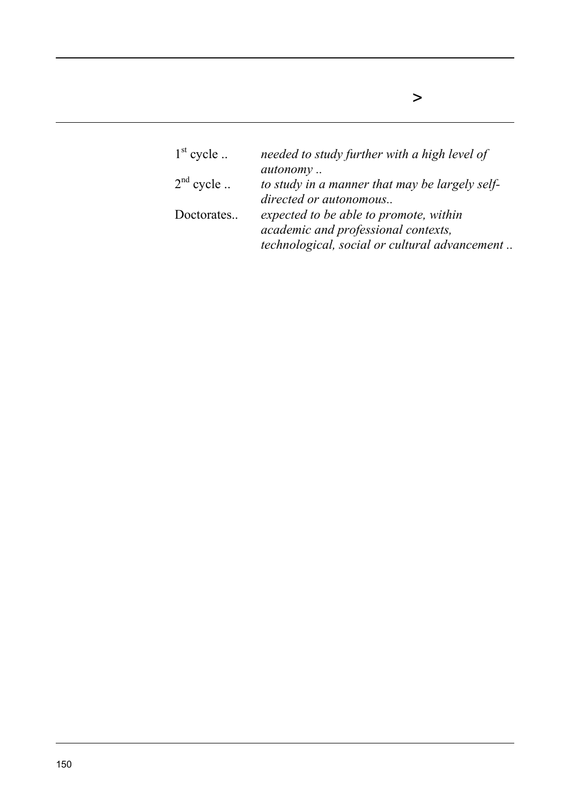| $1st$ cycle | needed to study further with a high level of               |
|-------------|------------------------------------------------------------|
| $2nd$ cycle | autonomy<br>to study in a manner that may be largely self- |
|             | directed or autonomous                                     |
| Doctorates  | expected to be able to promote, within                     |
|             | academic and professional contexts,                        |
|             | technological, social or cultural advancement              |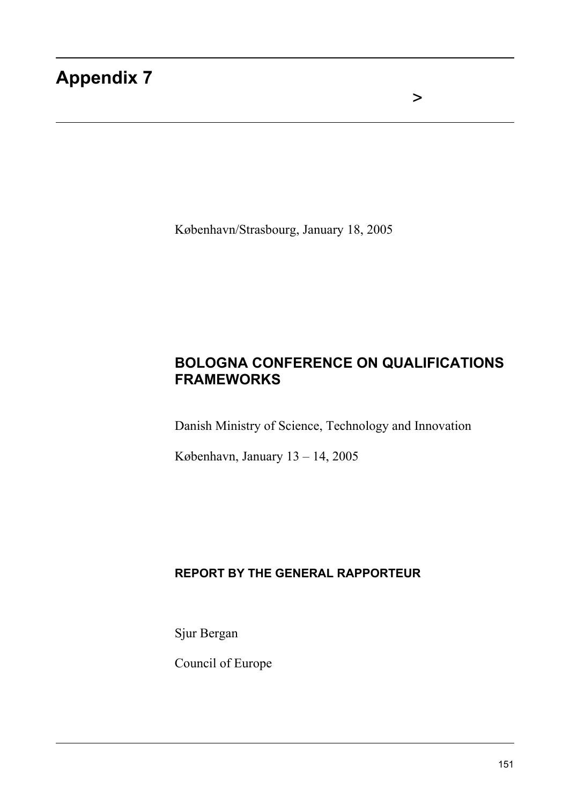København/Strasbourg, January 18, 2005

# **BOLOGNA CONFERENCE ON QUALIFICATIONS FRAMEWORKS**

Danish Ministry of Science, Technology and Innovation

København, January 13 – 14, 2005

## **REPORT BY THE GENERAL RAPPORTEUR**

Sjur Bergan

Council of Europe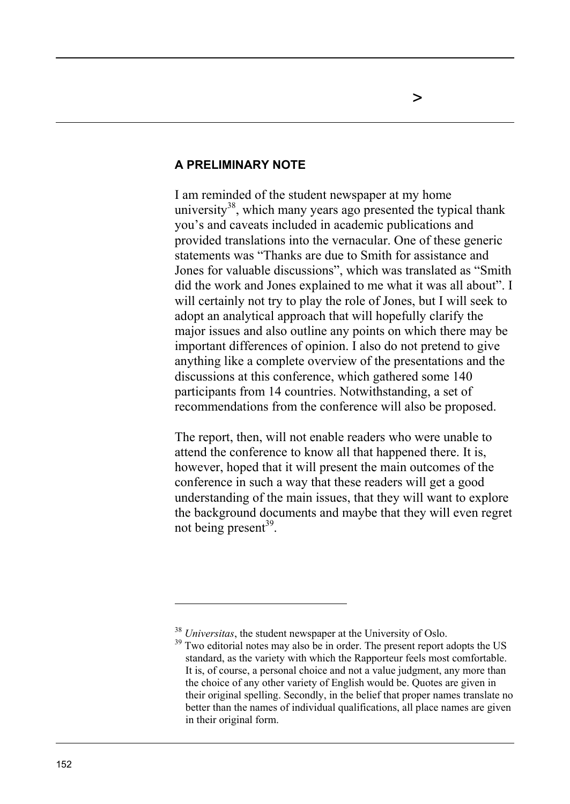# **A PRELIMINARY NOTE**

>

I am reminded of the student newspaper at my home university $38$ , which many years ago presented the typical thank you's and caveats included in academic publications and provided translations into the vernacular. One of these generic statements was "Thanks are due to Smith for assistance and Jones for valuable discussions", which was translated as "Smith did the work and Jones explained to me what it was all about". I will certainly not try to play the role of Jones, but I will seek to adopt an analytical approach that will hopefully clarify the major issues and also outline any points on which there may be important differences of opinion. I also do not pretend to give anything like a complete overview of the presentations and the discussions at this conference, which gathered some 140 participants from 14 countries. Notwithstanding, a set of recommendations from the conference will also be proposed.

The report, then, will not enable readers who were unable to attend the conference to know all that happened there. It is, however, hoped that it will present the main outcomes of the conference in such a way that these readers will get a good understanding of the main issues, that they will want to explore the background documents and maybe that they will even regret not being present $39$ .

<sup>&</sup>lt;sup>38</sup> *Universitas*, the student newspaper at the University of Oslo. <sup>39</sup> Two editorial notes may also be in order. The present report adopts the US standard, as the variety with which the Rapporteur feels most comfortable. It is, of course, a personal choice and not a value judgment, any more than the choice of any other variety of English would be. Quotes are given in their original spelling. Secondly, in the belief that proper names translate no better than the names of individual qualifications, all place names are given in their original form.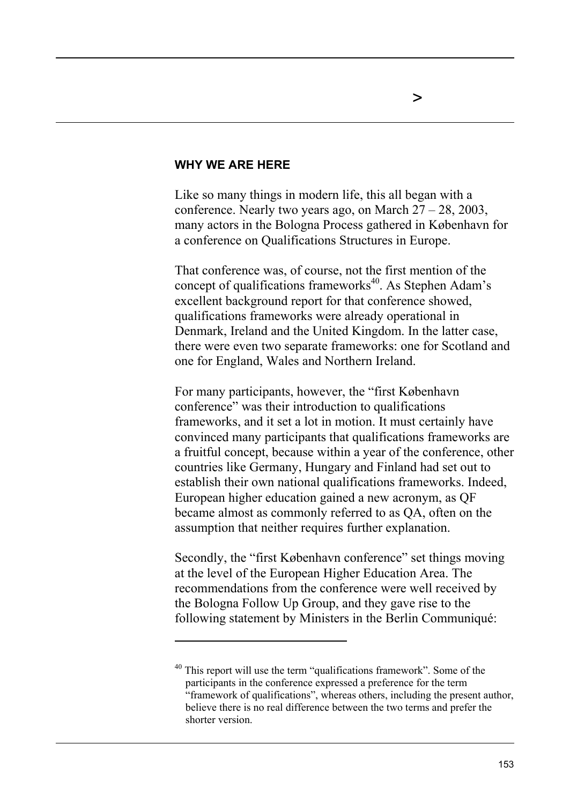#### **WHY WE ARE HERE**

 $\overline{a}$ 

Like so many things in modern life, this all began with a conference. Nearly two years ago, on March 27 – 28, 2003, many actors in the Bologna Process gathered in København for a conference on Qualifications Structures in Europe.

That conference was, of course, not the first mention of the concept of qualifications frameworks<sup>40</sup>. As Stephen Adam's excellent background report for that conference showed, qualifications frameworks were already operational in Denmark, Ireland and the United Kingdom. In the latter case, there were even two separate frameworks: one for Scotland and one for England, Wales and Northern Ireland.

For many participants, however, the "first København conference" was their introduction to qualifications frameworks, and it set a lot in motion. It must certainly have convinced many participants that qualifications frameworks are a fruitful concept, because within a year of the conference, other countries like Germany, Hungary and Finland had set out to establish their own national qualifications frameworks. Indeed, European higher education gained a new acronym, as QF became almost as commonly referred to as QA, often on the assumption that neither requires further explanation.

Secondly, the "first København conference" set things moving at the level of the European Higher Education Area. The recommendations from the conference were well received by the Bologna Follow Up Group, and they gave rise to the following statement by Ministers in the Berlin Communiqué:

 $40$  This report will use the term "qualifications framework". Some of the participants in the conference expressed a preference for the term "framework of qualifications", whereas others, including the present author, believe there is no real difference between the two terms and prefer the shorter version.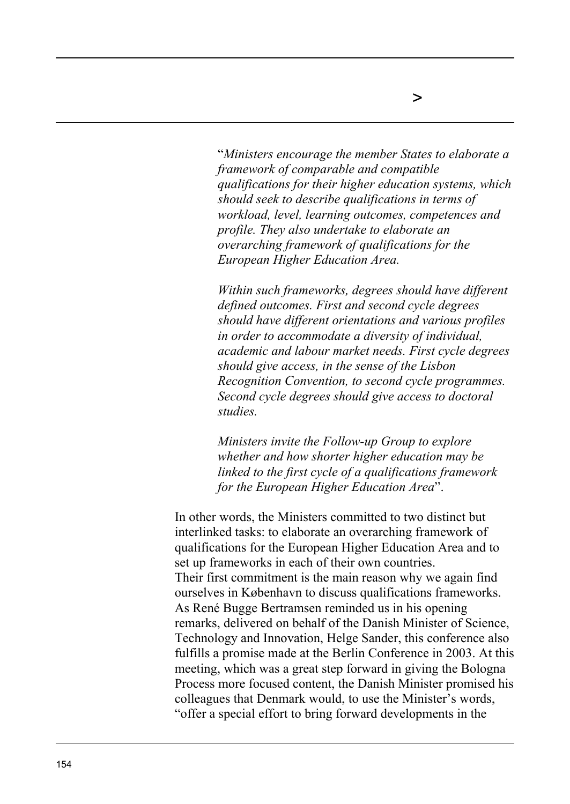"*Ministers encourage the member States to elaborate a framework of comparable and compatible qualifications for their higher education systems, which should seek to describe qualifications in terms of workload, level, learning outcomes, competences and profile. They also undertake to elaborate an overarching framework of qualifications for the European Higher Education Area.* 

*Within such frameworks, degrees should have different defined outcomes. First and second cycle degrees should have different orientations and various profiles in order to accommodate a diversity of individual, academic and labour market needs. First cycle degrees should give access, in the sense of the Lisbon Recognition Convention, to second cycle programmes. Second cycle degrees should give access to doctoral studies.* 

*Ministers invite the Follow-up Group to explore whether and how shorter higher education may be linked to the first cycle of a qualifications framework for the European Higher Education Area*".

In other words, the Ministers committed to two distinct but interlinked tasks: to elaborate an overarching framework of qualifications for the European Higher Education Area and to set up frameworks in each of their own countries. Their first commitment is the main reason why we again find ourselves in København to discuss qualifications frameworks. As René Bugge Bertramsen reminded us in his opening remarks, delivered on behalf of the Danish Minister of Science, Technology and Innovation, Helge Sander, this conference also fulfills a promise made at the Berlin Conference in 2003. At this meeting, which was a great step forward in giving the Bologna Process more focused content, the Danish Minister promised his colleagues that Denmark would, to use the Minister's words, "offer a special effort to bring forward developments in the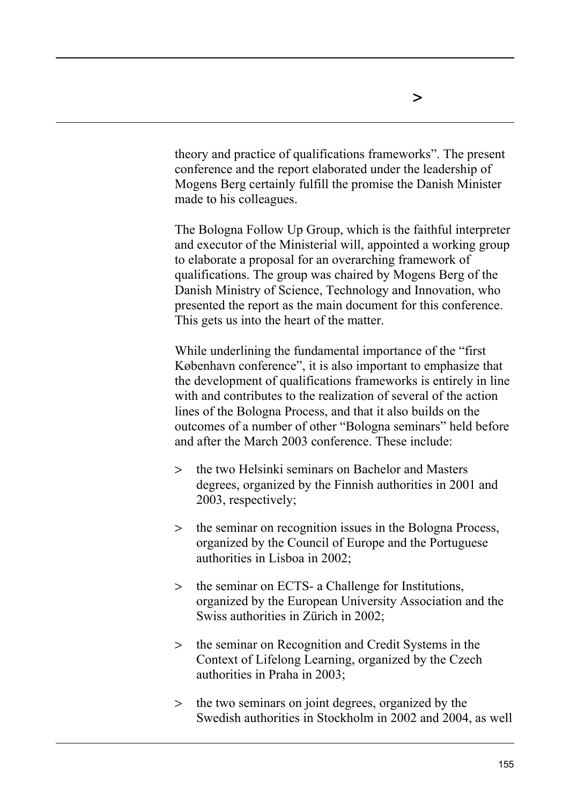theory and practice of qualifications frameworks". The present conference and the report elaborated under the leadership of Mogens Berg certainly fulfill the promise the Danish Minister made to his colleagues.

The Bologna Follow Up Group, which is the faithful interpreter and executor of the Ministerial will, appointed a working group to elaborate a proposal for an overarching framework of qualifications. The group was chaired by Mogens Berg of the Danish Ministry of Science, Technology and Innovation, who presented the report as the main document for this conference. This gets us into the heart of the matter.

While underlining the fundamental importance of the "first København conference", it is also important to emphasize that the development of qualifications frameworks is entirely in line with and contributes to the realization of several of the action lines of the Bologna Process, and that it also builds on the outcomes of a number of other "Bologna seminars" held before and after the March 2003 conference. These include:

- > the two Helsinki seminars on Bachelor and Masters degrees, organized by the Finnish authorities in 2001 and 2003, respectively;
- > the seminar on recognition issues in the Bologna Process, organized by the Council of Europe and the Portuguese authorities in Lisboa in 2002;
- > the seminar on ECTS- a Challenge for Institutions, organized by the European University Association and the Swiss authorities in Zürich in 2002;
- > the seminar on Recognition and Credit Systems in the Context of Lifelong Learning, organized by the Czech authorities in Praha in 2003;
- > the two seminars on joint degrees, organized by the Swedish authorities in Stockholm in 2002 and 2004, as well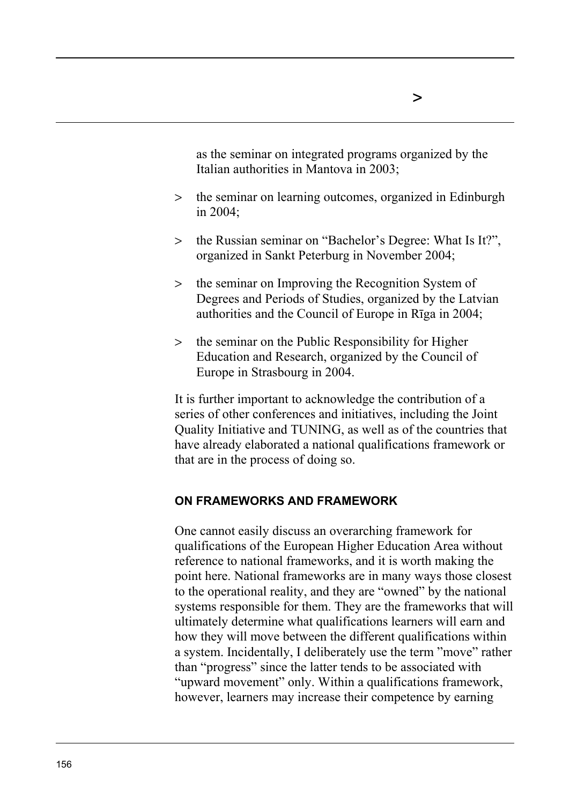as the seminar on integrated programs organized by the Italian authorities in Mantova in 2003;

- > the seminar on learning outcomes, organized in Edinburgh in 2004;
- > the Russian seminar on "Bachelor's Degree: What Is It?", organized in Sankt Peterburg in November 2004;
- > the seminar on Improving the Recognition System of Degrees and Periods of Studies, organized by the Latvian authorities and the Council of Europe in Rīga in 2004;
- > the seminar on the Public Responsibility for Higher Education and Research, organized by the Council of Europe in Strasbourg in 2004.

It is further important to acknowledge the contribution of a series of other conferences and initiatives, including the Joint Quality Initiative and TUNING, as well as of the countries that have already elaborated a national qualifications framework or that are in the process of doing so.

## **ON FRAMEWORKS AND FRAMEWORK**

One cannot easily discuss an overarching framework for qualifications of the European Higher Education Area without reference to national frameworks, and it is worth making the point here. National frameworks are in many ways those closest to the operational reality, and they are "owned" by the national systems responsible for them. They are the frameworks that will ultimately determine what qualifications learners will earn and how they will move between the different qualifications within a system. Incidentally, I deliberately use the term "move" rather than "progress" since the latter tends to be associated with "upward movement" only. Within a qualifications framework, however, learners may increase their competence by earning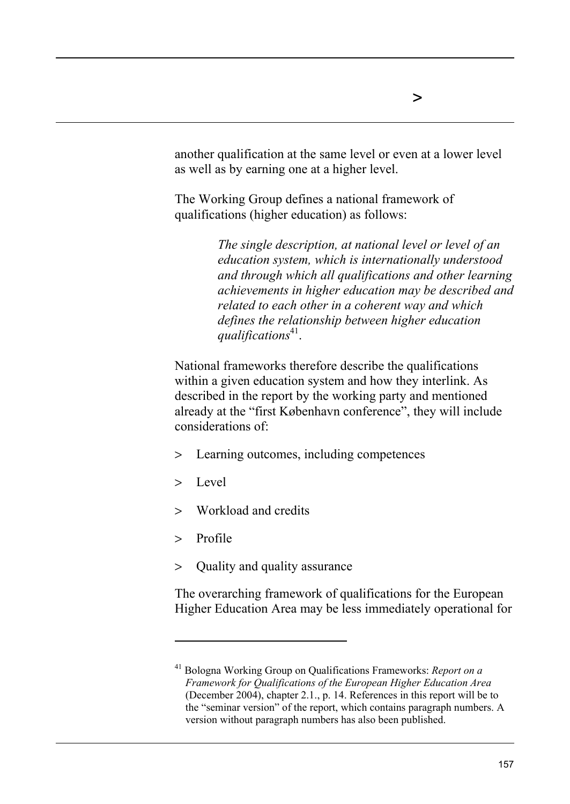another qualification at the same level or even at a lower level as well as by earning one at a higher level.

The Working Group defines a national framework of qualifications (higher education) as follows:

> *The single description, at national level or level of an education system, which is internationally understood and through which all qualifications and other learning achievements in higher education may be described and related to each other in a coherent way and which defines the relationship between higher education qualifications*<sup>41</sup>.

National frameworks therefore describe the qualifications within a given education system and how they interlink. As described in the report by the working party and mentioned already at the "first København conference", they will include considerations of:

- > Learning outcomes, including competences
- > Level
- > Workload and credits
- > Profile

 $\overline{a}$ 

> Quality and quality assurance

The overarching framework of qualifications for the European Higher Education Area may be less immediately operational for

<sup>41</sup> Bologna Working Group on Qualifications Frameworks: *Report on a Framework for Qualifications of the European Higher Education Area* (December 2004), chapter 2.1., p. 14. References in this report will be to the "seminar version" of the report, which contains paragraph numbers. A version without paragraph numbers has also been published.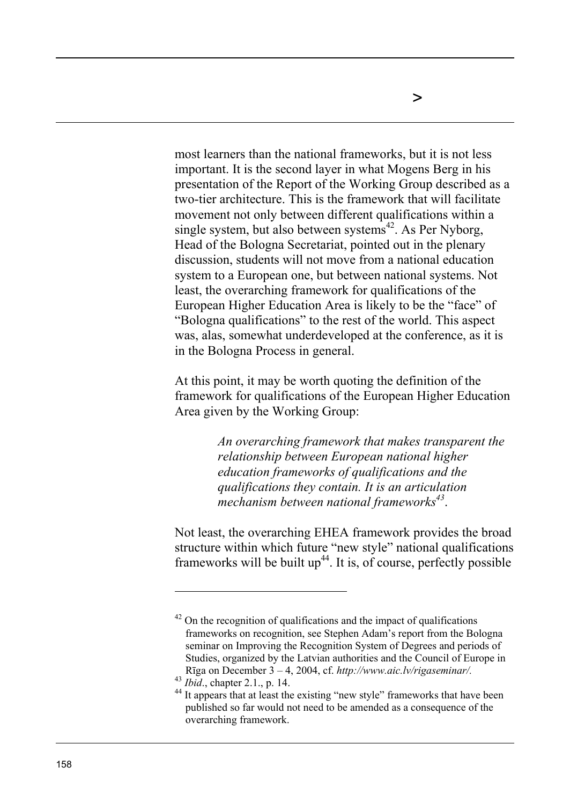most learners than the national frameworks, but it is not less important. It is the second layer in what Mogens Berg in his presentation of the Report of the Working Group described as a two-tier architecture. This is the framework that will facilitate movement not only between different qualifications within a single system, but also between systems<sup>42</sup>. As Per Nyborg, Head of the Bologna Secretariat, pointed out in the plenary discussion, students will not move from a national education system to a European one, but between national systems. Not least, the overarching framework for qualifications of the European Higher Education Area is likely to be the "face" of "Bologna qualifications" to the rest of the world. This aspect was, alas, somewhat underdeveloped at the conference, as it is in the Bologna Process in general.

At this point, it may be worth quoting the definition of the framework for qualifications of the European Higher Education Area given by the Working Group:

> *An overarching framework that makes transparent the relationship between European national higher education frameworks of qualifications and the qualifications they contain. It is an articulation mechanism between national frameworks43*.

Not least, the overarching EHEA framework provides the broad structure within which future "new style" national qualifications frameworks will be built up<sup>44</sup>. It is, of course, perfectly possible

 $42$  On the recognition of qualifications and the impact of qualifications frameworks on recognition, see Stephen Adam's report from the Bologna seminar on Improving the Recognition System of Degrees and periods of Studies, organized by the Latvian authorities and the Council of Europe in Rīga on December  $3 - 4$ , 2004, cf. *http://www.aic.lv/rigaseminar/*.

<sup>&</sup>lt;sup>43</sup> *Ibid.*, chapter 2.1., p. 14. <sup>44</sup> It appears that at least the existing "new style" frameworks that have been published so far would not need to be amended as a consequence of the overarching framework.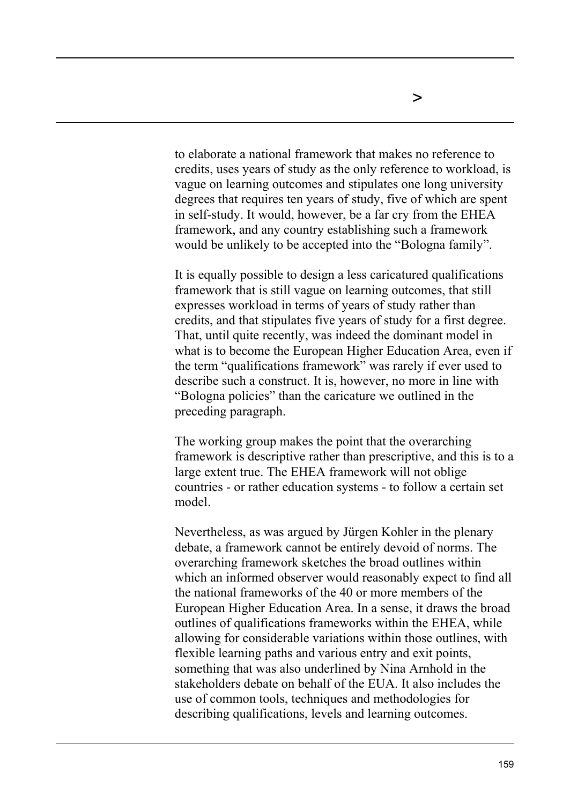to elaborate a national framework that makes no reference to credits, uses years of study as the only reference to workload, is vague on learning outcomes and stipulates one long university degrees that requires ten years of study, five of which are spent in self-study. It would, however, be a far cry from the EHEA framework, and any country establishing such a framework would be unlikely to be accepted into the "Bologna family".

It is equally possible to design a less caricatured qualifications framework that is still vague on learning outcomes, that still expresses workload in terms of years of study rather than credits, and that stipulates five years of study for a first degree. That, until quite recently, was indeed the dominant model in what is to become the European Higher Education Area, even if the term "qualifications framework" was rarely if ever used to describe such a construct. It is, however, no more in line with "Bologna policies" than the caricature we outlined in the preceding paragraph.

The working group makes the point that the overarching framework is descriptive rather than prescriptive, and this is to a large extent true. The EHEA framework will not oblige countries - or rather education systems - to follow a certain set model.

Nevertheless, as was argued by Jürgen Kohler in the plenary debate, a framework cannot be entirely devoid of norms. The overarching framework sketches the broad outlines within which an informed observer would reasonably expect to find all the national frameworks of the 40 or more members of the European Higher Education Area. In a sense, it draws the broad outlines of qualifications frameworks within the EHEA, while allowing for considerable variations within those outlines, with flexible learning paths and various entry and exit points, something that was also underlined by Nina Arnhold in the stakeholders debate on behalf of the EUA. It also includes the use of common tools, techniques and methodologies for describing qualifications, levels and learning outcomes.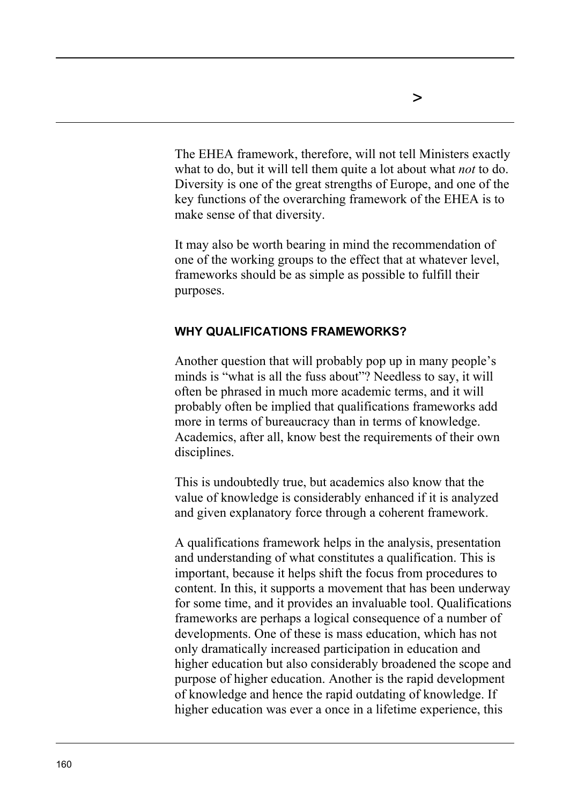The EHEA framework, therefore, will not tell Ministers exactly what to do, but it will tell them quite a lot about what *not* to do. Diversity is one of the great strengths of Europe, and one of the key functions of the overarching framework of the EHEA is to make sense of that diversity.

It may also be worth bearing in mind the recommendation of one of the working groups to the effect that at whatever level, frameworks should be as simple as possible to fulfill their purposes.

## **WHY QUALIFICATIONS FRAMEWORKS?**

Another question that will probably pop up in many people's minds is "what is all the fuss about"? Needless to say, it will often be phrased in much more academic terms, and it will probably often be implied that qualifications frameworks add more in terms of bureaucracy than in terms of knowledge. Academics, after all, know best the requirements of their own disciplines.

This is undoubtedly true, but academics also know that the value of knowledge is considerably enhanced if it is analyzed and given explanatory force through a coherent framework.

A qualifications framework helps in the analysis, presentation and understanding of what constitutes a qualification. This is important, because it helps shift the focus from procedures to content. In this, it supports a movement that has been underway for some time, and it provides an invaluable tool. Qualifications frameworks are perhaps a logical consequence of a number of developments. One of these is mass education, which has not only dramatically increased participation in education and higher education but also considerably broadened the scope and purpose of higher education. Another is the rapid development of knowledge and hence the rapid outdating of knowledge. If higher education was ever a once in a lifetime experience, this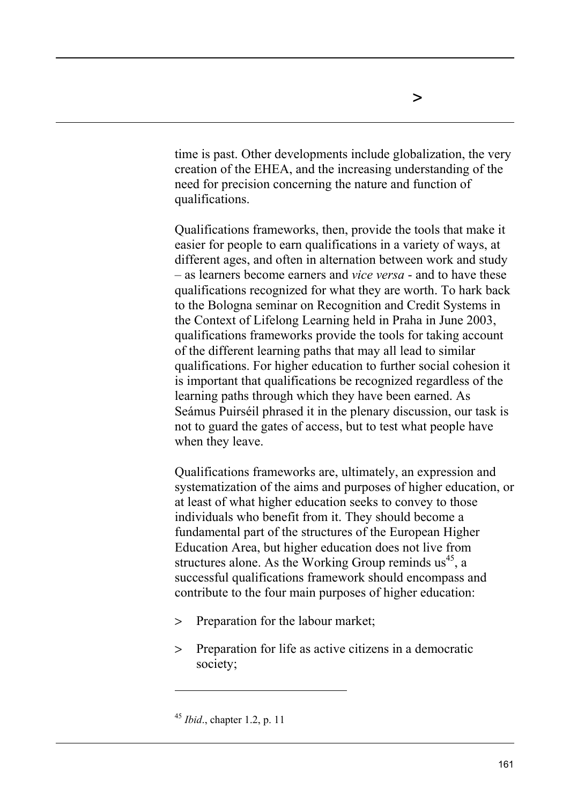time is past. Other developments include globalization, the very creation of the EHEA, and the increasing understanding of the need for precision concerning the nature and function of qualifications.

Qualifications frameworks, then, provide the tools that make it easier for people to earn qualifications in a variety of ways, at different ages, and often in alternation between work and study – as learners become earners and *vice versa* - and to have these qualifications recognized for what they are worth. To hark back to the Bologna seminar on Recognition and Credit Systems in the Context of Lifelong Learning held in Praha in June 2003, qualifications frameworks provide the tools for taking account of the different learning paths that may all lead to similar qualifications. For higher education to further social cohesion it is important that qualifications be recognized regardless of the learning paths through which they have been earned. As Seámus Puirséil phrased it in the plenary discussion, our task is not to guard the gates of access, but to test what people have when they leave.

Qualifications frameworks are, ultimately, an expression and systematization of the aims and purposes of higher education, or at least of what higher education seeks to convey to those individuals who benefit from it. They should become a fundamental part of the structures of the European Higher Education Area, but higher education does not live from structures alone. As the Working Group reminds  $us^{45}$ , a successful qualifications framework should encompass and contribute to the four main purposes of higher education:

- > Preparation for the labour market;
- > Preparation for life as active citizens in a democratic society;

<sup>45</sup> *Ibid*., chapter 1.2, p. 11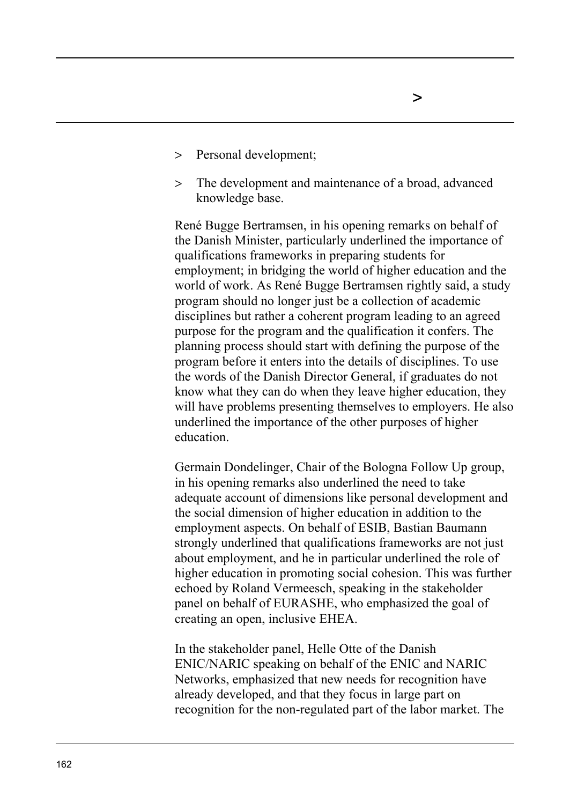- > Personal development;
- > The development and maintenance of a broad, advanced knowledge base.

René Bugge Bertramsen, in his opening remarks on behalf of the Danish Minister, particularly underlined the importance of qualifications frameworks in preparing students for employment; in bridging the world of higher education and the world of work. As René Bugge Bertramsen rightly said, a study program should no longer just be a collection of academic disciplines but rather a coherent program leading to an agreed purpose for the program and the qualification it confers. The planning process should start with defining the purpose of the program before it enters into the details of disciplines. To use the words of the Danish Director General, if graduates do not know what they can do when they leave higher education, they will have problems presenting themselves to employers. He also underlined the importance of the other purposes of higher education.

Germain Dondelinger, Chair of the Bologna Follow Up group, in his opening remarks also underlined the need to take adequate account of dimensions like personal development and the social dimension of higher education in addition to the employment aspects. On behalf of ESIB, Bastian Baumann strongly underlined that qualifications frameworks are not just about employment, and he in particular underlined the role of higher education in promoting social cohesion. This was further echoed by Roland Vermeesch, speaking in the stakeholder panel on behalf of EURASHE, who emphasized the goal of creating an open, inclusive EHEA.

In the stakeholder panel, Helle Otte of the Danish ENIC/NARIC speaking on behalf of the ENIC and NARIC Networks, emphasized that new needs for recognition have already developed, and that they focus in large part on recognition for the non-regulated part of the labor market. The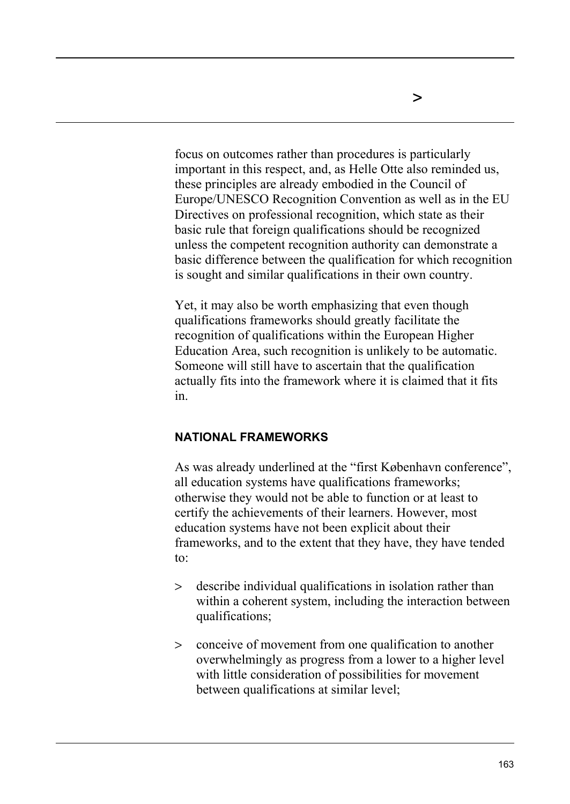focus on outcomes rather than procedures is particularly important in this respect, and, as Helle Otte also reminded us, these principles are already embodied in the Council of Europe/UNESCO Recognition Convention as well as in the EU Directives on professional recognition, which state as their basic rule that foreign qualifications should be recognized unless the competent recognition authority can demonstrate a basic difference between the qualification for which recognition is sought and similar qualifications in their own country.

Yet, it may also be worth emphasizing that even though qualifications frameworks should greatly facilitate the recognition of qualifications within the European Higher Education Area, such recognition is unlikely to be automatic. Someone will still have to ascertain that the qualification actually fits into the framework where it is claimed that it fits in.

## **NATIONAL FRAMEWORKS**

>

As was already underlined at the "first København conference", all education systems have qualifications frameworks; otherwise they would not be able to function or at least to certify the achievements of their learners. However, most education systems have not been explicit about their frameworks, and to the extent that they have, they have tended to:

- > describe individual qualifications in isolation rather than within a coherent system, including the interaction between qualifications;
- > conceive of movement from one qualification to another overwhelmingly as progress from a lower to a higher level with little consideration of possibilities for movement between qualifications at similar level;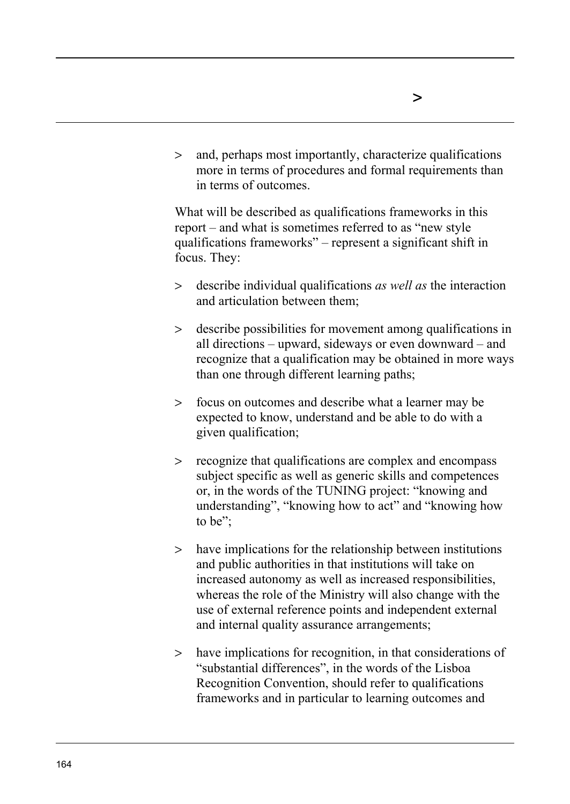> and, perhaps most importantly, characterize qualifications more in terms of procedures and formal requirements than in terms of outcomes.

What will be described as qualifications frameworks in this report – and what is sometimes referred to as "new style qualifications frameworks" – represent a significant shift in focus. They:

- > describe individual qualifications *as well as* the interaction and articulation between them;
- > describe possibilities for movement among qualifications in all directions – upward, sideways or even downward – and recognize that a qualification may be obtained in more ways than one through different learning paths;
- > focus on outcomes and describe what a learner may be expected to know, understand and be able to do with a given qualification;
- > recognize that qualifications are complex and encompass subject specific as well as generic skills and competences or, in the words of the TUNING project: "knowing and understanding", "knowing how to act" and "knowing how to be";
- > have implications for the relationship between institutions and public authorities in that institutions will take on increased autonomy as well as increased responsibilities, whereas the role of the Ministry will also change with the use of external reference points and independent external and internal quality assurance arrangements;
- > have implications for recognition, in that considerations of "substantial differences", in the words of the Lisboa Recognition Convention, should refer to qualifications frameworks and in particular to learning outcomes and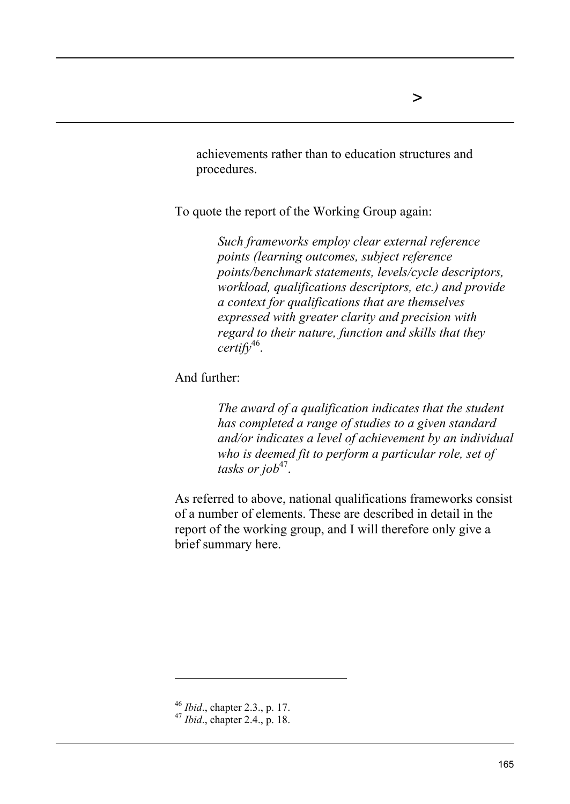achievements rather than to education structures and procedures.

To quote the report of the Working Group again:

*Such frameworks employ clear external reference points (learning outcomes, subject reference points/benchmark statements, levels/cycle descriptors, workload, qualifications descriptors, etc.) and provide a context for qualifications that are themselves expressed with greater clarity and precision with regard to their nature, function and skills that they certify*46.

And further:

*The award of a qualification indicates that the student has completed a range of studies to a given standard and/or indicates a level of achievement by an individual who is deemed fit to perform a particular role, set of*  tasks or *job*<sup>47</sup>.

As referred to above, national qualifications frameworks consist of a number of elements. These are described in detail in the report of the working group, and I will therefore only give a brief summary here.

<sup>46</sup> *Ibid*., chapter 2.3., p. 17. 47 *Ibid*., chapter 2.4., p. 18.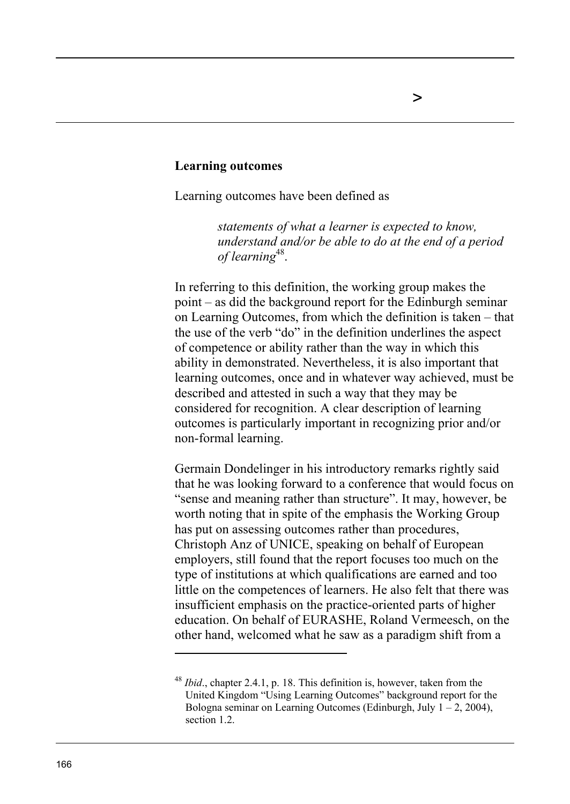#### **Learning outcomes**

>

Learning outcomes have been defined as

*statements of what a learner is expected to know, understand and/or be able to do at the end of a period of learning*48.

In referring to this definition, the working group makes the point – as did the background report for the Edinburgh seminar on Learning Outcomes, from which the definition is taken – that the use of the verb "do" in the definition underlines the aspect of competence or ability rather than the way in which this ability in demonstrated. Nevertheless, it is also important that learning outcomes, once and in whatever way achieved, must be described and attested in such a way that they may be considered for recognition. A clear description of learning outcomes is particularly important in recognizing prior and/or non-formal learning.

Germain Dondelinger in his introductory remarks rightly said that he was looking forward to a conference that would focus on "sense and meaning rather than structure". It may, however, be worth noting that in spite of the emphasis the Working Group has put on assessing outcomes rather than procedures, Christoph Anz of UNICE, speaking on behalf of European employers, still found that the report focuses too much on the type of institutions at which qualifications are earned and too little on the competences of learners. He also felt that there was insufficient emphasis on the practice-oriented parts of higher education. On behalf of EURASHE, Roland Vermeesch, on the other hand, welcomed what he saw as a paradigm shift from a

166

<sup>48</sup> *Ibid*., chapter 2.4.1, p. 18. This definition is, however, taken from the United Kingdom "Using Learning Outcomes" background report for the Bologna seminar on Learning Outcomes (Edinburgh, July  $1 - 2$ , 2004), section 1.2.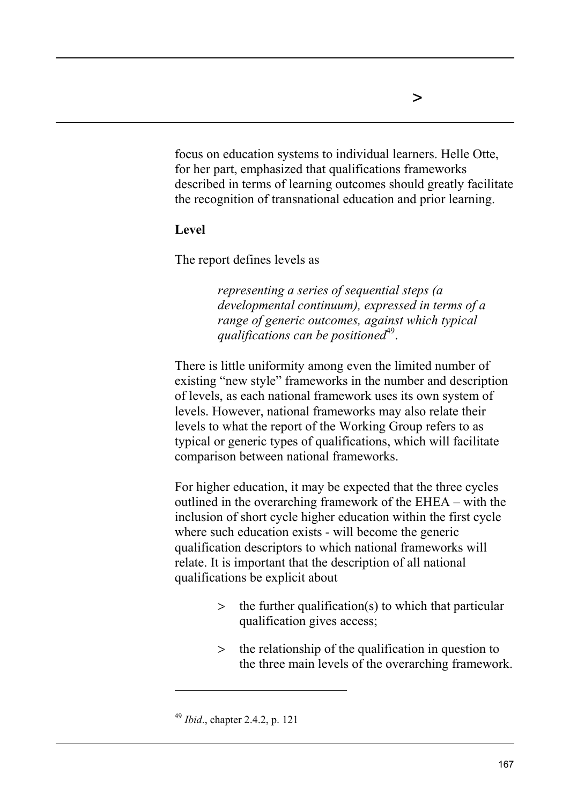focus on education systems to individual learners. Helle Otte, for her part, emphasized that qualifications frameworks described in terms of learning outcomes should greatly facilitate the recognition of transnational education and prior learning.

## **Level**

The report defines levels as

*representing a series of sequential steps (a developmental continuum), expressed in terms of a range of generic outcomes, against which typical qualifications can be positioned*<sup>49</sup>.

There is little uniformity among even the limited number of existing "new style" frameworks in the number and description of levels, as each national framework uses its own system of levels. However, national frameworks may also relate their levels to what the report of the Working Group refers to as typical or generic types of qualifications, which will facilitate comparison between national frameworks.

For higher education, it may be expected that the three cycles outlined in the overarching framework of the EHEA – with the inclusion of short cycle higher education within the first cycle where such education exists - will become the generic qualification descriptors to which national frameworks will relate. It is important that the description of all national qualifications be explicit about

- > the further qualification(s) to which that particular qualification gives access;
- > the relationship of the qualification in question to the three main levels of the overarching framework.

<sup>49</sup> *Ibid*., chapter 2.4.2, p. 121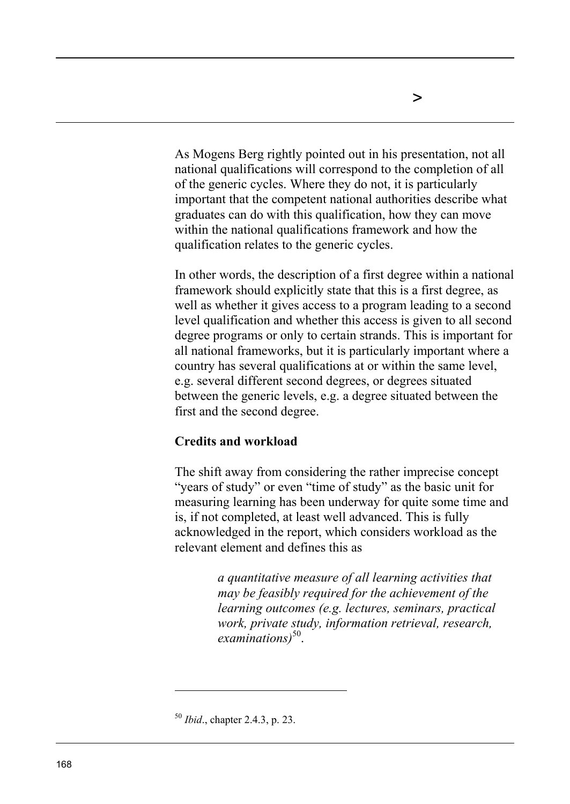As Mogens Berg rightly pointed out in his presentation, not all national qualifications will correspond to the completion of all of the generic cycles. Where they do not, it is particularly important that the competent national authorities describe what graduates can do with this qualification, how they can move within the national qualifications framework and how the qualification relates to the generic cycles.

In other words, the description of a first degree within a national framework should explicitly state that this is a first degree, as well as whether it gives access to a program leading to a second level qualification and whether this access is given to all second degree programs or only to certain strands. This is important for all national frameworks, but it is particularly important where a country has several qualifications at or within the same level, e.g. several different second degrees, or degrees situated between the generic levels, e.g. a degree situated between the first and the second degree.

## **Credits and workload**

The shift away from considering the rather imprecise concept "years of study" or even "time of study" as the basic unit for measuring learning has been underway for quite some time and is, if not completed, at least well advanced. This is fully acknowledged in the report, which considers workload as the relevant element and defines this as

> *a quantitative measure of all learning activities that may be feasibly required for the achievement of the learning outcomes (e.g. lectures, seminars, practical work, private study, information retrieval, research, examinations)*50.

<sup>50</sup> *Ibid*., chapter 2.4.3, p. 23.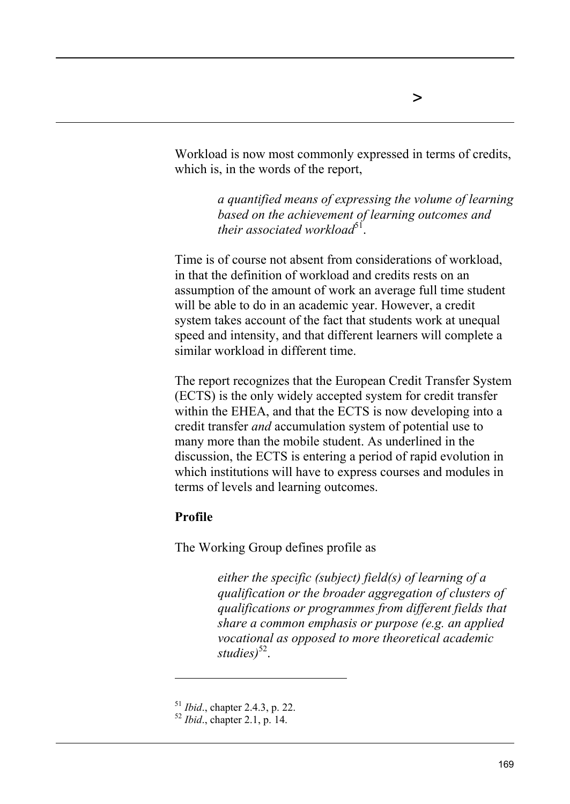Workload is now most commonly expressed in terms of credits, which is, in the words of the report,

> *a quantified means of expressing the volume of learning based on the achievement of learning outcomes and their associated workload*<sup>51</sup>.

Time is of course not absent from considerations of workload, in that the definition of workload and credits rests on an assumption of the amount of work an average full time student will be able to do in an academic year. However, a credit system takes account of the fact that students work at unequal speed and intensity, and that different learners will complete a similar workload in different time.

The report recognizes that the European Credit Transfer System (ECTS) is the only widely accepted system for credit transfer within the EHEA, and that the ECTS is now developing into a credit transfer *and* accumulation system of potential use to many more than the mobile student. As underlined in the discussion, the ECTS is entering a period of rapid evolution in which institutions will have to express courses and modules in terms of levels and learning outcomes.

## **Profile**

 $\overline{a}$ 

The Working Group defines profile as

*either the specific (subject) field(s) of learning of a qualification or the broader aggregation of clusters of qualifications or programmes from different fields that share a common emphasis or purpose (e.g. an applied vocational as opposed to more theoretical academic studies)*52.

<sup>51</sup> *Ibid*., chapter 2.4.3, p. 22. 52 *Ibid*., chapter 2.1, p. 14.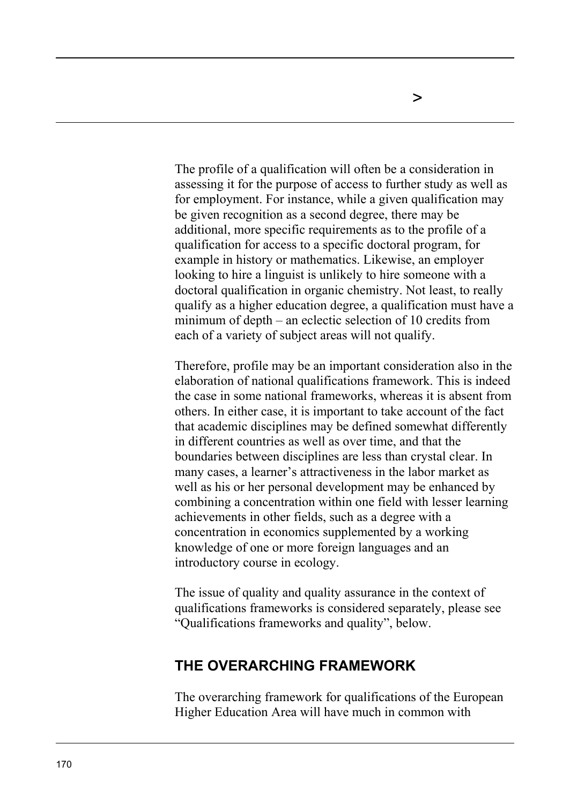The profile of a qualification will often be a consideration in assessing it for the purpose of access to further study as well as for employment. For instance, while a given qualification may be given recognition as a second degree, there may be additional, more specific requirements as to the profile of a qualification for access to a specific doctoral program, for example in history or mathematics. Likewise, an employer looking to hire a linguist is unlikely to hire someone with a doctoral qualification in organic chemistry. Not least, to really qualify as a higher education degree, a qualification must have a minimum of depth – an eclectic selection of 10 credits from each of a variety of subject areas will not qualify.

>

Therefore, profile may be an important consideration also in the elaboration of national qualifications framework. This is indeed the case in some national frameworks, whereas it is absent from others. In either case, it is important to take account of the fact that academic disciplines may be defined somewhat differently in different countries as well as over time, and that the boundaries between disciplines are less than crystal clear. In many cases, a learner's attractiveness in the labor market as well as his or her personal development may be enhanced by combining a concentration within one field with lesser learning achievements in other fields, such as a degree with a concentration in economics supplemented by a working knowledge of one or more foreign languages and an introductory course in ecology.

The issue of quality and quality assurance in the context of qualifications frameworks is considered separately, please see "Qualifications frameworks and quality", below.

## **THE OVERARCHING FRAMEWORK**

The overarching framework for qualifications of the European Higher Education Area will have much in common with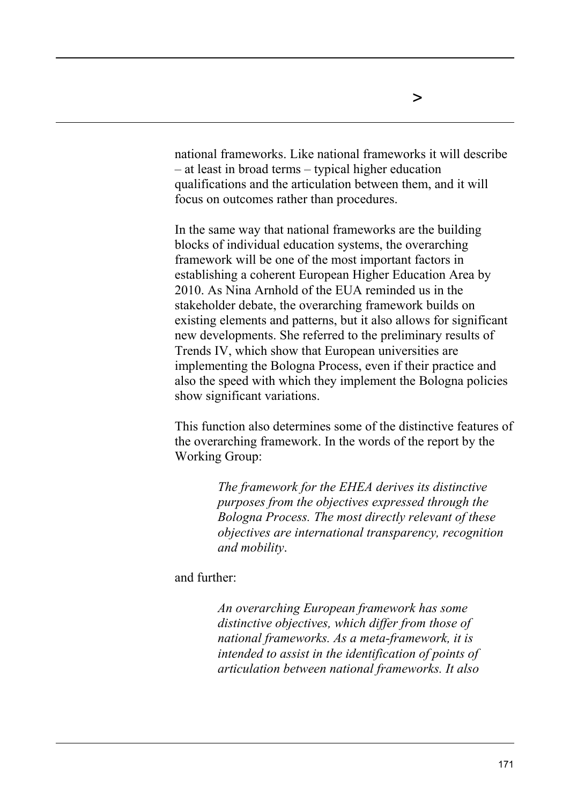national frameworks. Like national frameworks it will describe – at least in broad terms – typical higher education qualifications and the articulation between them, and it will focus on outcomes rather than procedures.

In the same way that national frameworks are the building blocks of individual education systems, the overarching framework will be one of the most important factors in establishing a coherent European Higher Education Area by 2010. As Nina Arnhold of the EUA reminded us in the stakeholder debate, the overarching framework builds on existing elements and patterns, but it also allows for significant new developments. She referred to the preliminary results of Trends IV, which show that European universities are implementing the Bologna Process, even if their practice and also the speed with which they implement the Bologna policies show significant variations.

This function also determines some of the distinctive features of the overarching framework. In the words of the report by the Working Group:

> *The framework for the EHEA derives its distinctive purposes from the objectives expressed through the Bologna Process. The most directly relevant of these objectives are international transparency, recognition and mobility*.

and further:

*An overarching European framework has some distinctive objectives, which differ from those of national frameworks. As a meta-framework, it is intended to assist in the identification of points of articulation between national frameworks. It also*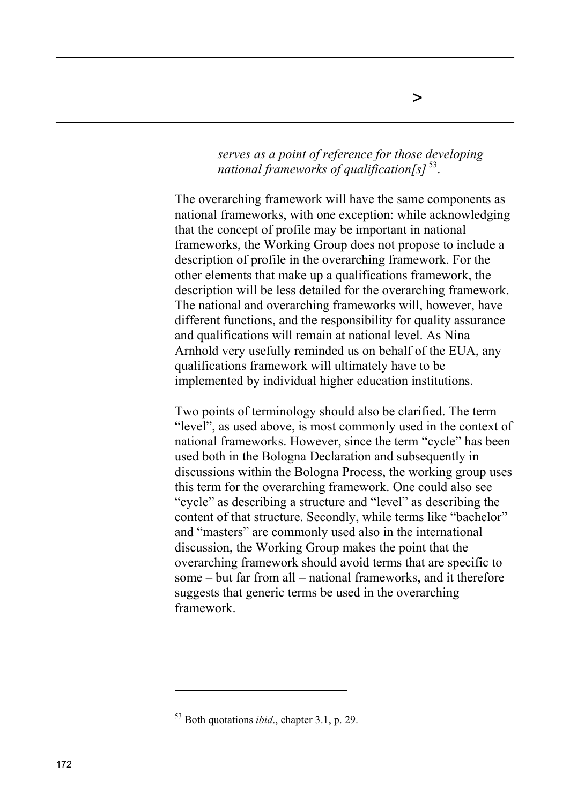*serves as a point of reference for those developing national frameworks of qualification[s]* 53.

The overarching framework will have the same components as national frameworks, with one exception: while acknowledging that the concept of profile may be important in national frameworks, the Working Group does not propose to include a description of profile in the overarching framework. For the other elements that make up a qualifications framework, the description will be less detailed for the overarching framework. The national and overarching frameworks will, however, have different functions, and the responsibility for quality assurance and qualifications will remain at national level. As Nina Arnhold very usefully reminded us on behalf of the EUA, any qualifications framework will ultimately have to be implemented by individual higher education institutions.

Two points of terminology should also be clarified. The term "level", as used above, is most commonly used in the context of national frameworks. However, since the term "cycle" has been used both in the Bologna Declaration and subsequently in discussions within the Bologna Process, the working group uses this term for the overarching framework. One could also see "cycle" as describing a structure and "level" as describing the content of that structure. Secondly, while terms like "bachelor" and "masters" are commonly used also in the international discussion, the Working Group makes the point that the overarching framework should avoid terms that are specific to some – but far from all – national frameworks, and it therefore suggests that generic terms be used in the overarching framework.

<sup>53</sup> Both quotations *ibid*., chapter 3.1, p. 29.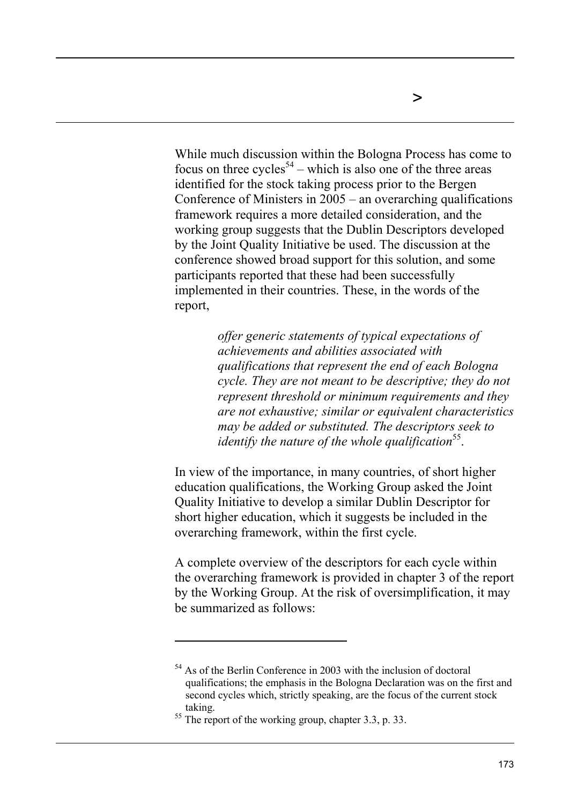While much discussion within the Bologna Process has come to focus on three cycles<sup>54</sup> – which is also one of the three areas identified for the stock taking process prior to the Bergen Conference of Ministers in 2005 – an overarching qualifications framework requires a more detailed consideration, and the working group suggests that the Dublin Descriptors developed by the Joint Quality Initiative be used. The discussion at the conference showed broad support for this solution, and some participants reported that these had been successfully implemented in their countries. These, in the words of the report,

> *offer generic statements of typical expectations of achievements and abilities associated with qualifications that represent the end of each Bologna cycle. They are not meant to be descriptive; they do not represent threshold or minimum requirements and they are not exhaustive; similar or equivalent characteristics may be added or substituted. The descriptors seek to identify the nature of the whole qualification*<sup>55</sup>.

In view of the importance, in many countries, of short higher education qualifications, the Working Group asked the Joint Quality Initiative to develop a similar Dublin Descriptor for short higher education, which it suggests be included in the overarching framework, within the first cycle.

A complete overview of the descriptors for each cycle within the overarching framework is provided in chapter 3 of the report by the Working Group. At the risk of oversimplification, it may be summarized as follows:

 $54$  As of the Berlin Conference in 2003 with the inclusion of doctoral qualifications; the emphasis in the Bologna Declaration was on the first and second cycles which, strictly speaking, are the focus of the current stock taking.<br><sup>55</sup> The report of the working group, chapter 3.3, p. 33.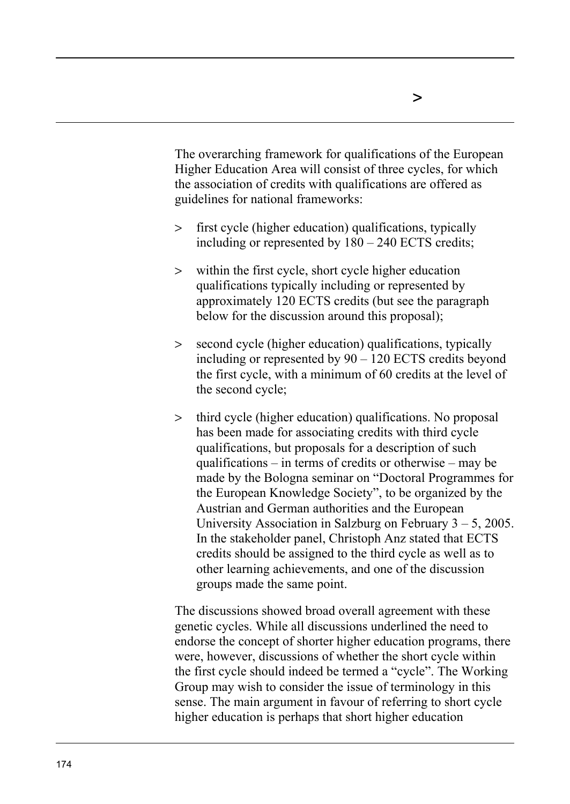The overarching framework for qualifications of the European Higher Education Area will consist of three cycles, for which the association of credits with qualifications are offered as guidelines for national frameworks:

- > first cycle (higher education) qualifications, typically including or represented by 180 – 240 ECTS credits;
- > within the first cycle, short cycle higher education qualifications typically including or represented by approximately 120 ECTS credits (but see the paragraph below for the discussion around this proposal);
- > second cycle (higher education) qualifications, typically including or represented by 90 – 120 ECTS credits beyond the first cycle, with a minimum of 60 credits at the level of the second cycle;
- > third cycle (higher education) qualifications. No proposal has been made for associating credits with third cycle qualifications, but proposals for a description of such qualifications – in terms of credits or otherwise – may be made by the Bologna seminar on "Doctoral Programmes for the European Knowledge Society", to be organized by the Austrian and German authorities and the European University Association in Salzburg on February 3 – 5, 2005. In the stakeholder panel, Christoph Anz stated that ECTS credits should be assigned to the third cycle as well as to other learning achievements, and one of the discussion groups made the same point.

The discussions showed broad overall agreement with these genetic cycles. While all discussions underlined the need to endorse the concept of shorter higher education programs, there were, however, discussions of whether the short cycle within the first cycle should indeed be termed a "cycle". The Working Group may wish to consider the issue of terminology in this sense. The main argument in favour of referring to short cycle higher education is perhaps that short higher education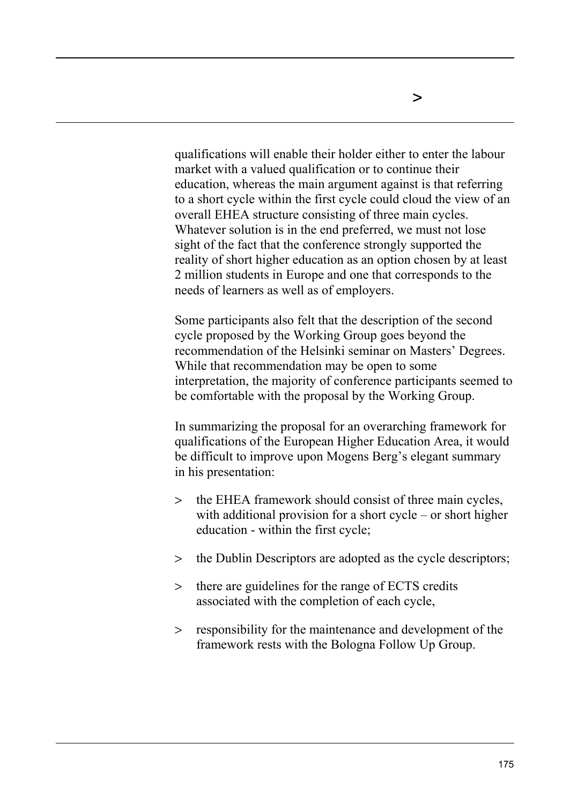qualifications will enable their holder either to enter the labour market with a valued qualification or to continue their education, whereas the main argument against is that referring to a short cycle within the first cycle could cloud the view of an overall EHEA structure consisting of three main cycles. Whatever solution is in the end preferred, we must not lose sight of the fact that the conference strongly supported the reality of short higher education as an option chosen by at least 2 million students in Europe and one that corresponds to the needs of learners as well as of employers.

Some participants also felt that the description of the second cycle proposed by the Working Group goes beyond the recommendation of the Helsinki seminar on Masters' Degrees. While that recommendation may be open to some interpretation, the majority of conference participants seemed to be comfortable with the proposal by the Working Group.

In summarizing the proposal for an overarching framework for qualifications of the European Higher Education Area, it would be difficult to improve upon Mogens Berg's elegant summary in his presentation:

- > the EHEA framework should consist of three main cycles, with additional provision for a short cycle – or short higher education - within the first cycle;
- > the Dublin Descriptors are adopted as the cycle descriptors;
- > there are guidelines for the range of ECTS credits associated with the completion of each cycle,
- > responsibility for the maintenance and development of the framework rests with the Bologna Follow Up Group.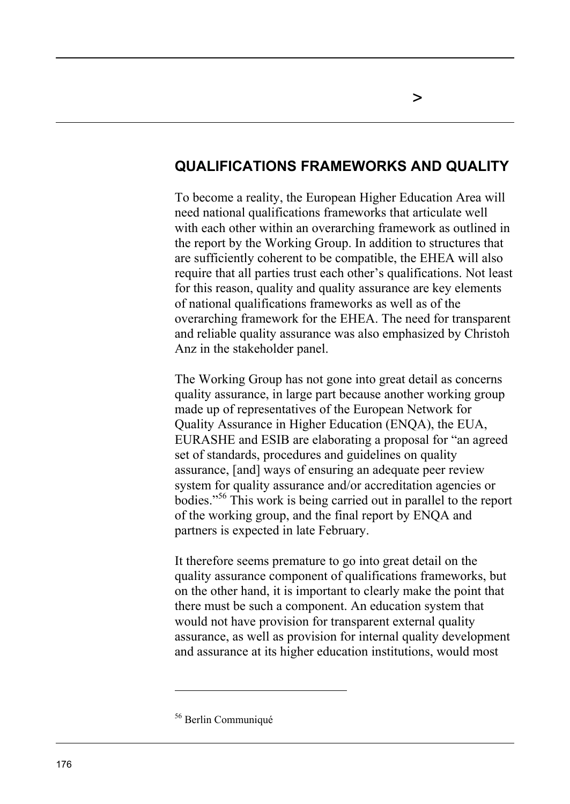## **QUALIFICATIONS FRAMEWORKS AND QUALITY**

To become a reality, the European Higher Education Area will need national qualifications frameworks that articulate well with each other within an overarching framework as outlined in the report by the Working Group. In addition to structures that are sufficiently coherent to be compatible, the EHEA will also require that all parties trust each other's qualifications. Not least for this reason, quality and quality assurance are key elements of national qualifications frameworks as well as of the overarching framework for the EHEA. The need for transparent and reliable quality assurance was also emphasized by Christoh Anz in the stakeholder panel.

The Working Group has not gone into great detail as concerns quality assurance, in large part because another working group made up of representatives of the European Network for Quality Assurance in Higher Education (ENQA), the EUA, EURASHE and ESIB are elaborating a proposal for "an agreed set of standards, procedures and guidelines on quality assurance, [and] ways of ensuring an adequate peer review system for quality assurance and/or accreditation agencies or bodies."56 This work is being carried out in parallel to the report of the working group, and the final report by ENQA and partners is expected in late February.

It therefore seems premature to go into great detail on the quality assurance component of qualifications frameworks, but on the other hand, it is important to clearly make the point that there must be such a component. An education system that would not have provision for transparent external quality assurance, as well as provision for internal quality development and assurance at its higher education institutions, would most

<sup>56</sup> Berlin Communiqué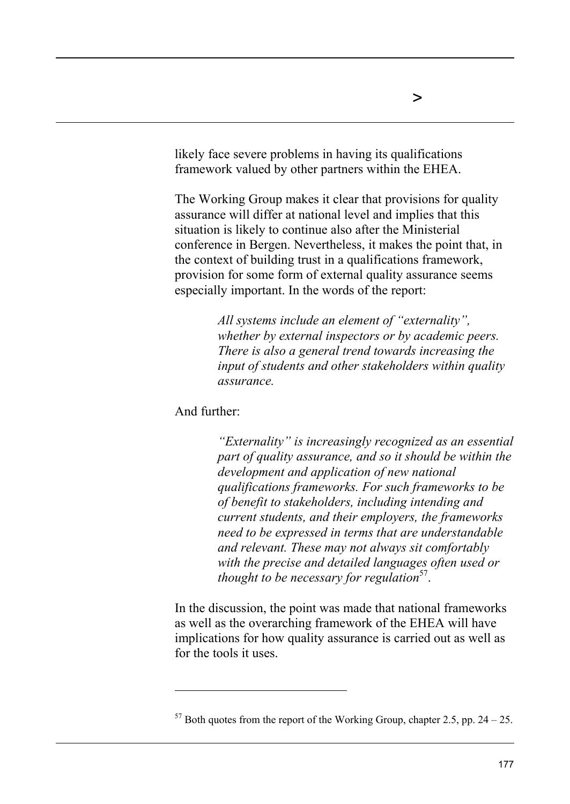likely face severe problems in having its qualifications framework valued by other partners within the EHEA.

The Working Group makes it clear that provisions for quality assurance will differ at national level and implies that this situation is likely to continue also after the Ministerial conference in Bergen. Nevertheless, it makes the point that, in the context of building trust in a qualifications framework, provision for some form of external quality assurance seems especially important. In the words of the report:

> *All systems include an element of "externality", whether by external inspectors or by academic peers. There is also a general trend towards increasing the input of students and other stakeholders within quality assurance.*

And further:

 $\overline{a}$ 

*"Externality" is increasingly recognized as an essential part of quality assurance, and so it should be within the development and application of new national qualifications frameworks. For such frameworks to be of benefit to stakeholders, including intending and current students, and their employers, the frameworks need to be expressed in terms that are understandable and relevant. These may not always sit comfortably with the precise and detailed languages often used or thought to be necessary for regulation*57.

In the discussion, the point was made that national frameworks as well as the overarching framework of the EHEA will have implications for how quality assurance is carried out as well as for the tools it uses.

 $57$  Both quotes from the report of the Working Group, chapter 2.5, pp. 24 – 25.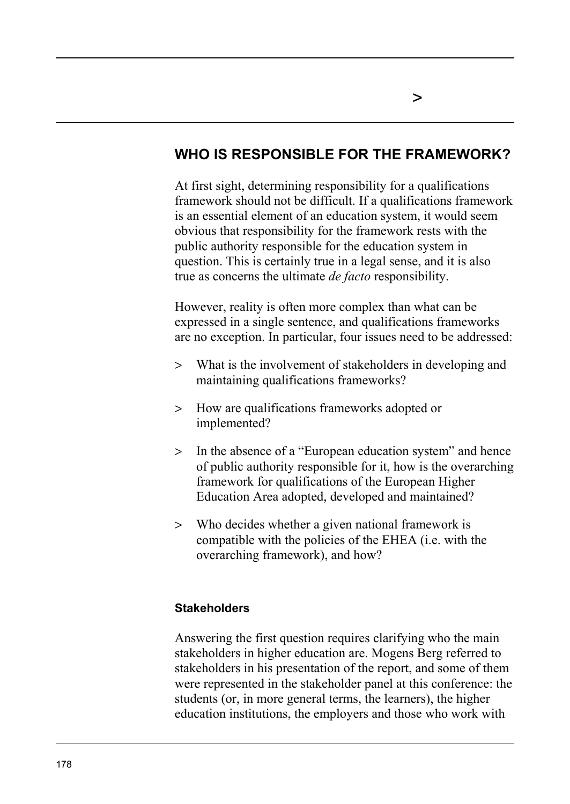# **WHO IS RESPONSIBLE FOR THE FRAMEWORK?**

At first sight, determining responsibility for a qualifications framework should not be difficult. If a qualifications framework is an essential element of an education system, it would seem obvious that responsibility for the framework rests with the public authority responsible for the education system in question. This is certainly true in a legal sense, and it is also true as concerns the ultimate *de facto* responsibility.

However, reality is often more complex than what can be expressed in a single sentence, and qualifications frameworks are no exception. In particular, four issues need to be addressed:

- > What is the involvement of stakeholders in developing and maintaining qualifications frameworks?
- > How are qualifications frameworks adopted or implemented?
- > In the absence of a "European education system" and hence of public authority responsible for it, how is the overarching framework for qualifications of the European Higher Education Area adopted, developed and maintained?
- > Who decides whether a given national framework is compatible with the policies of the EHEA (i.e. with the overarching framework), and how?

## **Stakeholders**

Answering the first question requires clarifying who the main stakeholders in higher education are. Mogens Berg referred to stakeholders in his presentation of the report, and some of them were represented in the stakeholder panel at this conference: the students (or, in more general terms, the learners), the higher education institutions, the employers and those who work with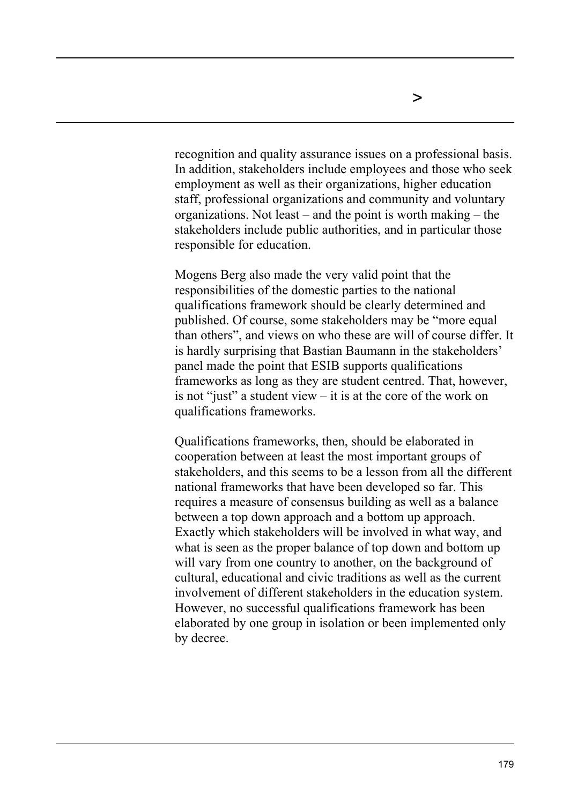recognition and quality assurance issues on a professional basis. In addition, stakeholders include employees and those who seek employment as well as their organizations, higher education staff, professional organizations and community and voluntary organizations. Not least – and the point is worth making – the stakeholders include public authorities, and in particular those responsible for education.

Mogens Berg also made the very valid point that the responsibilities of the domestic parties to the national qualifications framework should be clearly determined and published. Of course, some stakeholders may be "more equal than others", and views on who these are will of course differ. It is hardly surprising that Bastian Baumann in the stakeholders' panel made the point that ESIB supports qualifications frameworks as long as they are student centred. That, however, is not "just" a student view – it is at the core of the work on qualifications frameworks.

Qualifications frameworks, then, should be elaborated in cooperation between at least the most important groups of stakeholders, and this seems to be a lesson from all the different national frameworks that have been developed so far. This requires a measure of consensus building as well as a balance between a top down approach and a bottom up approach. Exactly which stakeholders will be involved in what way, and what is seen as the proper balance of top down and bottom up will vary from one country to another, on the background of cultural, educational and civic traditions as well as the current involvement of different stakeholders in the education system. However, no successful qualifications framework has been elaborated by one group in isolation or been implemented only by decree.

>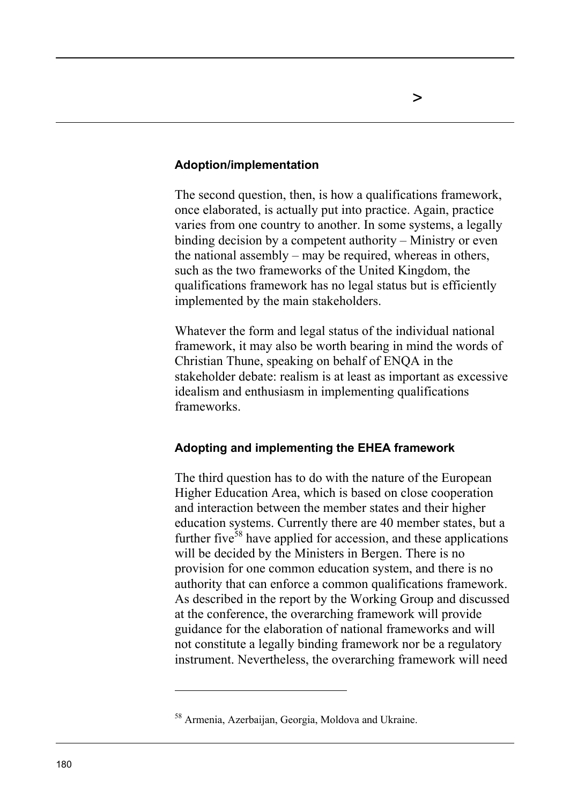#### **Adoption/implementation**

The second question, then, is how a qualifications framework, once elaborated, is actually put into practice. Again, practice varies from one country to another. In some systems, a legally binding decision by a competent authority – Ministry or even the national assembly – may be required, whereas in others, such as the two frameworks of the United Kingdom, the qualifications framework has no legal status but is efficiently implemented by the main stakeholders.

Whatever the form and legal status of the individual national framework, it may also be worth bearing in mind the words of Christian Thune, speaking on behalf of ENQA in the stakeholder debate: realism is at least as important as excessive idealism and enthusiasm in implementing qualifications frameworks.

## **Adopting and implementing the EHEA framework**

The third question has to do with the nature of the European Higher Education Area, which is based on close cooperation and interaction between the member states and their higher education systems. Currently there are 40 member states, but a further five<sup>58</sup> have applied for accession, and these applications will be decided by the Ministers in Bergen. There is no provision for one common education system, and there is no authority that can enforce a common qualifications framework. As described in the report by the Working Group and discussed at the conference, the overarching framework will provide guidance for the elaboration of national frameworks and will not constitute a legally binding framework nor be a regulatory instrument. Nevertheless, the overarching framework will need

<sup>58</sup> Armenia, Azerbaijan, Georgia, Moldova and Ukraine.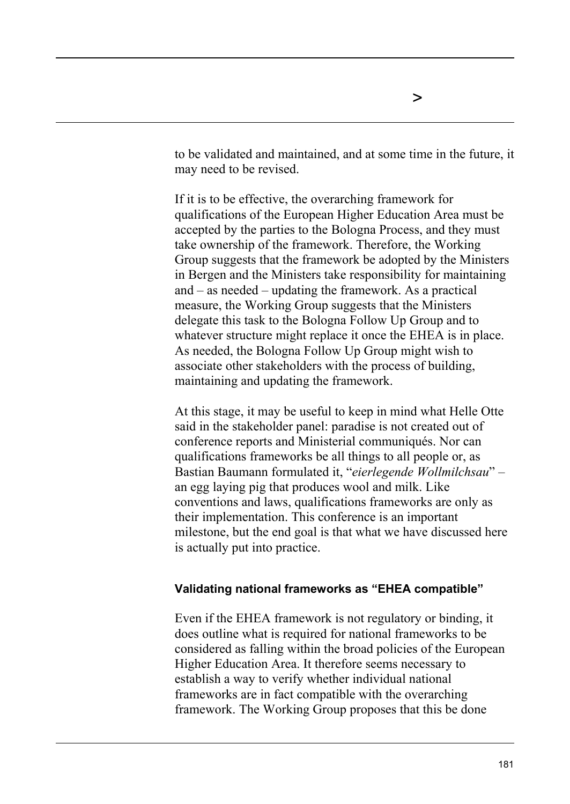to be validated and maintained, and at some time in the future, it may need to be revised.

If it is to be effective, the overarching framework for qualifications of the European Higher Education Area must be accepted by the parties to the Bologna Process, and they must take ownership of the framework. Therefore, the Working Group suggests that the framework be adopted by the Ministers in Bergen and the Ministers take responsibility for maintaining and – as needed – updating the framework. As a practical measure, the Working Group suggests that the Ministers delegate this task to the Bologna Follow Up Group and to whatever structure might replace it once the EHEA is in place. As needed, the Bologna Follow Up Group might wish to associate other stakeholders with the process of building, maintaining and updating the framework.

At this stage, it may be useful to keep in mind what Helle Otte said in the stakeholder panel: paradise is not created out of conference reports and Ministerial communiqués. Nor can qualifications frameworks be all things to all people or, as Bastian Baumann formulated it, "*eierlegende Wollmilchsau*" – an egg laying pig that produces wool and milk. Like conventions and laws, qualifications frameworks are only as their implementation. This conference is an important milestone, but the end goal is that what we have discussed here is actually put into practice.

### **Validating national frameworks as "EHEA compatible"**

Even if the EHEA framework is not regulatory or binding, it does outline what is required for national frameworks to be considered as falling within the broad policies of the European Higher Education Area. It therefore seems necessary to establish a way to verify whether individual national frameworks are in fact compatible with the overarching framework. The Working Group proposes that this be done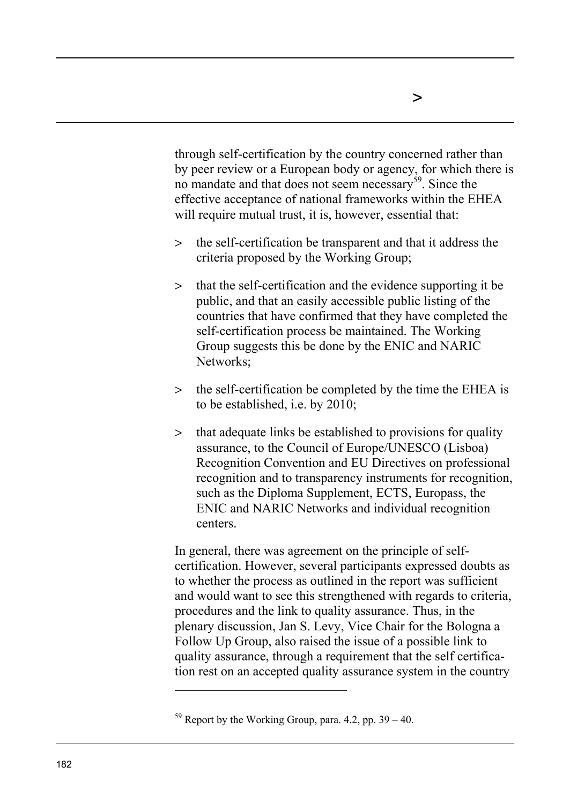through self-certification by the country concerned rather than by peer review or a European body or agency, for which there is no mandate and that does not seem necessary<sup>59</sup>. Since the effective acceptance of national frameworks within the EHEA will require mutual trust, it is, however, essential that:

>

- > the self-certification be transparent and that it address the criteria proposed by the Working Group;
- > that the self-certification and the evidence supporting it be public, and that an easily accessible public listing of the countries that have confirmed that they have completed the self-certification process be maintained. The Working Group suggests this be done by the ENIC and NARIC Networks;
- > the self-certification be completed by the time the EHEA is to be established, i.e. by 2010;
- > that adequate links be established to provisions for quality assurance, to the Council of Europe/UNESCO (Lisboa) Recognition Convention and EU Directives on professional recognition and to transparency instruments for recognition, such as the Diploma Supplement, ECTS, Europass, the ENIC and NARIC Networks and individual recognition centers.

In general, there was agreement on the principle of selfcertification. However, several participants expressed doubts as to whether the process as outlined in the report was sufficient and would want to see this strengthened with regards to criteria, procedures and the link to quality assurance. Thus, in the plenary discussion, Jan S. Levy, Vice Chair for the Bologna a Follow Up Group, also raised the issue of a possible link to quality assurance, through a requirement that the self certification rest on an accepted quality assurance system in the country

<sup>&</sup>lt;sup>59</sup> Report by the Working Group, para.  $4.2$ , pp.  $39 - 40$ .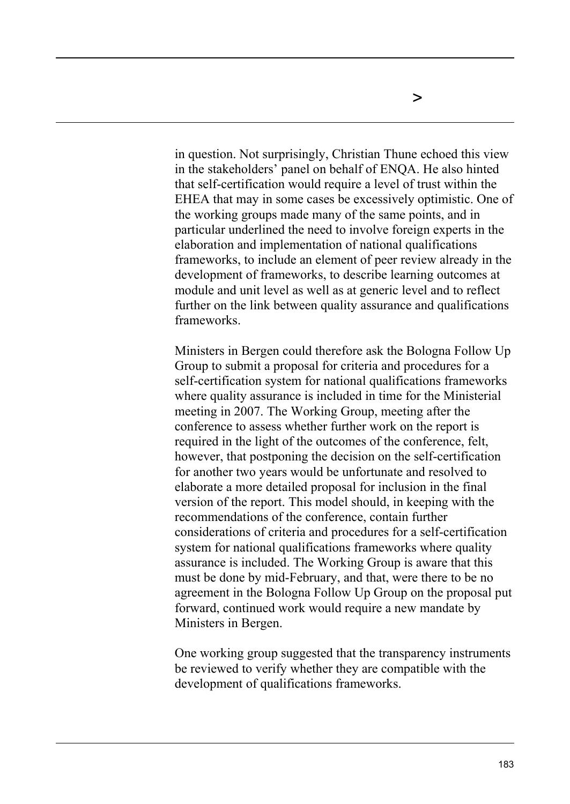in question. Not surprisingly, Christian Thune echoed this view in the stakeholders' panel on behalf of ENQA. He also hinted that self-certification would require a level of trust within the EHEA that may in some cases be excessively optimistic. One of the working groups made many of the same points, and in particular underlined the need to involve foreign experts in the elaboration and implementation of national qualifications frameworks, to include an element of peer review already in the development of frameworks, to describe learning outcomes at module and unit level as well as at generic level and to reflect further on the link between quality assurance and qualifications frameworks.

>

Ministers in Bergen could therefore ask the Bologna Follow Up Group to submit a proposal for criteria and procedures for a self-certification system for national qualifications frameworks where quality assurance is included in time for the Ministerial meeting in 2007. The Working Group, meeting after the conference to assess whether further work on the report is required in the light of the outcomes of the conference, felt, however, that postponing the decision on the self-certification for another two years would be unfortunate and resolved to elaborate a more detailed proposal for inclusion in the final version of the report. This model should, in keeping with the recommendations of the conference, contain further considerations of criteria and procedures for a self-certification system for national qualifications frameworks where quality assurance is included. The Working Group is aware that this must be done by mid-February, and that, were there to be no agreement in the Bologna Follow Up Group on the proposal put forward, continued work would require a new mandate by Ministers in Bergen.

One working group suggested that the transparency instruments be reviewed to verify whether they are compatible with the development of qualifications frameworks.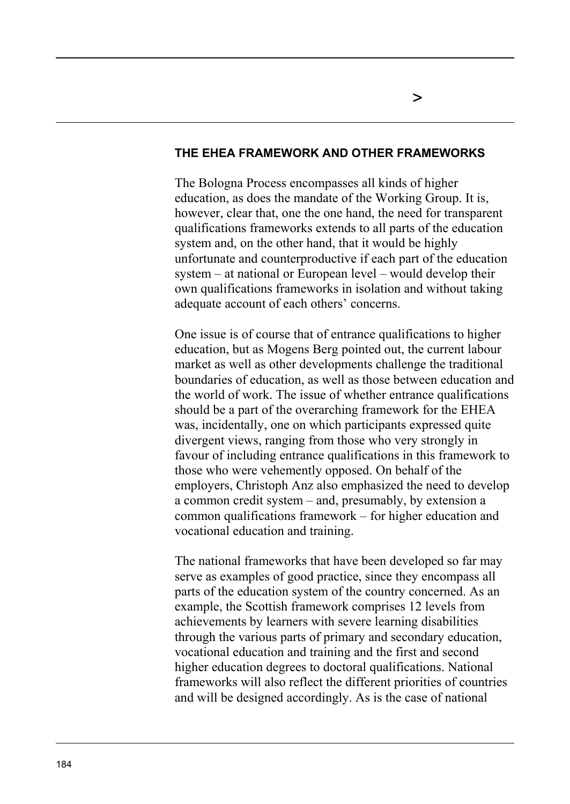#### **THE EHEA FRAMEWORK AND OTHER FRAMEWORKS**

The Bologna Process encompasses all kinds of higher education, as does the mandate of the Working Group. It is, however, clear that, one the one hand, the need for transparent qualifications frameworks extends to all parts of the education system and, on the other hand, that it would be highly unfortunate and counterproductive if each part of the education system – at national or European level – would develop their own qualifications frameworks in isolation and without taking adequate account of each others' concerns.

One issue is of course that of entrance qualifications to higher education, but as Mogens Berg pointed out, the current labour market as well as other developments challenge the traditional boundaries of education, as well as those between education and the world of work. The issue of whether entrance qualifications should be a part of the overarching framework for the EHEA was, incidentally, one on which participants expressed quite divergent views, ranging from those who very strongly in favour of including entrance qualifications in this framework to those who were vehemently opposed. On behalf of the employers, Christoph Anz also emphasized the need to develop a common credit system – and, presumably, by extension a common qualifications framework – for higher education and vocational education and training.

The national frameworks that have been developed so far may serve as examples of good practice, since they encompass all parts of the education system of the country concerned. As an example, the Scottish framework comprises 12 levels from achievements by learners with severe learning disabilities through the various parts of primary and secondary education, vocational education and training and the first and second higher education degrees to doctoral qualifications. National frameworks will also reflect the different priorities of countries and will be designed accordingly. As is the case of national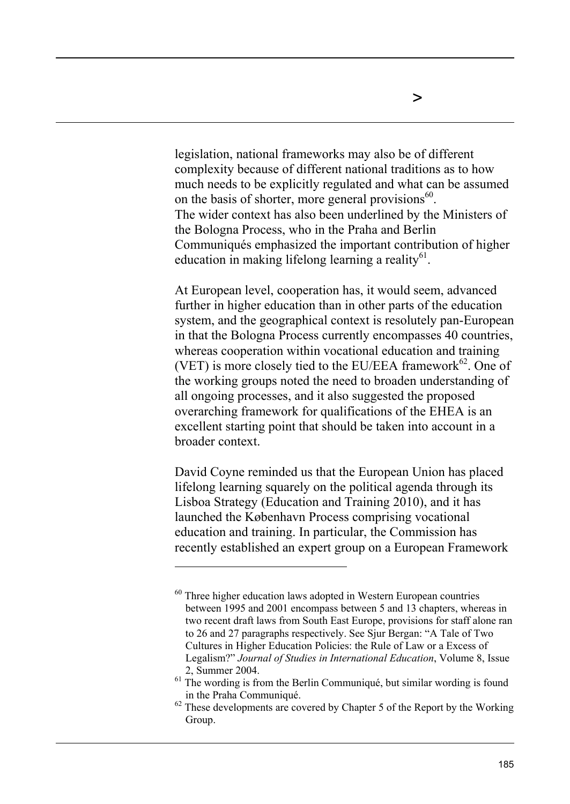legislation, national frameworks may also be of different complexity because of different national traditions as to how much needs to be explicitly regulated and what can be assumed on the basis of shorter, more general provisions $60$ . The wider context has also been underlined by the Ministers of the Bologna Process, who in the Praha and Berlin Communiqués emphasized the important contribution of higher education in making lifelong learning a reality $^{61}$ .

At European level, cooperation has, it would seem, advanced further in higher education than in other parts of the education system, and the geographical context is resolutely pan-European in that the Bologna Process currently encompasses 40 countries, whereas cooperation within vocational education and training (VET) is more closely tied to the EU/EEA framework $^{62}$ . One of the working groups noted the need to broaden understanding of all ongoing processes, and it also suggested the proposed overarching framework for qualifications of the EHEA is an excellent starting point that should be taken into account in a broader context.

David Coyne reminded us that the European Union has placed lifelong learning squarely on the political agenda through its Lisboa Strategy (Education and Training 2010), and it has launched the København Process comprising vocational education and training. In particular, the Commission has recently established an expert group on a European Framework

 $60$  Three higher education laws adopted in Western European countries between 1995 and 2001 encompass between 5 and 13 chapters, whereas in two recent draft laws from South East Europe, provisions for staff alone ran to 26 and 27 paragraphs respectively. See Sjur Bergan: "A Tale of Two Cultures in Higher Education Policies: the Rule of Law or a Excess of Legalism?" *Journal of Studies in International Education*, Volume 8, Issue

<sup>2,</sup> Summer 2004.<br><sup>61</sup> The wording is from the Berlin Communiqué, but similar wording is found in the Praha Communiqué.<br><sup>62</sup> These developments are covered by Chapter 5 of the Report by the Working

Group.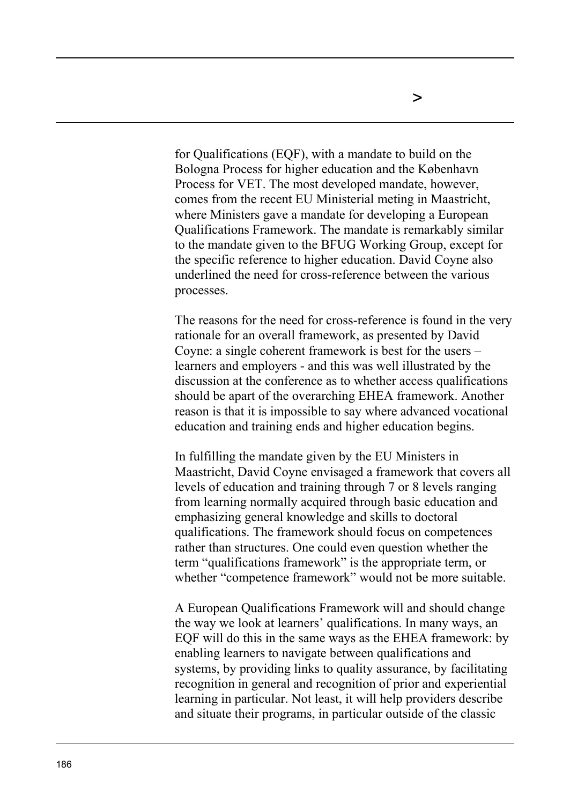for Qualifications (EQF), with a mandate to build on the Bologna Process for higher education and the København Process for VET. The most developed mandate, however, comes from the recent EU Ministerial meting in Maastricht, where Ministers gave a mandate for developing a European Qualifications Framework. The mandate is remarkably similar to the mandate given to the BFUG Working Group, except for the specific reference to higher education. David Coyne also underlined the need for cross-reference between the various processes.

>

The reasons for the need for cross-reference is found in the very rationale for an overall framework, as presented by David Coyne: a single coherent framework is best for the users – learners and employers - and this was well illustrated by the discussion at the conference as to whether access qualifications should be apart of the overarching EHEA framework. Another reason is that it is impossible to say where advanced vocational education and training ends and higher education begins.

In fulfilling the mandate given by the EU Ministers in Maastricht, David Coyne envisaged a framework that covers all levels of education and training through 7 or 8 levels ranging from learning normally acquired through basic education and emphasizing general knowledge and skills to doctoral qualifications. The framework should focus on competences rather than structures. One could even question whether the term "qualifications framework" is the appropriate term, or whether "competence framework" would not be more suitable.

A European Qualifications Framework will and should change the way we look at learners' qualifications. In many ways, an EQF will do this in the same ways as the EHEA framework: by enabling learners to navigate between qualifications and systems, by providing links to quality assurance, by facilitating recognition in general and recognition of prior and experiential learning in particular. Not least, it will help providers describe and situate their programs, in particular outside of the classic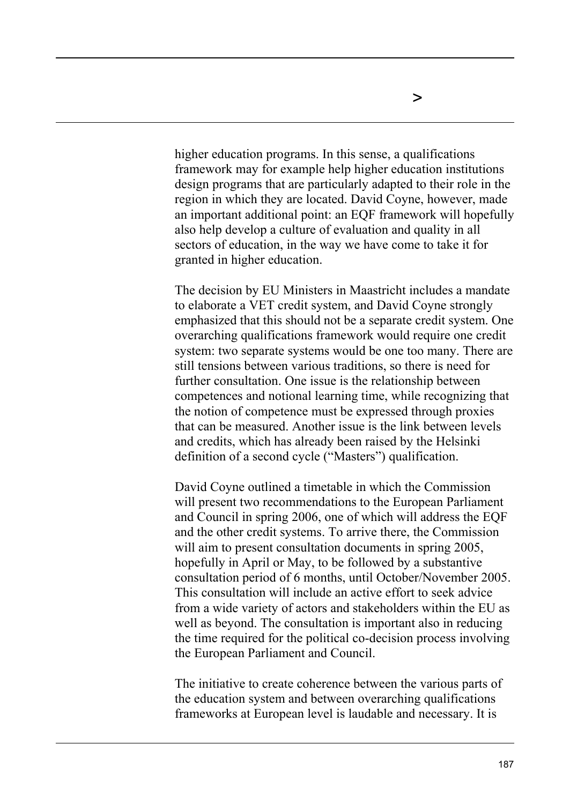higher education programs. In this sense, a qualifications framework may for example help higher education institutions design programs that are particularly adapted to their role in the region in which they are located. David Coyne, however, made an important additional point: an EQF framework will hopefully also help develop a culture of evaluation and quality in all sectors of education, in the way we have come to take it for granted in higher education.

>

The decision by EU Ministers in Maastricht includes a mandate to elaborate a VET credit system, and David Coyne strongly emphasized that this should not be a separate credit system. One overarching qualifications framework would require one credit system: two separate systems would be one too many. There are still tensions between various traditions, so there is need for further consultation. One issue is the relationship between competences and notional learning time, while recognizing that the notion of competence must be expressed through proxies that can be measured. Another issue is the link between levels and credits, which has already been raised by the Helsinki definition of a second cycle ("Masters") qualification.

David Coyne outlined a timetable in which the Commission will present two recommendations to the European Parliament and Council in spring 2006, one of which will address the EQF and the other credit systems. To arrive there, the Commission will aim to present consultation documents in spring 2005, hopefully in April or May, to be followed by a substantive consultation period of 6 months, until October/November 2005. This consultation will include an active effort to seek advice from a wide variety of actors and stakeholders within the EU as well as beyond. The consultation is important also in reducing the time required for the political co-decision process involving the European Parliament and Council.

The initiative to create coherence between the various parts of the education system and between overarching qualifications frameworks at European level is laudable and necessary. It is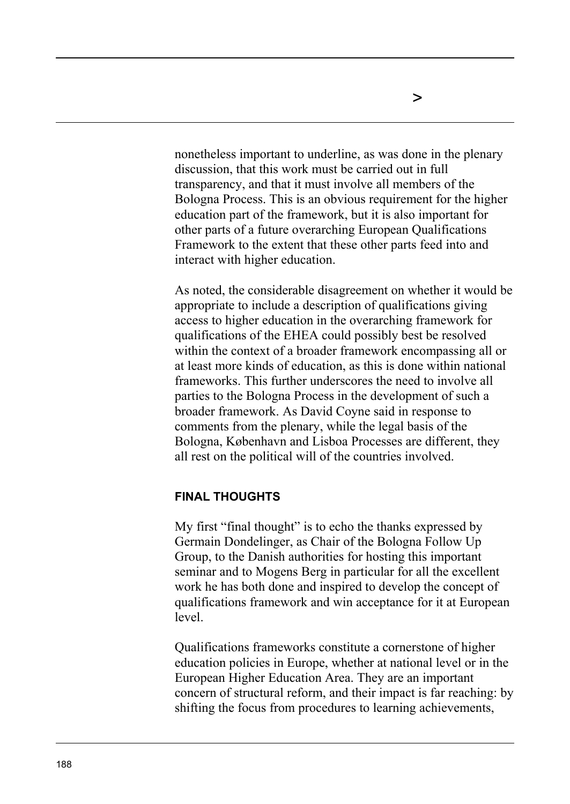nonetheless important to underline, as was done in the plenary discussion, that this work must be carried out in full transparency, and that it must involve all members of the Bologna Process. This is an obvious requirement for the higher education part of the framework, but it is also important for other parts of a future overarching European Qualifications Framework to the extent that these other parts feed into and interact with higher education.

As noted, the considerable disagreement on whether it would be appropriate to include a description of qualifications giving access to higher education in the overarching framework for qualifications of the EHEA could possibly best be resolved within the context of a broader framework encompassing all or at least more kinds of education, as this is done within national frameworks. This further underscores the need to involve all parties to the Bologna Process in the development of such a broader framework. As David Coyne said in response to comments from the plenary, while the legal basis of the Bologna, København and Lisboa Processes are different, they all rest on the political will of the countries involved.

### **FINAL THOUGHTS**

My first "final thought" is to echo the thanks expressed by Germain Dondelinger, as Chair of the Bologna Follow Up Group, to the Danish authorities for hosting this important seminar and to Mogens Berg in particular for all the excellent work he has both done and inspired to develop the concept of qualifications framework and win acceptance for it at European level.

Qualifications frameworks constitute a cornerstone of higher education policies in Europe, whether at national level or in the European Higher Education Area. They are an important concern of structural reform, and their impact is far reaching: by shifting the focus from procedures to learning achievements,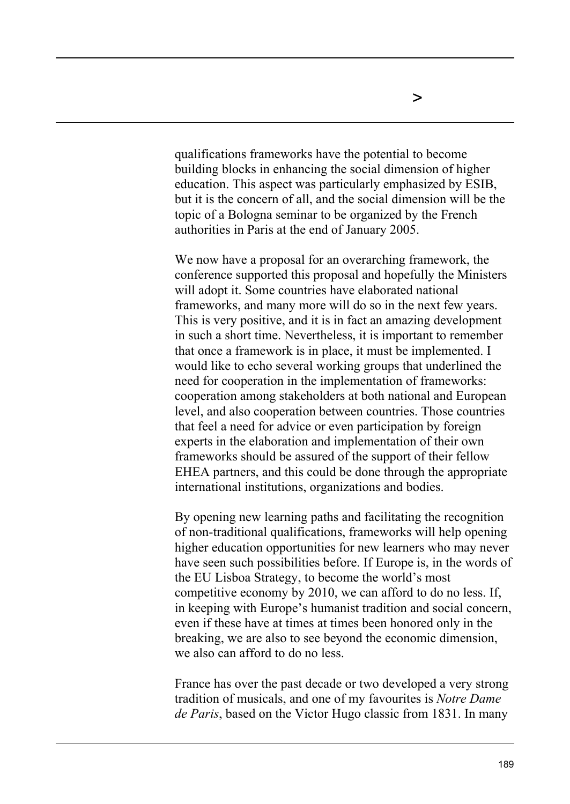qualifications frameworks have the potential to become

building blocks in enhancing the social dimension of higher education. This aspect was particularly emphasized by ESIB, but it is the concern of all, and the social dimension will be the topic of a Bologna seminar to be organized by the French authorities in Paris at the end of January 2005.

>

We now have a proposal for an overarching framework, the conference supported this proposal and hopefully the Ministers will adopt it. Some countries have elaborated national frameworks, and many more will do so in the next few years. This is very positive, and it is in fact an amazing development in such a short time. Nevertheless, it is important to remember that once a framework is in place, it must be implemented. I would like to echo several working groups that underlined the need for cooperation in the implementation of frameworks: cooperation among stakeholders at both national and European level, and also cooperation between countries. Those countries that feel a need for advice or even participation by foreign experts in the elaboration and implementation of their own frameworks should be assured of the support of their fellow EHEA partners, and this could be done through the appropriate international institutions, organizations and bodies.

By opening new learning paths and facilitating the recognition of non-traditional qualifications, frameworks will help opening higher education opportunities for new learners who may never have seen such possibilities before. If Europe is, in the words of the EU Lisboa Strategy, to become the world's most competitive economy by 2010, we can afford to do no less. If, in keeping with Europe's humanist tradition and social concern, even if these have at times at times been honored only in the breaking, we are also to see beyond the economic dimension, we also can afford to do no less.

France has over the past decade or two developed a very strong tradition of musicals, and one of my favourites is *Notre Dame de Paris*, based on the Victor Hugo classic from 1831. In many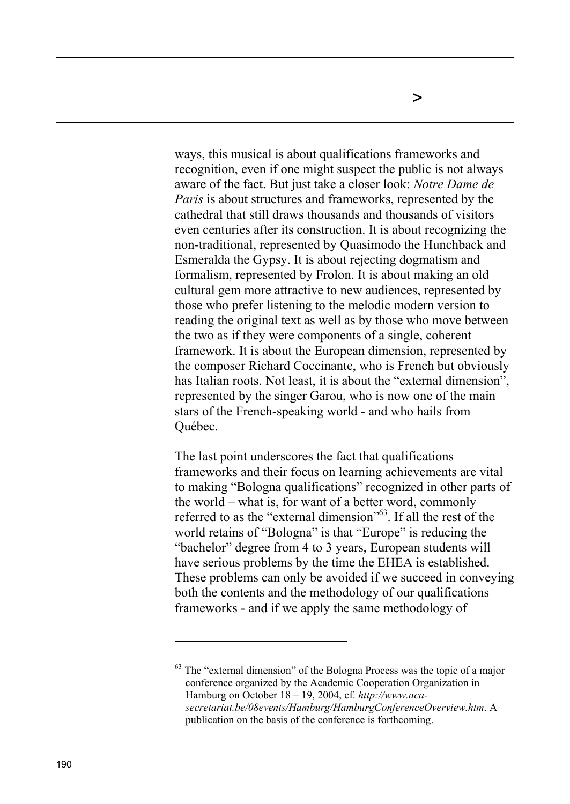ways, this musical is about qualifications frameworks and recognition, even if one might suspect the public is not always aware of the fact. But just take a closer look: *Notre Dame de Paris* is about structures and frameworks, represented by the cathedral that still draws thousands and thousands of visitors even centuries after its construction. It is about recognizing the non-traditional, represented by Quasimodo the Hunchback and Esmeralda the Gypsy. It is about rejecting dogmatism and formalism, represented by Frolon. It is about making an old cultural gem more attractive to new audiences, represented by those who prefer listening to the melodic modern version to reading the original text as well as by those who move between the two as if they were components of a single, coherent framework. It is about the European dimension, represented by the composer Richard Coccinante, who is French but obviously has Italian roots. Not least, it is about the "external dimension", represented by the singer Garou, who is now one of the main stars of the French-speaking world - and who hails from Québec.

The last point underscores the fact that qualifications frameworks and their focus on learning achievements are vital to making "Bologna qualifications" recognized in other parts of the world – what is, for want of a better word, commonly referred to as the "external dimension"63. If all the rest of the world retains of "Bologna" is that "Europe" is reducing the "bachelor" degree from 4 to 3 years, European students will have serious problems by the time the EHEA is established. These problems can only be avoided if we succeed in conveying both the contents and the methodology of our qualifications frameworks - and if we apply the same methodology of

 $63$  The "external dimension" of the Bologna Process was the topic of a major conference organized by the Academic Cooperation Organization in Hamburg on October 18 – 19, 2004, cf. *http://www.acasecretariat.be/08events/Hamburg/HamburgConferenceOverview.htm*. A publication on the basis of the conference is forthcoming.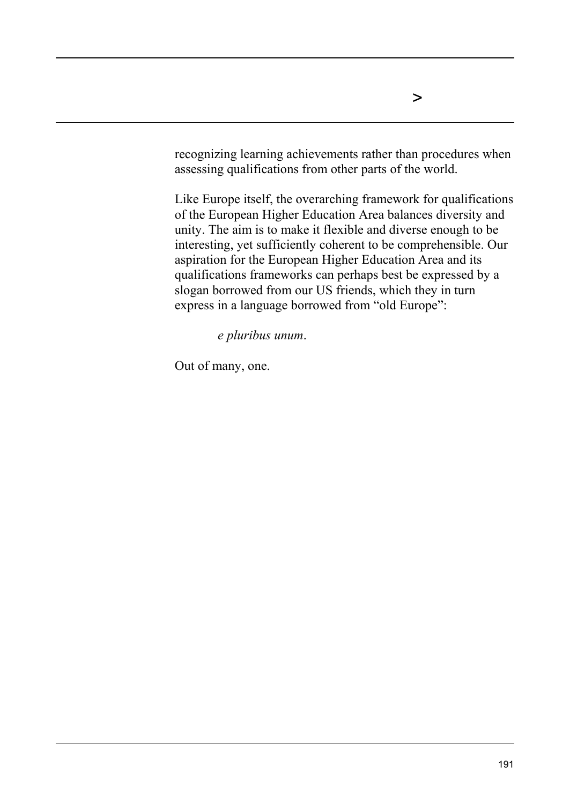recognizing learning achievements rather than procedures when assessing qualifications from other parts of the world.

Like Europe itself, the overarching framework for qualifications of the European Higher Education Area balances diversity and unity. The aim is to make it flexible and diverse enough to be interesting, yet sufficiently coherent to be comprehensible. Our aspiration for the European Higher Education Area and its qualifications frameworks can perhaps best be expressed by a slogan borrowed from our US friends, which they in turn express in a language borrowed from "old Europe":

*e pluribus unum*.

Out of many, one.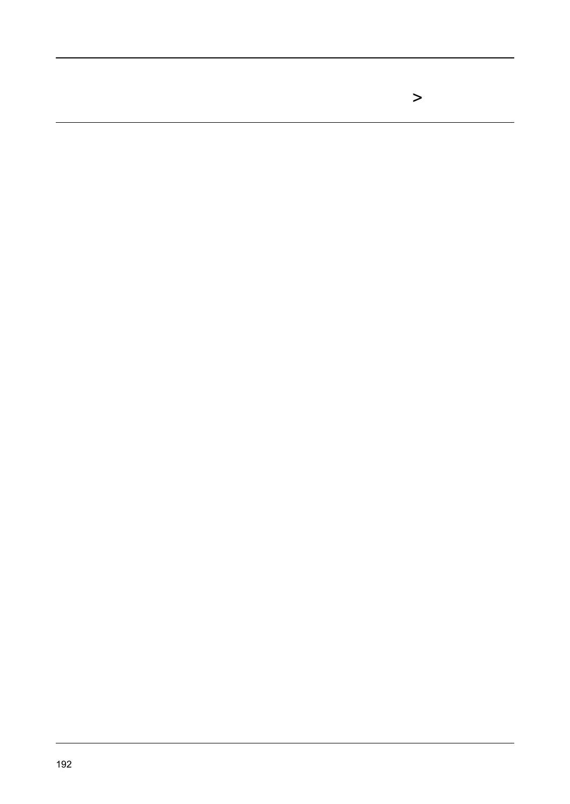$\geq$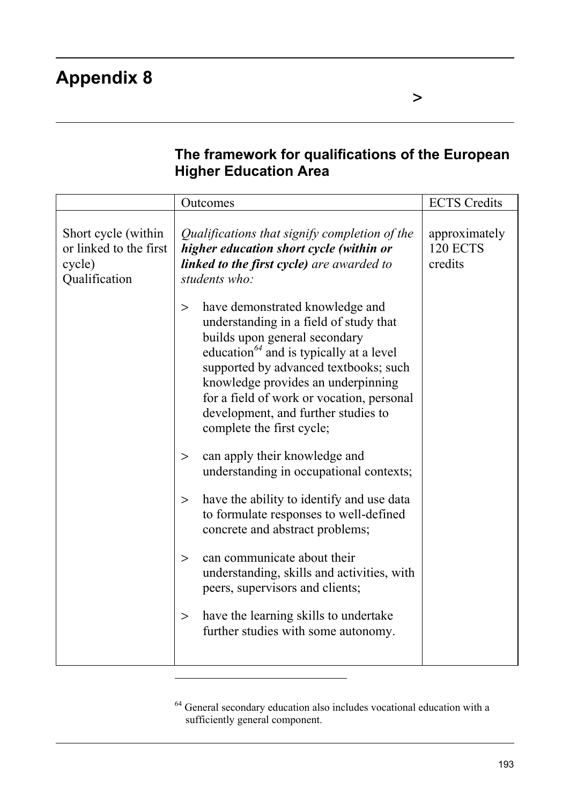# **The framework for qualifications of the European Higher Education Area**

|                                                                          | Outcomes                                                                                                                                                                                                                                                                                                                                                                         | <b>ECTS</b> Credits                         |
|--------------------------------------------------------------------------|----------------------------------------------------------------------------------------------------------------------------------------------------------------------------------------------------------------------------------------------------------------------------------------------------------------------------------------------------------------------------------|---------------------------------------------|
| Short cycle (within<br>or linked to the first<br>cycle)<br>Qualification | Qualifications that signify completion of the<br>higher education short cycle (within or<br>linked to the first cycle) are awarded to<br>students who:<br>have demonstrated knowledge and<br>$\rm{>}$<br>understanding in a field of study that<br>builds upon general secondary<br>education <sup>64</sup> and is typically at a level<br>supported by advanced textbooks; such | approximately<br><b>120 ECTS</b><br>credits |
|                                                                          | knowledge provides an underpinning<br>for a field of work or vocation, personal<br>development, and further studies to<br>complete the first cycle;                                                                                                                                                                                                                              |                                             |
|                                                                          | can apply their knowledge and<br>$\rm{>}$<br>understanding in occupational contexts;                                                                                                                                                                                                                                                                                             |                                             |
|                                                                          | have the ability to identify and use data<br>$\geq$<br>to formulate responses to well-defined<br>concrete and abstract problems;                                                                                                                                                                                                                                                 |                                             |
|                                                                          | can communicate about their<br>$\geq$<br>understanding, skills and activities, with<br>peers, supervisors and clients;                                                                                                                                                                                                                                                           |                                             |
|                                                                          | have the learning skills to undertake<br>$\rm{>}$<br>further studies with some autonomy.                                                                                                                                                                                                                                                                                         |                                             |

 $\overline{a}$ 

<sup>64</sup> General secondary education also includes vocational education with a sufficiently general component.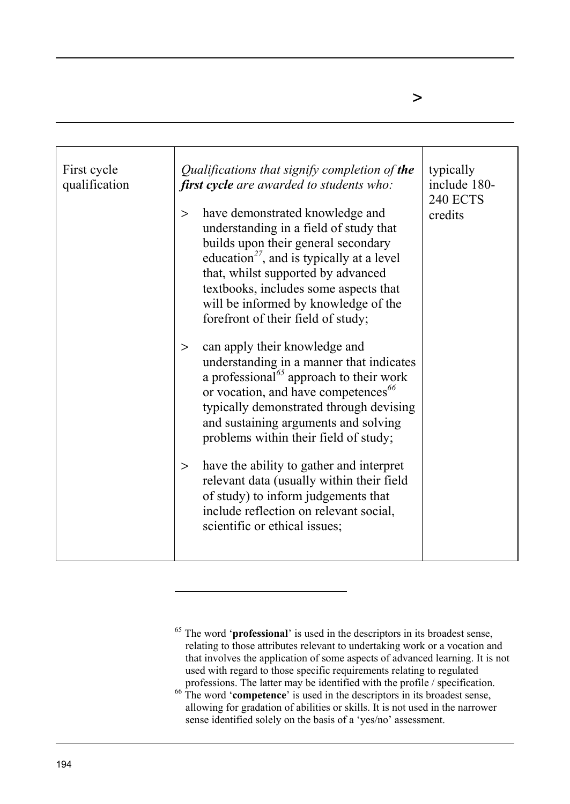<sup>65</sup> The word '**professional**' is used in the descriptors in its broadest sense, relating to those attributes relevant to undertaking work or a vocation and that involves the application of some aspects of advanced learning. It is not used with regard to those specific requirements relating to regulated

professions. The latter may be identified with the profile / specification. 66 The word '**competence**' is used in the descriptors in its broadest sense, allowing for gradation of abilities or skills. It is not used in the narrower sense identified solely on the basis of a 'yes/no' assessment.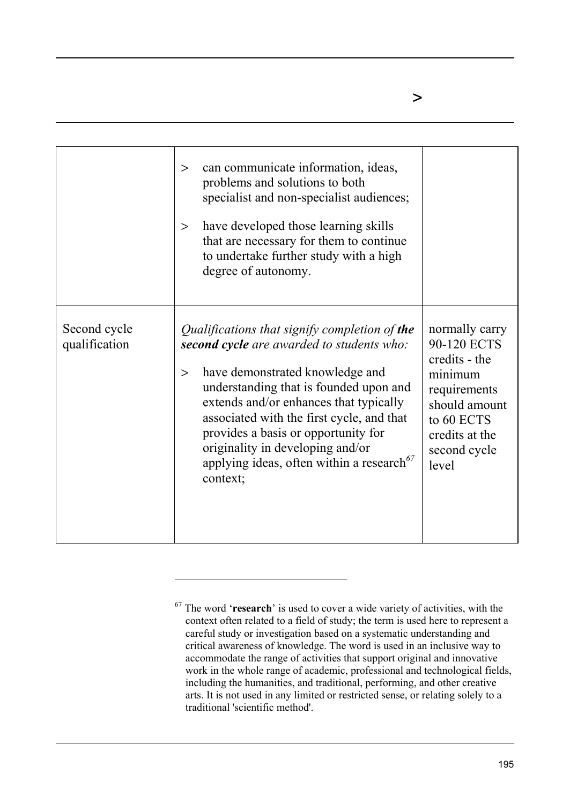|  |  | ↗ |
|--|--|---|
|  |  |   |

|                               | can communicate information, ideas,<br>$\geq$<br>problems and solutions to both<br>specialist and non-specialist audiences;<br>have developed those learning skills<br>$\geq$<br>that are necessary for them to continue<br>to undertake further study with a high<br>degree of autonomy.                                                                                                                                |                                                                                                                                                     |
|-------------------------------|--------------------------------------------------------------------------------------------------------------------------------------------------------------------------------------------------------------------------------------------------------------------------------------------------------------------------------------------------------------------------------------------------------------------------|-----------------------------------------------------------------------------------------------------------------------------------------------------|
| Second cycle<br>qualification | Qualifications that signify completion of the<br>second cycle are awarded to students who:<br>have demonstrated knowledge and<br>$\geq$<br>understanding that is founded upon and<br>extends and/or enhances that typically<br>associated with the first cycle, and that<br>provides a basis or opportunity for<br>originality in developing and/or<br>applying ideas, often within a research <sup>67</sup><br>context; | normally carry<br>90-120 ECTS<br>credits - the<br>minimum<br>requirements<br>should amount<br>to 60 ECTS<br>credits at the<br>second cycle<br>level |

<sup>67</sup> The word '**research**' is used to cover a wide variety of activities, with the context often related to a field of study; the term is used here to represent a careful study or investigation based on a systematic understanding and critical awareness of knowledge. The word is used in an inclusive way to accommodate the range of activities that support original and innovative work in the whole range of academic, professional and technological fields, including the humanities, and traditional, performing, and other creative arts. It is not used in any limited or restricted sense, or relating solely to a traditional 'scientific method'.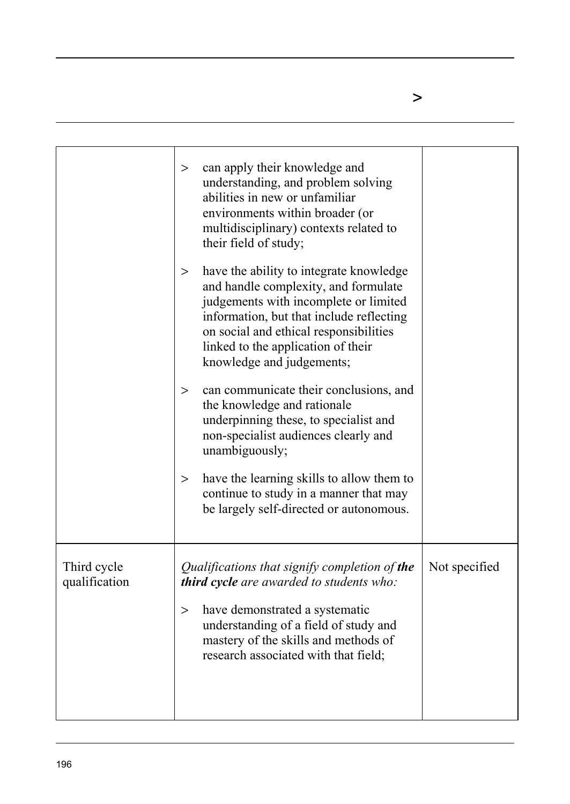|                              | can apply their knowledge and<br>><br>understanding, and problem solving<br>abilities in new or unfamiliar<br>environments within broader (or<br>multidisciplinary) contexts related to<br>their field of study;                                                                       |               |
|------------------------------|----------------------------------------------------------------------------------------------------------------------------------------------------------------------------------------------------------------------------------------------------------------------------------------|---------------|
|                              | have the ability to integrate knowledge<br>><br>and handle complexity, and formulate<br>judgements with incomplete or limited<br>information, but that include reflecting<br>on social and ethical responsibilities<br>linked to the application of their<br>knowledge and judgements; |               |
|                              | can communicate their conclusions, and<br>><br>the knowledge and rationale<br>underpinning these, to specialist and<br>non-specialist audiences clearly and<br>unambiguously;                                                                                                          |               |
|                              | have the learning skills to allow them to<br>$\rm{>}$<br>continue to study in a manner that may<br>be largely self-directed or autonomous.                                                                                                                                             |               |
| Third cycle<br>qualification | Qualifications that signify completion of the<br>third cycle are awarded to students who:<br>have demonstrated a systematic<br>><br>understanding of a field of study and<br>mastery of the skills and methods of<br>research associated with that field;                              | Not specified |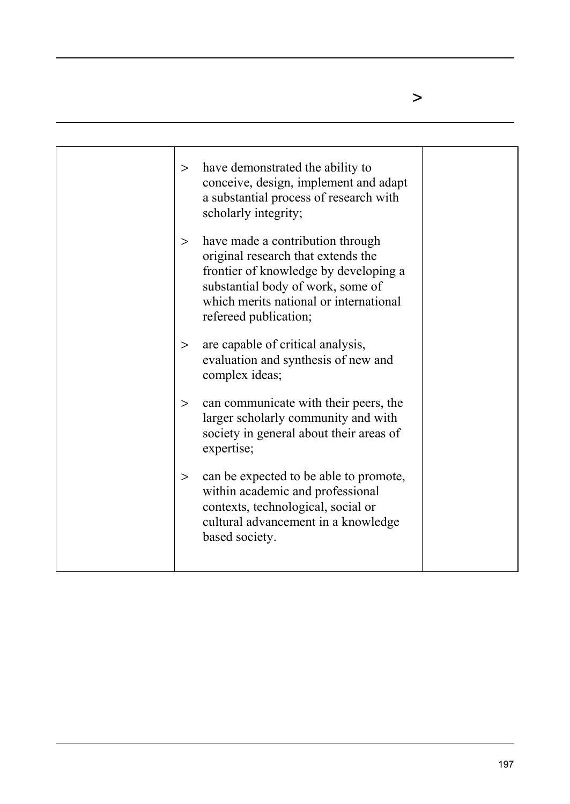| have demonstrated the ability to<br>><br>conceive, design, implement and adapt<br>a substantial process of research with<br>scholarly integrity;                                                                             |  |
|------------------------------------------------------------------------------------------------------------------------------------------------------------------------------------------------------------------------------|--|
| have made a contribution through<br>><br>original research that extends the<br>frontier of knowledge by developing a<br>substantial body of work, some of<br>which merits national or international<br>refereed publication; |  |
| are capable of critical analysis,<br>><br>evaluation and synthesis of new and<br>complex ideas;                                                                                                                              |  |
| can communicate with their peers, the<br>><br>larger scholarly community and with<br>society in general about their areas of<br>expertise;                                                                                   |  |
| can be expected to be able to promote,<br>$\geq$<br>within academic and professional<br>contexts, technological, social or<br>cultural advancement in a knowledge<br>based society.                                          |  |